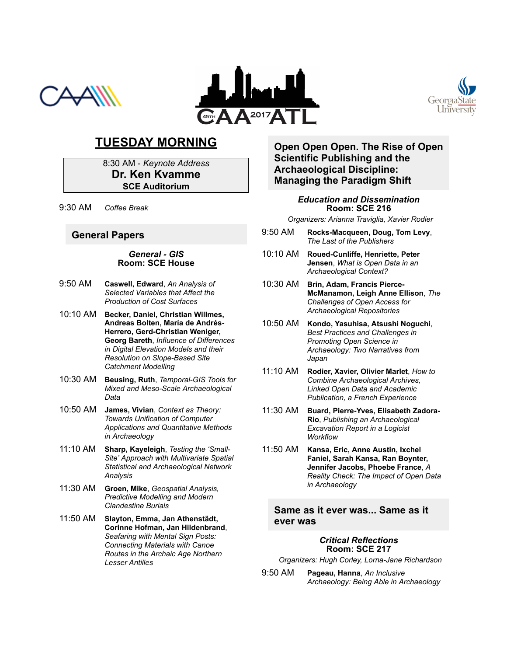





# **TUESDAY MORNING**

8:30 AM *Keynote Address* **Dr. Ken Kvamme SCE Auditorium**

9:30 AM *Coffee Break*

### **General Papers**

#### *General GIS* **Room: SCE House**

- 9:50 AM **Caswell, Edward**, *An Analysis of Selected Variables that Affect the Production of Cost Surfaces*
- 10:10 AM **Becker, Daniel, Christian Willmes, Andreas Bolten, María de Andrés-Herrero, Gerd-Christian Weniger, Georg Bareth**, *Influence of Differences in Digital Elevation Models and their* **Resolution on Slope-Based Site** *Catchment Modelling*
- 10:30 AM **Beusing, Ruth**, *Temporal-GIS Tools for* **Mixed and Meso-Scale Archaeological** *Data*
- 10:50 AM **James, Vivian**, *Context as Theory: Towards Unification of Computer Applications and Quantitative Methods in Archaeology*
- 11:10 AM **Sharp, Kayeleigh**, *Testing the 'Small-Site' Approach with Multivariate Spatial Statistical and Archaeological Network Analysis*
- 11:30 AM **Groen, Mike**, *Geospatial Analysis, Predictive Modelling and Modern Clandestine Burials*
- 11:50 AM **Slayton, Emma, Jan Athenstädt, Corinne Hofman, Jan Hildenbrand**, *Seafaring with Mental Sign Posts: Connecting Materials with Canoe Routes in the Archaic Age Northern Lesser Antilles*

### **Open Open Open. The Rise of Open Scientific Publishing and the Archaeological Discipline: Managing the Paradigm Shift**

#### *Education and Dissemination* **Room: SCE 216**

*Organizers: Arianna Traviglia, Xavier Rodier*

- 9:50 AM **RocksMacqueen, Doug, Tom Levy**, *The Last of the Publishers*
- 10:10 AM **RouedCunliffe, Henriette, Peter Jensen**, *What is Open Data in an Archaeological Context?*
- 10:30 AM **Brin, Adam, Francis Pierce-McManamon, Leigh Anne Ellison**, *The Challenges of Open Access for Archaeological Repositories*
- 10:50 AM **Kondo, Yasuhisa, Atsushi Noguchi**, *Best Practices and Challenges in Promoting Open Science in Archaeology: Two Narratives from Japan*
- 11:10 AM **Rodier, Xavier, Olivier Marlet**, *How to Combine Archaeological Archives, Linked Open Data and Academic Publication, a French Experience*
- 11:30 AM **Buard, PierreYves, Elisabeth Zadora-Rio**, *Publishing an Archaeological Excavation Report in a Logicist Workflow*
- 11:50 AM **Kansa, Eric, Anne Austin, Ixchel Faniel, Sarah Kansa, Ran Boynter, Jennifer Jacobs, Phoebe France**, *A Reality Check: The Impact of Open Data in Archaeology*

### **Same as it ever was... Same as it ever was**

#### *Critical Reflections* **Room: SCE 217**

**Organizers: Hugh Corley, Lorna-Jane Richardson** 

9:50 AM **Pageau, Hanna**, *An Inclusive Archaeology: Being Able in Archaeology*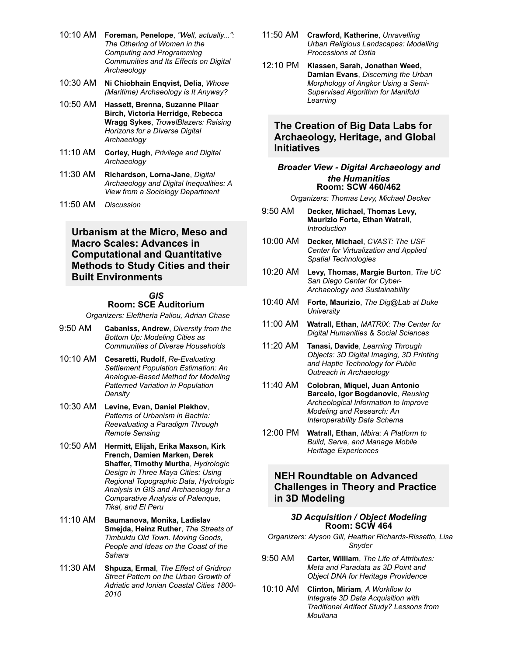- 10:10 AM **Foreman, Penelope**, *"Well, actually...": The Othering of Women in the Computing and Programming Communities and Its Effects on Digital Archaeology*
- 10:30 AM **Ni Chiobhain Enqvist, Delia**, *Whose (Maritime) Archaeology is It Anyway?*
- 10:50 AM **Hassett, Brenna, Suzanne Pilaar Birch, Victoria Herridge, Rebecca Wragg Sykes**, *TrowelBlazers: Raising Horizons for a Diverse Digital Archaeology*
- 11:10 AM **Corley, Hugh**, *Privilege and Digital Archaeology*
- 11:30 AM **Richardson, LornaJane**, *Digital Archaeology and Digital Inequalities: A View from a Sociology Department*
- 11:50 AM *Discussion*

## **Urbanism at the Micro, Meso and Macro Scales: Advances in Computational and Quantitative Methods to Study Cities and their Built Environments**

#### *GIS*

#### **Room: SCE Auditorium**

*Organizers: Eleftheria Paliou, Adrian Chase*

- 9:50 AM **Cabaniss, Andrew**, *Diversity from the Bottom Up: Modeling Cities as Communities of Diverse Households*
- 10:10 AM **Cesaretti, Rudolf**, *ReEvaluating Settlement Population Estimation: An* **Analogue-Based Method for Modeling** *Patterned Variation in Population Density*
- 10:30 AM **Levine, Evan, Daniel Plekhov**, *Patterns of Urbanism in Bactria: Reevaluating a Paradigm Through Remote Sensing*
- 10:50 AM **Hermitt, Elijah, Erika Maxson, Kirk French, Damien Marken, Derek Shaffer, Timothy Murtha**, *Hydrologic Design in Three Maya Cities: Using Regional Topographic Data, Hydrologic Analysis in GIS and Archaeology for a Comparative Analysis of Palenque, Tikal, and El Peru*
- 11:10 AM **Baumanova, Monika, Ladislav Smejda, Heinz Ruther**, *The Streets of Timbuktu Old Town. Moving Goods, People and Ideas on the Coast of the Sahara*
- 11:30 AM **Shpuza, Ermal**, *The Effect of Gridiron Street Pattern on the Urban Growth of Adriatic and Ionian Coastal Cities 1800 2010*
- 11:50 AM **Crawford, Katherine**, *Unravelling Urban Religious Landscapes: Modelling Processions at Ostia*
- 12:10 PM **Klassen, Sarah, Jonathan Weed, Damian Evans**, *Discerning the Urban Morphology of Angkor Using a Semi-Supervised Algorithm for Manifold Learning*

### **The Creation of Big Data Labs for Archaeology, Heritage, and Global Initiatives**

#### *Broader View Digital Archaeology and the Humanities* **Room: SCW 460/462**

*Organizers: Thomas Levy, Michael Decker*

- 9:50 AM **Decker, Michael, Thomas Levy, Maurizio Forte, Ethan Watrall**, *Introduction*
- 10:00 AM **Decker, Michael**, *CVAST: The USF Center for Virtualization and Applied Spatial Technologies*
- 10:20 AM **Levy, Thomas, Margie Burton**, *The UC San Diego Center for Cyber-Archaeology and Sustainability*
- 10:40 AM **Forte, Maurizio**, *The Dig@Lab at Duke University*
- 11:00 AM **Watrall, Ethan**, *MATRIX: The Center for Digital Humanities & Social Sciences*
- 11:20 AM **Tanasi, Davide**, *Learning Through Objects: 3D Digital Imaging, 3D Printing and Haptic Technology for Public Outreach in Archaeology*
- 11:40 AM **Colobran, Miquel, Juan Antonio Barcelo, Igor Bogdanovic**, *Reusing Archeological Information to Improve Modeling and Research: An Interoperability Data Schema*
- 12:00 PM **Watrall, Ethan**, *Mbira: A Platform to Build, Serve, and Manage Mobile Heritage Experiences*

## **NEH Roundtable on Advanced Challenges in Theory and Practice in 3D Modeling**

#### *3D Acquisition / Object Modeling* **Room: SCW 464**

- Organizers: Alyson Gill, Heather Richards-Rissetto, Lisa *Snyder*
- 9:50 AM **Carter, William**, *The Life of Attributes: Meta and Paradata as 3D Point and Object DNA for Heritage Providence*
- 10:10 AM **Clinton, Miriam**, *A Workflow to Integrate 3D Data Acquisition with Traditional Artifact Study? Lessons from Mouliana*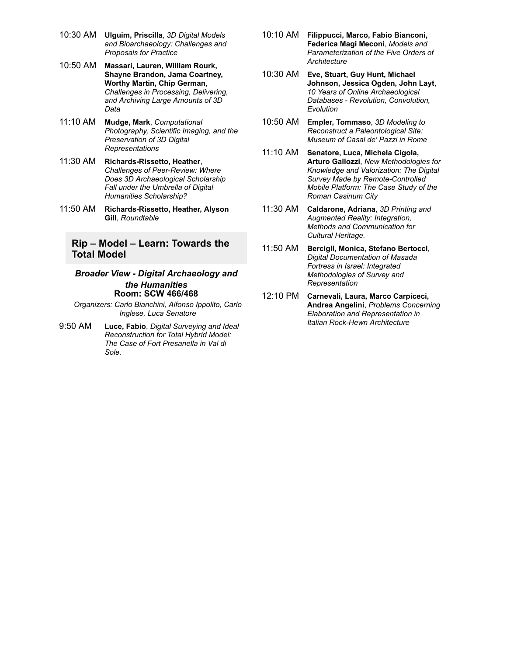- 10:30 AM **Ulguim, Priscilla**, *3D Digital Models and Bioarchaeology: Challenges and Proposals for Practice*
- 10:50 AM **Massari, Lauren, William Rourk, Shayne Brandon, Jama Coartney, Worthy Martin, Chip German**, *Challenges in Processing, Delivering, and Archiving Large Amounts of 3D Data*
- 11:10 AM **Mudge, Mark**, *Computational Photography, Scientific Imaging, and the Preservation of 3D Digital Representations*
- 11:30 AM Richards-Rissetto, Heather, **Challenges of Peer-Review: Where** *Does 3D Archaeological Scholarship Fall under the Umbrella of Digital Humanities Scholarship?*
- 11:50 AM **Richards-Rissetto, Heather, Alyson Gill**, *Roundtable*

### **Rip – Model – Learn: Towards the Total Model**

#### *Broader View Digital Archaeology and the Humanities* **Room: SCW 466/468**

*Organizers: Carlo Bianchini, Alfonso Ippolito, Carlo Inglese, Luca Senatore*

9:50 AM **Luce, Fabio**, *Digital Surveying and Ideal Reconstruction for Total Hybrid Model: The Case of Fort Presanella in Val di Sole.*

- 10:10 AM **Filippucci, Marco, Fabio Bianconi, Federica Magi Meconi**, *Models and Parameterization of the Five Orders of Architecture*
- 10:30 AM **Eve, Stuart, Guy Hunt, Michael Johnson, Jessica Ogden, John Layt**, *10 Years of Online Archaeological Databases Revolution, Convolution, Evolution*
- 10:50 AM **Empler, Tommaso**, *3D Modeling to Reconstruct a Paleontological Site: Museum of Casal de' Pazzi in Rome*
- 11:10 AM **Senatore, Luca, Michela Cigola, Arturo Gallozzi**, *New Methodologies for Knowledge and Valorization: The Digital* **Survey Made by Remote-Controlled** *Mobile Platform: The Case Study of the Roman Casinum City*
- 11:30 AM **Caldarone, Adriana**, *3D Printing and Augmented Reality: Integration, Methods and Communication for Cultural Heritage.*
- 11:50 AM **Bercigli, Monica, Stefano Bertocci**, *Digital Documentation of Masada Fortress in Israel: Integrated Methodologies of Survey and Representation*
- 12:10 PM **Carnevali, Laura, Marco Carpiceci, Andrea Angelini**, *Problems Concerning Elaboration and Representation in Italian RockHewn Architecture*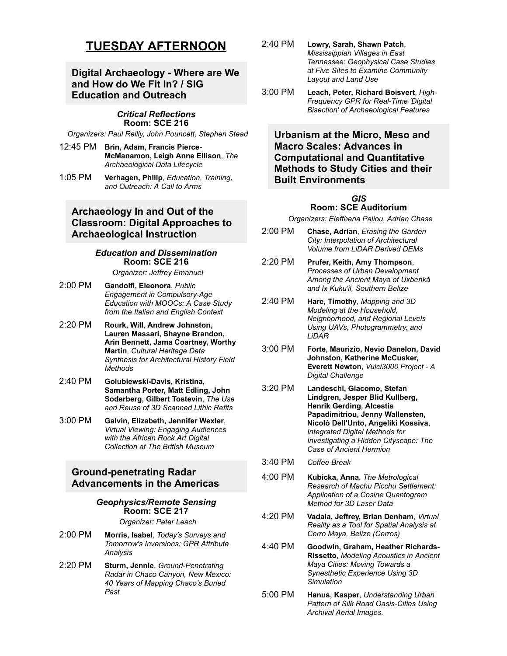# **TUESDAY AFTERNOON**

# **Digital Archaeology Where are We and How do We Fit In? / SIG Education and Outreach**

#### *Critical Reflections* **Room: SCE 216**

*Organizers: Paul Reilly, John Pouncett, Stephen Stead*

- 12:45 PM **Brin, Adam, Francis Pierce-McManamon, Leigh Anne Ellison**, *The Archaeological Data Lifecycle*
- 1:05 PM **Verhagen, Philip**, *Education, Training, and Outreach: A Call to Arms*

### **Archaeology In and Out of the Classroom: Digital Approaches to Archaeological Instruction**

#### *Education and Dissemination* **Room: SCE 216**

*Organizer: Jeffrey Emanuel*

- 2:00 PM **Gandolfi, Eleonora**, *Public Engagement in CompulsoryAge Education with MOOCs: A Case Study from the Italian and English Context*
- 2:20 PM **Rourk, Will, Andrew Johnston, Lauren Massari, Shayne Brandon, Arin Bennett, Jama Coartney, Worthy Martin**, *Cultural Heritage Data Synthesis for Architectural History Field Methods*
- 2:40 PM **GolubiewskiDavis, Kristina, Samantha Porter, Matt Edling, John Soderberg, Gilbert Tostevin**, *The Use and Reuse of 3D Scanned Lithic Refits*
- 3:00 PM **Galvin, Elizabeth, Jennifer Wexler**, *Virtual Viewing: Engaging Audiences with the African Rock Art Digital Collection at The British Museum*

### **Ground-penetrating Radar Advancements in the Americas**

#### *Geophysics/Remote Sensing* **Room: SCE 217**

*Organizer: Peter Leach*

- 2:00 PM **Morris, Isabel**, *Today's Surveys and Tomorrow's Inversions: GPR Attribute Analysis*
- 2:20 PM **Sturm, Jennie**, *Ground-Penetrating Radar in Chaco Canyon, New Mexico: 40 Years of Mapping Chaco's Buried Past*
- 2:40 PM **Lowry, Sarah, Shawn Patch**, *Mississippian Villages in East Tennessee: Geophysical Case Studies at Five Sites to Examine Community Layout and Land Use*
- 3:00 PM **Leach, Peter, Richard Boisvert**, *High-***Frequency GPR for Real-Time 'Digital** *Bisection' of Archaeological Features*

**Urbanism at the Micro, Meso and Macro Scales: Advances in Computational and Quantitative Methods to Study Cities and their Built Environments**

# *GIS*

### **Room: SCE Auditorium**

*Organizers: Eleftheria Paliou, Adrian Chase*

- 2:00 PM **Chase, Adrian**, *Erasing the Garden City: Interpolation of Architectural Volume from LiDAR Derived DEMs*
- 2:20 PM **Prufer, Keith, Amy Thompson**, *Processes of Urban Development Among the Ancient Maya of Uxbenká and Ix Kuku'il, Southern Belize*
- 2:40 PM **Hare, Timothy**, *Mapping and 3D Modeling at the Household, Neighborhood, and Regional Levels Using UAVs, Photogrammetry, and LiDAR*
- 3:00 PM **Forte, Maurizio, Nevio Danelon, David Johnston, Katherine McCusker, Everett Newton**, *Vulci3000 Project A Digital Challenge*
- 3:20 PM **Landeschi, Giacomo, Stefan Lindgren, Jesper Blid Kullberg, Henrik Gerding, Alcestis Papadimitriou, Jenny Wallensten, Nicolò Dell'Unto, Angeliki Kossiva**, *Integrated Digital Methods for Investigating a Hidden Cityscape: The Case of Ancient Hermion*
- 3:40 PM *Coffee Break*
- 4:00 PM **Kubicka, Anna**, *The Metrological Research of Machu Picchu Settlement: Application of a Cosine Quantogram Method for 3D Laser Data*
- 4:20 PM **Vadala, Jeffrey, Brian Denham**, *Virtual Reality as a Tool for Spatial Analysis at Cerro Maya, Belize (Cerros)*
- 4:40 PM **Goodwin, Graham, Heather Richards-Rissetto**, *Modeling Acoustics in Ancient Maya Cities: Moving Towards a Synesthetic Experience Using 3D Simulation*
- 5:00 PM **Hanus, Kasper**, *Understanding Urban* **Pattern of Silk Road Oasis-Cities Using** *Archival Aerial Images.*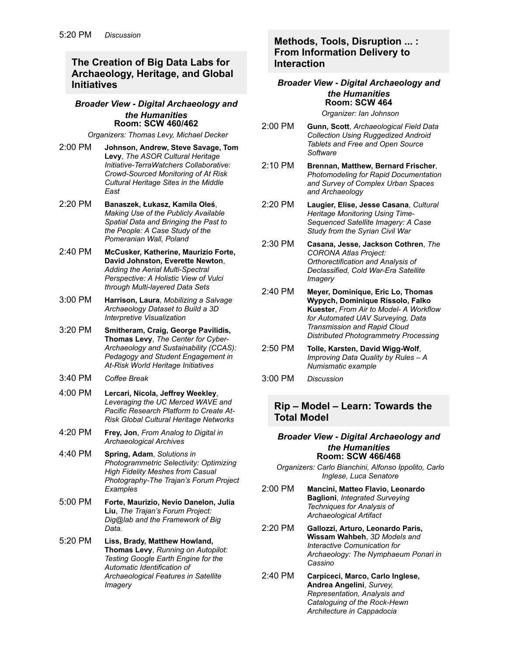## **The Creation of Big Data Labs for Archaeology, Heritage, and Global Initiatives**

#### *Broader View Digital Archaeology and the Humanities* **Room: SCW 460/462**

*Organizers: Thomas Levy, Michael Decker*

- 2:00 PM **Johnson, Andrew, Steve Savage, Tom Levy**, *The ASOR Cultural Heritage* **Initiative-TerraWatchers Collaborative: Crowd-Sourced Monitoring of At Risk** *Cultural Heritage Sites in the Middle East*
- 2:20 PM **Banaszek, Łukasz, Kamila Oleś**, *Making Use of the Publicly Available Spatial Data and Bringing the Past to the People: A Case Study of the Pomeranian Wall, Poland*
- 2:40 PM **McCusker, Katherine, Maurizio Forte, David Johnston, Everette Newton**, Adding the Aerial Multi-Spectral *Perspective: A Holistic View of Vulci through Multilayered Data Sets*
- 3:00 PM **Harrison, Laura**, *Mobilizing a Salvage Archaeology Dataset to Build a 3D Interpretive Visualization*
- 3:20 PM **Smitheram, Craig, George Pavilidis, Thomas Levy**, *The Center for Cyber-Archaeology and Sustainability (CCAS): Pedagogy and Student Engagement in* **At-Risk World Heritage Initiatives**
- 3:40 PM *Coffee Break*
- 4:00 PM **Lercari, Nicola, Jeffrey Weekley**, *Leveraging the UC Merced WAVE and Pacific Research Platform to Create At-Risk Global Cultural Heritage Networks*
- 4:20 PM **Frey, Jon**, *From Analog to Digital in Archaeological Archives*
- 4:40 PM **Spring, Adam**, *Solutions in Photogrammetric Selectivity: Optimizing High Fidelity Meshes from Casual PhotographyThe Trajan's Forum Project Examples*
- 5:00 PM **Forte, Maurizio, Nevio Danelon, Julia Liu**, *The Trajan's Forum Project: Dig@lab and the Framework of Big Data.*
- 5:20 PM **Liss, Brady, Matthew Howland, Thomas Levy**, *Running on Autopilot: Testing Google Earth Engine for the Automatic Identification of Archaeological Features in Satellite Imagery*

### **Methods, Tools, Disruption ... : From Information Delivery to Interaction**

### *Broader View Digital Archaeology and the Humanities* **Room: SCW 464**

*Organizer: Ian Johnson*

- 2:00 PM **Gunn, Scott**, *Archaeological Field Data Collection Using Ruggedized Android Tablets and Free and Open Source Software*
- 2:10 PM **Brennan, Matthew, Bernard Frischer**, *Photomodeling for Rapid Documentation and Survey of Complex Urban Spaces and Archaeology*
- 2:20 PM **Laugier, Elise, Jesse Casana**, *Cultural Heritage Monitoring Using Time-Sequenced Satellite Imagery: A Case Study from the Syrian Civil War*
- 2:30 PM **Casana, Jesse, Jackson Cothren**, *The CORONA Atlas Project: Orthorectification and Analysis of Declassified, Cold WarEra Satellite Imagery*
- 2:40 PM **Meyer, Dominique, Eric Lo, Thomas Wypych, Dominique Rissolo, Falko Kuester**, *From Air to Model A Workflow for Automated UAV Surveying, Data Transmission and Rapid Cloud Distributed Photogrammetry Processing*
- 2:50 PM **Tolle, Karsten, David Wigg-Wolf**, *Improving Data Quality by Rules – A Numismatic example*
- 3:00 PM *Discussion*

### **Rip – Model – Learn: Towards the Total Model**

#### *Broader View Digital Archaeology and the Humanities* **Room: SCW 466/468**

*Organizers: Carlo Bianchini, Alfonso Ippolito, Carlo Inglese, Luca Senatore*

- 2:00 PM **Mancini, Matteo Flavio, Leonardo Baglioni**, *Integrated Surveying Techniques for Analysis of Archaeological Artifact*
- 2:20 PM **Gallozzi, Arturo, Leonardo Paris, Wissam Wahbeh**, *3D Models and Interactive Comunication for Archaeology: The Nymphaeum Ponari in Cassino*
- 2:40 PM **Carpiceci, Marco, Carlo Inglese, Andrea Angelini**, *Survey, Representation, Analysis and Cataloguing of the Rock-Hewn Architecture in Cappadocia*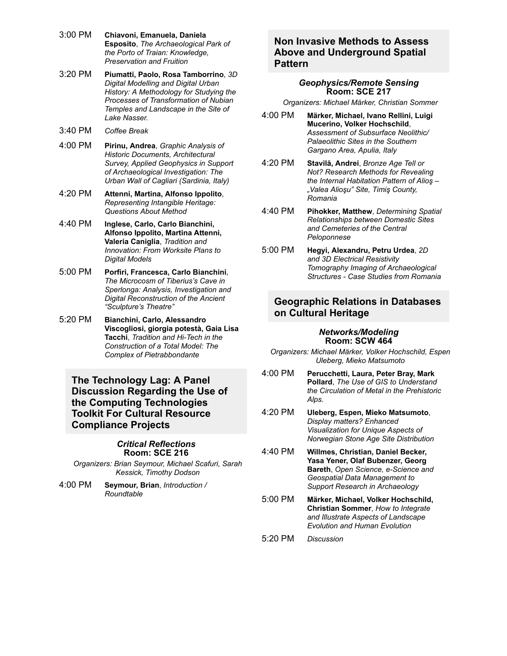- 3:00 PM **Chiavoni, Emanuela, Daniela Esposito**, *The Archaeological Park of the Porto of Traian: Knowledge, Preservation and Fruition*
- 3:20 PM **Piumatti, Paolo, Rosa Tamborrino**, *3D Digital Modelling and Digital Urban History: A Methodology for Studying the Processes of Transformation of Nubian Temples and Landscape in the Site of Lake Nasser.*
- 3:40 PM *Coffee Break*
- 4:00 PM **Pirinu, Andrea**, *Graphic Analysis of Historic Documents, Architectural Survey, Applied Geophysics in Support of Archaeological Investigation: The Urban Wall of Cagliari (Sardinia, Italy)*
- 4:20 PM **Attenni, Martina, Alfonso Ippolito**, *Representing Intangible Heritage: Questions About Method*
- 4:40 PM **Inglese, Carlo, Carlo Bianchini, Alfonso Ippolito, Martina Attenni, Valeria Caniglia**, *Tradition and Innovation: From Worksite Plans to Digital Models*
- 5:00 PM **Porfiri, Francesca, Carlo Bianchini**, *The Microcosm of Tiberius's Cave in Sperlonga: Analysis, Investigation and Digital Reconstruction of the Ancient "Sculpture's Theatre"*
- 5:20 PM **Bianchini, Carlo, Alessandro Viscogliosi, giorgia potestà, Gaia Lisa Tacchi**, *Tradition and Hi-Tech in the Construction of a Total Model: The Complex of Pietrabbondante*

**The Technology Lag: A Panel Discussion Regarding the Use of the Computing Technologies Toolkit For Cultural Resource Compliance Projects**

#### *Critical Reflections* **Room: SCE 216**

*Organizers: Brian Seymour, Michael Scafuri, Sarah Kessick, Timothy Dodson*

4:00 PM **Seymour, Brian**, *Introduction / Roundtable*

# **Non Invasive Methods to Assess Above and Underground Spatial Pattern**

#### *Geophysics/Remote Sensing* **Room: SCE 217**

*Organizers: Michael Märker, Christian Sommer*

- 4:00 PM **Märker, Michael, Ivano Rellini, Luigi Mucerino, Volker Hochschild**, *Assessment of Subsurface Neolithic/ Palaeolithic Sites in the Southern Gargano Area, Apulia, Italy*
- 4:20 PM **Stavilă, Andrei**, *Bronze Age Tell or Not? Research Methods for Revealing the Internal Habitation Pattern of Alioş – "Valea Alioşu" Site, Timiş County, Romania*
- 4:40 PM **Pihokker, Matthew**, *Determining Spatial Relationships between Domestic Sites and Cemeteries of the Central Peloponnese*
- 5:00 PM **Hegyi, Alexandru, Petru Urdea**, *2D and 3D Electrical Resistivity Tomography Imaging of Archaeological Structures Case Studies from Romania*

## **Geographic Relations in Databases on Cultural Heritage**

#### *Networks/Modeling* **Room: SCW 464**

*Organizers: Michael Märker, Volker Hochschild, Espen Uleberg, Mieko Matsumoto*

- 4:00 PM **Perucchetti, Laura, Peter Bray, Mark Pollard**, *The Use of GIS to Understand the Circulation of Metal in the Prehistoric Alps.*
- 4:20 PM **Uleberg, Espen, Mieko Matsumoto**, *Display matters? Enhanced Visualization for Unique Aspects of Norwegian Stone Age Site Distribution*
- 4:40 PM **Willmes, Christian, Daniel Becker, Yasa Yener, Olaf Bubenzer, Georg Bareth**, *Open Science*, e-Science and *Geospatial Data Management to Support Research in Archaeology*
- 5:00 PM **Märker, Michael, Volker Hochschild, Christian Sommer**, *How to Integrate and Illustrate Aspects of Landscape Evolution and Human Evolution*
- 5:20 PM *Discussion*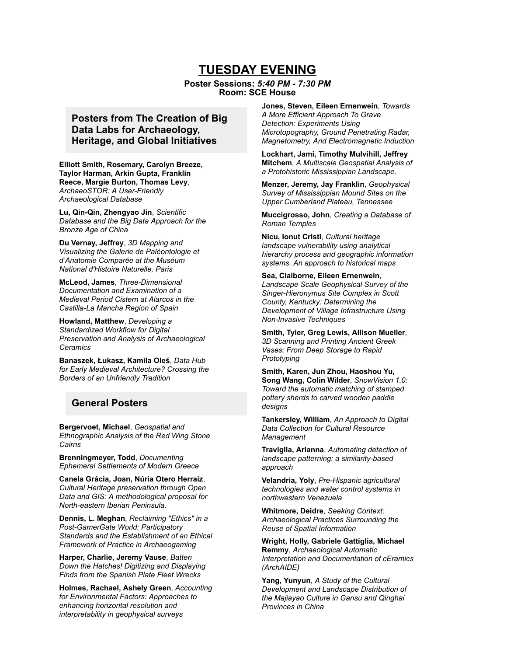# **TUESDAY EVENING**

#### **Poster Sessions:** *5:40 PM 7:30 PM* **Room: SCE House**

# **Posters from The Creation of Big Data Labs for Archaeology, Heritage, and Global Initiatives**

**Elliott Smith, Rosemary, Carolyn Breeze, Taylor Harman, Arkin Gupta, Franklin Reece, Margie Burton, Thomas Levy**, **ArchaeoSTOR: A User-Friendly** *Archaeological Database*

**Lu, Qin-Qin, Zhengyao Jin, Scientific** *Database and the Big Data Approach for the Bronze Age of China*

**Du Vernay, Jeffrey**, *3D Mapping and Visualizing the Galerie de Paléontologie et d'Anatomie Comparée at the Muséum National d'Histoire Naturelle, Paris*

**McLeod, James**, *Three-Dimensional Documentation and Examination of a Medieval Period Cistern at Alarcos in the CastillaLa Mancha Region of Spain*

**Howland, Matthew**, *Developing a Standardized Workflow for Digital Preservation and Analysis of Archaeological Ceramics*

**Banaszek, Łukasz, Kamila Oleś**, *Data Hub for Early Medieval Architecture? Crossing the Borders of an Unfriendly Tradition*

### **General Posters**

**Bergervoet, Michael**, *Geospatial and Ethnographic Analysis of the Red Wing Stone Cairns*

**Brenningmeyer, Todd**, *Documenting Ephemeral Settlements of Modern Greece*

**Canela Grácia, Joan, Núria Otero Herraiz**, *Cultural Heritage preservation through Open Data and GIS: A methodological proposal for Northeastern Iberian Peninsula.*

**Dennis, L. Meghan**, *Reclaiming "Ethics" in a* **Post-GamerGate World: Participatory** *Standards and the Establishment of an Ethical Framework of Practice in Archaeogaming*

**Harper, Charlie, Jeremy Vause**, *Batten Down the Hatches! Digitizing and Displaying Finds from the Spanish Plate Fleet Wrecks*

**Holmes, Rachael, Ashely Green**, *Accounting for Environmental Factors: Approaches to enhancing horizontal resolution and interpretability in geophysical surveys*

**Jones, Steven, Eileen Ernenwein**, *Towards A More Efficient Approach To Grave Detection: Experiments Using Microtopography, Ground Penetrating Radar, Magnetometry, And Electromagnetic Induction*

**Lockhart, Jami, Timothy Mulvihill, Jeffrey Mitchem**, *A Multiscale Geospatial Analysis of a Protohistoric Mississippian Landscape.*

**Menzer, Jeremy, Jay Franklin**, *Geophysical Survey of Mississippian Mound Sites on the Upper Cumberland Plateau, Tennessee*

**Muccigrosso, John**, *Creating a Database of Roman Temples*

**Nicu, Ionut Cristi**, *Cultural heritage landscape vulnerability using analytical hierarchy process and geographic information systems. An approach to historical maps*

**Sea, Claiborne, Eileen Ernenwein**,

*Landscape Scale Geophysical Survey of the SingerHieronymus Site Complex in Scott County, Kentucky: Determining the Development of Village Infrastructure Using NonInvasive Techniques*

**Smith, Tyler, Greg Lewis, Allison Mueller**, *3D Scanning and Printing Ancient Greek Vases: From Deep Storage to Rapid Prototyping*

**Smith, Karen, Jun Zhou, Haoshou Yu, Song Wang, Colin Wilder**, *SnowVision 1.0: Toward the automatic matching of stamped pottery sherds to carved wooden paddle designs*

**Tankersley, William**, *An Approach to Digital Data Collection for Cultural Resource Management*

**Traviglia, Arianna**, *Automating detection of landscape patterning: a similarity-based approach*

**Velandria, Yoly**, *Pre-Hispanic agricultural technologies and water control systems in northwestern Venezuela*

**Whitmore, Deidre**, *Seeking Context: Archaeological Practices Surrounding the Reuse of Spatial Information*

**Wright, Holly, Gabriele Gattiglia, Michael Remmy**, *Archaeological Automatic Interpretation and Documentation of cEramics (ArchAIDE)*

**Yang, Yunyun**, *A Study of the Cultural Development and Landscape Distribution of the Majiayao Culture in Gansu and Qinghai Provinces in China*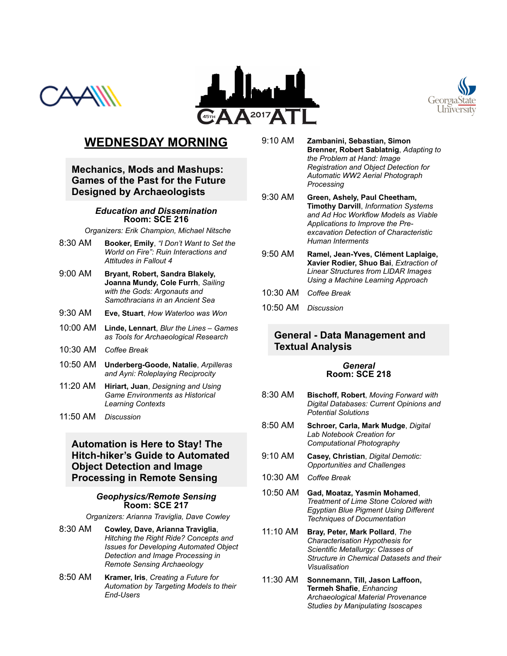





# **WEDNESDAY MORNING**

**Mechanics, Mods and Mashups: Games of the Past for the Future Designed by Archaeologists**

#### *Education and Dissemination* **Room: SCE 216**

*Organizers: Erik Champion, Michael Nitsche*

- 8:30 AM **Booker, Emily**, *"I Don't Want to Set the World on Fire": Ruin Interactions and Attitudes in Fallout 4*
- 9:00 AM **Bryant, Robert, Sandra Blakely, Joanna Mundy, Cole Furrh**, *Sailing with the Gods: Argonauts and Samothracians in an Ancient Sea*
- 9:30 AM **Eve, Stuart**, *How Waterloo was Won*
- 10:00 AM **Linde, Lennart**, *Blur the Lines Games as Tools for Archaeological Research*
- 10:30 AM *Coffee Break*
- 10:50 AM **UnderbergGoode, Natalie**, *Arpilleras and Ayni: Roleplaying Reciprocity*
- 11:20 AM **Hiriart, Juan**, *Designing and Using Game Environments as Historical Learning Contexts*
- 11:50 AM *Discussion*

# **Automation is Here to Stay! The Hitch-hiker's Guide to Automated Object Detection and Image Processing in Remote Sensing**

#### *Geophysics/Remote Sensing* **Room: SCE 217**

*Organizers: Arianna Traviglia, Dave Cowley*

- 8:30 AM **Cowley, Dave, Arianna Traviglia**, *Hitching the Right Ride? Concepts and Issues for Developing Automated Object Detection and Image Processing in Remote Sensing Archaeology*
- 8:50 AM **Kramer, Iris**, *Creating a Future for Automation by Targeting Models to their* End-Users
- 9:10 AM **Zambanini, Sebastian, Simon Brenner, Robert Sablatnig**, *Adapting to the Problem at Hand: Image Registration and Object Detection for Automatic WW2 Aerial Photograph Processing*
- 9:30 AM **Green, Ashely, Paul Cheetham, Timothy Darvill**, *Information Systems and Ad Hoc Workflow Models as Viable Applications to Improve the Preexcavation Detection of Characteristic Human Interments*
- 9:50 AM **Ramel, JeanYves, Clément Laplaige, Xavier Rodier, Shuo Bai**, *Extraction of Linear Structures from LIDAR Images Using a Machine Learning Approach*
- 10:30 AM *Coffee Break*
- 10:50 AM *Discussion*

### **General - Data Management and Textual Analysis**

#### *General* **Room: SCE 218**

- 8:30 AM **Bischoff, Robert**, *Moving Forward with Digital Databases: Current Opinions and Potential Solutions*
- 8:50 AM **Schroer, Carla, Mark Mudge**, *Digital Lab Notebook Creation for Computational Photography*
- 9:10 AM **Casey, Christian**, *Digital Demotic: Opportunities and Challenges*
- 10:30 AM *Coffee Break*
- 10:50 AM **Gad, Moataz, Yasmin Mohamed**, *Treatment of Lime Stone Colored with Egyptian Blue Pigment Using Different Techniques of Documentation*
- 11:10 AM **Bray, Peter, Mark Pollard**, *The Characterisation Hypothesis for Scientific Metallurgy: Classes of Structure in Chemical Datasets and their Visualisation*
- 11:30 AM **Sonnemann, Till, Jason Laffoon, Termeh Shafie**, *Enhancing Archaeological Material Provenance Studies by Manipulating Isoscapes*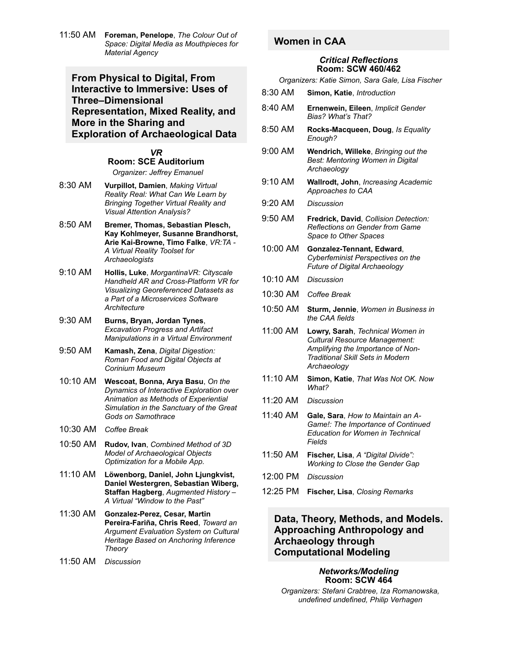11:50 AM **Foreman, Penelope**, *The Colour Out of Space: Digital Media as Mouthpieces for Material Agency*

**From Physical to Digital, From Interactive to Immersive: Uses of Three–Dimensional Representation, Mixed Reality, and More in the Sharing and Exploration of Archaeological Data**

> *VR* **Room: SCE Auditorium**

*Organizer: Jeffrey Emanuel*

- 8:30 AM **Vurpillot, Damien**, *Making Virtual Reality Real: What Can We Learn by Bringing Together Virtual Reality and Visual Attention Analysis?*
- 8:50 AM **Bremer, Thomas, Sebastian Plesch, Kay Kohlmeyer, Susanne Brandhorst,** Arie Kai-Browne, Timo Falke, VR:TA -*A Virtual Reality Toolset for Archaeologists*
- 9:10 AM **Hollis, Luke**, *MorgantinaVR: Cityscale* **Handheld AR and Cross-Platform VR for** *Visualizing Georeferenced Datasets as a Part of a Microservices Software Architecture*
- 9:30 AM **Burns, Bryan, Jordan Tynes**, *Excavation Progress and Artifact Manipulations in a Virtual Environment*
- 9:50 AM **Kamash, Zena**, *Digital Digestion: Roman Food and Digital Objects at Corinium Museum*
- 10:10 AM **Wescoat, Bonna, Arya Basu**, *On the Dynamics of Interactive Exploration over Animation as Methods of Experiential Simulation in the Sanctuary of the Great Gods on Samothrace*
- 10:30 AM *Coffee Break*
- 10:50 AM **Rudov, Ivan**, *Combined Method of 3D Model of Archaeological Objects Optimization for a Mobile App.*
- 11:10 AM **Löwenborg, Daniel, John Ljungkvist, Daniel Westergren, Sebastian Wiberg, Staffan Hagberg**, *Augmented History – A Virtual "Window to the Past"*
- 11:30 AM Gonzalez-Perez, Cesar, Martin **PereiraFariña, Chris Reed**, *Toward an Argument Evaluation System on Cultural Heritage Based on Anchoring Inference Theory*
- 11:50 AM *Discussion*

# **Women in CAA**

#### *Critical Reflections* **Room: SCW 460/462**

*Organizers: Katie Simon, Sara Gale, Lisa Fischer*

| Simon, Katie, Introduction | 8:30 AM |  |  |
|----------------------------|---------|--|--|
|----------------------------|---------|--|--|

- 8:40 AM **Ernenwein, Eileen**, *Implicit Gender Bias? What's That?*
- 8:50 AM **Rocks-Macqueen, Doug**, *Is Equality Enough?*
- 9:00 AM **Wendrich, Willeke**, *Bringing out the Best: Mentoring Women in Digital Archaeology*
- 9:10 AM **Wallrodt, John**, *Increasing Academic Approaches to CAA*
- 9:20 AM *Discussion*
- 9:50 AM **Fredrick, David**, *Collision Detection: Reflections on Gender from Game Space to Other Spaces*
- 10:00 AM **Gonzalez-Tennant, Edward**, *Cyberfeminist Perspectives on the Future of Digital Archaeology*
- 10:10 AM *Discussion*
- 10:30 AM *Coffee Break*
- 10:50 AM **Sturm, Jennie**, *Women in Business in the CAA fields*
- 11:00 AM **Lowry, Sarah**, *Technical Women in Cultural Resource Management: Amplifying the Importance of Non-Traditional Skill Sets in Modern Archaeology*
- 11:10 AM **Simon, Katie**, *That Was Not OK. Now What?*
- 11:20 AM *Discussion*
- 11:40 AM **Gale, Sara**, *How to Maintain an A-Game!: The Importance of Continued Education for Women in Technical Fields*
- 11:50 AM **Fischer, Lisa**, *A "Digital Divide": Working to Close the Gender Gap*
- 12:00 PM *Discussion*
- 12:25 PM **Fischer, Lisa**, *Closing Remarks*

### **Data, Theory, Methods, and Models. Approaching Anthropology and Archaeology through Computational Modeling**

#### *Networks/Modeling* **Room: SCW 464**

*Organizers: Stefani Crabtree, Iza Romanowska, undefined undefined, Philip Verhagen*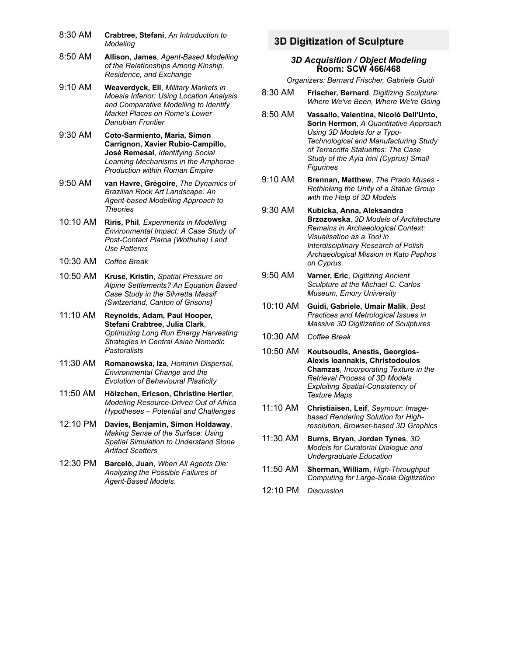- 8:30 AM **Crabtree, Stefani**, *An Introduction to Modeling*
- 8:50 AM **Allison, James**, *Agent-Based Modelling of the Relationships Among Kinship, Residence, and Exchange*
- 9:10 AM **Weaverdyck, Eli**, *Military Markets in Moesia Inferior: Using Location Analysis and Comparative Modelling to Identify Market Places on Rome's Lower Danubian Frontier*
- 9:30 AM **Coto-Sarmiento, Maria, Simon Carrignon, Xavier Rubio-Campillo, José Remesal**, *Identifying Social Learning Mechanisms in the Amphorae Production within Roman Empire*
- 9:50 AM **van Havre, Grégoire**, *The Dynamics of Brazilian Rock Art Landscape: An* **Agent-based Modelling Approach to** *Theories*
- 10:10 AM **Riris, Phil**, *Experiments in Modelling Environmental Impact: A Case Study of* **Post-Contact Piaroa (Wothuha) Land** *Use Patterns*
- 10:30 AM *Coffee Break*
- 10:50 AM **Kruse, Kristin**, *Spatial Pressure on Alpine Settlements? An Equation Based Case Study in the Silvretta Massif (Switzerland, Canton of Grisons)*
- 11:10 AM **Reynolds, Adam, Paul Hooper, Stefani Crabtree, Julia Clark**, *Optimizing Long Run Energy Harvesting Strategies in Central Asian Nomadic Pastoralists*
- 11:30 AM **Romanowska, Iza**, *Hominin Dispersal, Environmental Change and the Evolution of Behavioural Plasticity*
- 11:50 AM **Hölzchen, Ericson, Christine Hertler**, **Modeling Resource-Driven Out of Africa** *Hypotheses – Potential and Challenges*
- 12:10 PM **Davies, Benjamin, Simon Holdaway**, *Making Sense of the Surface: Using Spatial Simulation to Understand Stone Artifact Scatters*
- 12:30 PM **Barceló, Juan**, *When All Agents Die: Analyzing the Possible Failures of* Agent-Based Models.

# **3D Digitization of Sculpture**

#### *3D Acquisition / Object Modeling* **Room: SCW 466/468**

*Organizers: Bernard Frischer, Gabriele Guidi*

- 8:30 AM **Frischer, Bernard**, *Digitizing Sculpture: Where We've Been, Where We're Going*
- 8:50 AM **Vassallo, Valentina, Nicolò Dell'Unto, Sorin Hermon**, *A Quantitative Approach Using 3D Models for a Typo-Technological and Manufacturing Study of Terracotta Statuettes: The Case Study of the Ayia Irini (Cyprus) Small Figurines*
- 9:10 AM **Brennan, Matthew**, *The Prado Muses Rethinking the Unity of a Statue Group with the Help of 3D Models*
- 9:30 AM **Kubicka, Anna, Aleksandra Brzozowska**, *3D Models of Architecture Remains in Archaeological Context: Visualisation as a Tool in Interdisciplinary Research of Polish Archaeological Mission in Kato Paphos on Cyprus.*
- 9:50 AM **Varner, Eric**, *Digitizing Ancient Sculpture at the Michael C. Carlos Museum, Emory University*
- 10:10 AM **Guidi, Gabriele, Umair Malik**, *Best Practices and Metrological Issues in Massive 3D Digitization of Sculptures*
- 10:30 AM *Coffee Break*
- 10:50 AM **Koutsoudis, Anestis, Georgios-Alexis Ioannakis, Christodoulos Chamzas**, *Incorporating Texture in the Retrieval Process of 3D Models* **Exploiting Spatial-Consistency of** *Texture Maps*
- 11:10 AM **Christiaisen, Leif**, *Seymour: Imagebased Rendering Solution for Highresolution, Browserbased 3D Graphics*
- 11:30 AM **Burns, Bryan, Jordan Tynes**, *3D Models for Curatorial Dialogue and Undergraduate Education*
- 11:50 AM Sherman, William, High-Throughput **Computing for Large-Scale Digitization**
- 12:10 PM *Discussion*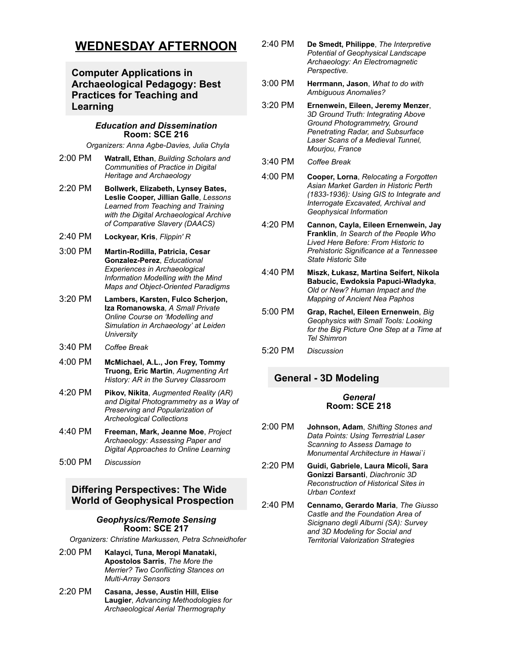# **WEDNESDAY AFTERNOON**

# **Computer Applications in Archaeological Pedagogy: Best Practices for Teaching and Learning**

#### *Education and Dissemination* **Room: SCE 216**

**Organizers: Anna Agbe-Davies, Julia Chyla** 

- 2:00 PM **Watrall, Ethan**, *Building Scholars and Communities of Practice in Digital Heritage and Archaeology*
- 2:20 PM **Bollwerk, Elizabeth, Lynsey Bates, Leslie Cooper, Jillian Galle**, *Lessons Learned from Teaching and Training with the Digital Archaeological Archive of Comparative Slavery (DAACS)*
- 2:40 PM **Lockyear, Kris**, *Flippin' R*
- 3:00 PM **MartinRodilla, Patricia, Cesar GonzalezPerez**, *Educational Experiences in Archaeological Information Modelling with the Mind Maps and Object-Oriented Paradigms*
- 3:20 PM **Lambers, Karsten, Fulco Scherjon, Iza Romanowska**, *A Small Private Online Course on 'Modelling and Simulation in Archaeology' at Leiden University*
- 3:40 PM *Coffee Break*
- 4:00 PM **McMichael, A.L., Jon Frey, Tommy Truong, Eric Martin**, *Augmenting Art History: AR in the Survey Classroom*
- 4:20 PM **Pikov, Nikita**, *Augmented Reality (AR) and Digital Photogrammetry as a Way of Preserving and Popularization of Archeological Collections*
- 4:40 PM **Freeman, Mark, Jeanne Moe**, *Project Archaeology: Assessing Paper and Digital Approaches to Online Learning*
- 5:00 PM *Discussion*

# **Differing Perspectives: The Wide World of Geophysical Prospection**

#### *Geophysics/Remote Sensing* **Room: SCE 217**

*Organizers: Christine Markussen, Petra Schneidhofer*

- 2:00 PM **Kalayci, Tuna, Meropi Manataki, Apostolos Sarris**, *The More the Merrier? Two Conflicting Stances on MultiArray Sensors*
- 2:20 PM **Casana, Jesse, Austin Hill, Elise Laugier**, *Advancing Methodologies for Archaeological Aerial Thermography*
- 2:40 PM **De Smedt, Philippe**, *The Interpretive Potential of Geophysical Landscape Archaeology: An Electromagnetic Perspective.*
- 3:00 PM **Herrmann, Jason**, *What to do with Ambiguous Anomalies?*
- 3:20 PM **Ernenwein, Eileen, Jeremy Menzer**, *3D Ground Truth: Integrating Above Ground Photogrammetry, Ground Penetrating Radar, and Subsurface Laser Scans of a Medieval Tunnel, Mourjou, France*
- 3:40 PM *Coffee Break*
- 4:00 PM **Cooper, Lorna**, *Relocating a Forgotten Asian Market Garden in Historic Perth (18331936): Using GIS to Integrate and Interrogate Excavated, Archival and Geophysical Information*
- 4:20 PM **Cannon, Cayla, Eileen Ernenwein, Jay Franklin**, *In Search of the People Who Lived Here Before: From Historic to Prehistoric Significance at a Tennessee State Historic Site*
- 4:40 PM **Miszk, Łukasz, Martina Seifert, Nikola** Babucic, Ewdoksia Papuci-Władyka, *Old or New? Human Impact and the Mapping of Ancient Nea Paphos*
- 5:00 PM **Grap, Rachel, Eileen Ernenwein**, *Big Geophysics with Small Tools: Looking for the Big Picture One Step at a Time at Tel Shimron*
- 5:20 PM *Discussion*

# **General 3D Modeling**

#### *General* **Room: SCE 218**

- 2:00 PM **Johnson, Adam**, *Shifting Stones and Data Points: Using Terrestrial Laser Scanning to Assess Damage to Monumental Architecture in Hawai`i*
- 2:20 PM **Guidi, Gabriele, Laura Micoli, Sara Gonizzi Barsanti**, *Diachronic 3D Reconstruction of Historical Sites in Urban Context*
- 2:40 PM **Cennamo, Gerardo Maria**, *The Giusso Castle and the Foundation Area of Sicignano degli Alburni (SA): Survey and 3D Modeling for Social and Territorial Valorization Strategies*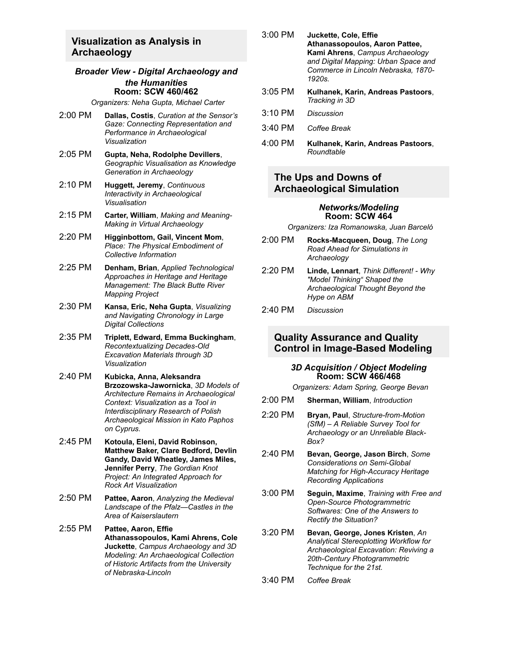## **Visualization as Analysis in Archaeology**

#### *Broader View Digital Archaeology and the Humanities* **Room: SCW 460/462**

*Organizers: Neha Gupta, Michael Carter*

- 2:00 PM **Dallas, Costis**, *Curation at the Sensor's Gaze: Connecting Representation and Performance in Archaeological Visualization*
- 2:05 PM **Gupta, Neha, Rodolphe Devillers**, *Geographic Visualisation as Knowledge Generation in Archaeology*
- 2:10 PM **Huggett, Jeremy**, *Continuous Interactivity in Archaeological Visualisation*
- 2:15 PM **Carter, William**, *Making and Meaning-Making in Virtual Archaeology*
- 2:20 PM **Higginbottom, Gail, Vincent Mom**, *Place: The Physical Embodiment of Collective Information*
- 2:25 PM **Denham, Brian**, *Applied Technological Approaches in Heritage and Heritage Management: The Black Butte River Mapping Project*
- 2:30 PM **Kansa, Eric, Neha Gupta**, *Visualizing and Navigating Chronology in Large Digital Collections*
- 2:35 PM **Triplett, Edward, Emma Buckingham**, **Recontextualizing Decades-Old** *Excavation Materials through 3D Visualization*
- 2:40 PM **Kubicka, Anna, Aleksandra BrzozowskaJawornicka**, *3D Models of Architecture Remains in Archaeological Context: Visualization as a Tool in Interdisciplinary Research of Polish Archaeological Mission in Kato Paphos on Cyprus.*
- 2:45 PM **Kotoula, Eleni, David Robinson, Matthew Baker, Clare Bedford, Devlin Gandy, David Wheatley, James Miles, Jennifer Perry**, *The Gordian Knot Project: An Integrated Approach for Rock Art Visualization*
- 2:50 PM **Pattee, Aaron**, *Analyzing the Medieval Landscape of the Pfalz—Castles in the Area of Kaiserslautern*
- 2:55 PM **Pattee, Aaron, Effie Athanassopoulos, Kami Ahrens, Cole Juckette**, *Campus Archaeology and 3D Modeling: An Archaeological Collection of Historic Artifacts from the University of NebraskaLincoln*
- 3:00 PM **Juckette, Cole, Effie Athanassopoulos, Aaron Pattee, Kami Ahrens**, *Campus Archaeology and Digital Mapping: Urban Space and Commerce in Lincoln Nebraska, 1870 1920s.*
- 3:05 PM **Kulhanek, Karin, Andreas Pastoors**, *Tracking in 3D*
- 3:10 PM *Discussion*
- 3:40 PM *Coffee Break*
- 4:00 PM **Kulhanek, Karin, Andreas Pastoors**, *Roundtable*

### **The Ups and Downs of Archaeological Simulation**

#### *Networks/Modeling* **Room: SCW 464**

*Organizers: Iza Romanowska, Juan Barceló*

- 2:00 PM **RocksMacqueen, Doug**, *The Long Road Ahead for Simulations in Archaeology*
- 2:20 PM **Linde, Lennart**, *Think Different! Why "Model Thinking" Shaped the Archaeological Thought Beyond the Hype on ABM*
- 2:40 PM *Discussion*

### **Quality Assurance and Quality Control in Image-Based Modeling**

#### *3D Acquisition / Object Modeling* **Room: SCW 466/468**

*Organizers: Adam Spring, George Bevan*

- 2:00 PM **Sherman, William**, *Introduction*
- 2:20 PM **Bryan, Paul**, *Structure-from-Motion (SfM) – A Reliable Survey Tool for Archaeology or an Unreliable Black-Box?*
- 2:40 PM **Bevan, George, Jason Birch**, *Some Considerations on SemiGlobal* **Matching for High-Accuracy Heritage** *Recording Applications*
- 3:00 PM **Seguin, Maxime**, *Training with Free and* **Open-Source Photogrammetric** *Softwares: One of the Answers to Rectify the Situation?*
- 3:20 PM **Bevan, George, Jones Kristen**, *An Analytical Stereoplotting Workflow for Archaeological Excavation: Reviving a* 20th-Century Photogrammetric *Technique for the 21st.*
- 3:40 PM *Coffee Break*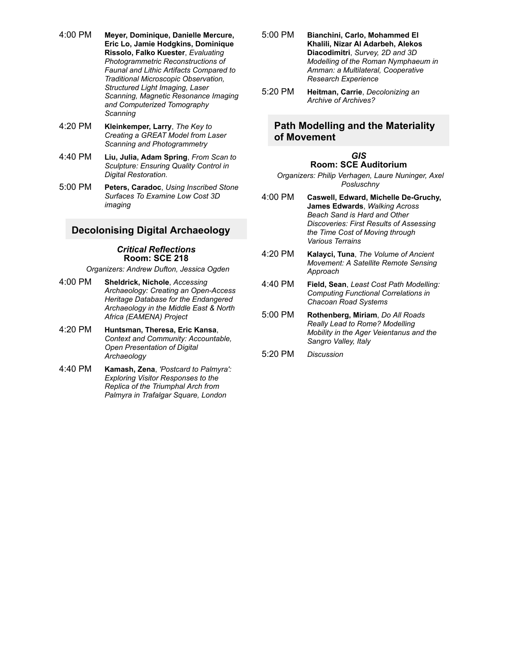- 4:00 PM **Meyer, Dominique, Danielle Mercure, Eric Lo, Jamie Hodgkins, Dominique Rissolo, Falko Kuester**, *Evaluating Photogrammetric Reconstructions of Faunal and Lithic Artifacts Compared to Traditional Microscopic Observation, Structured Light Imaging, Laser Scanning, Magnetic Resonance Imaging and Computerized Tomography Scanning*
- 4:20 PM **Kleinkemper, Larry**, *The Key to Creating a GREAT Model from Laser Scanning and Photogrammetry*
- 4:40 PM **Liu, Julia, Adam Spring**, *From Scan to Sculpture: Ensuring Quality Control in Digital Restoration.*
- 5:00 PM **Peters, Caradoc**, *Using Inscribed Stone Surfaces To Examine Low Cost 3D imaging*

### **Decolonising Digital Archaeology**

#### *Critical Reflections* **Room: SCE 218**

*Organizers: Andrew Dufton, Jessica Ogden*

- 4:00 PM **Sheldrick, Nichole**, *Accessing Archaeology: Creating an OpenAccess Heritage Database for the Endangered Archaeology in the Middle East & North Africa (EAMENA) Project*
- 4:20 PM **Huntsman, Theresa, Eric Kansa**, *Context and Community: Accountable, Open Presentation of Digital Archaeology*
- 4:40 PM **Kamash, Zena**, *'Postcard to Palmyra': Exploring Visitor Responses to the Replica of the Triumphal Arch from Palmyra in Trafalgar Square, London*
- 5:00 PM **Bianchini, Carlo, Mohammed El Khalili, Nizar Al Adarbeh, Alekos Diacodimitri**, *Survey, 2D and 3D Modelling of the Roman Nymphaeum in Amman: a Multilateral, Cooperative Research Experience*
- 5:20 PM **Heitman, Carrie**, *Decolonizing an Archive of Archives?*

### **Path Modelling and the Materiality of Movement**

#### *GIS* **Room: SCE Auditorium**

*Organizers: Philip Verhagen, Laure Nuninger, Axel Posluschny*

- 4:00 PM **Caswell, Edward, Michelle DeGruchy, James Edwards**, *Walking Across Beach Sand is Hard and Other Discoveries: First Results of Assessing the Time Cost of Moving through Various Terrains*
- 4:20 PM **Kalayci, Tuna**, *The Volume of Ancient Movement: A Satellite Remote Sensing Approach*
- 4:40 PM **Field, Sean**, *Least Cost Path Modelling: Computing Functional Correlations in Chacoan Road Systems*
- 5:00 PM **Rothenberg, Miriam**, *Do All Roads Really Lead to Rome? Modelling Mobility in the Ager Veientanus and the Sangro Valley, Italy*
- 5:20 PM *Discussion*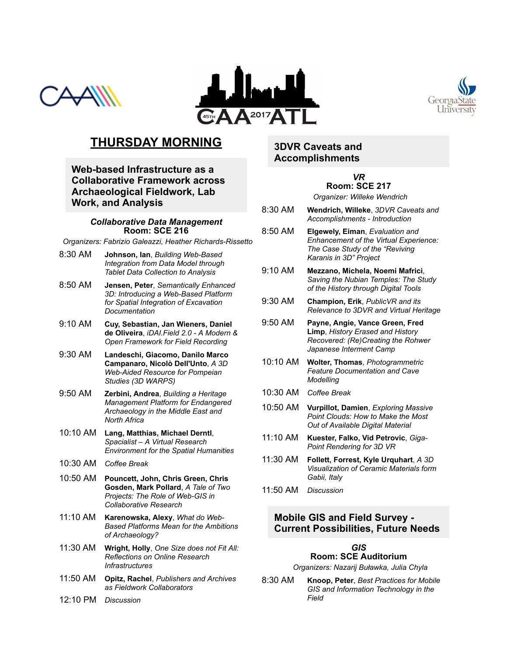





# **THURSDAY MORNING**

**Web-based Infrastructure as a Collaborative Framework across Archaeological Fieldwork, Lab Work, and Analysis**

#### *Collaborative Data Management* **Room: SCE 216**

**Organizers: Fabrizio Galeazzi, Heather Richards-Rissetto** 

- 8:30 AM **Johnson, Ian**, *Building Web-Based Integration from Data Model through Tablet Data Collection to Analysis*
- 8:50 AM **Jensen, Peter**, *Semantically Enhanced* 3D: Introducing a Web-Based Platform *for Spatial Integration of Excavation Documentation*
- 9:10 AM **Cuy, Sebastian, Jan Wieners, Daniel de Oliveira**, *iDAI.Field 2.0 A Modern & Open Framework for Field Recording*
- 9:30 AM **Landeschi, Giacomo, Danilo Marco Campanaro, Nicolò Dell'Unto**, *A 3D WebAided Resource for Pompeian Studies (3D WARPS)*
- 9:50 AM **Zerbini, Andrea**, *Building a Heritage Management Platform for Endangered Archaeology in the Middle East and North Africa*
- 10:10 AM **Lang, Matthias, Michael Derntl**, *Spacialist – A Virtual Research Environment for the Spatial Humanities*
- 10:30 AM *Coffee Break*
- 10:50 AM **Pouncett, John, Chris Green, Chris Gosden, Mark Pollard**, *A Tale of Two* **Projects: The Role of Web-GIS in** *Collaborative Research*
- 11:10 AM **Karenowska, Alexy**, *What do Web-Based Platforms Mean for the Ambitions of Archaeology?*
- 11:30 AM **Wright, Holly**, *One Size does not Fit All: Reflections on Online Research Infrastructures*
- 11:50 AM **Opitz, Rachel**, *Publishers and Archives as Fieldwork Collaborators*
- 12:10 PM *Discussion*

# **3DVR Caveats and Accomplishments**

# *VR* **Room: SCE 217**

*Organizer: Willeke Wendrich*

- 8:30 AM **Wendrich, Willeke**, *3DVR Caveats and Accomplishments Introduction*
- 8:50 AM **Elgewely, Eiman**, *Evaluation and Enhancement of the Virtual Experience: The Case Study of the "Reviving Karanis in 3D" Project*
- 9:10 AM **Mezzano, Michela, Noemi Mafrici**, *Saving the Nubian Temples: The Study of the History through Digital Tools*
- 9:30 AM **Champion, Erik**, *PublicVR and its Relevance to 3DVR and Virtual Heritage*
- 9:50 AM **Payne, Angie, Vance Green, Fred Limp**, *History Erased and History Recovered: (Re)Creating the Rohwer Japanese Interment Camp*
- 10:10 AM **Wolter, Thomas**, *Photogrammetric Feature Documentation and Cave Modelling*
- 10:30 AM *Coffee Break*
- 10:50 AM **Vurpillot, Damien**, *Exploring Massive Point Clouds: How to Make the Most Out of Available Digital Material*
- 11:10 AM **Kuester, Falko, Vid Petrovic**, *Giga-Point Rendering for 3D VR*
- 11:30 AM **Follett, Forrest, Kyle Urquhart**, *A 3D Visualization of Ceramic Materials form Gabii, Italy*
- 11:50 AM *Discussion*

### **Mobile GIS and Field Survey Current Possibilities, Future Needs**

#### *GIS* **Room: SCE Auditorium**

*Organizers: Nazarij Buławka, Julia Chyla*

8:30 AM **Knoop, Peter**, *Best Practices for Mobile GIS and Information Technology in the Field*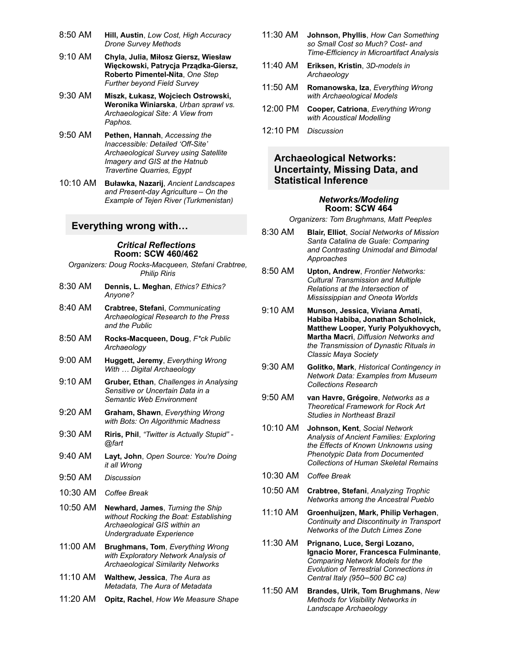- 8:50 AM **Hill, Austin**, *Low Cost, High Accuracy Drone Survey Methods*
- 9:10 AM **Chyla, Julia, Miłosz Giersz, Wiesław Więckowski, Patrycja PrządkaGiersz, Roberto Pimentel-Nita**, One Step *Further beyond Field Survey*
- 9:30 AM **Miszk, Łukasz, Wojciech Ostrowski, Weronika Winiarska**, *Urban sprawl vs. Archaeological Site: A View from Paphos.*
- 9:50 AM **Pethen, Hannah**, *Accessing the Inaccessible: Detailed 'Off-Site' Archaeological Survey using Satellite Imagery and GIS at the Hatnub Travertine Quarries, Egypt*
- 10:10 AM **Buławka, Nazarij**, *Ancient Landscapes* and Present-day Agriculture – On the *Example of Tejen River (Turkmenistan)*

#### **Everything wrong with…**

#### *Critical Reflections* **Room: SCW 460/462**

*Organizers: Doug RocksMacqueen, Stefani Crabtree, Philip Riris*

- 8:30 AM **Dennis, L. Meghan**, *Ethics? Ethics? Anyone?*
- 8:40 AM **Crabtree, Stefani**, *Communicating Archaeological Research to the Press and the Public*
- 8:50 AM **RocksMacqueen, Doug**, *F\*ck Public Archaeology*
- 9:00 AM **Huggett, Jeremy**, *Everything Wrong With … Digital Archaeology*
- 9:10 AM **Gruber, Ethan**, *Challenges in Analysing Sensitive or Uncertain Data in a Semantic Web Environment*
- 9:20 AM **Graham, Shawn**, *Everything Wrong with Bots: On Algorithmic Madness*
- 9:30 AM **Riris, Phil**, *"Twitter is Actually Stupid" @fart*
- 9:40 AM **Layt, John**, *Open Source: You're Doing it all Wrong*
- 9:50 AM *Discussion*
- 10:30 AM *Coffee Break*
- 10:50 AM **Newhard, James**, *Turning the Ship without Rocking the Boat: Establishing Archaeological GIS within an Undergraduate Experience*
- 11:00 AM **Brughmans, Tom**, *Everything Wrong with Exploratory Network Analysis of Archaeological Similarity Networks*
- 11:10 AM **Walthew, Jessica**, *The Aura as Metadata, The Aura of Metadata*
- 11:20 AM **Opitz, Rachel**, *How We Measure Shape*
- 11:30 AM **Johnson, Phyllis**, *How Can Something so Small Cost so Much? Cost and TimeEfficiency in Microartifact Analysis*
- 11:40 AM **Eriksen, Kristin**, *3Dmodels in Archaeology*
- 11:50 AM **Romanowska, Iza**, *Everything Wrong with Archaeological Models*
- 12:00 PM **Cooper, Catriona**, *Everything Wrong with Acoustical Modelling*
- 12:10 PM *Discussion*

### **Archaeological Networks: Uncertainty, Missing Data, and Statistical Inference**

#### *Networks/Modeling* **Room: SCW 464**

*Organizers: Tom Brughmans, Matt Peeples*

- 8:30 AM **Blair, Elliot**, *Social Networks of Mission Santa Catalina de Guale: Comparing and Contrasting Unimodal and Bimodal Approaches*
- 8:50 AM **Upton, Andrew**, *Frontier Networks: Cultural Transmission and Multiple Relations at the Intersection of Mississippian and Oneota Worlds*
- 9:10 AM **Munson, Jessica, Viviana Amati, Habiba Habiba, Jonathan Scholnick, Matthew Looper, Yuriy Polyukhovych, Martha Macri**, *Diffusion Networks and the Transmission of Dynastic Rituals in Classic Maya Society*
- 9:30 AM **Golitko, Mark**, *Historical Contingency in Network Data: Examples from Museum Collections Research*
- 9:50 AM **van Havre, Grégoire**, *Networks as a Theoretical Framework for Rock Art Studies in Northeast Brazil*
- 10:10 AM **Johnson, Kent**, *Social Network Analysis of Ancient Families: Exploring the Effects of Known Unknowns using Phenotypic Data from Documented Collections of Human Skeletal Remains*
- 10:30 AM *Coffee Break*
- 10:50 AM **Crabtree, Stefani**, *Analyzing Trophic Networks among the Ancestral Pueblo*
- 11:10 AM **Groenhuijzen, Mark, Philip Verhagen**, *Continuity and Discontinuity in Transport Networks of the Dutch Limes Zone*
- 11:30 AM **Prignano, Luce, Sergi Lozano, Ignacio Morer, Francesca Fulminante**, *Comparing Network Models for the Evolution of Terrestrial Connections in Central Italy (950─500 BC ca)*
- 11:50 AM **Brandes, Ulrik, Tom Brughmans**, *New Methods for Visibility Networks in Landscape Archaeology*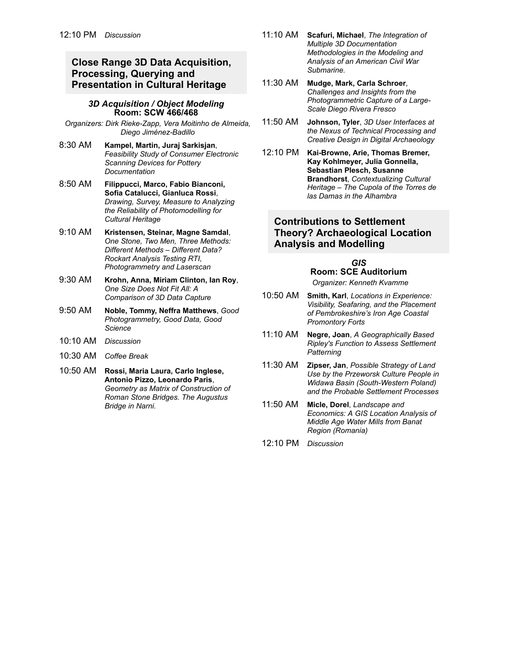# **Close Range 3D Data Acquisition, Processing, Querying and Presentation in Cultural Heritage**

#### *3D Acquisition / Object Modeling* **Room: SCW 466/468**

*Organizers: Dirk RiekeZapp, Vera Moitinho de Almeida, Diego Jiménez-Badillo* 

- 8:30 AM **Kampel, Martin, Juraj Sarkisjan**, *Feasibility Study of Consumer Electronic Scanning Devices for Pottery Documentation*
- 8:50 AM **Filippucci, Marco, Fabio Bianconi, Sofia Catalucci, Gianluca Rossi**, *Drawing, Survey, Measure to Analyzing the Reliability of Photomodelling for Cultural Heritage*
- 9:10 AM **Kristensen, Steinar, Magne Samdal**, *One Stone, Two Men, Three Methods: Different Methods – Different Data? Rockart Analysis Testing RTI, Photogrammetry and Laserscan*
- 9:30 AM **Krohn, Anna, Miriam Clinton, Ian Roy**, *One Size Does Not Fit All: A Comparison of 3D Data Capture*
- 9:50 AM **Noble, Tommy, Neffra Matthews**, *Good Photogrammetry, Good Data, Good Science*
- 10:10 AM *Discussion*
- 10:30 AM *Coffee Break*
- 10:50 AM **Rossi, Maria Laura, Carlo Inglese, Antonio Pizzo, Leonardo Paris**, *Geometry as Matrix of Construction of Roman Stone Bridges. The Augustus Bridge in Narni.*
- 11:10 AM **Scafuri, Michael**, *The Integration of Multiple 3D Documentation Methodologies in the Modeling and Analysis of an American Civil War Submarine.*
- 11:30 AM **Mudge, Mark, Carla Schroer**, *Challenges and Insights from the Photogrammetric Capture of a Large-Scale Diego Rivera Fresco*
- 11:50 AM **Johnson, Tyler**, *3D User Interfaces at the Nexus of Technical Processing and Creative Design in Digital Archaeology*
- 12:10 PM Kai-Browne, Arie, Thomas Bremer, **Kay Kohlmeyer, Julia Gonnella, Sebastian Plesch, Susanne Brandhorst**, *Contextualizing Cultural Heritage – The Cupola of the Torres de las Damas in the Alhambra*

### **Contributions to Settlement Theory? Archaeological Location Analysis and Modelling**

*GIS* **Room: SCE Auditorium** *Organizer: Kenneth Kvamme*

- 10:50 AM **Smith, Karl**, *Locations in Experience: Visibility, Seafaring, and the Placement of Pembrokeshire's Iron Age Coastal Promontory Forts*
- 11:10 AM **Negre, Joan**, *A Geographically Based Ripley's Function to Assess Settlement Patterning*
- 11:30 AM **Zipser, Jan**, *Possible Strategy of Land Use by the Przeworsk Culture People in* **Widawa Basin (South-Western Poland)** *and the Probable Settlement Processes*
- 11:50 AM **Micle, Dorel**, *Landscape and Economics: A GIS Location Analysis of Middle Age Water Mills from Banat Region (Romania)*
- 12:10 PM *Discussion*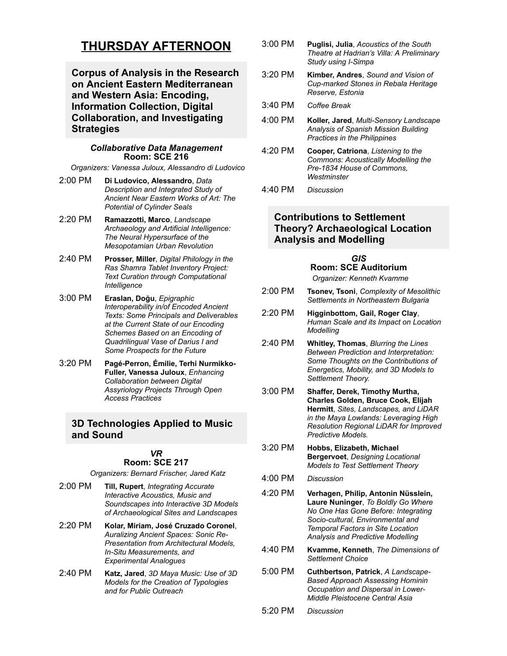# **THURSDAY AFTERNOON**

**Corpus of Analysis in the Research on Ancient Eastern Mediterranean and Western Asia: Encoding, Information Collection, Digital Collaboration, and Investigating Strategies**

#### *Collaborative Data Management* **Room: SCE 216**

*Organizers: Vanessa Juloux, Alessandro di Ludovico*

- 2:00 PM **Di Ludovico, Alessandro**, *Data Description and Integrated Study of Ancient Near Eastern Works of Art: The Potential of Cylinder Seals*
- 2:20 PM **Ramazzotti, Marco**, *Landscape Archaeology and Artificial Intelligence: The Neural Hypersurface of the Mesopotamian Urban Revolution*
- 2:40 PM **Prosser, Miller**, *Digital Philology in the Ras Shamra Tablet Inventory Project: Text Curation through Computational Intelligence*
- 3:00 PM **Eraslan, Doğu**, *Epigraphic Interoperability in/of Encoded Ancient Texts: Some Principals and Deliverables at the Current State of our Encoding Schemes Based on an Encoding of Quadrilingual Vase of Darius I and Some Prospects for the Future*
- 3:20 PM **PagéPerron, Émilie, Terhi Nurmikko-Fuller, Vanessa Juloux**, *Enhancing Collaboration between Digital Assyriology Projects Through Open Access Practices*

### **3D Technologies Applied to Music and Sound**

#### *VR* **Room: SCE 217**

*Organizers: Bernard Frischer, Jared Katz*

- 2:00 PM **Till, Rupert**, *Integrating Accurate Interactive Acoustics, Music and Soundscapes into Interactive 3D Models of Archaeological Sites and Landscapes*
- 2:20 PM **Kolar, Miriam, José Cruzado Coronel**, *Auralizing Ancient Spaces: Sonic Re-Presentation from Architectural Models, InSitu Measurements, and Experimental Analogues*
- 2:40 PM **Katz, Jared**, *3D Maya Music: Use of 3D Models for the Creation of Typologies and for Public Outreach*
- 3:00 PM **Puglisi, Julia**, *Acoustics of the South Theatre at Hadrian's Villa: A Preliminary* **Study using I-Simpa**
- 3:20 PM **Kimber, Andres**, *Sound and Vision of Cupmarked Stones in Rebala Heritage Reserve, Estonia*
- 3:40 PM *Coffee Break*
- 4:00 PM **Koller, Jared**, *Multi-Sensory Landscape Analysis of Spanish Mission Building Practices in the Philippines*
- 4:20 PM **Cooper, Catriona**, *Listening to the Commons: Acoustically Modelling the Pre1834 House of Commons, Westminster*
- 4:40 PM *Discussion*

# **Contributions to Settlement Theory? Archaeological Location Analysis and Modelling**

# *GIS* **Room: SCE Auditorium**

- *Organizer: Kenneth Kvamme*
- 2:00 PM **Tsonev, Tsoni**, *Complexity of Mesolithic Settlements in Northeastern Bulgaria*
- 2:20 PM **Higginbottom, Gail, Roger Clay**, *Human Scale and its Impact on Location Modelling*
- 2:40 PM **Whitley, Thomas**, *Blurring the Lines Between Prediction and Interpretation: Some Thoughts on the Contributions of Energetics, Mobility, and 3D Models to Settlement Theory.*
- 3:00 PM **Shaffer, Derek, Timothy Murtha, Charles Golden, Bruce Cook, Elijah Hermitt**, *Sites, Landscapes, and LiDAR in the Maya Lowlands: Leveraging High Resolution Regional LiDAR for Improved Predictive Models.*
- 3:20 PM **Hobbs, Elizabeth, Michael Bergervoet**, *Designing Locational Models to Test Settlement Theory*
- 4:00 PM *Discussion*
- 4:20 PM **Verhagen, Philip, Antonin Nüsslein, Laure Nuninger**, *To Boldly Go Where No One Has Gone Before: Integrating* Socio-cultural, Environmental and *Temporal Factors in Site Location Analysis and Predictive Modelling*
- 4:40 PM **Kvamme, Kenneth**, *The Dimensions of Settlement Choice*
- 5:00 PM **Cuthbertson, Patrick**, *A Landscape-Based Approach Assessing Hominin Occupation and Dispersal in Lower-Middle Pleistocene Central Asia*
- 5:20 PM *Discussion*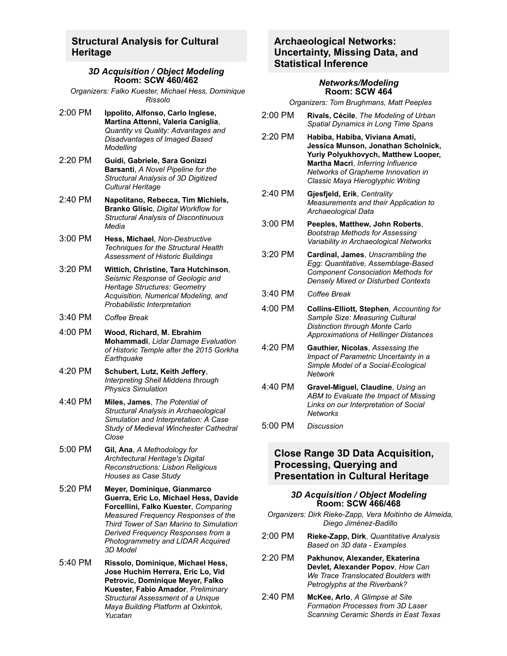### **Structural Analysis for Cultural Heritage**

#### *3D Acquisition / Object Modeling* **Room: SCW 460/462**

- *Organizers: Falko Kuester, Michael Hess, Dominique Rissolo*
- 2:00 PM **Ippolito, Alfonso, Carlo Inglese, Martina Attenni, Valeria Caniglia**, *Quantity vs Quality: Advantages and Disadvantages of Imaged Based Modelling*
- 2:20 PM **Guidi, Gabriele, Sara Gonizzi Barsanti**, *A Novel Pipeline for the Structural Analysis of 3D Digitized Cultural Heritage*
- 2:40 PM **Napolitano, Rebecca, Tim Michiels, Branko Glisic**, *Digital Workflow for Structural Analysis of Discontinuous Media*
- 3:00 PM **Hess, Michael**, *Non-Destructive Techniques for the Structural Health Assessment of Historic Buildings*
- 3:20 PM **Wittich, Christine, Tara Hutchinson**, *Seismic Response of Geologic and Heritage Structures: Geometry Acquisition, Numerical Modeling, and Probabilistic Interpretation*
- 3:40 PM *Coffee Break*
- 4:00 PM **Wood, Richard, M. Ebrahim Mohammadi**, *Lidar Damage Evaluation of Historic Temple after the 2015 Gorkha Earthquake*
- 4:20 PM **Schubert, Lutz, Keith Jeffery**, *Interpreting Shell Middens through Physics Simulation*
- 4:40 PM **Miles, James**, *The Potential of Structural Analysis in Archaeological Simulation and Interpretation: A Case Study of Medieval Winchester Cathedral Close*
- 5:00 PM **Gil, Ana**, *A Methodology for Architectural Heritage's Digital Reconstructions: Lisbon Religious Houses as Case Study*
- 5:20 PM **Meyer, Dominique, Gianmarco Guerra, Eric Lo, Michael Hess, Davide Forcellini, Falko Kuester**, *Comparing Measured Frequency Responses of the Third Tower of San Marino to Simulation Derived Frequency Responses from a Photogrammetry and LIDAR Acquired 3D Model*
- 5:40 PM **Rissolo, Dominique, Michael Hess, Jose Huchim Herrera, Eric Lo, Vid Petrovic, Dominique Meyer, Falko Kuester, Fabio Amador**, *Preliminary Structural Assessment of a Unique Maya Building Platform at Oxkintok, Yucatan*

# **Archaeological Networks: Uncertainty, Missing Data, and Statistical Inference**

#### *Networks/Modeling* **Room: SCW 464**

*Organizers: Tom Brughmans, Matt Peeples*

- 2:00 PM **Rivals, Cécile**, *The Modeling of Urban Spatial Dynamics in Long Time Spans*
- 2:20 PM **Habiba, Habiba, Viviana Amati, Jessica Munson, Jonathan Scholnick, Yuriy Polyukhovych, Matthew Looper, Martha Macri**, *Inferring Influence Networks of Grapheme Innovation in Classic Maya Hieroglyphic Writing*
- 2:40 PM **Gjesfjeld, Erik**, *Centrality Measurements and their Application to Archaeological Data*
- 3:00 PM **Peeples, Matthew, John Roberts**, *Bootstrap Methods for Assessing Variability in Archaeological Networks*
- 3:20 PM **Cardinal, James**, *Unscrambling the* **Egg: Quantitative, Assemblage-Based** *Component Consociation Methods for Densely Mixed or Disturbed Contexts*
- 3:40 PM *Coffee Break*
- 4:00 PM **CollinsElliott, Stephen**, *Accounting for Sample Size: Measuring Cultural Distinction through Monte Carlo Approximations of Hellinger Distances*
- 4:20 PM **Gauthier, Nicolas**, *Assessing the Impact of Parametric Uncertainty in a* **Simple Model of a Social-Ecological** *Network*
- 4:40 PM **GravelMiguel, Claudine**, *Using an ABM to Evaluate the Impact of Missing Links on our Interpretation of Social Networks*
- 5:00 PM *Discussion*

### **Close Range 3D Data Acquisition, Processing, Querying and Presentation in Cultural Heritage**

#### *3D Acquisition / Object Modeling* **Room: SCW 466/468**

- *Organizers: Dirk RiekeZapp, Vera Moitinho de Almeida, Diego Jiménez-Badillo*
- 2:00 PM **RiekeZapp, Dirk**, *Quantitative Analysis Based on 3D data Examples*
- 2:20 PM **Pakhunov, Alexander, Ekaterina Devlet, Alexander Popov**, *How Can We Trace Translocated Boulders with Petroglyphs at the Riverbank?*
- 2:40 PM **McKee, Arlo**, *A Glimpse at Site Formation Processes from 3D Laser Scanning Ceramic Sherds in East Texas*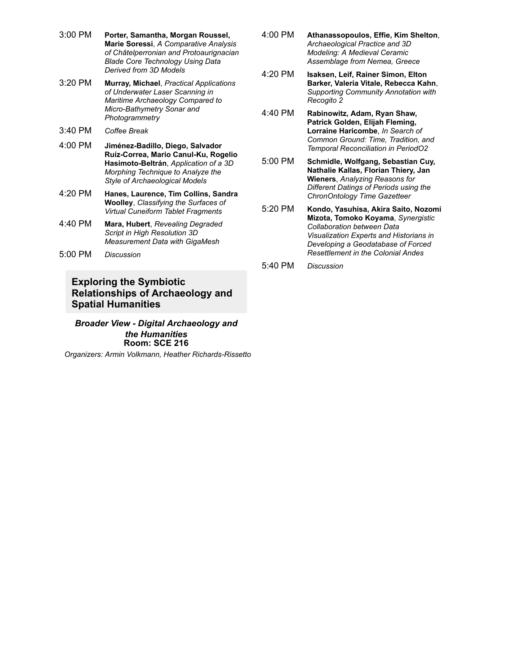- 3:00 PM **Porter, Samantha, Morgan Roussel, Marie Soressi**, *A Comparative Analysis of Châtelperronian and Protoaurignacian Blade Core Technology Using Data Derived from 3D Models*
- 3:20 PM **Murray, Michael**, *Practical Applications of Underwater Laser Scanning in Maritime Archaeology Compared to* **Micro-Bathymetry Sonar and** *Photogrammetry*
- 3:40 PM *Coffee Break*
- 4:00 PM **JiménezBadillo, Diego, Salvador Ruíz-Correa, Mario Canul-Ku, Rogelio Hasimoto-Beltrán**, *Application of a 3D Morphing Technique to Analyze the Style of Archaeological Models*
- 4:20 PM **Hanes, Laurence, Tim Collins, Sandra Woolley**, *Classifying the Surfaces of Virtual Cuneiform Tablet Fragments*
- 4:40 PM **Mara, Hubert**, *Revealing Degraded Script in High Resolution 3D Measurement Data with GigaMesh*
- 5:00 PM *Discussion*

# **Exploring the Symbiotic Relationships of Archaeology and Spatial Humanities**

*Broader View Digital Archaeology and the Humanities* **Room: SCE 216**

**Organizers: Armin Volkmann, Heather Richards-Rissetto** 

- 4:00 PM **Athanassopoulos, Effie, Kim Shelton**, *Archaeological Practice and 3D Modeling: A Medieval Ceramic Assemblage from Nemea, Greece*
- 4:20 PM **Isaksen, Leif, Rainer Simon, Elton Barker, Valeria Vitale, Rebecca Kahn**, *Supporting Community Annotation with Recogito 2*
- 4:40 PM **Rabinowitz, Adam, Ryan Shaw, Patrick Golden, Elijah Fleming, Lorraine Haricombe**, *In Search of Common Ground: Time, Tradition, and Temporal Reconciliation in PeriodO2*
- 5:00 PM **Schmidle, Wolfgang, Sebastian Cuy, Nathalie Kallas, Florian Thiery, Jan Wieners**, *Analyzing Reasons for Different Datings of Periods using the ChronOntology Time Gazetteer*
- 5:20 PM **Kondo, Yasuhisa, Akira Saito, Nozomi Mizota, Tomoko Koyama**, *Synergistic Collaboration between Data Visualization Experts and Historians in Developing a Geodatabase of Forced Resettlement in the Colonial Andes*
- 5:40 PM *Discussion*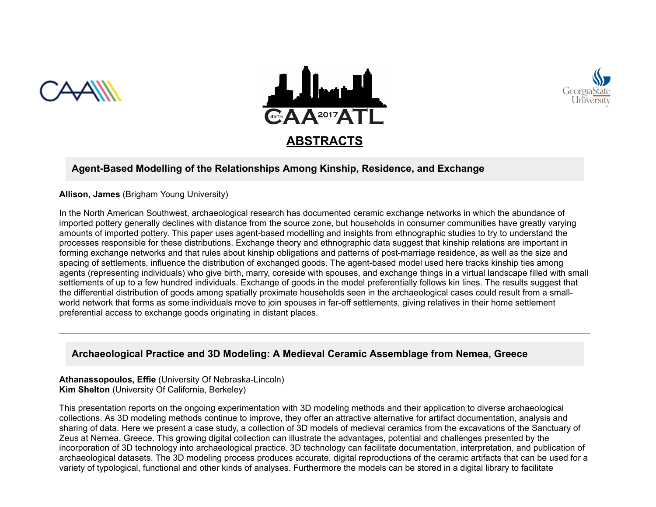





# Agent-Based Modelling of the Relationships Among Kinship, Residence, and Exchange

**Allison, James** (Brigham Young University)

In the North American Southwest, archaeological research has documented ceramic exchange networks in which the abundance of imported pottery generally declines with distance from the source zone, but households in consumer communities have greatly varying amounts of imported pottery. This paper uses agent-based modelling and insights from ethnographic studies to try to understand the processes responsible for these distributions. Exchange theory and ethnographic data suggest that kinship relations are important in forming exchange networks and that rules about kinship obligations and patterns of post-marriage residence, as well as the size and spacing of settlements, influence the distribution of exchanged goods. The agent-based model used here tracks kinship ties among agents (representing individuals) who give birth, marry, coreside with spouses, and exchange things in a virtual landscape filled with small settlements of up to a few hundred individuals. Exchange of goods in the model preferentially follows kin lines. The results suggest that the differential distribution of goods among spatially proximate households seen in the archaeological cases could result from a smallworld network that forms as some individuals move to join spouses in far-off settlements, giving relatives in their home settlement preferential access to exchange goods originating in distant places.

# **Archaeological Practice and 3D Modeling: A Medieval Ceramic Assemblage from Nemea, Greece**

**Athanassopoulos, Effie** (University Of Nebraska-Lincoln) **Kim Shelton** (University Of California, Berkeley)

This presentation reports on the ongoing experimentation with 3D modeling methods and their application to diverse archaeological collections. As 3D modeling methods continue to improve, they offer an attractive alternative for artifact documentation, analysis and sharing of data. Here we present a case study, a collection of 3D models of medieval ceramics from the excavations of the Sanctuary of Zeus at Nemea, Greece. This growing digital collection can illustrate the advantages, potential and challenges presented by the incorporation of 3D technology into archaeological practice. 3D technology can facilitate documentation, interpretation, and publication of archaeological datasets. The 3D modeling process produces accurate, digital reproductions of the ceramic artifacts that can be used for a variety of typological, functional and other kinds of analyses. Furthermore the models can be stored in a digital library to facilitate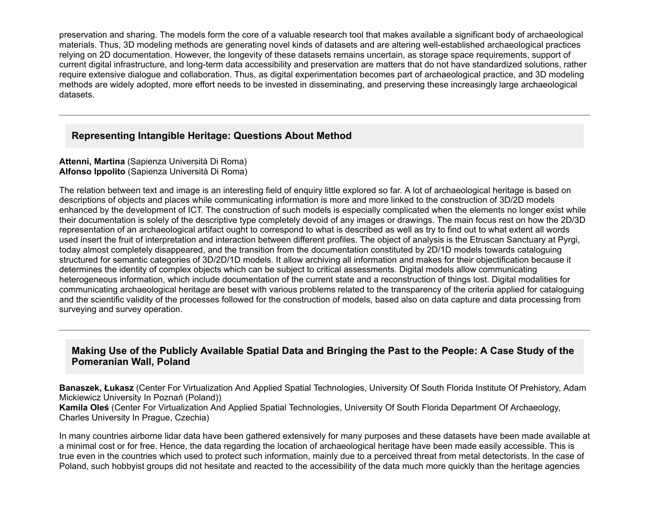preservation and sharing. The models form the core of a valuable research tool that makes available a significant body of archaeological materials. Thus, 3D modeling methods are generating novel kinds of datasets and are altering wellestablished archaeological practices relying on 2D documentation. However, the longevity of these datasets remains uncertain, as storage space requirements, support of current digital infrastructure, and long-term data accessibility and preservation are matters that do not have standardized solutions, rather require extensive dialogue and collaboration. Thus, as digital experimentation becomes part of archaeological practice, and 3D modeling methods are widely adopted, more effort needs to be invested in disseminating, and preserving these increasingly large archaeological datasets.

# **Representing Intangible Heritage: Questions About Method**

#### **Attenni, Martina** (Sapienza Università Di Roma) **Alfonso Ippolito** (Sapienza Università Di Roma)

The relation between text and image is an interesting field of enquiry little explored so far. A lot of archaeological heritage is based on descriptions of objects and places while communicating information is more and more linked to the construction of 3D/2D models enhanced by the development of ICT. The construction of such models is especially complicated when the elements no longer exist while their documentation is solely of the descriptive type completely devoid of any images or drawings. The main focus rest on how the 2D/3D representation of an archaeological artifact ought to correspond to what is described as well as try to find out to what extent all words used insert the fruit of interpretation and interaction between different profiles. The object of analysis is the Etruscan Sanctuary at Pyrgi, today almost completely disappeared, and the transition from the documentation constituted by 2D/1D models towards cataloguing structured for semantic categories of 3D/2D/1D models. It allow archiving all information and makes for their objectification because it determines the identity of complex objects which can be subject to critical assessments. Digital models allow communicating heterogeneous information, which include documentation of the current state and a reconstruction of things lost. Digital modalities for communicating archaeological heritage are beset with various problems related to the transparency of the criteria applied for cataloguing and the scientific validity of the processes followed for the construction of models, based also on data capture and data processing from surveying and survey operation.

# **Making Use of the Publicly Available Spatial Data and Bringing the Past to the People: A Case Study of the Pomeranian Wall, Poland**

**Banaszek, Łukasz** (Center For Virtualization And Applied Spatial Technologies, University Of South Florida Institute Of Prehistory, Adam Mickiewicz University In Poznań (Poland))

**Kamila Oleś** (Center For Virtualization And Applied Spatial Technologies, University Of South Florida Department Of Archaeology, Charles University In Prague, Czechia)

In many countries airborne lidar data have been gathered extensively for many purposes and these datasets have been made available at a minimal cost or for free. Hence, the data regarding the location of archaeological heritage have been made easily accessible. This is true even in the countries which used to protect such information, mainly due to a perceived threat from metal detectorists. In the case of Poland, such hobbyist groups did not hesitate and reacted to the accessibility of the data much more quickly than the heritage agencies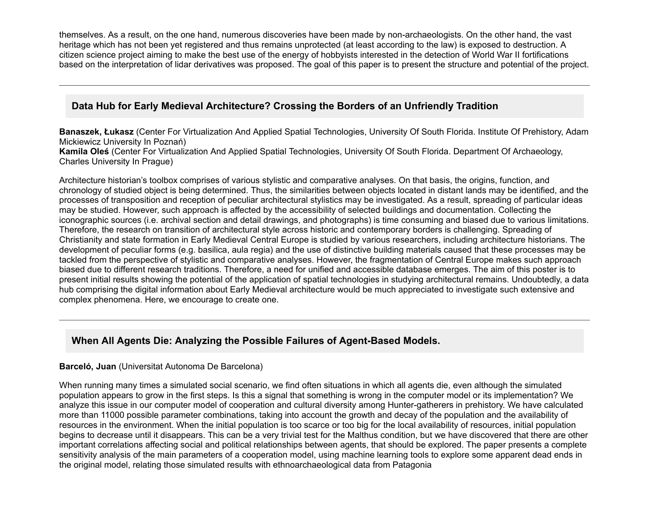themselves. As a result, on the one hand, numerous discoveries have been made by non-archaeologists. On the other hand, the vast heritage which has not been yet registered and thus remains unprotected (at least according to the law) is exposed to destruction. A citizen science project aiming to make the best use of the energy of hobbyists interested in the detection of World War II fortifications based on the interpretation of lidar derivatives was proposed. The goal of this paper is to present the structure and potential of the project.

# **Data Hub for Early Medieval Architecture? Crossing the Borders of an Unfriendly Tradition**

**Banaszek, Łukasz** (Center For Virtualization And Applied Spatial Technologies, University Of South Florida. Institute Of Prehistory, Adam Mickiewicz University In Poznań)

**Kamila Oleś** (Center For Virtualization And Applied Spatial Technologies, University Of South Florida. Department Of Archaeology, Charles University In Prague)

Architecture historian's toolbox comprises of various stylistic and comparative analyses. On that basis, the origins, function, and chronology of studied object is being determined. Thus, the similarities between objects located in distant lands may be identified, and the processes of transposition and reception of peculiar architectural stylistics may be investigated. As a result, spreading of particular ideas may be studied. However, such approach is affected by the accessibility of selected buildings and documentation. Collecting the iconographic sources (i.e. archival section and detail drawings, and photographs) is time consuming and biased due to various limitations. Therefore, the research on transition of architectural style across historic and contemporary borders is challenging. Spreading of Christianity and state formation in Early Medieval Central Europe is studied by various researchers, including architecture historians. The development of peculiar forms (e.g. basilica, aula regia) and the use of distinctive building materials caused that these processes may be tackled from the perspective of stylistic and comparative analyses. However, the fragmentation of Central Europe makes such approach biased due to different research traditions. Therefore, a need for unified and accessible database emerges. The aim of this poster is to present initial results showing the potential of the application of spatial technologies in studying architectural remains. Undoubtedly, a data hub comprising the digital information about Early Medieval architecture would be much appreciated to investigate such extensive and complex phenomena. Here, we encourage to create one.

# **When All Agents Die: Analyzing the Possible Failures of Agent-Based Models.**

### **Barceló, Juan** (Universitat Autonoma De Barcelona)

When running many times a simulated social scenario, we find often situations in which all agents die, even although the simulated population appears to grow in the first steps. Is this a signal that something is wrong in the computer model or its implementation? We analyze this issue in our computer model of cooperation and cultural diversity among Hunter-gatherers in prehistory. We have calculated more than 11000 possible parameter combinations, taking into account the growth and decay of the population and the availability of resources in the environment. When the initial population is too scarce or too big for the local availability of resources, initial population begins to decrease until it disappears. This can be a very trivial test for the Malthus condition, but we have discovered that there are other important correlations affecting social and political relationships between agents, that should be explored. The paper presents a complete sensitivity analysis of the main parameters of a cooperation model, using machine learning tools to explore some apparent dead ends in the original model, relating those simulated results with ethnoarchaeological data from Patagonia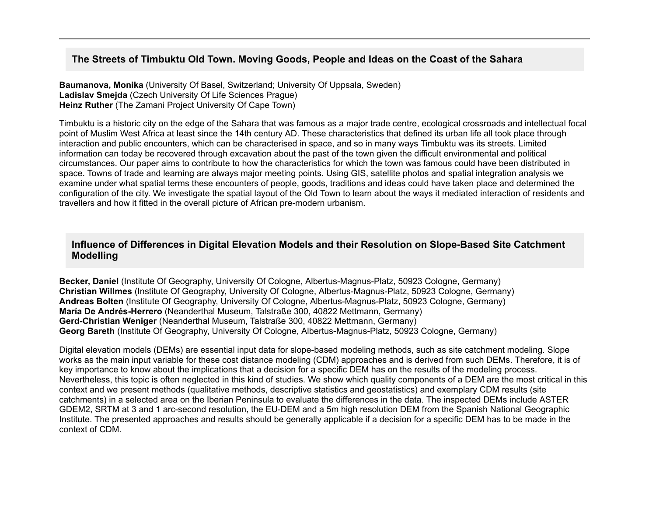# **The Streets of Timbuktu Old Town. Moving Goods, People and Ideas on the Coast of the Sahara**

**Baumanova, Monika** (University Of Basel, Switzerland; University Of Uppsala, Sweden) **Ladislav Smejda** (Czech University Of Life Sciences Prague) **Heinz Ruther** (The Zamani Project University Of Cape Town)

Timbuktu is a historic city on the edge of the Sahara that was famous as a major trade centre, ecological crossroads and intellectual focal point of Muslim West Africa at least since the 14th century AD. These characteristics that defined its urban life all took place through interaction and public encounters, which can be characterised in space, and so in many ways Timbuktu was its streets. Limited information can today be recovered through excavation about the past of the town given the difficult environmental and political circumstances. Our paper aims to contribute to how the characteristics for which the town was famous could have been distributed in space. Towns of trade and learning are always major meeting points. Using GIS, satellite photos and spatial integration analysis we examine under what spatial terms these encounters of people, goods, traditions and ideas could have taken place and determined the configuration of the city. We investigate the spatial layout of the Old Town to learn about the ways it mediated interaction of residents and travellers and how it fitted in the overall picture of African pre-modern urbanism.

# **Influence of Differences in Digital Elevation Models and their Resolution on Slope-Based Site Catchment Modelling**

**Becker, Daniel** (Institute Of Geography, University Of Cologne, Albertus-Magnus-Platz, 50923 Cologne, Germany) **Christian Willmes** (Institute Of Geography, University Of Cologne, Albertus-Magnus-Platz, 50923 Cologne, Germany) **Andreas Bolten** (Institute Of Geography, University Of Cologne, Albertus-Magnus-Platz, 50923 Cologne, Germany) **María De AndrésHerrero** (Neanderthal Museum, Talstraße 300, 40822 Mettmann, Germany) **GerdChristian Weniger** (Neanderthal Museum, Talstraße 300, 40822 Mettmann, Germany) **Georg Bareth** (Institute Of Geography, University Of Cologne, Albertus-Magnus-Platz, 50923 Cologne, Germany)

Digital elevation models (DEMs) are essential input data for slope-based modeling methods, such as site catchment modeling. Slope works as the main input variable for these cost distance modeling (CDM) approaches and is derived from such DEMs. Therefore, it is of key importance to know about the implications that a decision for a specific DEM has on the results of the modeling process. Nevertheless, this topic is often neglected in this kind of studies. We show which quality components of a DEM are the most critical in this context and we present methods (qualitative methods, descriptive statistics and geostatistics) and exemplary CDM results (site catchments) in a selected area on the Iberian Peninsula to evaluate the differences in the data. The inspected DEMs include ASTER GDEM2, SRTM at 3 and 1 arc-second resolution, the EU-DEM and a 5m high resolution DEM from the Spanish National Geographic Institute. The presented approaches and results should be generally applicable if a decision for a specific DEM has to be made in the context of CDM.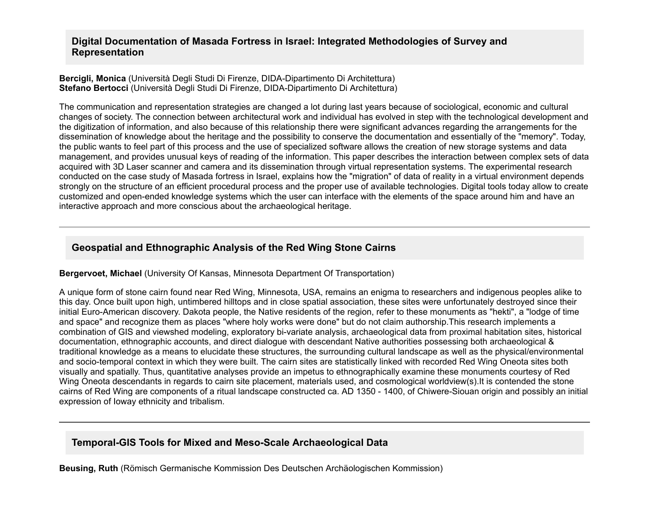# **Digital Documentation of Masada Fortress in Israel: Integrated Methodologies of Survey and Representation**

#### **Bercigli, Monica** (Università Degli Studi Di Firenze, DIDA-Dipartimento Di Architettura) **Stefano Bertocci** (Università Degli Studi Di Firenze, DIDA-Dipartimento Di Architettura)

The communication and representation strategies are changed a lot during last years because of sociological, economic and cultural changes of society. The connection between architectural work and individual has evolved in step with the technological development and the digitization of information, and also because of this relationship there were significant advances regarding the arrangements for the dissemination of knowledge about the heritage and the possibility to conserve the documentation and essentially of the "memory". Today, the public wants to feel part of this process and the use of specialized software allows the creation of new storage systems and data management, and provides unusual keys of reading of the information. This paper describes the interaction between complex sets of data acquired with 3D Laser scanner and camera and its dissemination through virtual representation systems. The experimental research conducted on the case study of Masada fortress in Israel, explains how the "migration" of data of reality in a virtual environment depends strongly on the structure of an efficient procedural process and the proper use of available technologies. Digital tools today allow to create customized and openended knowledge systems which the user can interface with the elements of the space around him and have an interactive approach and more conscious about the archaeological heritage.

## **Geospatial and Ethnographic Analysis of the Red Wing Stone Cairns**

### **Bergervoet, Michael** (University Of Kansas, Minnesota Department Of Transportation)

A unique form of stone cairn found near Red Wing, Minnesota, USA, remains an enigma to researchers and indigenous peoples alike to this day. Once built upon high, untimbered hilltops and in close spatial association, these sites were unfortunately destroyed since their initial Euro-American discovery. Dakota people, the Native residents of the region, refer to these monuments as "hekti", a "lodge of time and space" and recognize them as places "where holy works were done" but do not claim authorship.This research implements a combination of GIS and viewshed modeling, exploratory bi-variate analysis, archaeological data from proximal habitation sites, historical documentation, ethnographic accounts, and direct dialogue with descendant Native authorities possessing both archaeological & traditional knowledge as a means to elucidate these structures, the surrounding cultural landscape as well as the physical/environmental and socio-temporal context in which they were built. The cairn sites are statistically linked with recorded Red Wing Oneota sites both visually and spatially. Thus, quantitative analyses provide an impetus to ethnographically examine these monuments courtesy of Red Wing Oneota descendants in regards to cairn site placement, materials used, and cosmological worldview(s).It is contended the stone cairns of Red Wing are components of a ritual landscape constructed ca. AD 1350 - 1400, of Chiwere-Siouan origin and possibly an initial expression of Ioway ethnicity and tribalism.

### **Temporal-GIS Tools for Mixed and Meso-Scale Archaeological Data**

**Beusing, Ruth** (Römisch Germanische Kommission Des Deutschen Archäologischen Kommission)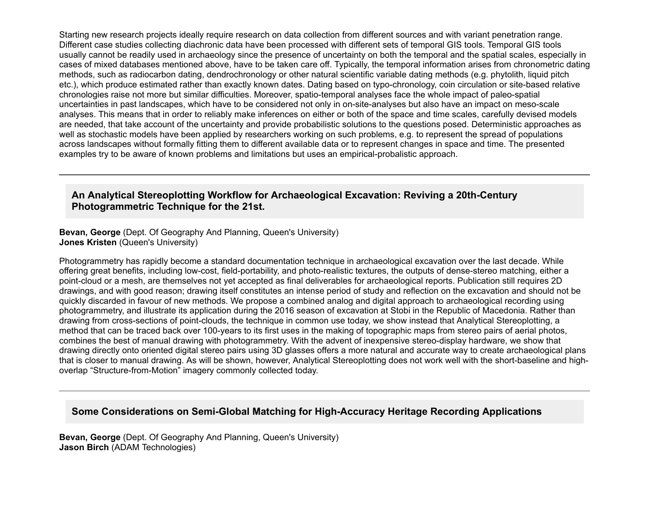Starting new research projects ideally require research on data collection from different sources and with variant penetration range. Different case studies collecting diachronic data have been processed with different sets of temporal GIS tools. Temporal GIS tools usually cannot be readily used in archaeology since the presence of uncertainty on both the temporal and the spatial scales, especially in cases of mixed databases mentioned above, have to be taken care off. Typically, the temporal information arises from chronometric dating methods, such as radiocarbon dating, dendrochronology or other natural scientific variable dating methods (e.g. phytolith, liquid pitch etc.), which produce estimated rather than exactly known dates. Dating based on typo-chronology, coin circulation or site-based relative chronologies raise not more but similar difficulties. Moreover, spatio-temporal analyses face the whole impact of paleo-spatial uncertainties in past landscapes, which have to be considered not only in on-site-analyses but also have an impact on meso-scale analyses. This means that in order to reliably make inferences on either or both of the space and time scales, carefully devised models are needed, that take account of the uncertainty and provide probabilistic solutions to the questions posed. Deterministic approaches as well as stochastic models have been applied by researchers working on such problems, e.g. to represent the spread of populations across landscapes without formally fitting them to different available data or to represent changes in space and time. The presented examples try to be aware of known problems and limitations but uses an empirical-probalistic approach.

# An Analytical Stereoplotting Workflow for Archaeological Excavation: Reviving a 20th-Century **Photogrammetric Technique for the 21st.**

**Bevan, George** (Dept. Of Geography And Planning, Queen's University) **Jones Kristen** (Queen's University)

Photogrammetry has rapidly become a standard documentation technique in archaeological excavation over the last decade. While offering great benefits, including low-cost, field-portability, and photo-realistic textures, the outputs of dense-stereo matching, either a point-cloud or a mesh, are themselves not yet accepted as final deliverables for archaeological reports. Publication still requires 2D drawings, and with good reason; drawing itself constitutes an intense period of study and reflection on the excavation and should not be quickly discarded in favour of new methods. We propose a combined analog and digital approach to archaeological recording using photogrammetry, and illustrate its application during the 2016 season of excavation at Stobi in the Republic of Macedonia. Rather than drawing from cross-sections of point-clouds, the technique in common use today, we show instead that Analytical Stereoplotting, a method that can be traced back over 100-years to its first uses in the making of topographic maps from stereo pairs of aerial photos, combines the best of manual drawing with photogrammetry. With the advent of inexpensive stereo-display hardware, we show that drawing directly onto oriented digital stereo pairs using 3D glasses offers a more natural and accurate way to create archaeological plans that is closer to manual drawing. As will be shown, however, Analytical Stereoplotting does not work well with the short-baseline and highoverlap "Structure-from-Motion" imagery commonly collected today.

# **Some Considerations on Semi-Global Matching for High-Accuracy Heritage Recording Applications**

**Bevan, George** (Dept. Of Geography And Planning, Queen's University) **Jason Birch** (ADAM Technologies)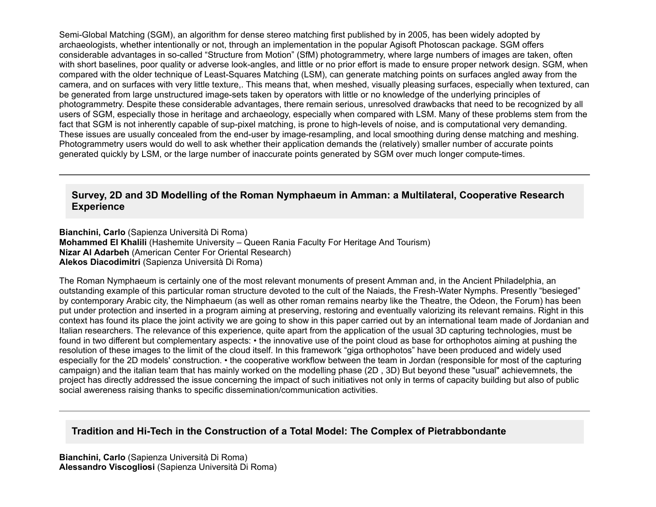Semi-Global Matching (SGM), an algorithm for dense stereo matching first published by in 2005, has been widely adopted by archaeologists, whether intentionally or not, through an implementation in the popular Agisoft Photoscan package. SGM offers considerable advantages in so-called "Structure from Motion" (SfM) photogrammetry, where large numbers of images are taken, often with short baselines, poor quality or adverse look-angles, and little or no prior effort is made to ensure proper network design. SGM, when compared with the older technique of Least-Squares Matching (LSM), can generate matching points on surfaces angled away from the camera, and on surfaces with very little texture,. This means that, when meshed, visually pleasing surfaces, especially when textured, can be generated from large unstructured image-sets taken by operators with little or no knowledge of the underlying principles of photogrammetry. Despite these considerable advantages, there remain serious, unresolved drawbacks that need to be recognized by all users of SGM, especially those in heritage and archaeology, especially when compared with LSM. Many of these problems stem from the fact that SGM is not inherently capable of sup-pixel matching, is prone to high-levels of noise, and is computational very demanding. These issues are usually concealed from the end-user by image-resampling, and local smoothing during dense matching and meshing. Photogrammetry users would do well to ask whether their application demands the (relatively) smaller number of accurate points generated quickly by LSM, or the large number of inaccurate points generated by SGM over much longer compute-times.

# **Survey, 2D and 3D Modelling of the Roman Nymphaeum in Amman: a Multilateral, Cooperative Research Experience**

**Bianchini, Carlo** (Sapienza Università Di Roma) **Mohammed El Khalili** (Hashemite University – Queen Rania Faculty For Heritage And Tourism) **Nizar Al Adarbeh** (American Center For Oriental Research) **Alekos Diacodimitri** (Sapienza Università Di Roma)

The Roman Nymphaeum is certainly one of the most relevant monuments of present Amman and, in the Ancient Philadelphia, an outstanding example of this particular roman structure devoted to the cult of the Naiads, the Fresh-Water Nymphs. Presently "besieged" by contemporary Arabic city, the Nimphaeum (as well as other roman remains nearby like the Theatre, the Odeon, the Forum) has been put under protection and inserted in a program aiming at preserving, restoring and eventually valorizing its relevant remains. Right in this context has found its place the joint activity we are going to show in this paper carried out by an international team made of Jordanian and Italian researchers. The relevance of this experience, quite apart from the application of the usual 3D capturing technologies, must be found in two different but complementary aspects: • the innovative use of the point cloud as base for orthophotos aiming at pushing the resolution of these images to the limit of the cloud itself. In this framework "giga orthophotos" have been produced and widely used especially for the 2D models' construction. • the cooperative workflow between the team in Jordan (responsible for most of the capturing campaign) and the italian team that has mainly worked on the modelling phase (2D , 3D) But beyond these "usual" achievemnets, the project has directly addressed the issue concerning the impact of such initiatives not only in terms of capacity building but also of public social awereness raising thanks to specific dissemination/communication activities.

# **Tradition and Hi-Tech in the Construction of a Total Model: The Complex of Pietrabbondante**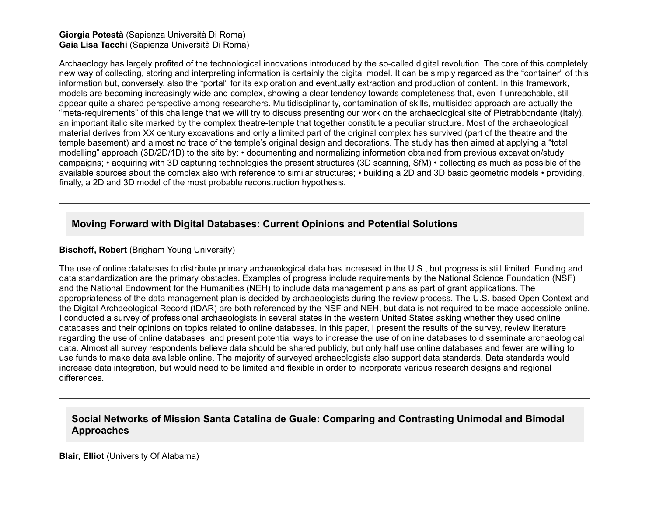#### **Giorgia Potestà** (Sapienza Università Di Roma) **Gaia Lisa Tacchi** (Sapienza Università Di Roma)

Archaeology has largely profited of the technological innovations introduced by the so-called digital revolution. The core of this completely new way of collecting, storing and interpreting information is certainly the digital model. It can be simply regarded as the "container" of this information but, conversely, also the "portal" for its exploration and eventually extraction and production of content. In this framework, models are becoming increasingly wide and complex, showing a clear tendency towards completeness that, even if unreachable, still appear quite a shared perspective among researchers. Multidisciplinarity, contamination of skills, multisided approach are actually the "meta-requirements" of this challenge that we will try to discuss presenting our work on the archaeological site of Pietrabbondante (Italy), an important italic site marked by the complex theatre-temple that together constitute a peculiar structure. Most of the archaeological material derives from XX century excavations and only a limited part of the original complex has survived (part of the theatre and the temple basement) and almost no trace of the temple's original design and decorations. The study has then aimed at applying a "total modelling" approach (3D/2D/1D) to the site by: • documenting and normalizing information obtained from previous excavation/study campaigns; • acquiring with 3D capturing technologies the present structures (3D scanning, SfM) • collecting as much as possible of the available sources about the complex also with reference to similar structures; • building a 2D and 3D basic geometric models • providing, finally, a 2D and 3D model of the most probable reconstruction hypothesis.

# **Moving Forward with Digital Databases: Current Opinions and Potential Solutions**

### **Bischoff, Robert** (Brigham Young University)

The use of online databases to distribute primary archaeological data has increased in the U.S., but progress is still limited. Funding and data standardization are the primary obstacles. Examples of progress include requirements by the National Science Foundation (NSF) and the National Endowment for the Humanities (NEH) to include data management plans as part of grant applications. The appropriateness of the data management plan is decided by archaeologists during the review process. The U.S. based Open Context and the Digital Archaeological Record (tDAR) are both referenced by the NSF and NEH, but data is not required to be made accessible online. I conducted a survey of professional archaeologists in several states in the western United States asking whether they used online databases and their opinions on topics related to online databases. In this paper, I present the results of the survey, review literature regarding the use of online databases, and present potential ways to increase the use of online databases to disseminate archaeological data. Almost all survey respondents believe data should be shared publicly, but only half use online databases and fewer are willing to use funds to make data available online. The majority of surveyed archaeologists also support data standards. Data standards would increase data integration, but would need to be limited and flexible in order to incorporate various research designs and regional differences.

## **Social Networks of Mission Santa Catalina de Guale: Comparing and Contrasting Unimodal and Bimodal Approaches**

**Blair, Elliot** (University Of Alabama)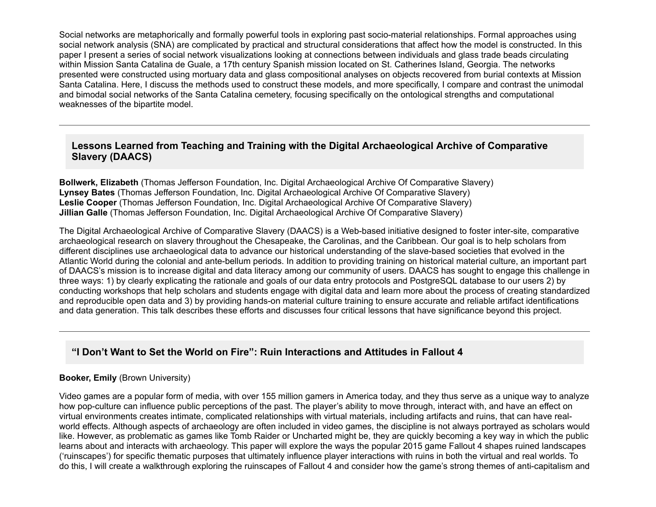Social networks are metaphorically and formally powerful tools in exploring past socio-material relationships. Formal approaches using social network analysis (SNA) are complicated by practical and structural considerations that affect how the model is constructed. In this paper I present a series of social network visualizations looking at connections between individuals and glass trade beads circulating within Mission Santa Catalina de Guale, a 17th century Spanish mission located on St. Catherines Island, Georgia. The networks presented were constructed using mortuary data and glass compositional analyses on objects recovered from burial contexts at Mission Santa Catalina. Here, I discuss the methods used to construct these models, and more specifically, I compare and contrast the unimodal and bimodal social networks of the Santa Catalina cemetery, focusing specifically on the ontological strengths and computational weaknesses of the bipartite model.

# **Lessons Learned from Teaching and Training with the Digital Archaeological Archive of Comparative Slavery (DAACS)**

**Bollwerk, Elizabeth** (Thomas Jefferson Foundation, Inc. Digital Archaeological Archive Of Comparative Slavery) **Lynsey Bates** (Thomas Jefferson Foundation, Inc. Digital Archaeological Archive Of Comparative Slavery) **Leslie Cooper** (Thomas Jefferson Foundation, Inc. Digital Archaeological Archive Of Comparative Slavery) **Jillian Galle** (Thomas Jefferson Foundation, Inc. Digital Archaeological Archive Of Comparative Slavery)

The Digital Archaeological Archive of Comparative Slavery (DAACS) is a Web-based initiative designed to foster inter-site, comparative archaeological research on slavery throughout the Chesapeake, the Carolinas, and the Caribbean. Our goal is to help scholars from different disciplines use archaeological data to advance our historical understanding of the slavebased societies that evolved in the Atlantic World during the colonial and ante-bellum periods. In addition to providing training on historical material culture, an important part of DAACS's mission is to increase digital and data literacy among our community of users. DAACS has sought to engage this challenge in three ways: 1) by clearly explicating the rationale and goals of our data entry protocols and PostgreSQL database to our users 2) by conducting workshops that help scholars and students engage with digital data and learn more about the process of creating standardized and reproducible open data and 3) by providing hands-on material culture training to ensure accurate and reliable artifact identifications and data generation. This talk describes these efforts and discusses four critical lessons that have significance beyond this project.

# **"I Don't Want to Set the World on Fire": Ruin Interactions and Attitudes in Fallout 4**

### **Booker, Emily** (Brown University)

Video games are a popular form of media, with over 155 million gamers in America today, and they thus serve as a unique way to analyze how pop-culture can influence public perceptions of the past. The player's ability to move through, interact with, and have an effect on virtual environments creates intimate, complicated relationships with virtual materials, including artifacts and ruins, that can have realworld effects. Although aspects of archaeology are often included in video games, the discipline is not always portrayed as scholars would like. However, as problematic as games like Tomb Raider or Uncharted might be, they are quickly becoming a key way in which the public learns about and interacts with archaeology. This paper will explore the ways the popular 2015 game Fallout 4 shapes ruined landscapes ('ruinscapes') for specific thematic purposes that ultimately influence player interactions with ruins in both the virtual and real worlds. To do this, I will create a walkthrough exploring the ruinscapes of Fallout 4 and consider how the game's strong themes of anticapitalism and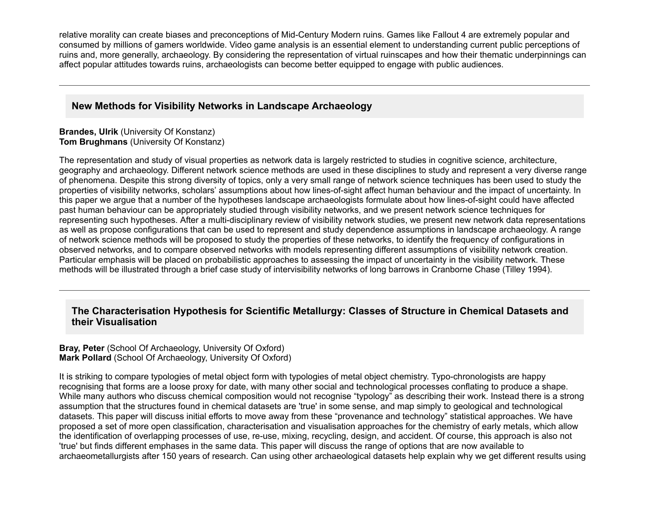relative morality can create biases and preconceptions of Mid-Century Modern ruins. Games like Fallout 4 are extremely popular and consumed by millions of gamers worldwide. Video game analysis is an essential element to understanding current public perceptions of ruins and, more generally, archaeology. By considering the representation of virtual ruinscapes and how their thematic underpinnings can affect popular attitudes towards ruins, archaeologists can become better equipped to engage with public audiences.

# **New Methods for Visibility Networks in Landscape Archaeology**

### **Brandes, Ulrik** (University Of Konstanz) **Tom Brughmans** (University Of Konstanz)

The representation and study of visual properties as network data is largely restricted to studies in cognitive science, architecture, geography and archaeology. Different network science methods are used in these disciplines to study and represent a very diverse range of phenomena. Despite this strong diversity of topics, only a very small range of network science techniques has been used to study the properties of visibility networks, scholars' assumptions about how lines-of-sight affect human behaviour and the impact of uncertainty. In this paper we argue that a number of the hypotheses landscape archaeologists formulate about how lines-of-sight could have affected past human behaviour can be appropriately studied through visibility networks, and we present network science techniques for representing such hypotheses. After a multi-disciplinary review of visibility network studies, we present new network data representations as well as propose configurations that can be used to represent and study dependence assumptions in landscape archaeology. A range of network science methods will be proposed to study the properties of these networks, to identify the frequency of configurations in observed networks, and to compare observed networks with models representing different assumptions of visibility network creation. Particular emphasis will be placed on probabilistic approaches to assessing the impact of uncertainty in the visibility network. These methods will be illustrated through a brief case study of intervisibility networks of long barrows in Cranborne Chase (Tilley 1994).

# **The Characterisation Hypothesis for Scientific Metallurgy: Classes of Structure in Chemical Datasets and their Visualisation**

### **Bray, Peter** (School Of Archaeology, University Of Oxford) **Mark Pollard** (School Of Archaeology, University Of Oxford)

It is striking to compare typologies of metal object form with typologies of metal object chemistry. Typo-chronologists are happy recognising that forms are a loose proxy for date, with many other social and technological processes conflating to produce a shape. While many authors who discuss chemical composition would not recognise "typology" as describing their work. Instead there is a strong assumption that the structures found in chemical datasets are 'true' in some sense, and map simply to geological and technological datasets. This paper will discuss initial efforts to move away from these "provenance and technology" statistical approaches. We have proposed a set of more open classification, characterisation and visualisation approaches for the chemistry of early metals, which allow the identification of overlapping processes of use, re-use, mixing, recycling, design, and accident. Of course, this approach is also not 'true' but finds different emphases in the same data. This paper will discuss the range of options that are now available to archaeometallurgists after 150 years of research. Can using other archaeological datasets help explain why we get different results using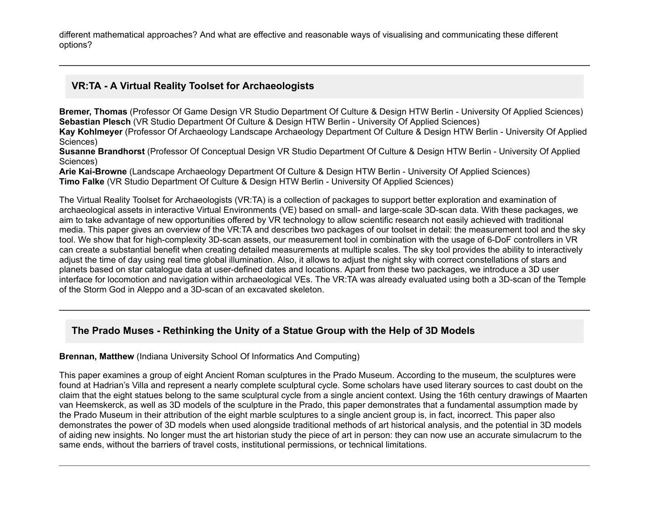different mathematical approaches? And what are effective and reasonable ways of visualising and communicating these different options?

# **VR:TA A Virtual Reality Toolset for Archaeologists**

**Bremer, Thomas** (Professor Of Game Design VR Studio Department Of Culture & Design HTW Berlin University Of Applied Sciences) **Sebastian Plesch** (VR Studio Department Of Culture & Design HTW Berlin University Of Applied Sciences)

**Kay Kohlmeyer** (Professor Of Archaeology Landscape Archaeology Department Of Culture & Design HTW Berlin University Of Applied Sciences)

**Susanne Brandhorst** (Professor Of Conceptual Design VR Studio Department Of Culture & Design HTW Berlin - University Of Applied Sciences)

**Arie Kai-Browne** (Landscape Archaeology Department Of Culture & Design HTW Berlin - University Of Applied Sciences) **Timo Falke** (VR Studio Department Of Culture & Design HTW Berlin - University Of Applied Sciences)

The Virtual Reality Toolset for Archaeologists (VR:TA) is a collection of packages to support better exploration and examination of archaeological assets in interactive Virtual Environments (VE) based on small- and large-scale 3D-scan data. With these packages, we aim to take advantage of new opportunities offered by VR technology to allow scientific research not easily achieved with traditional media. This paper gives an overview of the VR:TA and describes two packages of our toolset in detail: the measurement tool and the sky tool. We show that for high-complexity 3D-scan assets, our measurement tool in combination with the usage of 6-DoF controllers in VR can create a substantial benefit when creating detailed measurements at multiple scales. The sky tool provides the ability to interactively adjust the time of day using real time global illumination. Also, it allows to adjust the night sky with correct constellations of stars and planets based on star catalogue data at userdefined dates and locations. Apart from these two packages, we introduce a 3D user interface for locomotion and navigation within archaeological VEs. The VR:TA was already evaluated using both a 3D-scan of the Temple of the Storm God in Aleppo and a 3D-scan of an excavated skeleton.

# **The Prado Muses Rethinking the Unity of a Statue Group with the Help of 3D Models**

### **Brennan, Matthew** (Indiana University School Of Informatics And Computing)

This paper examines a group of eight Ancient Roman sculptures in the Prado Museum. According to the museum, the sculptures were found at Hadrian's Villa and represent a nearly complete sculptural cycle. Some scholars have used literary sources to cast doubt on the claim that the eight statues belong to the same sculptural cycle from a single ancient context. Using the 16th century drawings of Maarten van Heemskerck, as well as 3D models of the sculpture in the Prado, this paper demonstrates that a fundamental assumption made by the Prado Museum in their attribution of the eight marble sculptures to a single ancient group is, in fact, incorrect. This paper also demonstrates the power of 3D models when used alongside traditional methods of art historical analysis, and the potential in 3D models of aiding new insights. No longer must the art historian study the piece of art in person: they can now use an accurate simulacrum to the same ends, without the barriers of travel costs, institutional permissions, or technical limitations.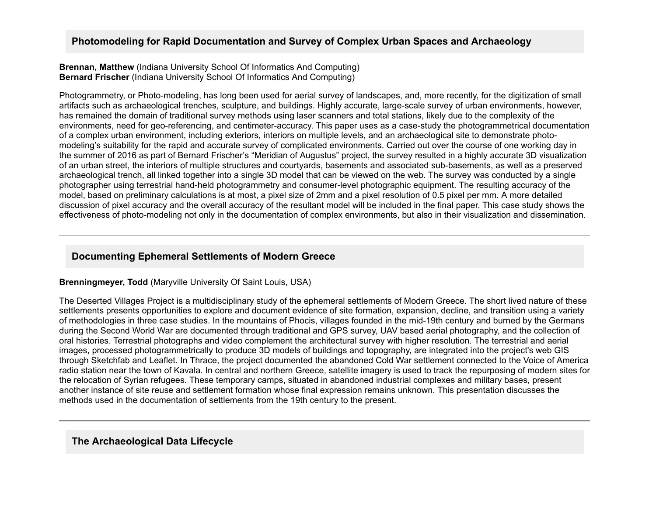# **Photomodeling for Rapid Documentation and Survey of Complex Urban Spaces and Archaeology**

**Brennan, Matthew** (Indiana University School Of Informatics And Computing) **Bernard Frischer** (Indiana University School Of Informatics And Computing)

Photogrammetry, or Photo-modeling, has long been used for aerial survey of landscapes, and, more recently, for the digitization of small artifacts such as archaeological trenches, sculpture, and buildings. Highly accurate, large-scale survey of urban environments, however, has remained the domain of traditional survey methods using laser scanners and total stations, likely due to the complexity of the environments, need for geo-referencing, and centimeter-accuracy. This paper uses as a case-study the photogrammetrical documentation of a complex urban environment, including exteriors, interiors on multiple levels, and an archaeological site to demonstrate photomodeling's suitability for the rapid and accurate survey of complicated environments. Carried out over the course of one working day in the summer of 2016 as part of Bernard Frischer's "Meridian of Augustus" project, the survey resulted in a highly accurate 3D visualization of an urban street, the interiors of multiple structures and courtvards, basements and associated sub-basements, as well as a preserved archaeological trench, all linked together into a single 3D model that can be viewed on the web. The survey was conducted by a single photographer using terrestrial hand-held photogrammetry and consumer-level photographic equipment. The resulting accuracy of the model, based on preliminary calculations is at most, a pixel size of 2mm and a pixel resolution of 0.5 pixel per mm. A more detailed discussion of pixel accuracy and the overall accuracy of the resultant model will be included in the final paper. This case study shows the effectiveness of photo-modeling not only in the documentation of complex environments, but also in their visualization and dissemination.

# **Documenting Ephemeral Settlements of Modern Greece**

### **Brenningmeyer, Todd** (Maryville University Of Saint Louis, USA)

The Deserted Villages Project is a multidisciplinary study of the ephemeral settlements of Modern Greece. The short lived nature of these settlements presents opportunities to explore and document evidence of site formation, expansion, decline, and transition using a variety of methodologies in three case studies. In the mountains of Phocis, villages founded in the mid-19th century and burned by the Germans during the Second World War are documented through traditional and GPS survey, UAV based aerial photography, and the collection of oral histories. Terrestrial photographs and video complement the architectural survey with higher resolution. The terrestrial and aerial images, processed photogrammetrically to produce 3D models of buildings and topography, are integrated into the project's web GIS through Sketchfab and Leaflet. In Thrace, the project documented the abandoned Cold War settlement connected to the Voice of America radio station near the town of Kavala. In central and northern Greece, satellite imagery is used to track the repurposing of modern sites for the relocation of Syrian refugees. These temporary camps, situated in abandoned industrial complexes and military bases, present another instance of site reuse and settlement formation whose final expression remains unknown. This presentation discusses the methods used in the documentation of settlements from the 19th century to the present.

### **The Archaeological Data Lifecycle**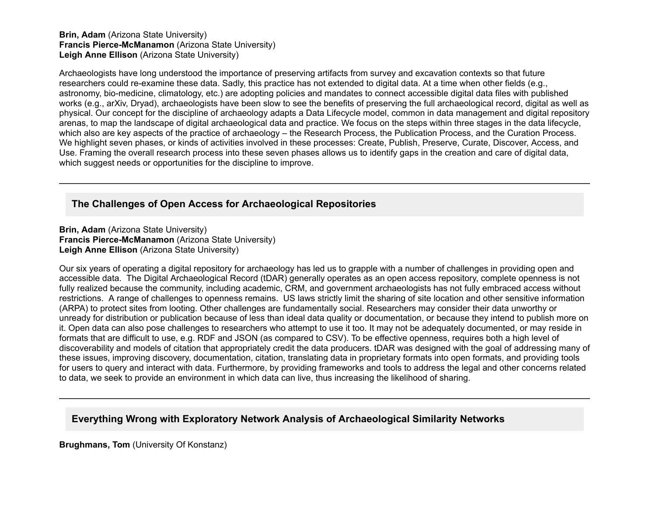#### **Brin, Adam** (Arizona State University) **Francis Pierce-McManamon** (Arizona State University) **Leigh Anne Ellison** (Arizona State University)

Archaeologists have long understood the importance of preserving artifacts from survey and excavation contexts so that future researchers could re-examine these data. Sadly, this practice has not extended to digital data. At a time when other fields (e.g., astronomy, bio-medicine, climatology, etc.) are adopting policies and mandates to connect accessible digital data files with published works (e.g., arXiv, Dryad), archaeologists have been slow to see the benefits of preserving the full archaeological record, digital as well as physical. Our concept for the discipline of archaeology adapts a Data Lifecycle model, common in data management and digital repository arenas, to map the landscape of digital archaeological data and practice. We focus on the steps within three stages in the data lifecycle, which also are key aspects of the practice of archaeology – the Research Process, the Publication Process, and the Curation Process. We highlight seven phases, or kinds of activities involved in these processes: Create, Publish, Preserve, Curate, Discover, Access, and Use. Framing the overall research process into these seven phases allows us to identify gaps in the creation and care of digital data, which suggest needs or opportunities for the discipline to improve.

# **The Challenges of Open Access for Archaeological Repositories**

**Brin, Adam** (Arizona State University) **Francis Pierce-McManamon** (Arizona State University) **Leigh Anne Ellison** (Arizona State University)

Our six years of operating a digital repository for archaeology has led us to grapple with a number of challenges in providing open and accessible data. The Digital Archaeological Record (tDAR) generally operates as an open access repository, complete openness is not fully realized because the community, including academic, CRM, and government archaeologists has not fully embraced access without restrictions. A range of challenges to openness remains. US laws strictly limit the sharing of site location and other sensitive information (ARPA) to protect sites from looting. Other challenges are fundamentally social. Researchers may consider their data unworthy or unready for distribution or publication because of less than ideal data quality or documentation, or because they intend to publish more on it. Open data can also pose challenges to researchers who attempt to use it too. It may not be adequately documented, or may reside in formats that are difficult to use, e.g. RDF and JSON (as compared to CSV). To be effective openness, requires both a high level of discoverability and models of citation that appropriately credit the data producers. tDAR was designed with the goal of addressing many of these issues, improving discovery, documentation, citation, translating data in proprietary formats into open formats, and providing tools for users to query and interact with data. Furthermore, by providing frameworks and tools to address the legal and other concerns related to data, we seek to provide an environment in which data can live, thus increasing the likelihood of sharing.

# **Everything Wrong with Exploratory Network Analysis of Archaeological Similarity Networks**

**Brughmans, Tom** (University Of Konstanz)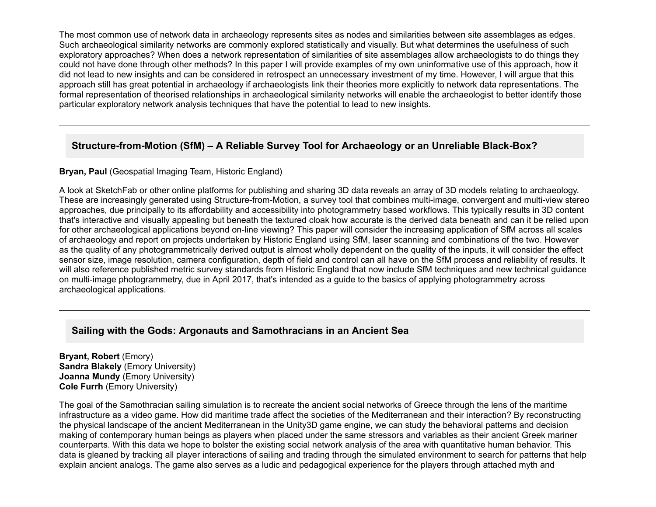The most common use of network data in archaeology represents sites as nodes and similarities between site assemblages as edges. Such archaeological similarity networks are commonly explored statistically and visually. But what determines the usefulness of such exploratory approaches? When does a network representation of similarities of site assemblages allow archaeologists to do things they could not have done through other methods? In this paper I will provide examples of my own uninformative use of this approach, how it did not lead to new insights and can be considered in retrospect an unnecessary investment of my time. However, I will argue that this approach still has great potential in archaeology if archaeologists link their theories more explicitly to network data representations. The formal representation of theorised relationships in archaeological similarity networks will enable the archaeologist to better identify those particular exploratory network analysis techniques that have the potential to lead to new insights.

# Structure-from-Motion (SfM) – A Reliable Survey Tool for Archaeology or an Unreliable Black-Box?

## **Bryan, Paul** (Geospatial Imaging Team, Historic England)

A look at SketchFab or other online platforms for publishing and sharing 3D data reveals an array of 3D models relating to archaeology. These are increasingly generated using Structure-from-Motion, a survey tool that combines multi-image, convergent and multi-view stereo approaches, due principally to its affordability and accessibility into photogrammetry based workflows. This typically results in 3D content that's interactive and visually appealing but beneath the textured cloak how accurate is the derived data beneath and can it be relied upon for other archaeological applications beyond on-line viewing? This paper will consider the increasing application of SfM across all scales of archaeology and report on projects undertaken by Historic England using SfM, laser scanning and combinations of the two. However as the quality of any photogrammetrically derived output is almost wholly dependent on the quality of the inputs, it will consider the effect sensor size, image resolution, camera configuration, depth of field and control can all have on the SfM process and reliability of results. It will also reference published metric survey standards from Historic England that now include SfM techniques and new technical guidance on multi-image photogrammetry, due in April 2017, that's intended as a quide to the basics of applying photogrammetry across archaeological applications.

# **Sailing with the Gods: Argonauts and Samothracians in an Ancient Sea**

**Bryant, Robert** (Emory) **Sandra Blakely** (Emory University) **Joanna Mundy** (Emory University) **Cole Furrh** (Emory University)

The goal of the Samothracian sailing simulation is to recreate the ancient social networks of Greece through the lens of the maritime infrastructure as a video game. How did maritime trade affect the societies of the Mediterranean and their interaction? By reconstructing the physical landscape of the ancient Mediterranean in the Unity3D game engine, we can study the behavioral patterns and decision making of contemporary human beings as players when placed under the same stressors and variables as their ancient Greek mariner counterparts. With this data we hope to bolster the existing social network analysis of the area with quantitative human behavior. This data is gleaned by tracking all player interactions of sailing and trading through the simulated environment to search for patterns that help explain ancient analogs. The game also serves as a ludic and pedagogical experience for the players through attached myth and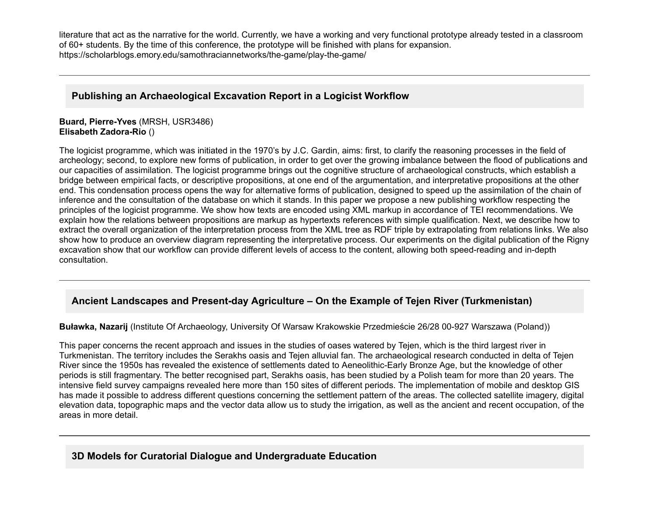literature that act as the narrative for the world. Currently, we have a working and very functional prototype already tested in a classroom of 60+ students. By the time of this conference, the prototype will be finished with plans for expansion. https://scholarblogs.emory.edu/samothraciannetworks/the-game/play-the-game/

# **Publishing an Archaeological Excavation Report in a Logicist Workflow**

### **Buard, Pierre-Yves** (MRSH, USR3486) **Elisabeth Zadora-Rio ()**

The logicist programme, which was initiated in the 1970's by J.C. Gardin, aims: first, to clarify the reasoning processes in the field of archeology; second, to explore new forms of publication, in order to get over the growing imbalance between the flood of publications and our capacities of assimilation. The logicist programme brings out the cognitive structure of archaeological constructs, which establish a bridge between empirical facts, or descriptive propositions, at one end of the argumentation, and interpretative propositions at the other end. This condensation process opens the way for alternative forms of publication, designed to speed up the assimilation of the chain of inference and the consultation of the database on which it stands. In this paper we propose a new publishing workflow respecting the principles of the logicist programme. We show how texts are encoded using XML markup in accordance of TEI recommendations. We explain how the relations between propositions are markup as hypertexts references with simple qualification. Next, we describe how to extract the overall organization of the interpretation process from the XML tree as RDF triple by extrapolating from relations links. We also show how to produce an overview diagram representing the interpretative process. Our experiments on the digital publication of the Rigny excavation show that our workflow can provide different levels of access to the content, allowing both speed-reading and in-depth consultation.

# Ancient Landscapes and Present-day Agriculture – On the Example of Tejen River (Turkmenistan)

**Buławka, Nazarij** (Institute Of Archaeology, University Of Warsaw Krakowskie Przedmieście 26/28 00-927 Warszawa (Poland))

This paper concerns the recent approach and issues in the studies of oases watered by Tejen, which is the third largest river in Turkmenistan. The territory includes the Serakhs oasis and Tejen alluvial fan. The archaeological research conducted in delta of Tejen River since the 1950s has revealed the existence of settlements dated to Aeneolithic-Early Bronze Age, but the knowledge of other periods is still fragmentary. The better recognised part, Serakhs oasis, has been studied by a Polish team for more than 20 years. The intensive field survey campaigns revealed here more than 150 sites of different periods. The implementation of mobile and desktop GIS has made it possible to address different questions concerning the settlement pattern of the areas. The collected satellite imagery, digital elevation data, topographic maps and the vector data allow us to study the irrigation, as well as the ancient and recent occupation, of the areas in more detail.

# **3D Models for Curatorial Dialogue and Undergraduate Education**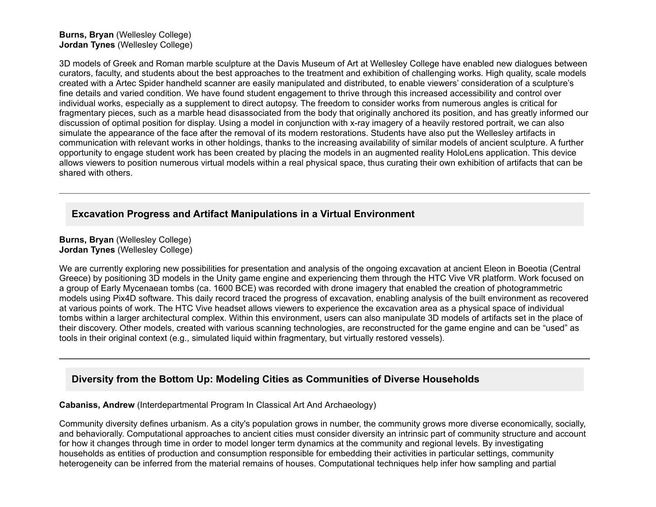### **Burns, Bryan** (Wellesley College) **Jordan Tynes** (Wellesley College)

3D models of Greek and Roman marble sculpture at the Davis Museum of Art at Wellesley College have enabled new dialogues between curators, faculty, and students about the best approaches to the treatment and exhibition of challenging works. High quality, scale models created with a Artec Spider handheld scanner are easily manipulated and distributed, to enable viewers' consideration of a sculpture's fine details and varied condition. We have found student engagement to thrive through this increased accessibility and control over individual works, especially as a supplement to direct autopsy. The freedom to consider works from numerous angles is critical for fragmentary pieces, such as a marble head disassociated from the body that originally anchored its position, and has greatly informed our discussion of optimal position for display. Using a model in conjunction with x-ray imagery of a heavily restored portrait, we can also simulate the appearance of the face after the removal of its modern restorations. Students have also put the Wellesley artifacts in communication with relevant works in other holdings, thanks to the increasing availability of similar models of ancient sculpture. A further opportunity to engage student work has been created by placing the models in an augmented reality HoloLens application. This device allows viewers to position numerous virtual models within a real physical space, thus curating their own exhibition of artifacts that can be shared with others.

# **Excavation Progress and Artifact Manipulations in a Virtual Environment**

**Burns, Bryan** (Wellesley College) **Jordan Tynes** (Wellesley College)

We are currently exploring new possibilities for presentation and analysis of the ongoing excavation at ancient Eleon in Boeotia (Central Greece) by positioning 3D models in the Unity game engine and experiencing them through the HTC Vive VR platform. Work focused on a group of Early Mycenaean tombs (ca. 1600 BCE) was recorded with drone imagery that enabled the creation of photogrammetric models using Pix4D software. This daily record traced the progress of excavation, enabling analysis of the built environment as recovered at various points of work. The HTC Vive headset allows viewers to experience the excavation area as a physical space of individual tombs within a larger architectural complex. Within this environment, users can also manipulate 3D models of artifacts set in the place of their discovery. Other models, created with various scanning technologies, are reconstructed for the game engine and can be "used" as tools in their original context (e.g., simulated liquid within fragmentary, but virtually restored vessels).

# **Diversity from the Bottom Up: Modeling Cities as Communities of Diverse Households**

**Cabaniss, Andrew** (Interdepartmental Program In Classical Art And Archaeology)

Community diversity defines urbanism. As a city's population grows in number, the community grows more diverse economically, socially, and behaviorally. Computational approaches to ancient cities must consider diversity an intrinsic part of community structure and account for how it changes through time in order to model longer term dynamics at the community and regional levels. By investigating households as entities of production and consumption responsible for embedding their activities in particular settings, community heterogeneity can be inferred from the material remains of houses. Computational techniques help infer how sampling and partial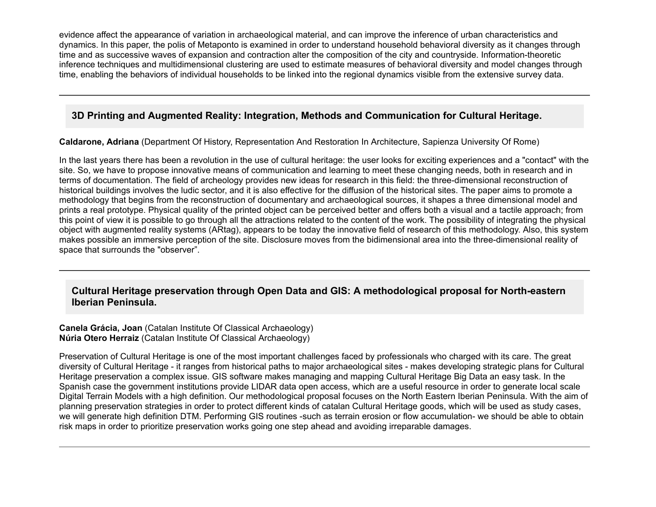evidence affect the appearance of variation in archaeological material, and can improve the inference of urban characteristics and dynamics. In this paper, the polis of Metaponto is examined in order to understand household behavioral diversity as it changes through time and as successive waves of expansion and contraction alter the composition of the city and countryside. Information-theoretic inference techniques and multidimensional clustering are used to estimate measures of behavioral diversity and model changes through time, enabling the behaviors of individual households to be linked into the regional dynamics visible from the extensive survey data.

# **3D Printing and Augmented Reality: Integration, Methods and Communication for Cultural Heritage.**

**Caldarone, Adriana** (Department Of History, Representation And Restoration In Architecture, Sapienza University Of Rome)

In the last years there has been a revolution in the use of cultural heritage: the user looks for exciting experiences and a "contact" with the site. So, we have to propose innovative means of communication and learning to meet these changing needs, both in research and in terms of documentation. The field of archeology provides new ideas for research in this field: the three-dimensional reconstruction of historical buildings involves the ludic sector, and it is also effective for the diffusion of the historical sites. The paper aims to promote a methodology that begins from the reconstruction of documentary and archaeological sources, it shapes a three dimensional model and prints a real prototype. Physical quality of the printed object can be perceived better and offers both a visual and a tactile approach; from this point of view it is possible to go through all the attractions related to the content of the work. The possibility of integrating the physical object with augmented reality systems (ARtag), appears to be today the innovative field of research of this methodology. Also, this system makes possible an immersive perception of the site. Disclosure moves from the bidimensional area into the three-dimensional reality of space that surrounds the "observer".

# **Cultural Heritage preservation through Open Data and GIS: A methodological proposal for Northeastern Iberian Peninsula.**

**Canela Grácia, Joan** (Catalan Institute Of Classical Archaeology) **Núria Otero Herraiz** (Catalan Institute Of Classical Archaeology)

Preservation of Cultural Heritage is one of the most important challenges faced by professionals who charged with its care. The great diversity of Cultural Heritage - it ranges from historical paths to major archaeological sites - makes developing strategic plans for Cultural Heritage preservation a complex issue. GIS software makes managing and mapping Cultural Heritage Big Data an easy task. In the Spanish case the government institutions provide LIDAR data open access, which are a useful resource in order to generate local scale Digital Terrain Models with a high definition. Our methodological proposal focuses on the North Eastern Iberian Peninsula. With the aim of planning preservation strategies in order to protect different kinds of catalan Cultural Heritage goods, which will be used as study cases, we will generate high definition DTM. Performing GIS routines -such as terrain erosion or flow accumulation- we should be able to obtain risk maps in order to prioritize preservation works going one step ahead and avoiding irreparable damages.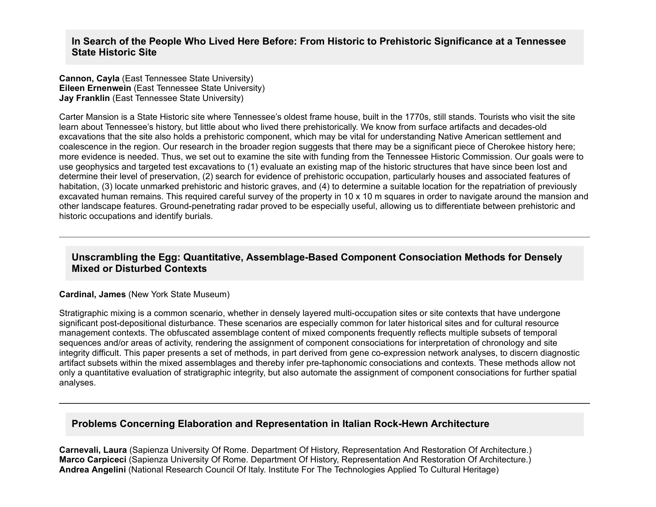### **In Search of the People Who Lived Here Before: From Historic to Prehistoric Significance at a Tennessee State Historic Site**

**Cannon, Cayla** (East Tennessee State University) **Eileen Ernenwein** (East Tennessee State University) **Jay Franklin** (East Tennessee State University)

Carter Mansion is a State Historic site where Tennessee's oldest frame house, built in the 1770s, still stands. Tourists who visit the site learn about Tennessee's history, but little about who lived there prehistorically. We know from surface artifacts and decades-old excavations that the site also holds a prehistoric component, which may be vital for understanding Native American settlement and coalescence in the region. Our research in the broader region suggests that there may be a significant piece of Cherokee history here; more evidence is needed. Thus, we set out to examine the site with funding from the Tennessee Historic Commission. Our goals were to use geophysics and targeted test excavations to (1) evaluate an existing map of the historic structures that have since been lost and determine their level of preservation, (2) search for evidence of prehistoric occupation, particularly houses and associated features of habitation, (3) locate unmarked prehistoric and historic graves, and (4) to determine a suitable location for the repatriation of previously excavated human remains. This required careful survey of the property in 10 x 10 m squares in order to navigate around the mansion and other landscape features. Ground-penetrating radar proved to be especially useful, allowing us to differentiate between prehistoric and historic occupations and identify burials.

## **Unscrambling the Egg: Quantitative, Assemblage-Based Component Consociation Methods for Densely Mixed or Disturbed Contexts**

### **Cardinal, James** (New York State Museum)

Stratigraphic mixing is a common scenario, whether in densely layered multi-occupation sites or site contexts that have undergone significant post-depositional disturbance. These scenarios are especially common for later historical sites and for cultural resource management contexts. The obfuscated assemblage content of mixed components frequently reflects multiple subsets of temporal sequences and/or areas of activity, rendering the assignment of component consociations for interpretation of chronology and site integrity difficult. This paper presents a set of methods, in part derived from gene co-expression network analyses, to discern diagnostic artifact subsets within the mixed assemblages and thereby infer pre-taphonomic consociations and contexts. These methods allow not only a quantitative evaluation of stratigraphic integrity, but also automate the assignment of component consociations for further spatial analyses.

## **Problems Concerning Elaboration and Representation in Italian Rock-Hewn Architecture**

**Carnevali, Laura** (Sapienza University Of Rome. Department Of History, Representation And Restoration Of Architecture.) **Marco Carpiceci** (Sapienza University Of Rome. Department Of History, Representation And Restoration Of Architecture.) **Andrea Angelini** (National Research Council Of Italy. Institute For The Technologies Applied To Cultural Heritage)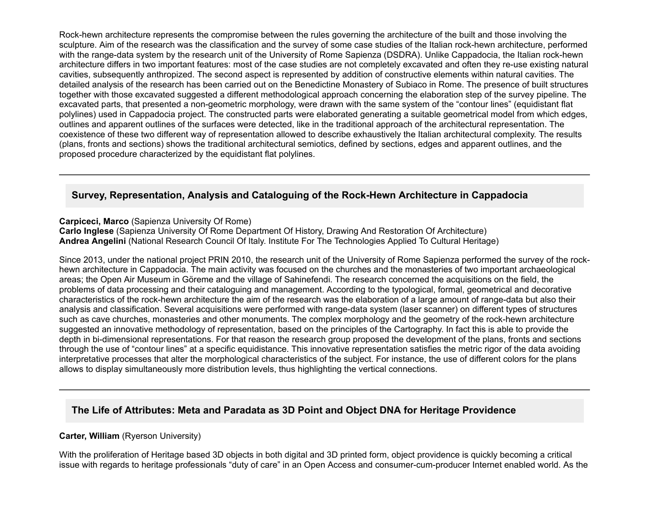Rock-hewn architecture represents the compromise between the rules governing the architecture of the built and those involving the sculpture. Aim of the research was the classification and the survey of some case studies of the Italian rock-hewn architecture, performed with the range-data system by the research unit of the University of Rome Sapienza (DSDRA). Unlike Cappadocia, the Italian rock-hewn architecture differs in two important features: most of the case studies are not completely excavated and often they re-use existing natural cavities, subsequently anthropized. The second aspect is represented by addition of constructive elements within natural cavities. The detailed analysis of the research has been carried out on the Benedictine Monastery of Subiaco in Rome. The presence of built structures together with those excavated suggested a different methodological approach concerning the elaboration step of the survey pipeline. The excavated parts, that presented a non-geometric morphology, were drawn with the same system of the "contour lines" (equidistant flat polylines) used in Cappadocia project. The constructed parts were elaborated generating a suitable geometrical model from which edges, outlines and apparent outlines of the surfaces were detected, like in the traditional approach of the architectural representation. The coexistence of these two different way of representation allowed to describe exhaustively the Italian architectural complexity. The results (plans, fronts and sections) shows the traditional architectural semiotics, defined by sections, edges and apparent outlines, and the proposed procedure characterized by the equidistant flat polylines.

## Survey, Representation, Analysis and Cataloguing of the Rock-Hewn Architecture in Cappadocia

**Carpiceci, Marco** (Sapienza University Of Rome)

**Carlo Inglese** (Sapienza University Of Rome Department Of History, Drawing And Restoration Of Architecture) **Andrea Angelini** (National Research Council Of Italy. Institute For The Technologies Applied To Cultural Heritage)

Since 2013, under the national project PRIN 2010, the research unit of the University of Rome Sapienza performed the survey of the rockhewn architecture in Cappadocia. The main activity was focused on the churches and the monasteries of two important archaeological areas; the Open Air Museum in Göreme and the village of Sahinefendi. The research concerned the acquisitions on the field, the problems of data processing and their cataloguing and management. According to the typological, formal, geometrical and decorative characteristics of the rock-hewn architecture the aim of the research was the elaboration of a large amount of range-data but also their analysis and classification. Several acquisitions were performed with range-data system (laser scanner) on different types of structures such as cave churches, monasteries and other monuments. The complex morphology and the geometry of the rock-hewn architecture suggested an innovative methodology of representation, based on the principles of the Cartography. In fact this is able to provide the depth in bi-dimensional representations. For that reason the research group proposed the development of the plans, fronts and sections through the use of "contour lines" at a specific equidistance. This innovative representation satisfies the metric rigor of the data avoiding interpretative processes that alter the morphological characteristics of the subject. For instance, the use of different colors for the plans allows to display simultaneously more distribution levels, thus highlighting the vertical connections.

# **The Life of Attributes: Meta and Paradata as 3D Point and Object DNA for Heritage Providence**

#### **Carter, William** (Ryerson University)

With the proliferation of Heritage based 3D objects in both digital and 3D printed form, object providence is quickly becoming a critical issue with regards to heritage professionals "duty of care" in an Open Access and consumer-cum-producer Internet enabled world. As the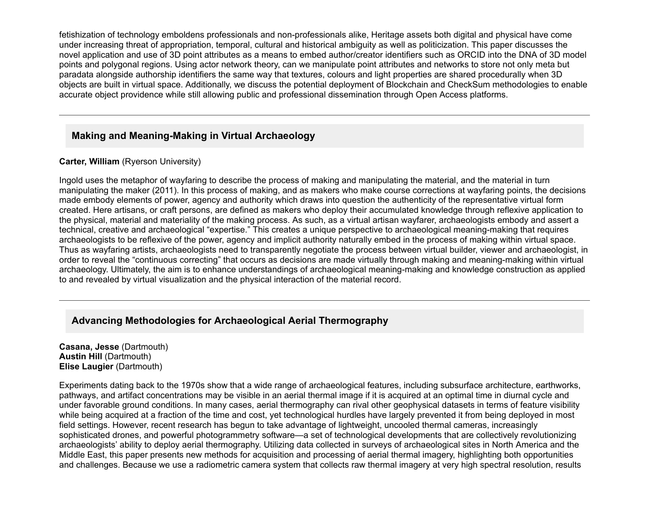fetishization of technology emboldens professionals and non-professionals alike, Heritage assets both digital and physical have come under increasing threat of appropriation, temporal, cultural and historical ambiguity as well as politicization. This paper discusses the novel application and use of 3D point attributes as a means to embed author/creator identifiers such as ORCID into the DNA of 3D model points and polygonal regions. Using actor network theory, can we manipulate point attributes and networks to store not only meta but paradata alongside authorship identifiers the same way that textures, colours and light properties are shared procedurally when 3D objects are built in virtual space. Additionally, we discuss the potential deployment of Blockchain and CheckSum methodologies to enable accurate object providence while still allowing public and professional dissemination through Open Access platforms.

# **Making and Meaning-Making in Virtual Archaeology**

### **Carter, William** (Ryerson University)

Ingold uses the metaphor of wayfaring to describe the process of making and manipulating the material, and the material in turn manipulating the maker (2011). In this process of making, and as makers who make course corrections at wayfaring points, the decisions made embody elements of power, agency and authority which draws into question the authenticity of the representative virtual form created. Here artisans, or craft persons, are defined as makers who deploy their accumulated knowledge through reflexive application to the physical, material and materiality of the making process. As such, as a virtual artisan wayfarer, archaeologists embody and assert a technical, creative and archaeological "expertise." This creates a unique perspective to archaeological meaning-making that requires archaeologists to be reflexive of the power, agency and implicit authority naturally embed in the process of making within virtual space. Thus as wayfaring artists, archaeologists need to transparently negotiate the process between virtual builder, viewer and archaeologist, in order to reveal the "continuous correcting" that occurs as decisions are made virtually through making and meaning-making within virtual archaeology. Ultimately, the aim is to enhance understandings of archaeological meaning-making and knowledge construction as applied to and revealed by virtual visualization and the physical interaction of the material record.

# **Advancing Methodologies for Archaeological Aerial Thermography**

**Casana, Jesse** (Dartmouth) **Austin Hill** (Dartmouth) **Elise Laugier** (Dartmouth)

Experiments dating back to the 1970s show that a wide range of archaeological features, including subsurface architecture, earthworks, pathways, and artifact concentrations may be visible in an aerial thermal image if it is acquired at an optimal time in diurnal cycle and under favorable ground conditions. In many cases, aerial thermography can rival other geophysical datasets in terms of feature visibility while being acquired at a fraction of the time and cost, yet technological hurdles have largely prevented it from being deployed in most field settings. However, recent research has begun to take advantage of lightweight, uncooled thermal cameras, increasingly sophisticated drones, and powerful photogrammetry software—a set of technological developments that are collectively revolutionizing archaeologists' ability to deploy aerial thermography. Utilizing data collected in surveys of archaeological sites in North America and the Middle East, this paper presents new methods for acquisition and processing of aerial thermal imagery, highlighting both opportunities and challenges. Because we use a radiometric camera system that collects raw thermal imagery at very high spectral resolution, results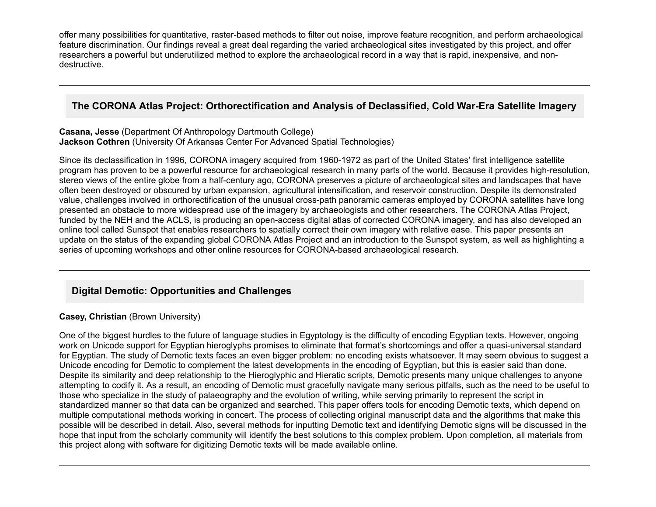offer many possibilities for quantitative, raster-based methods to filter out noise, improve feature recognition, and perform archaeological feature discrimination. Our findings reveal a great deal regarding the varied archaeological sites investigated by this project, and offer researchers a powerful but underutilized method to explore the archaeological record in a way that is rapid, inexpensive, and nondestructive.

# **The CORONA Atlas Project: Orthorectification and Analysis of Declassified, Cold WarEra Satellite Imagery**

#### **Casana, Jesse** (Department Of Anthropology Dartmouth College) **Jackson Cothren** (University Of Arkansas Center For Advanced Spatial Technologies)

Since its declassification in 1996, CORONA imagery acquired from 1960-1972 as part of the United States' first intelligence satellite program has proven to be a powerful resource for archaeological research in many parts of the world. Because it provides high-resolution, stereo views of the entire globe from a half-century ago, CORONA preserves a picture of archaeological sites and landscapes that have often been destroyed or obscured by urban expansion, agricultural intensification, and reservoir construction. Despite its demonstrated value, challenges involved in orthorectification of the unusual cross-path panoramic cameras employed by CORONA satellites have long presented an obstacle to more widespread use of the imagery by archaeologists and other researchers. The CORONA Atlas Project, funded by the NEH and the ACLS, is producing an open-access digital atlas of corrected CORONA imagery, and has also developed an online tool called Sunspot that enables researchers to spatially correct their own imagery with relative ease. This paper presents an update on the status of the expanding global CORONA Atlas Project and an introduction to the Sunspot system, as well as highlighting a series of upcoming workshops and other online resources for CORONA-based archaeological research.

# **Digital Demotic: Opportunities and Challenges**

### **Casey, Christian** (Brown University)

One of the biggest hurdles to the future of language studies in Egyptology is the difficulty of encoding Egyptian texts. However, ongoing work on Unicode support for Egyptian hieroglyphs promises to eliminate that format's shortcomings and offer a quasi-universal standard for Egyptian. The study of Demotic texts faces an even bigger problem: no encoding exists whatsoever. It may seem obvious to suggest a Unicode encoding for Demotic to complement the latest developments in the encoding of Egyptian, but this is easier said than done. Despite its similarity and deep relationship to the Hieroglyphic and Hieratic scripts, Demotic presents many unique challenges to anyone attempting to codify it. As a result, an encoding of Demotic must gracefully navigate many serious pitfalls, such as the need to be useful to those who specialize in the study of palaeography and the evolution of writing, while serving primarily to represent the script in standardized manner so that data can be organized and searched. This paper offers tools for encoding Demotic texts, which depend on multiple computational methods working in concert. The process of collecting original manuscript data and the algorithms that make this possible will be described in detail. Also, several methods for inputting Demotic text and identifying Demotic signs will be discussed in the hope that input from the scholarly community will identify the best solutions to this complex problem. Upon completion, all materials from this project along with software for digitizing Demotic texts will be made available online.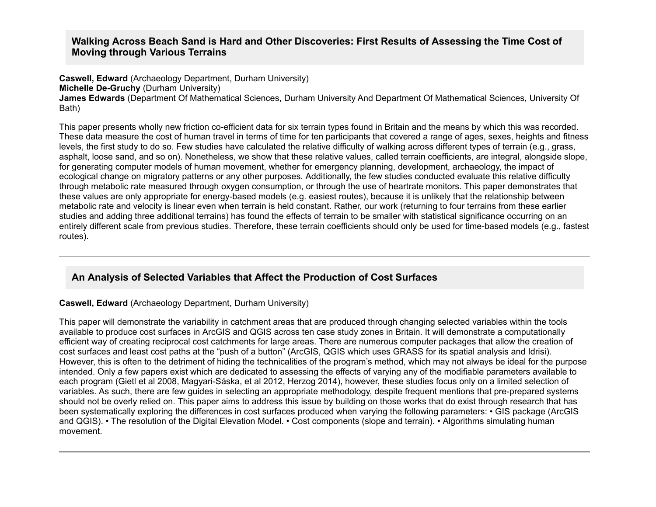## **Walking Across Beach Sand is Hard and Other Discoveries: First Results of Assessing the Time Cost of Moving through Various Terrains**

**Caswell, Edward** (Archaeology Department, Durham University)

**Michelle De-Gruchy** (Durham University)

**James Edwards** (Department Of Mathematical Sciences, Durham University And Department Of Mathematical Sciences, University Of Bath)

This paper presents wholly new friction co-efficient data for six terrain types found in Britain and the means by which this was recorded. These data measure the cost of human travel in terms of time for ten participants that covered a range of ages, sexes, heights and fitness levels, the first study to do so. Few studies have calculated the relative difficulty of walking across different types of terrain (e.g., grass, asphalt, loose sand, and so on). Nonetheless, we show that these relative values, called terrain coefficients, are integral, alongside slope, for generating computer models of human movement, whether for emergency planning, development, archaeology, the impact of ecological change on migratory patterns or any other purposes. Additionally, the few studies conducted evaluate this relative difficulty through metabolic rate measured through oxygen consumption, or through the use of heartrate monitors. This paper demonstrates that these values are only appropriate for energy-based models (e.g. easiest routes), because it is unlikely that the relationship between metabolic rate and velocity is linear even when terrain is held constant. Rather, our work (returning to four terrains from these earlier studies and adding three additional terrains) has found the effects of terrain to be smaller with statistical significance occurring on an entirely different scale from previous studies. Therefore, these terrain coefficients should only be used for time-based models (e.g., fastest routes).

# **An Analysis of Selected Variables that Affect the Production of Cost Surfaces**

### **Caswell, Edward** (Archaeology Department, Durham University)

This paper will demonstrate the variability in catchment areas that are produced through changing selected variables within the tools available to produce cost surfaces in ArcGIS and QGIS across ten case study zones in Britain. It will demonstrate a computationally efficient way of creating reciprocal cost catchments for large areas. There are numerous computer packages that allow the creation of cost surfaces and least cost paths at the "push of a button" (ArcGIS, QGIS which uses GRASS for its spatial analysis and Idrisi). However, this is often to the detriment of hiding the technicalities of the program's method, which may not always be ideal for the purpose intended. Only a few papers exist which are dedicated to assessing the effects of varying any of the modifiable parameters available to each program (Gietl et al 2008, Magyari-Sáska, et al 2012, Herzog 2014), however, these studies focus only on a limited selection of variables. As such, there are few quides in selecting an appropriate methodology, despite frequent mentions that pre-prepared systems should not be overly relied on. This paper aims to address this issue by building on those works that do exist through research that has been systematically exploring the differences in cost surfaces produced when varying the following parameters: • GIS package (ArcGIS and QGIS). • The resolution of the Digital Elevation Model. • Cost components (slope and terrain). • Algorithms simulating human movement.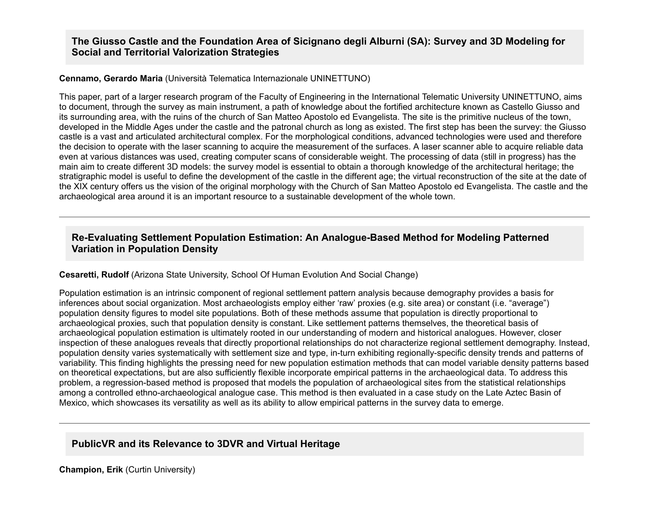## **The Giusso Castle and the Foundation Area of Sicignano degli Alburni (SA): Survey and 3D Modeling for Social and Territorial Valorization Strategies**

#### **Cennamo, Gerardo Maria** (Università Telematica Internazionale UNINETTUNO)

This paper, part of a larger research program of the Faculty of Engineering in the International Telematic University UNINETTUNO, aims to document, through the survey as main instrument, a path of knowledge about the fortified architecture known as Castello Giusso and its surrounding area, with the ruins of the church of San Matteo Apostolo ed Evangelista. The site is the primitive nucleus of the town, developed in the Middle Ages under the castle and the patronal church as long as existed. The first step has been the survey: the Giusso castle is a vast and articulated architectural complex. For the morphological conditions, advanced technologies were used and therefore the decision to operate with the laser scanning to acquire the measurement of the surfaces. A laser scanner able to acquire reliable data even at various distances was used, creating computer scans of considerable weight. The processing of data (still in progress) has the main aim to create different 3D models: the survey model is essential to obtain a thorough knowledge of the architectural heritage; the stratigraphic model is useful to define the development of the castle in the different age; the virtual reconstruction of the site at the date of the XIX century offers us the vision of the original morphology with the Church of San Matteo Apostolo ed Evangelista. The castle and the archaeological area around it is an important resource to a sustainable development of the whole town.

## **Re-Evaluating Settlement Population Estimation: An Analogue-Based Method for Modeling Patterned Variation in Population Density**

### **Cesaretti, Rudolf** (Arizona State University, School Of Human Evolution And Social Change)

Population estimation is an intrinsic component of regional settlement pattern analysis because demography provides a basis for inferences about social organization. Most archaeologists employ either 'raw' proxies (e.g. site area) or constant (i.e. "average") population density figures to model site populations. Both of these methods assume that population is directly proportional to archaeological proxies, such that population density is constant. Like settlement patterns themselves, the theoretical basis of archaeological population estimation is ultimately rooted in our understanding of modern and historical analogues. However, closer inspection of these analogues reveals that directly proportional relationships do not characterize regional settlement demography. Instead, population density varies systematically with settlement size and type, in-turn exhibiting regionally-specific density trends and patterns of variability. This finding highlights the pressing need for new population estimation methods that can model variable density patterns based on theoretical expectations, but are also sufficiently flexible incorporate empirical patterns in the archaeological data. To address this problem, a regression-based method is proposed that models the population of archaeological sites from the statistical relationships among a controlled ethno-archaeological analogue case. This method is then evaluated in a case study on the Late Aztec Basin of Mexico, which showcases its versatility as well as its ability to allow empirical patterns in the survey data to emerge.

## **PublicVR and its Relevance to 3DVR and Virtual Heritage**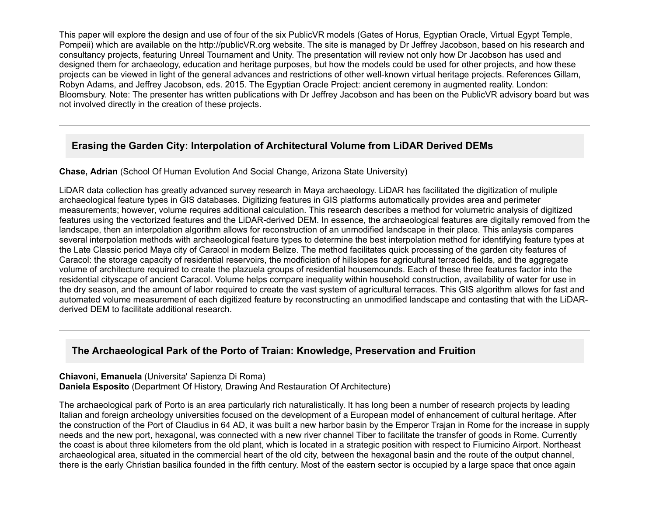This paper will explore the design and use of four of the six PublicVR models (Gates of Horus, Egyptian Oracle, Virtual Egypt Temple, Pompeii) which are available on the http://publicVR.org website. The site is managed by Dr Jeffrey Jacobson, based on his research and consultancy projects, featuring Unreal Tournament and Unity. The presentation will review not only how Dr Jacobson has used and designed them for archaeology, education and heritage purposes, but how the models could be used for other projects, and how these projects can be viewed in light of the general advances and restrictions of other well-known virtual heritage projects. References Gillam, Robyn Adams, and Jeffrey Jacobson, eds. 2015. The Egyptian Oracle Project: ancient ceremony in augmented reality. London: Bloomsbury. Note: The presenter has written publications with Dr Jeffrey Jacobson and has been on the PublicVR advisory board but was not involved directly in the creation of these projects.

# **Erasing the Garden City: Interpolation of Architectural Volume from LiDAR Derived DEMs**

### **Chase, Adrian** (School Of Human Evolution And Social Change, Arizona State University)

LiDAR data collection has greatly advanced survey research in Maya archaeology. LiDAR has facilitated the digitization of muliple archaeological feature types in GIS databases. Digitizing features in GIS platforms automatically provides area and perimeter measurements; however, volume requires additional calculation. This research describes a method for volumetric analysis of digitized features using the vectorized features and the LiDAR-derived DEM. In essence, the archaeological features are digitally removed from the landscape, then an interpolation algorithm allows for reconstruction of an unmodified landscape in their place. This anlaysis compares several interpolation methods with archaeological feature types to determine the best interpolation method for identifying feature types at the Late Classic period Maya city of Caracol in modern Belize. The method facilitates quick processing of the garden city features of Caracol: the storage capacity of residential reservoirs, the modficiation of hillslopes for agricultural terraced fields, and the aggregate volume of architecture required to create the plazuela groups of residential housemounds. Each of these three features factor into the residential cityscape of ancient Caracol. Volume helps compare inequality within household construction, availability of water for use in the dry season, and the amount of labor required to create the vast system of agricultural terraces. This GIS algorithm allows for fast and automated volume measurement of each digitized feature by reconstructing an unmodified landscape and contasting that with the LiDARderived DEM to facilitate additional research.

# **The Archaeological Park of the Porto of Traian: Knowledge, Preservation and Fruition**

**Chiavoni, Emanuela** (Universita' Sapienza Di Roma) **Daniela Esposito** (Department Of History, Drawing And Restauration Of Architecture)

The archaeological park of Porto is an area particularly rich naturalistically. It has long been a number of research projects by leading Italian and foreign archeology universities focused on the development of a European model of enhancement of cultural heritage. After the construction of the Port of Claudius in 64 AD, it was built a new harbor basin by the Emperor Trajan in Rome for the increase in supply needs and the new port, hexagonal, was connected with a new river channel Tiber to facilitate the transfer of goods in Rome. Currently the coast is about three kilometers from the old plant, which is located in a strategic position with respect to Fiumicino Airport. Northeast archaeological area, situated in the commercial heart of the old city, between the hexagonal basin and the route of the output channel, there is the early Christian basilica founded in the fifth century. Most of the eastern sector is occupied by a large space that once again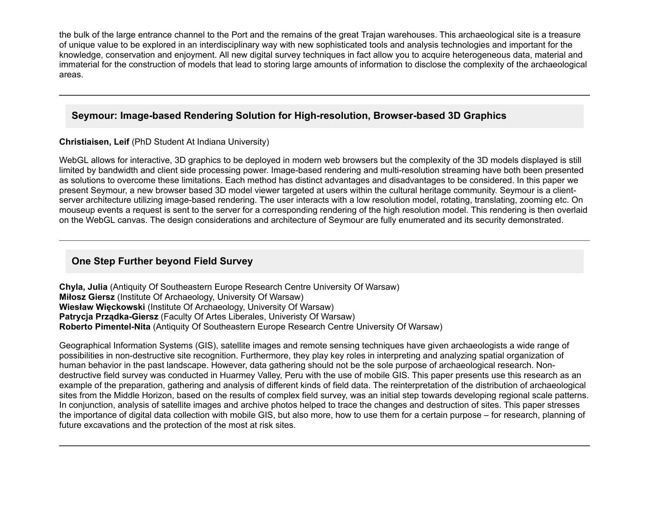the bulk of the large entrance channel to the Port and the remains of the great Trajan warehouses. This archaeological site is a treasure of unique value to be explored in an interdisciplinary way with new sophisticated tools and analysis technologies and important for the knowledge, conservation and enjoyment. All new digital survey techniques in fact allow you to acquire heterogeneous data, material and immaterial for the construction of models that lead to storing large amounts of information to disclose the complexity of the archaeological areas.

# **Seymour: Image-based Rendering Solution for High-resolution, Browser-based 3D Graphics**

**Christiaisen, Leif** (PhD Student At Indiana University)

WebGL allows for interactive, 3D graphics to be deployed in modern web browsers but the complexity of the 3D models displayed is still limited by bandwidth and client side processing power. Image-based rendering and multi-resolution streaming have both been presented as solutions to overcome these limitations. Each method has distinct advantages and disadvantages to be considered. In this paper we present Seymour, a new browser based 3D model viewer targeted at users within the cultural heritage community. Seymour is a clientserver architecture utilizing image-based rendering. The user interacts with a low resolution model, rotating, translating, zooming etc. On mouseup events a request is sent to the server for a corresponding rendering of the high resolution model. This rendering is then overlaid on the WebGL canvas. The design considerations and architecture of Seymour are fully enumerated and its security demonstrated.

# **One Step Further beyond Field Survey**

**Chyla, Julia** (Antiquity Of Southeastern Europe Research Centre University Of Warsaw) **Miłosz Giersz** (Institute Of Archaeology, University Of Warsaw) **Wiesław Więckowski** (Institute Of Archaeology, University Of Warsaw) **Patrycia Prządka-Giersz** (Faculty Of Artes Liberales, Univeristy Of Warsaw) **Roberto Pimentel-Nita** (Antiquity Of Southeastern Europe Research Centre University Of Warsaw)

Geographical Information Systems (GIS), satellite images and remote sensing techniques have given archaeologists a wide range of possibilities in non-destructive site recognition. Furthermore, they play key roles in interpreting and analyzing spatial organization of human behavior in the past landscape. However, data gathering should not be the sole purpose of archaeological research. Nondestructive field survey was conducted in Huarmey Valley, Peru with the use of mobile GIS. This paper presents use this research as an example of the preparation, gathering and analysis of different kinds of field data. The reinterpretation of the distribution of archaeological sites from the Middle Horizon, based on the results of complex field survey, was an initial step towards developing regional scale patterns. In conjunction, analysis of satellite images and archive photos helped to trace the changes and destruction of sites. This paper stresses the importance of digital data collection with mobile GIS, but also more, how to use them for a certain purpose – for research, planning of future excavations and the protection of the most at risk sites.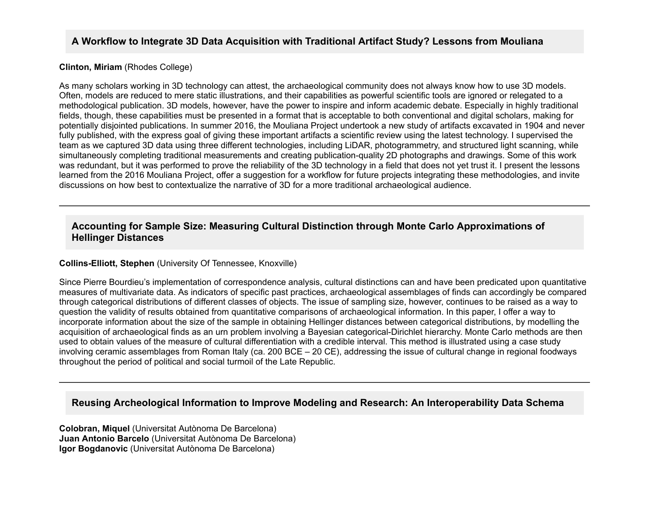## **A Workflow to Integrate 3D Data Acquisition with Traditional Artifact Study? Lessons from Mouliana**

#### **Clinton, Miriam** (Rhodes College)

As many scholars working in 3D technology can attest, the archaeological community does not always know how to use 3D models. Often, models are reduced to mere static illustrations, and their capabilities as powerful scientific tools are ignored or relegated to a methodological publication. 3D models, however, have the power to inspire and inform academic debate. Especially in highly traditional fields, though, these capabilities must be presented in a format that is acceptable to both conventional and digital scholars, making for potentially disjointed publications. In summer 2016, the Mouliana Project undertook a new study of artifacts excavated in 1904 and never fully published, with the express goal of giving these important artifacts a scientific review using the latest technology. I supervised the team as we captured 3D data using three different technologies, including LiDAR, photogrammetry, and structured light scanning, while simultaneously completing traditional measurements and creating publication-quality 2D photographs and drawings. Some of this work was redundant, but it was performed to prove the reliability of the 3D technology in a field that does not yet trust it. I present the lessons learned from the 2016 Mouliana Project, offer a suggestion for a workflow for future projects integrating these methodologies, and invite discussions on how best to contextualize the narrative of 3D for a more traditional archaeological audience.

## **Accounting for Sample Size: Measuring Cultural Distinction through Monte Carlo Approximations of Hellinger Distances**

#### **Collins-Elliott, Stephen** (University Of Tennessee, Knoxville)

Since Pierre Bourdieu's implementation of correspondence analysis, cultural distinctions can and have been predicated upon quantitative measures of multivariate data. As indicators of specific past practices, archaeological assemblages of finds can accordingly be compared through categorical distributions of different classes of objects. The issue of sampling size, however, continues to be raised as a way to question the validity of results obtained from quantitative comparisons of archaeological information. In this paper, I offer a way to incorporate information about the size of the sample in obtaining Hellinger distances between categorical distributions, by modelling the acquisition of archaeological finds as an urn problem involving a Bayesian categorical-Dirichlet hierarchy. Monte Carlo methods are then used to obtain values of the measure of cultural differentiation with a credible interval. This method is illustrated using a case study involving ceramic assemblages from Roman Italy (ca. 200 BCE – 20 CE), addressing the issue of cultural change in regional foodways throughout the period of political and social turmoil of the Late Republic.

### **Reusing Archeological Information to Improve Modeling and Research: An Interoperability Data Schema**

**Colobran, Miquel** (Universitat Autònoma De Barcelona) **Juan Antonio Barcelo** (Universitat Autònoma De Barcelona) **Igor Bogdanovic** (Universitat Autònoma De Barcelona)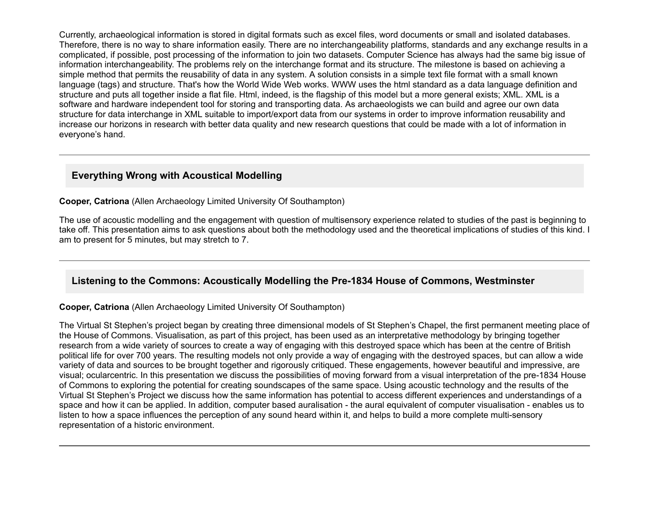Currently, archaeological information is stored in digital formats such as excel files, word documents or small and isolated databases. Therefore, there is no way to share information easily. There are no interchangeability platforms, standards and any exchange results in a complicated, if possible, post processing of the information to join two datasets. Computer Science has always had the same big issue of information interchangeability. The problems rely on the interchange format and its structure. The milestone is based on achieving a simple method that permits the reusability of data in any system. A solution consists in a simple text file format with a small known language (tags) and structure. That's how the World Wide Web works. WWW uses the html standard as a data language definition and structure and puts all together inside a flat file. Html, indeed, is the flagship of this model but a more general exists; XML. XML is a software and hardware independent tool for storing and transporting data. As archaeologists we can build and agree our own data structure for data interchange in XML suitable to import/export data from our systems in order to improve information reusability and increase our horizons in research with better data quality and new research questions that could be made with a lot of information in everyone's hand.

## **Everything Wrong with Acoustical Modelling**

**Cooper, Catriona** (Allen Archaeology Limited University Of Southampton)

The use of acoustic modelling and the engagement with question of multisensory experience related to studies of the past is beginning to take off. This presentation aims to ask questions about both the methodology used and the theoretical implications of studies of this kind. I am to present for 5 minutes, but may stretch to 7.

## Listening to the Commons: Acoustically Modelling the Pre-1834 House of Commons, Westminster

#### **Cooper, Catriona** (Allen Archaeology Limited University Of Southampton)

The Virtual St Stephen's project began by creating three dimensional models of St Stephen's Chapel, the first permanent meeting place of the House of Commons. Visualisation, as part of this project, has been used as an interpretative methodology by bringing together research from a wide variety of sources to create a way of engaging with this destroyed space which has been at the centre of British political life for over 700 years. The resulting models not only provide a way of engaging with the destroyed spaces, but can allow a wide variety of data and sources to be brought together and rigorously critiqued. These engagements, however beautiful and impressive, are visual; ocularcentric. In this presentation we discuss the possibilities of moving forward from a visual interpretation of the pre1834 House of Commons to exploring the potential for creating soundscapes of the same space. Using acoustic technology and the results of the Virtual St Stephen's Project we discuss how the same information has potential to access different experiences and understandings of a space and how it can be applied. In addition, computer based auralisation - the aural equivalent of computer visualisation - enables us to listen to how a space influences the perception of any sound heard within it, and helps to build a more complete multi-sensory representation of a historic environment.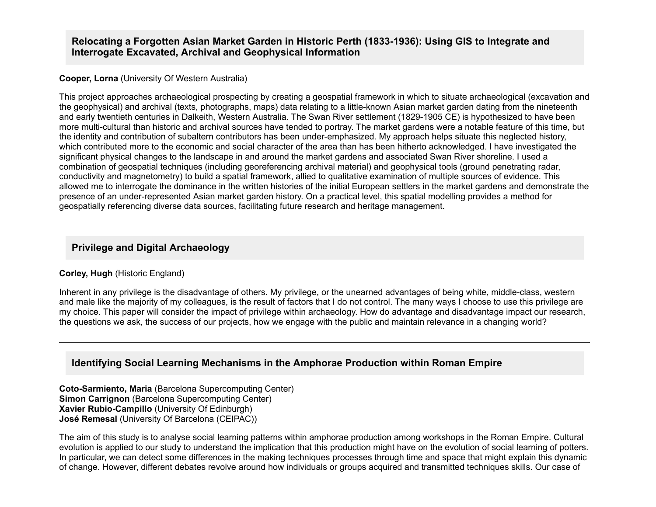## Relocating a Forgotten Asian Market Garden in Historic Perth (1833-1936): Using GIS to Integrate and **Interrogate Excavated, Archival and Geophysical Information**

#### **Cooper, Lorna** (University Of Western Australia)

This project approaches archaeological prospecting by creating a geospatial framework in which to situate archaeological (excavation and the geophysical) and archival (texts, photographs, maps) data relating to a little-known Asian market garden dating from the nineteenth and early twentieth centuries in Dalkeith, Western Australia. The Swan River settlement (1829-1905 CE) is hypothesized to have been more multi-cultural than historic and archival sources have tended to portray. The market gardens were a notable feature of this time, but the identity and contribution of subaltern contributors has been under-emphasized. My approach helps situate this neglected history, which contributed more to the economic and social character of the area than has been hitherto acknowledged. I have investigated the significant physical changes to the landscape in and around the market gardens and associated Swan River shoreline. I used a combination of geospatial techniques (including georeferencing archival material) and geophysical tools (ground penetrating radar, conductivity and magnetometry) to build a spatial framework, allied to qualitative examination of multiple sources of evidence. This allowed me to interrogate the dominance in the written histories of the initial European settlers in the market gardens and demonstrate the presence of an under-represented Asian market garden history. On a practical level, this spatial modelling provides a method for geospatially referencing diverse data sources, facilitating future research and heritage management.

### **Privilege and Digital Archaeology**

#### **Corley, Hugh** (Historic England)

Inherent in any privilege is the disadvantage of others. My privilege, or the unearned advantages of being white, middle-class, western and male like the majority of my colleagues, is the result of factors that I do not control. The many ways I choose to use this privilege are my choice. This paper will consider the impact of privilege within archaeology. How do advantage and disadvantage impact our research, the questions we ask, the success of our projects, how we engage with the public and maintain relevance in a changing world?

## **Identifying Social Learning Mechanisms in the Amphorae Production within Roman Empire**

**Coto-Sarmiento, Maria** (Barcelona Supercomputing Center) **Simon Carrignon** (Barcelona Supercomputing Center) **Xavier Rubio-Campillo** (University Of Edinburgh) **José Remesal** (University Of Barcelona (CEIPAC))

The aim of this study is to analyse social learning patterns within amphorae production among workshops in the Roman Empire. Cultural evolution is applied to our study to understand the implication that this production might have on the evolution of social learning of potters. In particular, we can detect some differences in the making techniques processes through time and space that might explain this dynamic of change. However, different debates revolve around how individuals or groups acquired and transmitted techniques skills. Our case of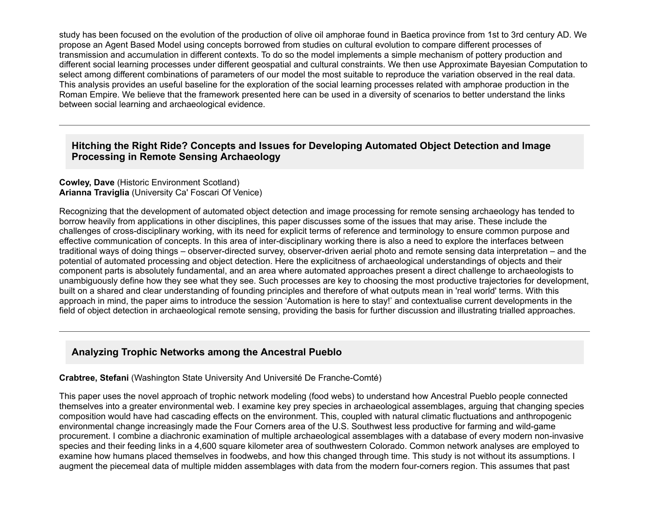study has been focused on the evolution of the production of olive oil amphorae found in Baetica province from 1st to 3rd century AD. We propose an Agent Based Model using concepts borrowed from studies on cultural evolution to compare different processes of transmission and accumulation in different contexts. To do so the model implements a simple mechanism of pottery production and different social learning processes under different geospatial and cultural constraints. We then use Approximate Bayesian Computation to select among different combinations of parameters of our model the most suitable to reproduce the variation observed in the real data. This analysis provides an useful baseline for the exploration of the social learning processes related with amphorae production in the Roman Empire. We believe that the framework presented here can be used in a diversity of scenarios to better understand the links between social learning and archaeological evidence.

## **Hitching the Right Ride? Concepts and Issues for Developing Automated Object Detection and Image Processing in Remote Sensing Archaeology**

**Cowley, Dave** (Historic Environment Scotland) **Arianna Traviglia** (University Ca' Foscari Of Venice)

Recognizing that the development of automated object detection and image processing for remote sensing archaeology has tended to borrow heavily from applications in other disciplines, this paper discusses some of the issues that may arise. These include the challenges of cross-disciplinary working, with its need for explicit terms of reference and terminology to ensure common purpose and effective communication of concepts. In this area of inter-disciplinary working there is also a need to explore the interfaces between traditional ways of doing things – observer-directed survey, observer-driven aerial photo and remote sensing data interpretation – and the potential of automated processing and object detection. Here the explicitness of archaeological understandings of objects and their component parts is absolutely fundamental, and an area where automated approaches present a direct challenge to archaeologists to unambiguously define how they see what they see. Such processes are key to choosing the most productive trajectories for development, built on a shared and clear understanding of founding principles and therefore of what outputs mean in 'real world' terms. With this approach in mind, the paper aims to introduce the session 'Automation is here to stay!' and contextualise current developments in the field of object detection in archaeological remote sensing, providing the basis for further discussion and illustrating trialled approaches.

# **Analyzing Trophic Networks among the Ancestral Pueblo**

**Crabtree, Stefani** (Washington State University And Université De Franche-Comté)

This paper uses the novel approach of trophic network modeling (food webs) to understand how Ancestral Pueblo people connected themselves into a greater environmental web. I examine key prey species in archaeological assemblages, arguing that changing species composition would have had cascading effects on the environment. This, coupled with natural climatic fluctuations and anthropogenic environmental change increasingly made the Four Corners area of the U.S. Southwest less productive for farming and wild-game procurement. I combine a diachronic examination of multiple archaeological assemblages with a database of every modern non-invasive species and their feeding links in a 4,600 square kilometer area of southwestern Colorado. Common network analyses are employed to examine how humans placed themselves in foodwebs, and how this changed through time. This study is not without its assumptions. I augment the piecemeal data of multiple midden assemblages with data from the modern four-corners region. This assumes that past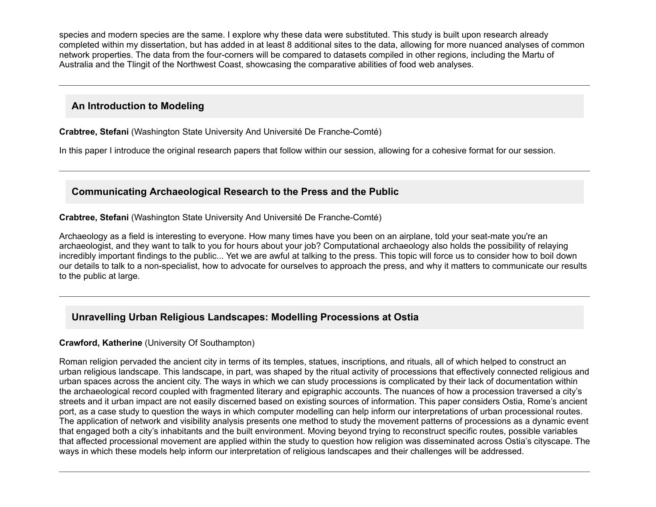species and modern species are the same. I explore why these data were substituted. This study is built upon research already completed within my dissertation, but has added in at least 8 additional sites to the data, allowing for more nuanced analyses of common network properties. The data from the four-corners will be compared to datasets compiled in other regions, including the Martu of Australia and the Tlingit of the Northwest Coast, showcasing the comparative abilities of food web analyses.

# **An Introduction to Modeling**

**Crabtree, Stefani** (Washington State University And Université De Franche-Comté)

In this paper I introduce the original research papers that follow within our session, allowing for a cohesive format for our session.

# **Communicating Archaeological Research to the Press and the Public**

**Crabtree, Stefani** (Washington State University And Université De Franche-Comté)

Archaeology as a field is interesting to everyone. How many times have you been on an airplane, told your seatmate you're an archaeologist, and they want to talk to you for hours about your job? Computational archaeology also holds the possibility of relaying incredibly important findings to the public... Yet we are awful at talking to the press. This topic will force us to consider how to boil down our details to talk to a nonspecialist, how to advocate for ourselves to approach the press, and why it matters to communicate our results to the public at large.

# **Unravelling Urban Religious Landscapes: Modelling Processions at Ostia**

## **Crawford, Katherine** (University Of Southampton)

Roman religion pervaded the ancient city in terms of its temples, statues, inscriptions, and rituals, all of which helped to construct an urban religious landscape. This landscape, in part, was shaped by the ritual activity of processions that effectively connected religious and urban spaces across the ancient city. The ways in which we can study processions is complicated by their lack of documentation within the archaeological record coupled with fragmented literary and epigraphic accounts. The nuances of how a procession traversed a city's streets and it urban impact are not easily discerned based on existing sources of information. This paper considers Ostia, Rome's ancient port, as a case study to question the ways in which computer modelling can help inform our interpretations of urban processional routes. The application of network and visibility analysis presents one method to study the movement patterns of processions as a dynamic event that engaged both a city's inhabitants and the built environment. Moving beyond trying to reconstruct specific routes, possible variables that affected processional movement are applied within the study to question how religion was disseminated across Ostia's cityscape. The ways in which these models help inform our interpretation of religious landscapes and their challenges will be addressed.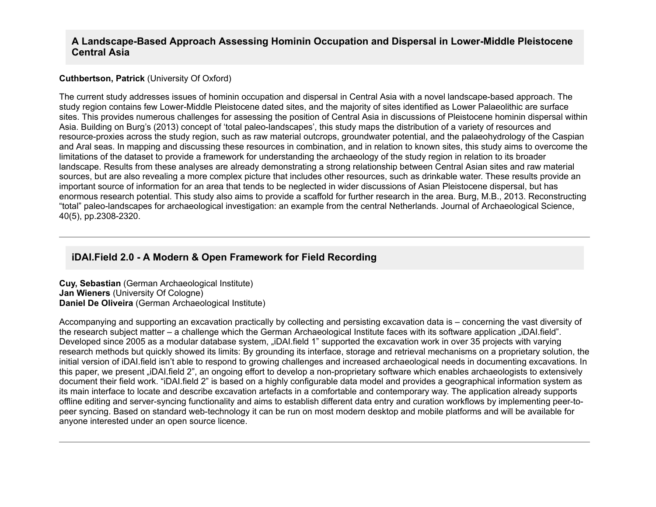### A Landscape-Based Approach Assessing Hominin Occupation and Dispersal in Lower-Middle Pleistocene **Central Asia**

#### **Cuthbertson, Patrick** (University Of Oxford)

The current study addresses issues of hominin occupation and dispersal in Central Asia with a novel landscape-based approach. The study region contains few Lower-Middle Pleistocene dated sites, and the majority of sites identified as Lower Palaeolithic are surface sites. This provides numerous challenges for assessing the position of Central Asia in discussions of Pleistocene hominin dispersal within Asia. Building on Burg's (2013) concept of 'total paleo-landscapes', this study maps the distribution of a variety of resources and resource-proxies across the study region, such as raw material outcrops, groundwater potential, and the palaeohydrology of the Caspian and Aral seas. In mapping and discussing these resources in combination, and in relation to known sites, this study aims to overcome the limitations of the dataset to provide a framework for understanding the archaeology of the study region in relation to its broader landscape. Results from these analyses are already demonstrating a strong relationship between Central Asian sites and raw material sources, but are also revealing a more complex picture that includes other resources, such as drinkable water. These results provide an important source of information for an area that tends to be neglected in wider discussions of Asian Pleistocene dispersal, but has enormous research potential. This study also aims to provide a scaffold for further research in the area. Burg, M.B., 2013. Reconstructing "total" paleo-landscapes for archaeological investigation: an example from the central Netherlands. Journal of Archaeological Science, 40(5), pp.2308-2320.

## **iDAI.Field 2.0 A Modern & Open Framework for Field Recording**

**Cuy, Sebastian** (German Archaeological Institute) **Jan Wieners** (University Of Cologne) **Daniel De Oliveira** (German Archaeological Institute)

Accompanying and supporting an excavation practically by collecting and persisting excavation data is – concerning the vast diversity of the research subject matter – a challenge which the German Archaeological Institute faces with its software application "iDAI.field". Developed since 2005 as a modular database system, "iDAI.field 1" supported the excavation work in over 35 projects with varying research methods but quickly showed its limits: By grounding its interface, storage and retrieval mechanisms on a proprietary solution, the initial version of iDAI.field isn't able to respond to growing challenges and increased archaeological needs in documenting excavations. In this paper, we present "iDAI field 2", an ongoing effort to develop a non-proprietary software which enables archaeologists to extensively document their field work. "iDAI.field 2" is based on a highly configurable data model and provides a geographical information system as its main interface to locate and describe excavation artefacts in a comfortable and contemporary way. The application already supports offline editing and serversyncing functionality and aims to establish different data entry and curation workflows by implementing peertopeer syncing. Based on standard web-technology it can be run on most modern desktop and mobile platforms and will be available for anyone interested under an open source licence.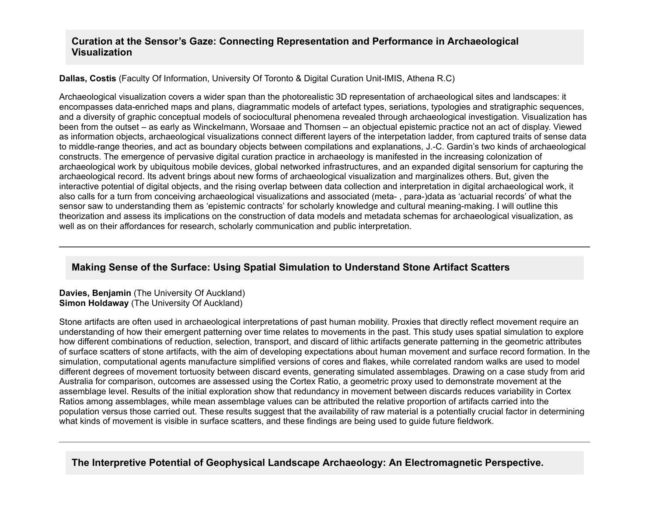### **Curation at the Sensor's Gaze: Connecting Representation and Performance in Archaeological Visualization**

**Dallas, Costis** (Faculty Of Information, University Of Toronto & Digital Curation Unit-IMIS, Athena R.C)

Archaeological visualization covers a wider span than the photorealistic 3D representation of archaeological sites and landscapes: it encompasses data-enriched maps and plans, diagrammatic models of artefact types, seriations, typologies and stratigraphic sequences, and a diversity of graphic conceptual models of sociocultural phenomena revealed through archaeological investigation. Visualization has been from the outset – as early as Winckelmann, Worsaae and Thomsen – an objectual epistemic practice not an act of display. Viewed as information objects, archaeological visualizations connect different layers of the interpetation ladder, from captured traits of sense data to middle-range theories, and act as boundary objects between compilations and explanations, J.-C. Gardin's two kinds of archaeological constructs. The emergence of pervasive digital curation practice in archaeology is manifested in the increasing colonization of archaeological work by ubiquitous mobile devices, global networked infrastructures, and an expanded digital sensorium for capturing the archaeological record. Its advent brings about new forms of archaeological visualization and marginalizes others. But, given the interactive potential of digital objects, and the rising overlap between data collection and interpretation in digital archaeological work, it also calls for a turn from conceiving archaeological visualizations and associated (meta-, para-)data as 'actuarial records' of what the sensor saw to understanding them as 'epistemic contracts' for scholarly knowledge and cultural meaning-making. I will outline this theorization and assess its implications on the construction of data models and metadata schemas for archaeological visualization, as well as on their affordances for research, scholarly communication and public interpretation.

# **Making Sense of the Surface: Using Spatial Simulation to Understand Stone Artifact Scatters**

**Davies, Benjamin** (The University Of Auckland) **Simon Holdaway** (The University Of Auckland)

Stone artifacts are often used in archaeological interpretations of past human mobility. Proxies that directly reflect movement require an understanding of how their emergent patterning over time relates to movements in the past. This study uses spatial simulation to explore how different combinations of reduction, selection, transport, and discard of lithic artifacts generate patterning in the geometric attributes of surface scatters of stone artifacts, with the aim of developing expectations about human movement and surface record formation. In the simulation, computational agents manufacture simplified versions of cores and flakes, while correlated random walks are used to model different degrees of movement tortuosity between discard events, generating simulated assemblages. Drawing on a case study from arid Australia for comparison, outcomes are assessed using the Cortex Ratio, a geometric proxy used to demonstrate movement at the assemblage level. Results of the initial exploration show that redundancy in movement between discards reduces variability in Cortex Ratios among assemblages, while mean assemblage values can be attributed the relative proportion of artifacts carried into the population versus those carried out. These results suggest that the availability of raw material is a potentially crucial factor in determining what kinds of movement is visible in surface scatters, and these findings are being used to guide future fieldwork.

**The Interpretive Potential of Geophysical Landscape Archaeology: An Electromagnetic Perspective.**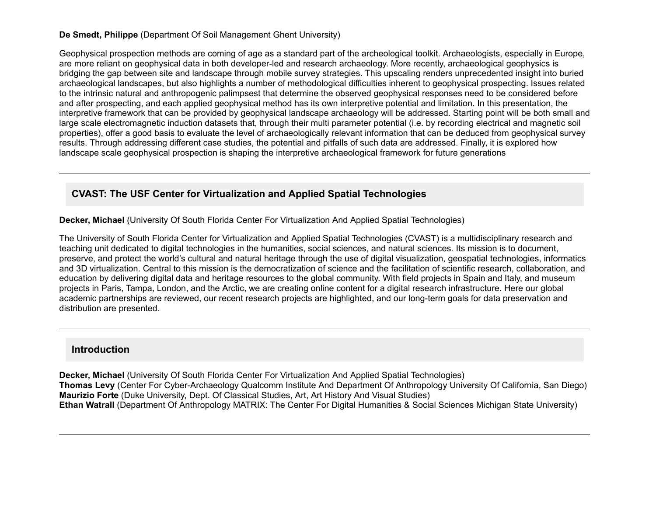### **De Smedt, Philippe** (Department Of Soil Management Ghent University)

Geophysical prospection methods are coming of age as a standard part of the archeological toolkit. Archaeologists, especially in Europe, are more reliant on geophysical data in both developer-led and research archaeology. More recently, archaeological geophysics is bridging the gap between site and landscape through mobile survey strategies. This upscaling renders unprecedented insight into buried archaeological landscapes, but also highlights a number of methodological difficulties inherent to geophysical prospecting. Issues related to the intrinsic natural and anthropogenic palimpsest that determine the observed geophysical responses need to be considered before and after prospecting, and each applied geophysical method has its own interpretive potential and limitation. In this presentation, the interpretive framework that can be provided by geophysical landscape archaeology will be addressed. Starting point will be both small and large scale electromagnetic induction datasets that, through their multi parameter potential (i.e. by recording electrical and magnetic soil properties), offer a good basis to evaluate the level of archaeologically relevant information that can be deduced from geophysical survey results. Through addressing different case studies, the potential and pitfalls of such data are addressed. Finally, it is explored how landscape scale geophysical prospection is shaping the interpretive archaeological framework for future generations

# **CVAST: The USF Center for Virtualization and Applied Spatial Technologies**

**Decker, Michael** (University Of South Florida Center For Virtualization And Applied Spatial Technologies)

The University of South Florida Center for Virtualization and Applied Spatial Technologies (CVAST) is a multidisciplinary research and teaching unit dedicated to digital technologies in the humanities, social sciences, and natural sciences. Its mission is to document, preserve, and protect the world's cultural and natural heritage through the use of digital visualization, geospatial technologies, informatics and 3D virtualization. Central to this mission is the democratization of science and the facilitation of scientific research, collaboration, and education by delivering digital data and heritage resources to the global community. With field projects in Spain and Italy, and museum projects in Paris, Tampa, London, and the Arctic, we are creating online content for a digital research infrastructure. Here our global academic partnerships are reviewed, our recent research projects are highlighted, and our long-term goals for data preservation and distribution are presented.

## **Introduction**

**Decker, Michael** (University Of South Florida Center For Virtualization And Applied Spatial Technologies) **Thomas Levy** (Center For Cyber-Archaeology Qualcomm Institute And Department Of Anthropology University Of California, San Diego) **Maurizio Forte** (Duke University, Dept. Of Classical Studies, Art, Art History And Visual Studies) **Ethan Watrall** (Department Of Anthropology MATRIX: The Center For Digital Humanities & Social Sciences Michigan State University)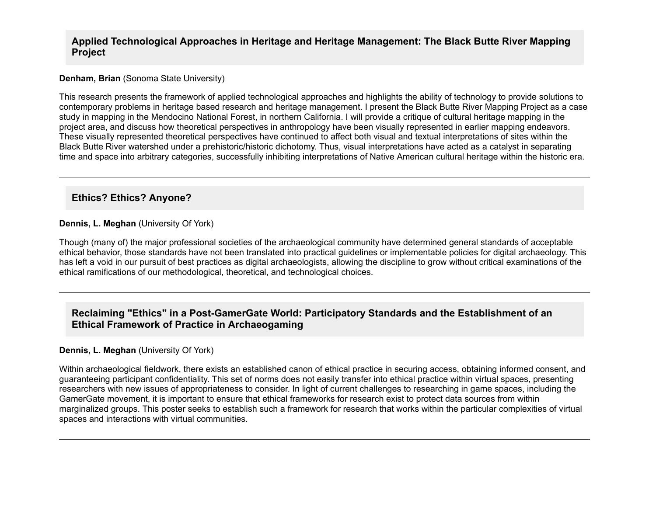### **Applied Technological Approaches in Heritage and Heritage Management: The Black Butte River Mapping Project**

#### **Denham, Brian** (Sonoma State University)

This research presents the framework of applied technological approaches and highlights the ability of technology to provide solutions to contemporary problems in heritage based research and heritage management. I present the Black Butte River Mapping Project as a case study in mapping in the Mendocino National Forest, in northern California. I will provide a critique of cultural heritage mapping in the project area, and discuss how theoretical perspectives in anthropology have been visually represented in earlier mapping endeavors. These visually represented theoretical perspectives have continued to affect both visual and textual interpretations of sites within the Black Butte River watershed under a prehistoric/historic dichotomy. Thus, visual interpretations have acted as a catalyst in separating time and space into arbitrary categories, successfully inhibiting interpretations of Native American cultural heritage within the historic era.

## **Ethics? Ethics? Anyone?**

#### **Dennis, L. Meghan** (University Of York)

Though (many of) the major professional societies of the archaeological community have determined general standards of acceptable ethical behavior, those standards have not been translated into practical guidelines or implementable policies for digital archaeology. This has left a void in our pursuit of best practices as digital archaeologists, allowing the discipline to grow without critical examinations of the ethical ramifications of our methodological, theoretical, and technological choices.

## Reclaiming "Ethics" in a Post-GamerGate World: Participatory Standards and the Establishment of an **Ethical Framework of Practice in Archaeogaming**

#### **Dennis, L. Meghan** (University Of York)

Within archaeological fieldwork, there exists an established canon of ethical practice in securing access, obtaining informed consent, and guaranteeing participant confidentiality. This set of norms does not easily transfer into ethical practice within virtual spaces, presenting researchers with new issues of appropriateness to consider. In light of current challenges to researching in game spaces, including the GamerGate movement, it is important to ensure that ethical frameworks for research exist to protect data sources from within marginalized groups. This poster seeks to establish such a framework for research that works within the particular complexities of virtual spaces and interactions with virtual communities.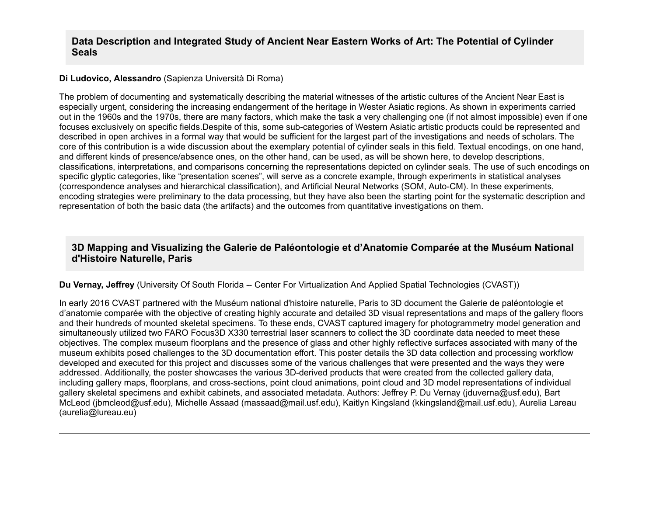### **Data Description and Integrated Study of Ancient Near Eastern Works of Art: The Potential of Cylinder Seals**

#### **Di Ludovico, Alessandro** (Sapienza Università Di Roma)

The problem of documenting and systematically describing the material witnesses of the artistic cultures of the Ancient Near East is especially urgent, considering the increasing endangerment of the heritage in Wester Asiatic regions. As shown in experiments carried out in the 1960s and the 1970s, there are many factors, which make the task a very challenging one (if not almost impossible) even if one focuses exclusively on specific fields.Despite of this, some sub-categories of Western Asiatic artistic products could be represented and described in open archives in a formal way that would be sufficient for the largest part of the investigations and needs of scholars. The core of this contribution is a wide discussion about the exemplary potential of cylinder seals in this field. Textual encodings, on one hand, and different kinds of presence/absence ones, on the other hand, can be used, as will be shown here, to develop descriptions, classifications, interpretations, and comparisons concerning the representations depicted on cylinder seals. The use of such encodings on specific glyptic categories, like "presentation scenes", will serve as a concrete example, through experiments in statistical analyses (correspondence analyses and hierarchical classification), and Artificial Neural Networks (SOM, Auto-CM). In these experiments, encoding strategies were preliminary to the data processing, but they have also been the starting point for the systematic description and representation of both the basic data (the artifacts) and the outcomes from quantitative investigations on them.

## **3D Mapping and Visualizing the Galerie de Paléontologie et d'Anatomie Comparée at the Muséum National d'Histoire Naturelle, Paris**

#### **Du Vernay, Jeffrey** (University Of South Florida -- Center For Virtualization And Applied Spatial Technologies (CVAST))

In early 2016 CVAST partnered with the Muséum national d'histoire naturelle, Paris to 3D document the Galerie de paléontologie et d'anatomie comparée with the objective of creating highly accurate and detailed 3D visual representations and maps of the gallery floors and their hundreds of mounted skeletal specimens. To these ends, CVAST captured imagery for photogrammetry model generation and simultaneously utilized two FARO Focus3D X330 terrestrial laser scanners to collect the 3D coordinate data needed to meet these objectives. The complex museum floorplans and the presence of glass and other highly reflective surfaces associated with many of the museum exhibits posed challenges to the 3D documentation effort. This poster details the 3D data collection and processing workflow developed and executed for this project and discusses some of the various challenges that were presented and the ways they were addressed. Additionally, the poster showcases the various 3D-derived products that were created from the collected gallery data, including gallery maps, floorplans, and cross-sections, point cloud animations, point cloud and 3D model representations of individual gallery skeletal specimens and exhibit cabinets, and associated metadata. Authors: Jeffrey P. Du Vernay (jduverna@usf.edu), Bart McLeod (jbmcleod@usf.edu), Michelle Assaad (massaad@mail.usf.edu), Kaitlyn Kingsland (kkingsland@mail.usf.edu), Aurelia Lareau (aurelia@lureau.eu)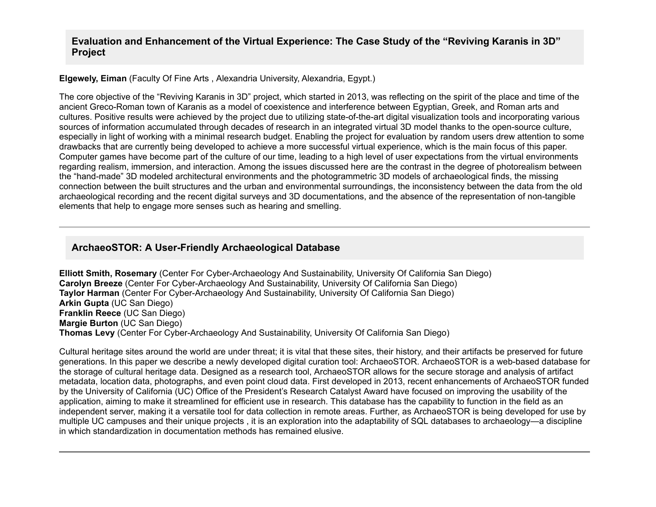### **Evaluation and Enhancement of the Virtual Experience: The Case Study of the "Reviving Karanis in 3D" Project**

#### **Elgewely, Eiman** (Faculty Of Fine Arts , Alexandria University, Alexandria, Egypt.)

The core objective of the "Reviving Karanis in 3D" project, which started in 2013, was reflecting on the spirit of the place and time of the ancient Greco-Roman town of Karanis as a model of coexistence and interference between Egyptian, Greek, and Roman arts and cultures. Positive results were achieved by the project due to utilizing state-of-the-art digital visualization tools and incorporating various sources of information accumulated through decades of research in an integrated virtual 3D model thanks to the open-source culture, especially in light of working with a minimal research budget. Enabling the project for evaluation by random users drew attention to some drawbacks that are currently being developed to achieve a more successful virtual experience, which is the main focus of this paper. Computer games have become part of the culture of our time, leading to a high level of user expectations from the virtual environments regarding realism, immersion, and interaction. Among the issues discussed here are the contrast in the degree of photorealism between the "hand-made" 3D modeled architectural environments and the photogrammetric 3D models of archaeological finds, the missing connection between the built structures and the urban and environmental surroundings, the inconsistency between the data from the old archaeological recording and the recent digital surveys and 3D documentations, and the absence of the representation of nontangible elements that help to engage more senses such as hearing and smelling.

## ArchaeoSTOR: A User-Friendly Archaeological Database

**Elliott Smith, Rosemary** (Center For Cyber-Archaeology And Sustainability, University Of California San Diego) **Carolyn Breeze** (Center For Cyber-Archaeology And Sustainability, University Of California San Diego) **Taylor Harman** (Center For Cyber-Archaeology And Sustainability, University Of California San Diego) **Arkin Gupta** (UC San Diego) **Franklin Reece** (UC San Diego) **Margie Burton** (UC San Diego) **Thomas Levy** (Center For Cyber-Archaeology And Sustainability, University Of California San Diego)

Cultural heritage sites around the world are under threat; it is vital that these sites, their history, and their artifacts be preserved for future generations. In this paper we describe a newly developed digital curation tool: ArchaeoSTOR. ArchaeoSTOR is a web-based database for the storage of cultural heritage data. Designed as a research tool, ArchaeoSTOR allows for the secure storage and analysis of artifact metadata, location data, photographs, and even point cloud data. First developed in 2013, recent enhancements of ArchaeoSTOR funded by the University of California (UC) Office of the President's Research Catalyst Award have focused on improving the usability of the application, aiming to make it streamlined for efficient use in research. This database has the capability to function in the field as an independent server, making it a versatile tool for data collection in remote areas. Further, as ArchaeoSTOR is being developed for use by multiple UC campuses and their unique projects , it is an exploration into the adaptability of SQL databases to archaeology—a discipline in which standardization in documentation methods has remained elusive.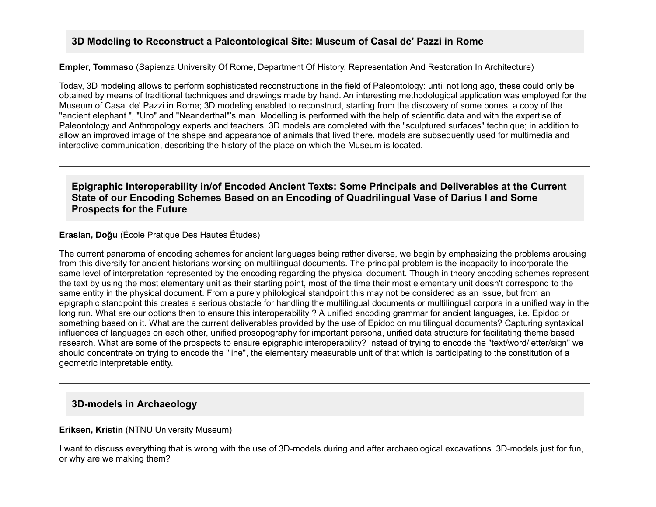## **3D Modeling to Reconstruct a Paleontological Site: Museum of Casal de' Pazzi in Rome**

**Empler, Tommaso** (Sapienza University Of Rome, Department Of History, Representation And Restoration In Architecture)

Today, 3D modeling allows to perform sophisticated reconstructions in the field of Paleontology: until not long ago, these could only be obtained by means of traditional techniques and drawings made by hand. An interesting methodological application was employed for the Museum of Casal de' Pazzi in Rome; 3D modeling enabled to reconstruct, starting from the discovery of some bones, a copy of the "ancient elephant ", "Uro" and "Neanderthal"'s man. Modelling is performed with the help of scientific data and with the expertise of Paleontology and Anthropology experts and teachers. 3D models are completed with the "sculptured surfaces" technique; in addition to allow an improved image of the shape and appearance of animals that lived there, models are subsequently used for multimedia and interactive communication, describing the history of the place on which the Museum is located.

**Epigraphic Interoperability in/of Encoded Ancient Texts: Some Principals and Deliverables at the Current State of our Encoding Schemes Based on an Encoding of Quadrilingual Vase of Darius I and Some Prospects for the Future**

**Eraslan, Doğu** (École Pratique Des Hautes Études)

The current panaroma of encoding schemes for ancient languages being rather diverse, we begin by emphasizing the problems arousing from this diversity for ancient historians working on multilingual documents. The principal problem is the incapacity to incorporate the same level of interpretation represented by the encoding regarding the physical document. Though in theory encoding schemes represent the text by using the most elementary unit as their starting point, most of the time their most elementary unit doesn't correspond to the same entity in the physical document. From a purely philological standpoint this may not be considered as an issue, but from an epigraphic standpoint this creates a serious obstacle for handling the multilingual documents or multilingual corpora in a unified way in the long run. What are our options then to ensure this interoperability ? A unified encoding grammar for ancient languages, i.e. Epidoc or something based on it. What are the current deliverables provided by the use of Epidoc on multilingual documents? Capturing syntaxical influences of languages on each other, unified prosopography for important persona, unified data structure for facilitating theme based research. What are some of the prospects to ensure epigraphic interoperability? Instead of trying to encode the "text/word/letter/sign" we should concentrate on trying to encode the "line", the elementary measurable unit of that which is participating to the constitution of a geometric interpretable entity.

## **3D-models in Archaeology**

#### **Eriksen, Kristin** (NTNU University Museum)

I want to discuss everything that is wrong with the use of 3D-models during and after archaeological excavations. 3D-models just for fun, or why are we making them?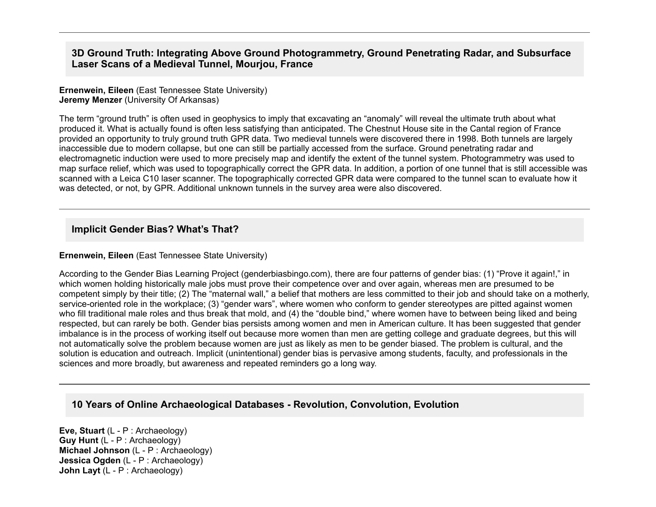## **3D Ground Truth: Integrating Above Ground Photogrammetry, Ground Penetrating Radar, and Subsurface Laser Scans of a Medieval Tunnel, Mourjou, France**

#### **Ernenwein, Eileen** (East Tennessee State University) **Jeremy Menzer** (University Of Arkansas)

The term "ground truth" is often used in geophysics to imply that excavating an "anomaly" will reveal the ultimate truth about what produced it. What is actually found is often less satisfying than anticipated. The Chestnut House site in the Cantal region of France provided an opportunity to truly ground truth GPR data. Two medieval tunnels were discovered there in 1998. Both tunnels are largely inaccessible due to modern collapse, but one can still be partially accessed from the surface. Ground penetrating radar and electromagnetic induction were used to more precisely map and identify the extent of the tunnel system. Photogrammetry was used to map surface relief, which was used to topographically correct the GPR data. In addition, a portion of one tunnel that is still accessible was scanned with a Leica C10 laser scanner. The topographically corrected GPR data were compared to the tunnel scan to evaluate how it was detected, or not, by GPR. Additional unknown tunnels in the survey area were also discovered.

## **Implicit Gender Bias? What's That?**

### **Ernenwein, Eileen** (East Tennessee State University)

According to the Gender Bias Learning Project (genderbiasbingo.com), there are four patterns of gender bias: (1) "Prove it again!," in which women holding historically male jobs must prove their competence over and over again, whereas men are presumed to be competent simply by their title; (2) The "maternal wall," a belief that mothers are less committed to their job and should take on a motherly, service-oriented role in the workplace; (3) "gender wars", where women who conform to gender stereotypes are pitted against women who fill traditional male roles and thus break that mold, and (4) the "double bind," where women have to between being liked and being respected, but can rarely be both. Gender bias persists among women and men in American culture. It has been suggested that gender imbalance is in the process of working itself out because more women than men are getting college and graduate degrees, but this will not automatically solve the problem because women are just as likely as men to be gender biased. The problem is cultural, and the solution is education and outreach. Implicit (unintentional) gender bias is pervasive among students, faculty, and professionals in the sciences and more broadly, but awareness and repeated reminders go a long way.

# **10 Years of Online Archaeological Databases Revolution, Convolution, Evolution**

**Eve, Stuart** (L - P : Archaeology) **Guy Hunt** (L - P : Archaeology) **Michael Johnson** (L - P : Archaeology) **Jessica Ogden** (L - P : Archaeology) **John Layt** (L - P : Archaeology)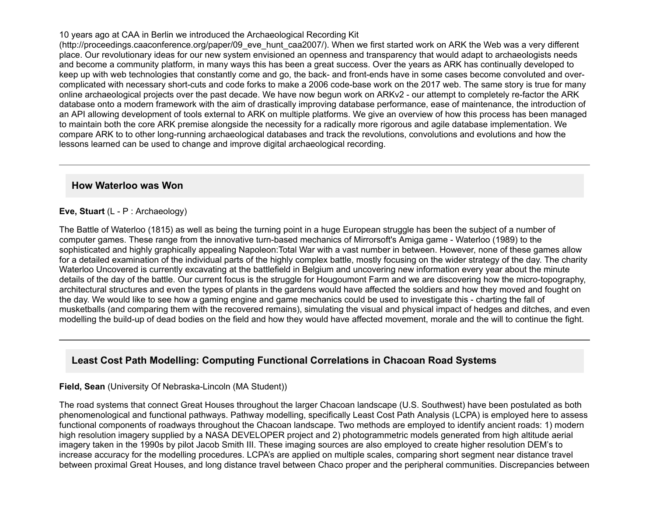#### 10 years ago at CAA in Berlin we introduced the Archaeological Recording Kit

(http://proceedings.caaconference.org/paper/09\_eve\_hunt\_caa2007/). When we first started work on ARK the Web was a very different place. Our revolutionary ideas for our new system envisioned an openness and transparency that would adapt to archaeologists needs and become a community platform, in many ways this has been a great success. Over the years as ARK has continually developed to keep up with web technologies that constantly come and go, the back- and front-ends have in some cases become convoluted and overcomplicated with necessary short-cuts and code forks to make a 2006 code-base work on the 2017 web. The same story is true for many online archaeological projects over the past decade. We have now begun work on ARKv2 - our attempt to completely re-factor the ARK database onto a modern framework with the aim of drastically improving database performance, ease of maintenance, the introduction of an API allowing development of tools external to ARK on multiple platforms. We give an overview of how this process has been managed to maintain both the core ARK premise alongside the necessity for a radically more rigorous and agile database implementation. We compare ARK to to other long-running archaeological databases and track the revolutions, convolutions and evolutions and how the lessons learned can be used to change and improve digital archaeological recording.

### **How Waterloo was Won**

#### **Eve, Stuart** (L - P : Archaeology)

The Battle of Waterloo (1815) as well as being the turning point in a huge European struggle has been the subject of a number of computer games. These range from the innovative turn-based mechanics of Mirrorsoft's Amiga game - Waterloo (1989) to the sophisticated and highly graphically appealing Napoleon:Total War with a vast number in between. However, none of these games allow for a detailed examination of the individual parts of the highly complex battle, mostly focusing on the wider strategy of the day. The charity Waterloo Uncovered is currently excavating at the battlefield in Belgium and uncovering new information every year about the minute details of the day of the battle. Our current focus is the struggle for Hougoumont Farm and we are discovering how the micro-topography, architectural structures and even the types of plants in the gardens would have affected the soldiers and how they moved and fought on the day. We would like to see how a gaming engine and game mechanics could be used to investigate this charting the fall of musketballs (and comparing them with the recovered remains), simulating the visual and physical impact of hedges and ditches, and even modelling the build-up of dead bodies on the field and how they would have affected movement, morale and the will to continue the fight.

# **Least Cost Path Modelling: Computing Functional Correlations in Chacoan Road Systems**

#### **Field, Sean** (University Of Nebraska-Lincoln (MA Student))

The road systems that connect Great Houses throughout the larger Chacoan landscape (U.S. Southwest) have been postulated as both phenomenological and functional pathways. Pathway modelling, specifically Least Cost Path Analysis (LCPA) is employed here to assess functional components of roadways throughout the Chacoan landscape. Two methods are employed to identify ancient roads: 1) modern high resolution imagery supplied by a NASA DEVELOPER project and 2) photogrammetric models generated from high altitude aerial imagery taken in the 1990s by pilot Jacob Smith III. These imaging sources are also employed to create higher resolution DEM's to increase accuracy for the modelling procedures. LCPA's are applied on multiple scales, comparing short segment near distance travel between proximal Great Houses, and long distance travel between Chaco proper and the peripheral communities. Discrepancies between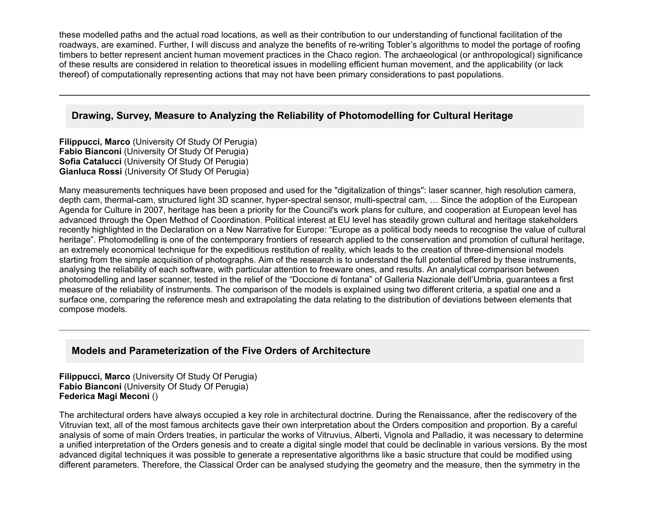these modelled paths and the actual road locations, as well as their contribution to our understanding of functional facilitation of the roadways, are examined. Further, I will discuss and analyze the benefits of re-writing Tobler's algorithms to model the portage of roofing timbers to better represent ancient human movement practices in the Chaco region. The archaeological (or anthropological) significance of these results are considered in relation to theoretical issues in modelling efficient human movement, and the applicability (or lack thereof) of computationally representing actions that may not have been primary considerations to past populations.

## **Drawing, Survey, Measure to Analyzing the Reliability of Photomodelling for Cultural Heritage**

**Filippucci, Marco** (University Of Study Of Perugia) **Fabio Bianconi** (University Of Study Of Perugia) **Sofia Catalucci** (University Of Study Of Perugia) **Gianluca Rossi** (University Of Study Of Perugia)

Many measurements techniques have been proposed and used for the "digitalization of things": laser scanner, high resolution camera, depth cam, thermal-cam, structured light 3D scanner, hyper-spectral sensor, multi-spectral cam, ... Since the adoption of the European Agenda for Culture in 2007, heritage has been a priority for the Council's work plans for culture, and cooperation at European level has advanced through the Open Method of Coordination. Political interest at EU level has steadily grown cultural and heritage stakeholders recently highlighted in the Declaration on a New Narrative for Europe: "Europe as a political body needs to recognise the value of cultural heritage". Photomodelling is one of the contemporary frontiers of research applied to the conservation and promotion of cultural heritage, an extremely economical technique for the expeditious restitution of reality, which leads to the creation of three-dimensional models starting from the simple acquisition of photographs. Aim of the research is to understand the full potential offered by these instruments, analysing the reliability of each software, with particular attention to freeware ones, and results. An analytical comparison between photomodelling and laser scanner, tested in the relief of the "Doccione di fontana" of Galleria Nazionale dell'Umbria, guarantees a first measure of the reliability of instruments. The comparison of the models is explained using two different criteria, a spatial one and a surface one, comparing the reference mesh and extrapolating the data relating to the distribution of deviations between elements that compose models.

# **Models and Parameterization of the Five Orders of Architecture**

**Filippucci, Marco** (University Of Study Of Perugia) **Fabio Bianconi** (University Of Study Of Perugia) **Federica Magi Meconi** ()

The architectural orders have always occupied a key role in architectural doctrine. During the Renaissance, after the rediscovery of the Vitruvian text, all of the most famous architects gave their own interpretation about the Orders composition and proportion. By a careful analysis of some of main Orders treaties, in particular the works of Vitruvius, Alberti, Vignola and Palladio, it was necessary to determine a unified interpretation of the Orders genesis and to create a digital single model that could be declinable in various versions. By the most advanced digital techniques it was possible to generate a representative algorithms like a basic structure that could be modified using different parameters. Therefore, the Classical Order can be analysed studying the geometry and the measure, then the symmetry in the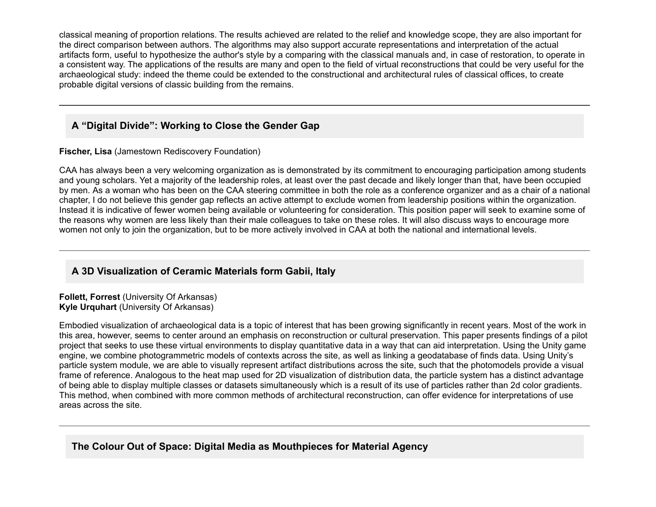classical meaning of proportion relations. The results achieved are related to the relief and knowledge scope, they are also important for the direct comparison between authors. The algorithms may also support accurate representations and interpretation of the actual artifacts form, useful to hypothesize the author's style by a comparing with the classical manuals and, in case of restoration, to operate in a consistent way. The applications of the results are many and open to the field of virtual reconstructions that could be very useful for the archaeological study: indeed the theme could be extended to the constructional and architectural rules of classical offices, to create probable digital versions of classic building from the remains.

# **A "Digital Divide": Working to Close the Gender Gap**

**Fischer, Lisa** (Jamestown Rediscovery Foundation)

CAA has always been a very welcoming organization as is demonstrated by its commitment to encouraging participation among students and young scholars. Yet a majority of the leadership roles, at least over the past decade and likely longer than that, have been occupied by men. As a woman who has been on the CAA steering committee in both the role as a conference organizer and as a chair of a national chapter, I do not believe this gender gap reflects an active attempt to exclude women from leadership positions within the organization. Instead it is indicative of fewer women being available or volunteering for consideration. This position paper will seek to examine some of the reasons why women are less likely than their male colleagues to take on these roles. It will also discuss ways to encourage more women not only to join the organization, but to be more actively involved in CAA at both the national and international levels.

# **A 3D Visualization of Ceramic Materials form Gabii, Italy**

**Follett, Forrest** (University Of Arkansas) **Kyle Urquhart** (University Of Arkansas)

Embodied visualization of archaeological data is a topic of interest that has been growing significantly in recent years. Most of the work in this area, however, seems to center around an emphasis on reconstruction or cultural preservation. This paper presents findings of a pilot project that seeks to use these virtual environments to display quantitative data in a way that can aid interpretation. Using the Unity game engine, we combine photogrammetric models of contexts across the site, as well as linking a geodatabase of finds data. Using Unity's particle system module, we are able to visually represent artifact distributions across the site, such that the photomodels provide a visual frame of reference. Analogous to the heat map used for 2D visualization of distribution data, the particle system has a distinct advantage of being able to display multiple classes or datasets simultaneously which is a result of its use of particles rather than 2d color gradients. This method, when combined with more common methods of architectural reconstruction, can offer evidence for interpretations of use areas across the site.

# **The Colour Out of Space: Digital Media as Mouthpieces for Material Agency**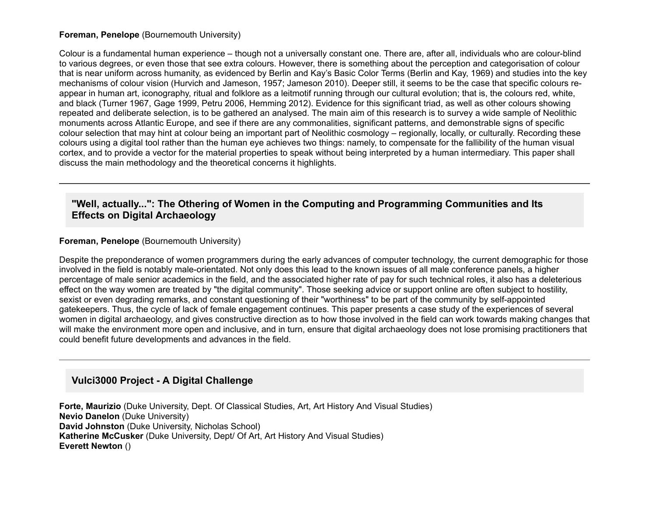#### **Foreman, Penelope** (Bournemouth University)

Colour is a fundamental human experience – though not a universally constant one. There are, after all, individuals who are colour-blind to various degrees, or even those that see extra colours. However, there is something about the perception and categorisation of colour that is near uniform across humanity, as evidenced by Berlin and Kay's Basic Color Terms (Berlin and Kay, 1969) and studies into the key mechanisms of colour vision (Hurvich and Jameson, 1957; Jameson 2010). Deeper still, it seems to be the case that specific colours reappear in human art, iconography, ritual and folklore as a leitmotif running through our cultural evolution; that is, the colours red, white, and black (Turner 1967, Gage 1999, Petru 2006, Hemming 2012). Evidence for this significant triad, as well as other colours showing repeated and deliberate selection, is to be gathered an analysed. The main aim of this research is to survey a wide sample of Neolithic monuments across Atlantic Europe, and see if there are any commonalities, significant patterns, and demonstrable signs of specific colour selection that may hint at colour being an important part of Neolithic cosmology – regionally, locally, or culturally. Recording these colours using a digital tool rather than the human eye achieves two things: namely, to compensate for the fallibility of the human visual cortex, and to provide a vector for the material properties to speak without being interpreted by a human intermediary. This paper shall discuss the main methodology and the theoretical concerns it highlights.

## **"Well, actually...": The Othering of Women in the Computing and Programming Communities and Its Effects on Digital Archaeology**

#### **Foreman, Penelope** (Bournemouth University)

Despite the preponderance of women programmers during the early advances of computer technology, the current demographic for those involved in the field is notably male-orientated. Not only does this lead to the known issues of all male conference panels, a higher percentage of male senior academics in the field, and the associated higher rate of pay for such technical roles, it also has a deleterious effect on the way women are treated by "the digital community". Those seeking advice or support online are often subject to hostility, sexist or even degrading remarks, and constant questioning of their "worthiness" to be part of the community by self-appointed gatekeepers. Thus, the cycle of lack of female engagement continues. This paper presents a case study of the experiences of several women in digital archaeology, and gives constructive direction as to how those involved in the field can work towards making changes that will make the environment more open and inclusive, and in turn, ensure that digital archaeology does not lose promising practitioners that could benefit future developments and advances in the field.

### **Vulci3000 Project A Digital Challenge**

**Forte, Maurizio** (Duke University, Dept. Of Classical Studies, Art, Art History And Visual Studies) **Nevio Danelon** (Duke University) **David Johnston** (Duke University, Nicholas School) **Katherine McCusker** (Duke University, Dept/ Of Art, Art History And Visual Studies) **Everett Newton** ()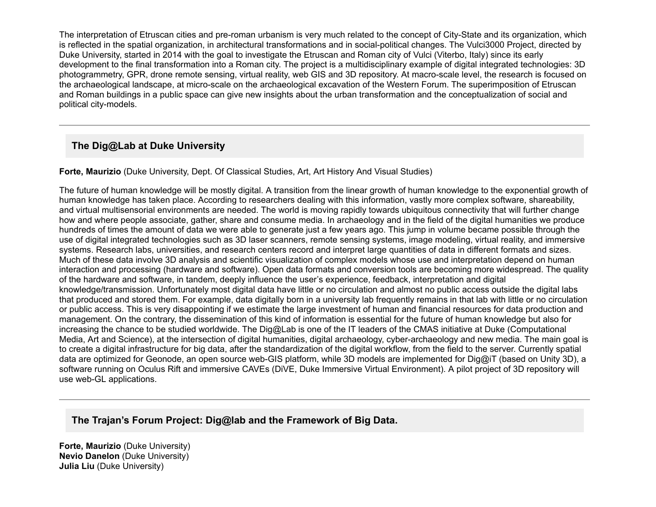The interpretation of Etruscan cities and pre-roman urbanism is very much related to the concept of City-State and its organization, which is reflected in the spatial organization, in architectural transformations and in socialpolitical changes. The Vulci3000 Project, directed by Duke University, started in 2014 with the goal to investigate the Etruscan and Roman city of Vulci (Viterbo, Italy) since its early development to the final transformation into a Roman city. The project is a multidisciplinary example of digital integrated technologies: 3D photogrammetry, GPR, drone remote sensing, virtual reality, web GIS and 3D repository. At macro-scale level, the research is focused on the archaeological landscape, at micro-scale on the archaeological excavation of the Western Forum. The superimposition of Etruscan and Roman buildings in a public space can give new insights about the urban transformation and the conceptualization of social and political city-models.

# **The Dig@Lab at Duke University**

**Forte, Maurizio** (Duke University, Dept. Of Classical Studies, Art, Art History And Visual Studies)

The future of human knowledge will be mostly digital. A transition from the linear growth of human knowledge to the exponential growth of human knowledge has taken place. According to researchers dealing with this information, vastly more complex software, shareability, and virtual multisensorial environments are needed. The world is moving rapidly towards ubiquitous connectivity that will further change how and where people associate, gather, share and consume media. In archaeology and in the field of the digital humanities we produce hundreds of times the amount of data we were able to generate just a few years ago. This jump in volume became possible through the use of digital integrated technologies such as 3D laser scanners, remote sensing systems, image modeling, virtual reality, and immersive systems. Research labs, universities, and research centers record and interpret large quantities of data in different formats and sizes. Much of these data involve 3D analysis and scientific visualization of complex models whose use and interpretation depend on human interaction and processing (hardware and software). Open data formats and conversion tools are becoming more widespread. The quality of the hardware and software, in tandem, deeply influence the user's experience, feedback, interpretation and digital knowledge/transmission. Unfortunately most digital data have little or no circulation and almost no public access outside the digital labs that produced and stored them. For example, data digitally born in a university lab frequently remains in that lab with little or no circulation or public access. This is very disappointing if we estimate the large investment of human and financial resources for data production and management. On the contrary, the dissemination of this kind of information is essential for the future of human knowledge but also for increasing the chance to be studied worldwide. The Dig@Lab is one of the IT leaders of the CMAS initiative at Duke (Computational Media, Art and Science), at the intersection of digital humanities, digital archaeology, cyber-archaeology and new media. The main goal is to create a digital infrastructure for big data, after the standardization of the digital workflow, from the field to the server. Currently spatial data are optimized for Geonode, an open source web-GIS platform, while 3D models are implemented for Dig@iT (based on Unity 3D), a software running on Oculus Rift and immersive CAVEs (DiVE, Duke Immersive Virtual Environment). A pilot project of 3D repository will use web-GL applications.

# **The Trajan's Forum Project: Dig@lab and the Framework of Big Data.**

**Forte, Maurizio** (Duke University) **Nevio Danelon** (Duke University) **Julia Liu** (Duke University)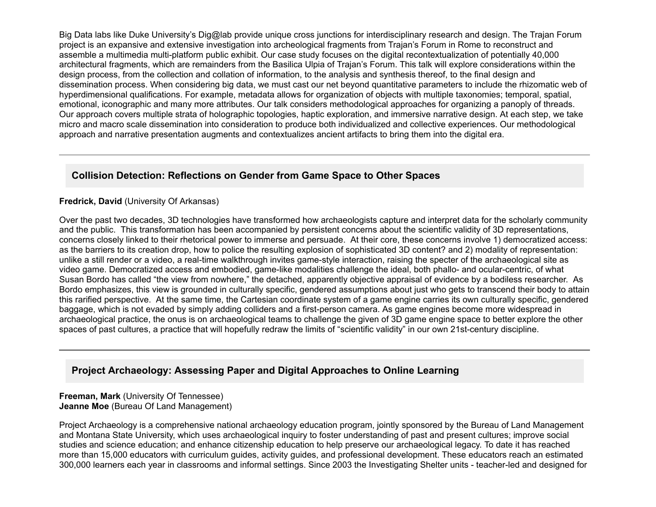Big Data labs like Duke University's Dig@lab provide unique cross junctions for interdisciplinary research and design. The Trajan Forum project is an expansive and extensive investigation into archeological fragments from Trajan's Forum in Rome to reconstruct and assemble a multimedia multi-platform public exhibit. Our case study focuses on the digital recontextualization of potentially 40,000 architectural fragments, which are remainders from the Basilica Ulpia of Trajan's Forum. This talk will explore considerations within the design process, from the collection and collation of information, to the analysis and synthesis thereof, to the final design and dissemination process. When considering big data, we must cast our net beyond quantitative parameters to include the rhizomatic web of hyperdimensional qualifications. For example, metadata allows for organization of objects with multiple taxonomies; temporal, spatial, emotional, iconographic and many more attributes. Our talk considers methodological approaches for organizing a panoply of threads. Our approach covers multiple strata of holographic topologies, haptic exploration, and immersive narrative design. At each step, we take micro and macro scale dissemination into consideration to produce both individualized and collective experiences. Our methodological approach and narrative presentation augments and contextualizes ancient artifacts to bring them into the digital era.

## **Collision Detection: Reflections on Gender from Game Space to Other Spaces**

#### **Fredrick, David** (University Of Arkansas)

Over the past two decades, 3D technologies have transformed how archaeologists capture and interpret data for the scholarly community and the public. This transformation has been accompanied by persistent concerns about the scientific validity of 3D representations, concerns closely linked to their rhetorical power to immerse and persuade. At their core, these concerns involve 1) democratized access: as the barriers to its creation drop, how to police the resulting explosion of sophisticated 3D content? and 2) modality of representation: unlike a still render or a video, a real-time walkthrough invites game-style interaction, raising the specter of the archaeological site as video game. Democratized access and embodied, game-like modalities challenge the ideal, both phallo- and ocular-centric, of what Susan Bordo has called "the view from nowhere," the detached, apparently objective appraisal of evidence by a bodiless researcher. As Bordo emphasizes, this view is grounded in culturally specific, gendered assumptions about just who gets to transcend their body to attain this rarified perspective. At the same time, the Cartesian coordinate system of a game engine carries its own culturally specific, gendered baggage, which is not evaded by simply adding colliders and a first-person camera. As game engines become more widespread in archaeological practice, the onus is on archaeological teams to challenge the given of 3D game engine space to better explore the other spaces of past cultures, a practice that will hopefully redraw the limits of "scientific validity" in our own 21st-century discipline.

## **Project Archaeology: Assessing Paper and Digital Approaches to Online Learning**

#### **Freeman, Mark** (University Of Tennessee) **Jeanne Moe** (Bureau Of Land Management)

Project Archaeology is a comprehensive national archaeology education program, jointly sponsored by the Bureau of Land Management and Montana State University, which uses archaeological inquiry to foster understanding of past and present cultures; improve social studies and science education; and enhance citizenship education to help preserve our archaeological legacy. To date it has reached more than 15,000 educators with curriculum guides, activity guides, and professional development. These educators reach an estimated 300,000 learners each year in classrooms and informal settings. Since 2003 the Investigating Shelter units teacherled and designed for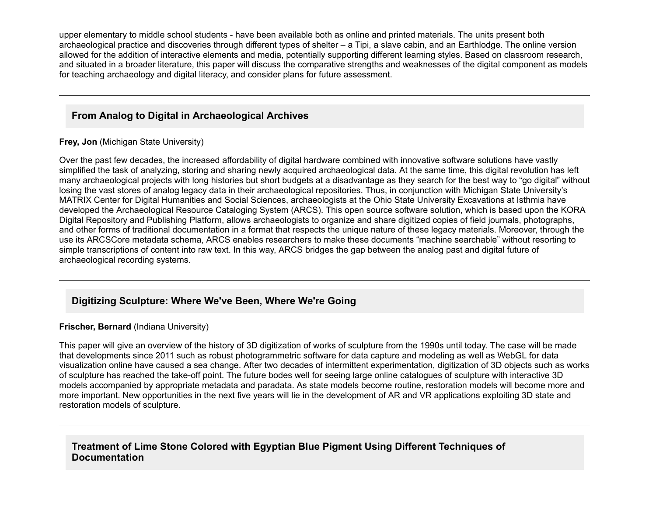upper elementary to middle school students - have been available both as online and printed materials. The units present both archaeological practice and discoveries through different types of shelter – a Tipi, a slave cabin, and an Earthlodge. The online version allowed for the addition of interactive elements and media, potentially supporting different learning styles. Based on classroom research, and situated in a broader literature, this paper will discuss the comparative strengths and weaknesses of the digital component as models for teaching archaeology and digital literacy, and consider plans for future assessment.

# **From Analog to Digital in Archaeological Archives**

**Frey, Jon** (Michigan State University)

Over the past few decades, the increased affordability of digital hardware combined with innovative software solutions have vastly simplified the task of analyzing, storing and sharing newly acquired archaeological data. At the same time, this digital revolution has left many archaeological projects with long histories but short budgets at a disadvantage as they search for the best way to "go digital" without losing the vast stores of analog legacy data in their archaeological repositories. Thus, in conjunction with Michigan State University's MATRIX Center for Digital Humanities and Social Sciences, archaeologists at the Ohio State University Excavations at Isthmia have developed the Archaeological Resource Cataloging System (ARCS). This open source software solution, which is based upon the KORA Digital Repository and Publishing Platform, allows archaeologists to organize and share digitized copies of field journals, photographs, and other forms of traditional documentation in a format that respects the unique nature of these legacy materials. Moreover, through the use its ARCSCore metadata schema, ARCS enables researchers to make these documents "machine searchable" without resorting to simple transcriptions of content into raw text. In this way, ARCS bridges the gap between the analog past and digital future of archaeological recording systems.

# **Digitizing Sculpture: Where We've Been, Where We're Going**

## **Frischer, Bernard** (Indiana University)

This paper will give an overview of the history of 3D digitization of works of sculpture from the 1990s until today. The case will be made that developments since 2011 such as robust photogrammetric software for data capture and modeling as well as WebGL for data visualization online have caused a sea change. After two decades of intermittent experimentation, digitization of 3D objects such as works of sculpture has reached the take-off point. The future bodes well for seeing large online catalogues of sculpture with interactive 3D models accompanied by appropriate metadata and paradata. As state models become routine, restoration models will become more and more important. New opportunities in the next five years will lie in the development of AR and VR applications exploiting 3D state and restoration models of sculpture.

# **Treatment of Lime Stone Colored with Egyptian Blue Pigment Using Different Techniques of Documentation**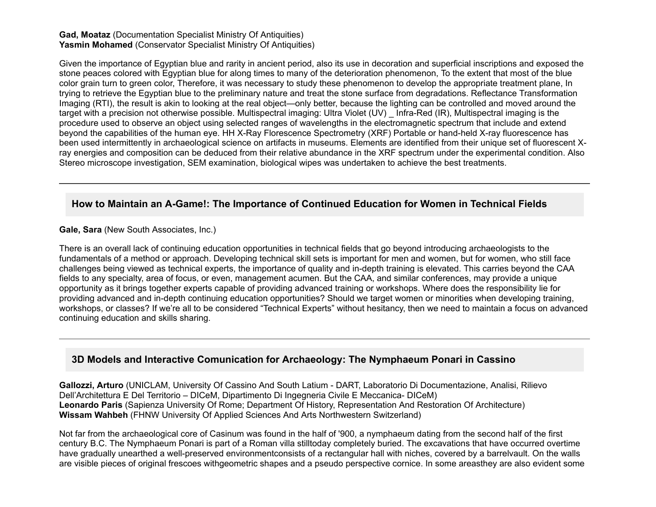#### **Gad, Moataz** (Documentation Specialist Ministry Of Antiquities) **Yasmin Mohamed** (Conservator Specialist Ministry Of Antiquities)

Given the importance of Egyptian blue and rarity in ancient period, also its use in decoration and superficial inscriptions and exposed the stone peaces colored with Egyptian blue for along times to many of the deterioration phenomenon, To the extent that most of the blue color grain turn to green color, Therefore, it was necessary to study these phenomenon to develop the appropriate treatment plane, In trying to retrieve the Egyptian blue to the preliminary nature and treat the stone surface from degradations. Reflectance Transformation Imaging (RTI), the result is akin to looking at the real object—only better, because the lighting can be controlled and moved around the target with a precision not otherwise possible. Multispectral imaging: Ultra Violet (UV) Infra-Red (IR), Multispectral imaging is the procedure used to observe an object using selected ranges of wavelengths in the electromagnetic spectrum that include and extend beyond the capabilities of the human eye. HH X-Ray Florescence Spectrometry (XRF) Portable or hand-held X-ray fluorescence has been used intermittently in archaeological science on artifacts in museums. Elements are identified from their unique set of fluorescent Xray energies and composition can be deduced from their relative abundance in the XRF spectrum under the experimental condition. Also Stereo microscope investigation, SEM examination, biological wipes was undertaken to achieve the best treatments.

## **How to Maintain an AGame!: The Importance of Continued Education for Women in Technical Fields**

**Gale, Sara** (New South Associates, Inc.)

There is an overall lack of continuing education opportunities in technical fields that go beyond introducing archaeologists to the fundamentals of a method or approach. Developing technical skill sets is important for men and women, but for women, who still face challenges being viewed as technical experts, the importance of quality and in-depth training is elevated. This carries beyond the CAA fields to any specialty, area of focus, or even, management acumen. But the CAA, and similar conferences, may provide a unique opportunity as it brings together experts capable of providing advanced training or workshops. Where does the responsibility lie for providing advanced and in-depth continuing education opportunities? Should we target women or minorities when developing training, workshops, or classes? If we're all to be considered "Technical Experts" without hesitancy, then we need to maintain a focus on advanced continuing education and skills sharing.

## **3D Models and Interactive Comunication for Archaeology: The Nymphaeum Ponari in Cassino**

Gallozzi, Arturo (UNICLAM, University Of Cassino And South Latium - DART, Laboratorio Di Documentazione, Analisi, Rilievo Dell'Architettura E Del Territorio – DICeM, Dipartimento Di Ingegneria Civile E Meccanica- DICeM) **Leonardo Paris** (Sapienza University Of Rome; Department Of History, Representation And Restoration Of Architecture) **Wissam Wahbeh** (FHNW University Of Applied Sciences And Arts Northwestern Switzerland)

Not far from the archaeological core of Casinum was found in the half of '900, a nymphaeum dating from the second half of the first century B.C. The Nymphaeum Ponari is part of a Roman villa stilltoday completely buried. The excavations that have occurred overtime have gradually unearthed a well-preserved environmentconsists of a rectangular hall with niches, covered by a barrelvault. On the walls are visible pieces of original frescoes withgeometric shapes and a pseudo perspective cornice. In some areasthey are also evident some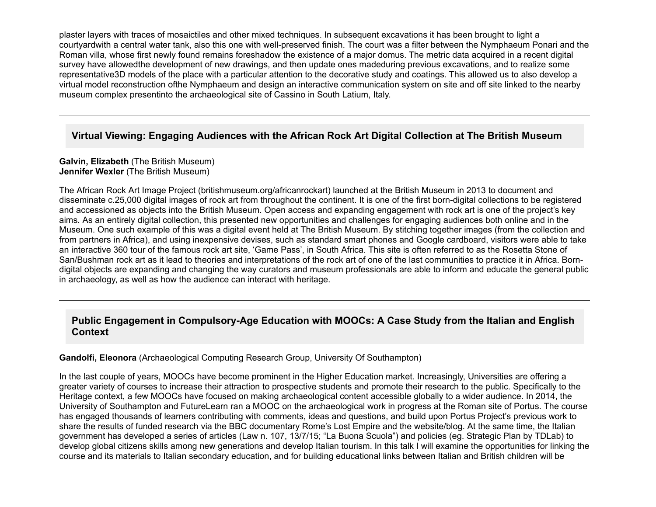plaster layers with traces of mosaictiles and other mixed techniques. In subsequent excavations it has been brought to light a courtyardwith a central water tank, also this one with well-preserved finish. The court was a filter between the Nymphaeum Ponari and the Roman villa, whose first newly found remains foreshadow the existence of a major domus. The metric data acquired in a recent digital survey have allowedthe development of new drawings, and then update ones madeduring previous excavations, and to realize some representative3D models of the place with a particular attention to the decorative study and coatings. This allowed us to also develop a virtual model reconstruction ofthe Nymphaeum and design an interactive communication system on site and off site linked to the nearby museum complex presentinto the archaeological site of Cassino in South Latium, Italy.

## **Virtual Viewing: Engaging Audiences with the African Rock Art Digital Collection at The British Museum**

#### **Galvin, Elizabeth** (The British Museum) **Jennifer Wexler** (The British Museum)

The African Rock Art Image Project (britishmuseum.org/africanrockart) launched at the British Museum in 2013 to document and disseminate c.25,000 digital images of rock art from throughout the continent. It is one of the first born-digital collections to be registered and accessioned as objects into the British Museum. Open access and expanding engagement with rock art is one of the project's key aims. As an entirely digital collection, this presented new opportunities and challenges for engaging audiences both online and in the Museum. One such example of this was a digital event held at The British Museum. By stitching together images (from the collection and from partners in Africa), and using inexpensive devises, such as standard smart phones and Google cardboard, visitors were able to take an interactive 360 tour of the famous rock art site, 'Game Pass', in South Africa. This site is often referred to as the Rosetta Stone of San/Bushman rock art as it lead to theories and interpretations of the rock art of one of the last communities to practice it in Africa. Borndigital objects are expanding and changing the way curators and museum professionals are able to inform and educate the general public in archaeology, as well as how the audience can interact with heritage.

## Public Engagement in Compulsory-Age Education with MOOCs: A Case Study from the Italian and English **Context**

#### **Gandolfi, Eleonora** (Archaeological Computing Research Group, University Of Southampton)

In the last couple of years, MOOCs have become prominent in the Higher Education market. Increasingly, Universities are offering a greater variety of courses to increase their attraction to prospective students and promote their research to the public. Specifically to the Heritage context, a few MOOCs have focused on making archaeological content accessible globally to a wider audience. In 2014, the University of Southampton and FutureLearn ran a MOOC on the archaeological work in progress at the Roman site of Portus. The course has engaged thousands of learners contributing with comments, ideas and questions, and build upon Portus Project's previous work to share the results of funded research via the BBC documentary Rome's Lost Empire and the website/blog. At the same time, the Italian government has developed a series of articles (Law n. 107, 13/7/15; "La Buona Scuola") and policies (eg. Strategic Plan by TDLab) to develop global citizens skills among new generations and develop Italian tourism. In this talk I will examine the opportunities for linking the course and its materials to Italian secondary education, and for building educational links between Italian and British children will be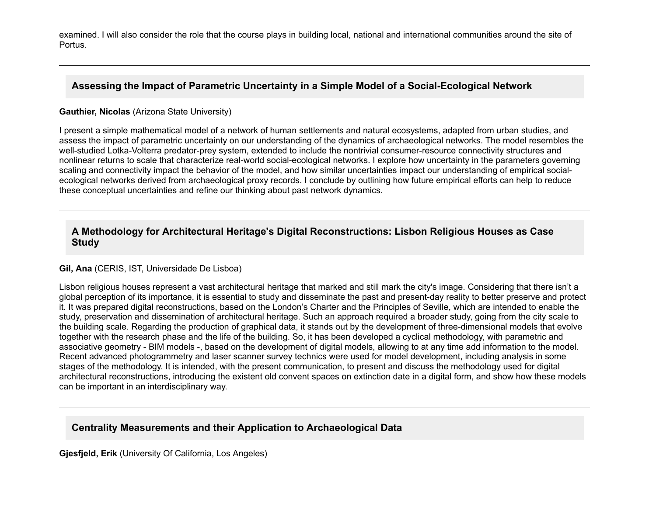examined. I will also consider the role that the course plays in building local, national and international communities around the site of Portus.

## Assessing the Impact of Parametric Uncertainty in a Simple Model of a Social-Ecological Network

### **Gauthier, Nicolas** (Arizona State University)

I present a simple mathematical model of a network of human settlements and natural ecosystems, adapted from urban studies, and assess the impact of parametric uncertainty on our understanding of the dynamics of archaeological networks. The model resembles the well-studied Lotka-Volterra predator-prey system, extended to include the nontrivial consumer-resource connectivity structures and nonlinear returns to scale that characterize real-world social-ecological networks. I explore how uncertainty in the parameters governing scaling and connectivity impact the behavior of the model, and how similar uncertainties impact our understanding of empirical socialecological networks derived from archaeological proxy records. I conclude by outlining how future empirical efforts can help to reduce these conceptual uncertainties and refine our thinking about past network dynamics.

## **A Methodology for Architectural Heritage's Digital Reconstructions: Lisbon Religious Houses as Case Study**

### **Gil, Ana** (CERIS, IST, Universidade De Lisboa)

Lisbon religious houses represent a vast architectural heritage that marked and still mark the city's image. Considering that there isn't a global perception of its importance, it is essential to study and disseminate the past and present-day reality to better preserve and protect it. It was prepared digital reconstructions, based on the London's Charter and the Principles of Seville, which are intended to enable the study, preservation and dissemination of architectural heritage. Such an approach required a broader study, going from the city scale to the building scale. Regarding the production of graphical data, it stands out by the development of three-dimensional models that evolve together with the research phase and the life of the building. So, it has been developed a cyclical methodology, with parametric and associative geometry - BIM models -, based on the development of digital models, allowing to at any time add information to the model. Recent advanced photogrammetry and laser scanner survey technics were used for model development, including analysis in some stages of the methodology. It is intended, with the present communication, to present and discuss the methodology used for digital architectural reconstructions, introducing the existent old convent spaces on extinction date in a digital form, and show how these models can be important in an interdisciplinary way.

# **Centrality Measurements and their Application to Archaeological Data**

**Gjesfjeld, Erik** (University Of California, Los Angeles)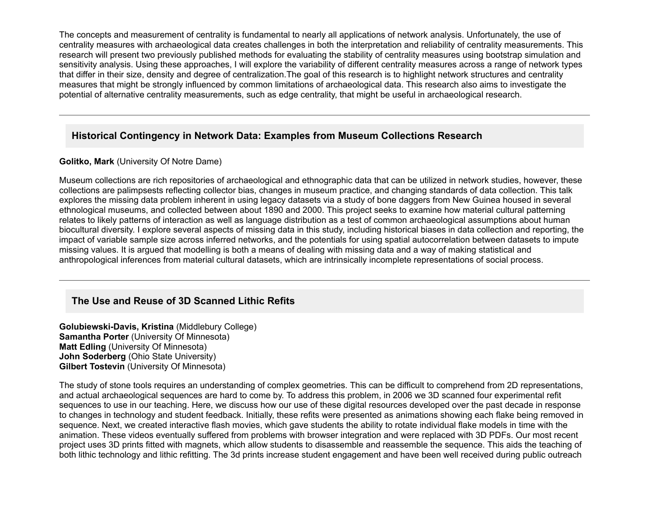The concepts and measurement of centrality is fundamental to nearly all applications of network analysis. Unfortunately, the use of centrality measures with archaeological data creates challenges in both the interpretation and reliability of centrality measurements. This research will present two previously published methods for evaluating the stability of centrality measures using bootstrap simulation and sensitivity analysis. Using these approaches, I will explore the variability of different centrality measures across a range of network types that differ in their size, density and degree of centralization.The goal of this research is to highlight network structures and centrality measures that might be strongly influenced by common limitations of archaeological data. This research also aims to investigate the potential of alternative centrality measurements, such as edge centrality, that might be useful in archaeological research.

# **Historical Contingency in Network Data: Examples from Museum Collections Research**

### **Golitko, Mark** (University Of Notre Dame)

Museum collections are rich repositories of archaeological and ethnographic data that can be utilized in network studies, however, these collections are palimpsests reflecting collector bias, changes in museum practice, and changing standards of data collection. This talk explores the missing data problem inherent in using legacy datasets via a study of bone daggers from New Guinea housed in several ethnological museums, and collected between about 1890 and 2000. This project seeks to examine how material cultural patterning relates to likely patterns of interaction as well as language distribution as a test of common archaeological assumptions about human biocultural diversity. I explore several aspects of missing data in this study, including historical biases in data collection and reporting, the impact of variable sample size across inferred networks, and the potentials for using spatial autocorrelation between datasets to impute missing values. It is argued that modelling is both a means of dealing with missing data and a way of making statistical and anthropological inferences from material cultural datasets, which are intrinsically incomplete representations of social process.

# **The Use and Reuse of 3D Scanned Lithic Refits**

**Golubiewski-Davis, Kristina** (Middlebury College) **Samantha Porter** (University Of Minnesota) **Matt Edling** (University Of Minnesota) **John Soderberg** (Ohio State University) **Gilbert Tostevin** (University Of Minnesota)

The study of stone tools requires an understanding of complex geometries. This can be difficult to comprehend from 2D representations, and actual archaeological sequences are hard to come by. To address this problem, in 2006 we 3D scanned four experimental refit sequences to use in our teaching. Here, we discuss how our use of these digital resources developed over the past decade in response to changes in technology and student feedback. Initially, these refits were presented as animations showing each flake being removed in sequence. Next, we created interactive flash movies, which gave students the ability to rotate individual flake models in time with the animation. These videos eventually suffered from problems with browser integration and were replaced with 3D PDFs. Our most recent project uses 3D prints fitted with magnets, which allow students to disassemble and reassemble the sequence. This aids the teaching of both lithic technology and lithic refitting. The 3d prints increase student engagement and have been well received during public outreach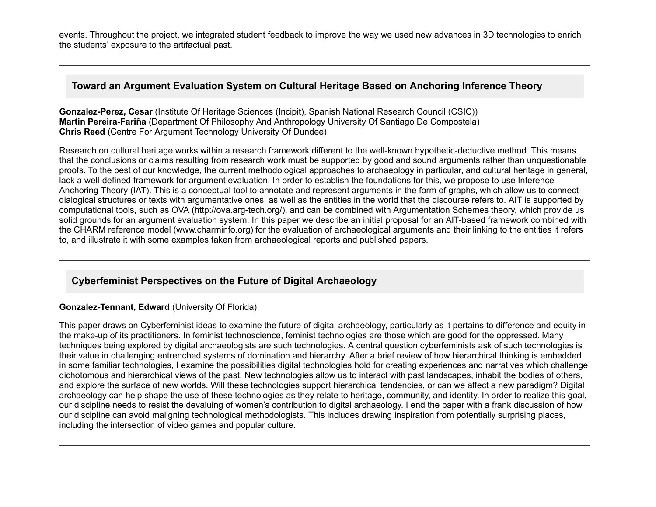events. Throughout the project, we integrated student feedback to improve the way we used new advances in 3D technologies to enrich the students' exposure to the artifactual past.

### **Toward an Argument Evaluation System on Cultural Heritage Based on Anchoring Inference Theory**

**GonzalezPerez, Cesar** (Institute Of Heritage Sciences (Incipit), Spanish National Research Council (CSIC)) **Martin PereiraFariña** (Department Of Philosophy And Anthropology University Of Santiago De Compostela) **Chris Reed** (Centre For Argument Technology University Of Dundee)

Research on cultural heritage works within a research framework different to the well-known hypothetic-deductive method. This means that the conclusions or claims resulting from research work must be supported by good and sound arguments rather than unquestionable proofs. To the best of our knowledge, the current methodological approaches to archaeology in particular, and cultural heritage in general, lack a well-defined framework for argument evaluation. In order to establish the foundations for this, we propose to use Inference Anchoring Theory (IAT). This is a conceptual tool to annotate and represent arguments in the form of graphs, which allow us to connect dialogical structures or texts with argumentative ones, as well as the entities in the world that the discourse refers to. AIT is supported by computational tools, such as OVA (http://ova.arg-tech.org/), and can be combined with Argumentation Schemes theory, which provide us solid grounds for an argument evaluation system. In this paper we describe an initial proposal for an AIT-based framework combined with the CHARM reference model (www.charminfo.org) for the evaluation of archaeological arguments and their linking to the entities it refers to, and illustrate it with some examples taken from archaeological reports and published papers.

# **Cyberfeminist Perspectives on the Future of Digital Archaeology**

### **Gonzalez-Tennant, Edward (University Of Florida)**

This paper draws on Cyberfeminist ideas to examine the future of digital archaeology, particularly as it pertains to difference and equity in the make-up of its practitioners. In feminist technoscience, feminist technologies are those which are good for the oppressed. Many techniques being explored by digital archaeologists are such technologies. A central question cyberfeminists ask of such technologies is their value in challenging entrenched systems of domination and hierarchy. After a brief review of how hierarchical thinking is embedded in some familiar technologies, I examine the possibilities digital technologies hold for creating experiences and narratives which challenge dichotomous and hierarchical views of the past. New technologies allow us to interact with past landscapes, inhabit the bodies of others, and explore the surface of new worlds. Will these technologies support hierarchical tendencies, or can we affect a new paradigm? Digital archaeology can help shape the use of these technologies as they relate to heritage, community, and identity. In order to realize this goal, our discipline needs to resist the devaluing of women's contribution to digital archaeology. I end the paper with a frank discussion of how our discipline can avoid maligning technological methodologists. This includes drawing inspiration from potentially surprising places, including the intersection of video games and popular culture.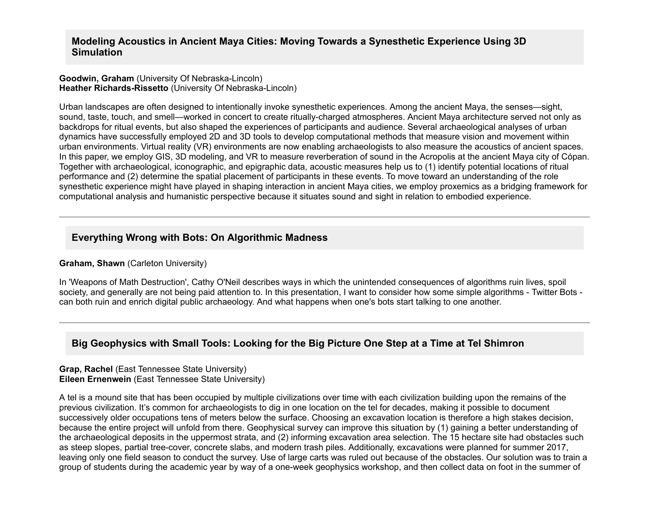### **Modeling Acoustics in Ancient Maya Cities: Moving Towards a Synesthetic Experience Using 3D Simulation**

#### **Goodwin, Graham** (University Of Nebraska-Lincoln) **Heather Richards-Rissetto** (University Of Nebraska-Lincoln)

Urban landscapes are often designed to intentionally invoke synesthetic experiences. Among the ancient Maya, the senses—sight, sound, taste, touch, and smell—worked in concert to create ritually-charged atmospheres. Ancient Maya architecture served not only as backdrops for ritual events, but also shaped the experiences of participants and audience. Several archaeological analyses of urban dynamics have successfully employed 2D and 3D tools to develop computational methods that measure vision and movement within urban environments. Virtual reality (VR) environments are now enabling archaeologists to also measure the acoustics of ancient spaces. In this paper, we employ GIS, 3D modeling, and VR to measure reverberation of sound in the Acropolis at the ancient Maya city of Cópan. Together with archaeological, iconographic, and epigraphic data, acoustic measures help us to (1) identify potential locations of ritual performance and (2) determine the spatial placement of participants in these events. To move toward an understanding of the role synesthetic experience might have played in shaping interaction in ancient Maya cities, we employ proxemics as a bridging framework for computational analysis and humanistic perspective because it situates sound and sight in relation to embodied experience.

## **Everything Wrong with Bots: On Algorithmic Madness**

#### **Graham, Shawn** (Carleton University)

In 'Weapons of Math Destruction', Cathy O'Neil describes ways in which the unintended consequences of algorithms ruin lives, spoil society, and generally are not being paid attention to. In this presentation, I want to consider how some simple algorithms - Twitter Bots can both ruin and enrich digital public archaeology. And what happens when one's bots start talking to one another.

## **Big Geophysics with Small Tools: Looking for the Big Picture One Step at a Time at Tel Shimron**

#### **Grap, Rachel** (East Tennessee State University) **Eileen Ernenwein** (East Tennessee State University)

A tel is a mound site that has been occupied by multiple civilizations over time with each civilization building upon the remains of the previous civilization. It's common for archaeologists to dig in one location on the tel for decades, making it possible to document successively older occupations tens of meters below the surface. Choosing an excavation location is therefore a high stakes decision, because the entire project will unfold from there. Geophysical survey can improve this situation by (1) gaining a better understanding of the archaeological deposits in the uppermost strata, and (2) informing excavation area selection. The 15 hectare site had obstacles such as steep slopes, partial tree-cover, concrete slabs, and modern trash piles. Additionally, excavations were planned for summer 2017, leaving only one field season to conduct the survey. Use of large carts was ruled out because of the obstacles. Our solution was to train a group of students during the academic year by way of a one-week geophysics workshop, and then collect data on foot in the summer of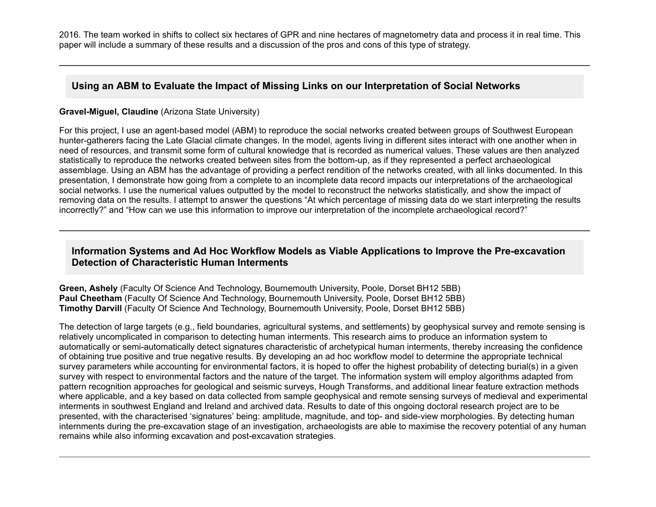2016. The team worked in shifts to collect six hectares of GPR and nine hectares of magnetometry data and process it in real time. This paper will include a summary of these results and a discussion of the pros and cons of this type of strategy.

## **Using an ABM to Evaluate the Impact of Missing Links on our Interpretation of Social Networks**

### **Gravel-Miguel, Claudine** (Arizona State University)

For this project, I use an agent-based model (ABM) to reproduce the social networks created between groups of Southwest European hunter-gatherers facing the Late Glacial climate changes. In the model, agents living in different sites interact with one another when in need of resources, and transmit some form of cultural knowledge that is recorded as numerical values. These values are then analyzed statistically to reproduce the networks created between sites from the bottom-up, as if they represented a perfect archaeological assemblage. Using an ABM has the advantage of providing a perfect rendition of the networks created, with all links documented. In this presentation, I demonstrate how going from a complete to an incomplete data record impacts our interpretations of the archaeological social networks. I use the numerical values outputted by the model to reconstruct the networks statistically, and show the impact of removing data on the results. I attempt to answer the questions "At which percentage of missing data do we start interpreting the results incorrectly?" and "How can we use this information to improve our interpretation of the incomplete archaeological record?"

## Information Systems and Ad Hoc Workflow Models as Viable Applications to Improve the Pre-excavation **Detection of Characteristic Human Interments**

**Green, Ashely** (Faculty Of Science And Technology, Bournemouth University, Poole, Dorset BH12 5BB) **Paul Cheetham** (Faculty Of Science And Technology, Bournemouth University, Poole, Dorset BH12 5BB) **Timothy Darvill** (Faculty Of Science And Technology, Bournemouth University, Poole, Dorset BH12 5BB)

The detection of large targets (e.g., field boundaries, agricultural systems, and settlements) by geophysical survey and remote sensing is relatively uncomplicated in comparison to detecting human interments. This research aims to produce an information system to automatically or semi-automatically detect signatures characteristic of archetypical human interments, thereby increasing the confidence of obtaining true positive and true negative results. By developing an ad hoc workflow model to determine the appropriate technical survey parameters while accounting for environmental factors, it is hoped to offer the highest probability of detecting burial(s) in a given survey with respect to environmental factors and the nature of the target. The information system will employ algorithms adapted from pattern recognition approaches for geological and seismic surveys, Hough Transforms, and additional linear feature extraction methods where applicable, and a key based on data collected from sample geophysical and remote sensing surveys of medieval and experimental interments in southwest England and Ireland and archived data. Results to date of this ongoing doctoral research project are to be presented, with the characterised 'signatures' being: amplitude, magnitude, and top- and side-view morphologies. By detecting human internments during the pre-excavation stage of an investigation, archaeologists are able to maximise the recovery potential of any human remains while also informing excavation and post-excavation strategies.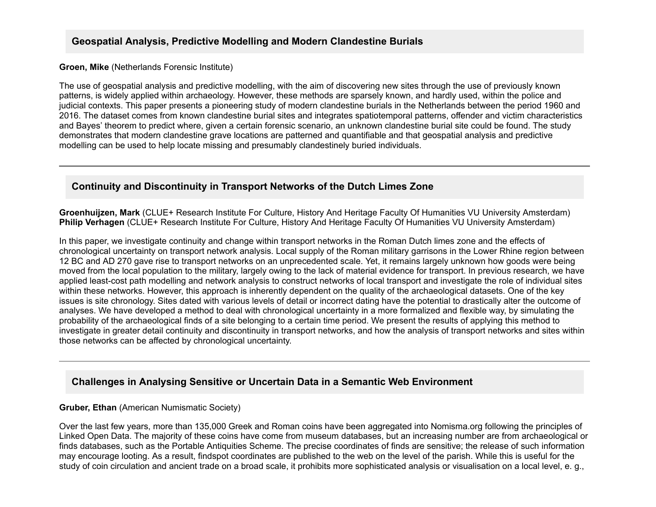## **Geospatial Analysis, Predictive Modelling and Modern Clandestine Burials**

#### **Groen, Mike** (Netherlands Forensic Institute)

The use of geospatial analysis and predictive modelling, with the aim of discovering new sites through the use of previously known patterns, is widely applied within archaeology. However, these methods are sparsely known, and hardly used, within the police and judicial contexts. This paper presents a pioneering study of modern clandestine burials in the Netherlands between the period 1960 and 2016. The dataset comes from known clandestine burial sites and integrates spatiotemporal patterns, offender and victim characteristics and Bayes' theorem to predict where, given a certain forensic scenario, an unknown clandestine burial site could be found. The study demonstrates that modern clandestine grave locations are patterned and quantifiable and that geospatial analysis and predictive modelling can be used to help locate missing and presumably clandestinely buried individuals.

### **Continuity and Discontinuity in Transport Networks of the Dutch Limes Zone**

**Groenhuijzen, Mark** (CLUE+ Research Institute For Culture, History And Heritage Faculty Of Humanities VU University Amsterdam) **Philip Verhagen** (CLUE+ Research Institute For Culture, History And Heritage Faculty Of Humanities VU University Amsterdam)

In this paper, we investigate continuity and change within transport networks in the Roman Dutch limes zone and the effects of chronological uncertainty on transport network analysis. Local supply of the Roman military garrisons in the Lower Rhine region between 12 BC and AD 270 gave rise to transport networks on an unprecedented scale. Yet, it remains largely unknown how goods were being moved from the local population to the military, largely owing to the lack of material evidence for transport. In previous research, we have applied least-cost path modelling and network analysis to construct networks of local transport and investigate the role of individual sites within these networks. However, this approach is inherently dependent on the quality of the archaeological datasets. One of the key issues is site chronology. Sites dated with various levels of detail or incorrect dating have the potential to drastically alter the outcome of analyses. We have developed a method to deal with chronological uncertainty in a more formalized and flexible way, by simulating the probability of the archaeological finds of a site belonging to a certain time period. We present the results of applying this method to investigate in greater detail continuity and discontinuity in transport networks, and how the analysis of transport networks and sites within those networks can be affected by chronological uncertainty.

### **Challenges in Analysing Sensitive or Uncertain Data in a Semantic Web Environment**

#### **Gruber, Ethan** (American Numismatic Society)

Over the last few years, more than 135,000 Greek and Roman coins have been aggregated into Nomisma.org following the principles of Linked Open Data. The majority of these coins have come from museum databases, but an increasing number are from archaeological or finds databases, such as the Portable Antiquities Scheme. The precise coordinates of finds are sensitive; the release of such information may encourage looting. As a result, findspot coordinates are published to the web on the level of the parish. While this is useful for the study of coin circulation and ancient trade on a broad scale, it prohibits more sophisticated analysis or visualisation on a local level, e. g.,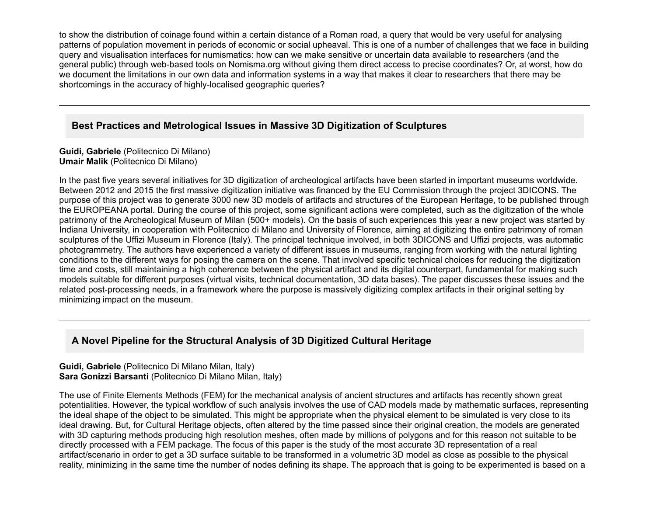to show the distribution of coinage found within a certain distance of a Roman road, a query that would be very useful for analysing patterns of population movement in periods of economic or social upheaval. This is one of a number of challenges that we face in building query and visualisation interfaces for numismatics: how can we make sensitive or uncertain data available to researchers (and the general public) through web-based tools on Nomisma.org without giving them direct access to precise coordinates? Or, at worst, how do we document the limitations in our own data and information systems in a way that makes it clear to researchers that there may be shortcomings in the accuracy of highly-localised geographic queries?

## **Best Practices and Metrological Issues in Massive 3D Digitization of Sculptures**

**Guidi, Gabriele** (Politecnico Di Milano) **Umair Malik** (Politecnico Di Milano)

In the past five years several initiatives for 3D digitization of archeological artifacts have been started in important museums worldwide. Between 2012 and 2015 the first massive digitization initiative was financed by the EU Commission through the project 3DICONS. The purpose of this project was to generate 3000 new 3D models of artifacts and structures of the European Heritage, to be published through the EUROPEANA portal. During the course of this project, some significant actions were completed, such as the digitization of the whole patrimony of the Archeological Museum of Milan (500+ models). On the basis of such experiences this year a new project was started by Indiana University, in cooperation with Politecnico di Milano and University of Florence, aiming at digitizing the entire patrimony of roman sculptures of the Uffizi Museum in Florence (Italy). The principal technique involved, in both 3DICONS and Uffizi projects, was automatic photogrammetry. The authors have experienced a variety of different issues in museums, ranging from working with the natural lighting conditions to the different ways for posing the camera on the scene. That involved specific technical choices for reducing the digitization time and costs, still maintaining a high coherence between the physical artifact and its digital counterpart, fundamental for making such models suitable for different purposes (virtual visits, technical documentation, 3D data bases). The paper discusses these issues and the related post-processing needs, in a framework where the purpose is massively digitizing complex artifacts in their original setting by minimizing impact on the museum.

# **A Novel Pipeline for the Structural Analysis of 3D Digitized Cultural Heritage**

**Guidi, Gabriele** (Politecnico Di Milano Milan, Italy) **Sara Gonizzi Barsanti** (Politecnico Di Milano Milan, Italy)

The use of Finite Elements Methods (FEM) for the mechanical analysis of ancient structures and artifacts has recently shown great potentialities. However, the typical workflow of such analysis involves the use of CAD models made by mathematic surfaces, representing the ideal shape of the object to be simulated. This might be appropriate when the physical element to be simulated is very close to its ideal drawing. But, for Cultural Heritage objects, often altered by the time passed since their original creation, the models are generated with 3D capturing methods producing high resolution meshes, often made by millions of polygons and for this reason not suitable to be directly processed with a FEM package. The focus of this paper is the study of the most accurate 3D representation of a real artifact/scenario in order to get a 3D surface suitable to be transformed in a volumetric 3D model as close as possible to the physical reality, minimizing in the same time the number of nodes defining its shape. The approach that is going to be experimented is based on a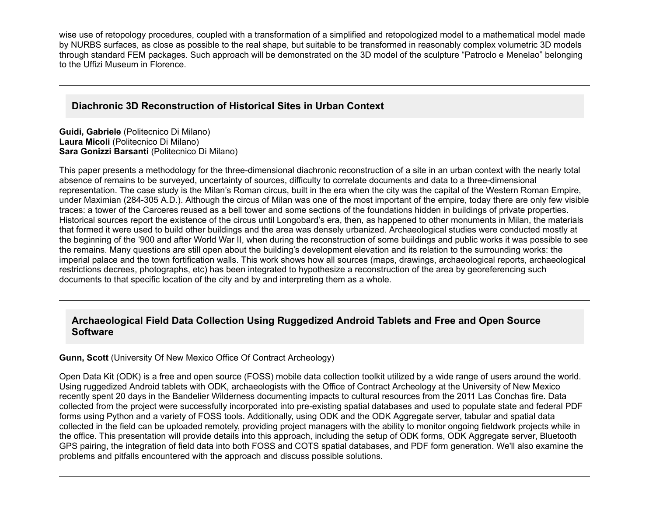wise use of retopology procedures, coupled with a transformation of a simplified and retopologized model to a mathematical model made by NURBS surfaces, as close as possible to the real shape, but suitable to be transformed in reasonably complex volumetric 3D models through standard FEM packages. Such approach will be demonstrated on the 3D model of the sculpture "Patroclo e Menelao" belonging to the Uffizi Museum in Florence.

## **Diachronic 3D Reconstruction of Historical Sites in Urban Context**

**Guidi, Gabriele** (Politecnico Di Milano) **Laura Micoli** (Politecnico Di Milano) **Sara Gonizzi Barsanti** (Politecnico Di Milano)

This paper presents a methodology for the three-dimensional diachronic reconstruction of a site in an urban context with the nearly total absence of remains to be surveyed, uncertainty of sources, difficulty to correlate documents and data to a three-dimensional representation. The case study is the Milan's Roman circus, built in the era when the city was the capital of the Western Roman Empire, under Maximian (284305 A.D.). Although the circus of Milan was one of the most important of the empire, today there are only few visible traces: a tower of the Carceres reused as a bell tower and some sections of the foundations hidden in buildings of private properties. Historical sources report the existence of the circus until Longobard's era, then, as happened to other monuments in Milan, the materials that formed it were used to build other buildings and the area was densely urbanized. Archaeological studies were conducted mostly at the beginning of the '900 and after World War II, when during the reconstruction of some buildings and public works it was possible to see the remains. Many questions are still open about the building's development elevation and its relation to the surrounding works: the imperial palace and the town fortification walls. This work shows how all sources (maps, drawings, archaeological reports, archaeological restrictions decrees, photographs, etc) has been integrated to hypothesize a reconstruction of the area by georeferencing such documents to that specific location of the city and by and interpreting them as a whole.

## **Archaeological Field Data Collection Using Ruggedized Android Tablets and Free and Open Source Software**

#### **Gunn, Scott** (University Of New Mexico Office Of Contract Archeology)

Open Data Kit (ODK) is a free and open source (FOSS) mobile data collection toolkit utilized by a wide range of users around the world. Using ruggedized Android tablets with ODK, archaeologists with the Office of Contract Archeology at the University of New Mexico recently spent 20 days in the Bandelier Wilderness documenting impacts to cultural resources from the 2011 Las Conchas fire. Data collected from the project were successfully incorporated into pre-existing spatial databases and used to populate state and federal PDF forms using Python and a variety of FOSS tools. Additionally, using ODK and the ODK Aggregate server, tabular and spatial data collected in the field can be uploaded remotely, providing project managers with the ability to monitor ongoing fieldwork projects while in the office. This presentation will provide details into this approach, including the setup of ODK forms, ODK Aggregate server, Bluetooth GPS pairing, the integration of field data into both FOSS and COTS spatial databases, and PDF form generation. We'll also examine the problems and pitfalls encountered with the approach and discuss possible solutions.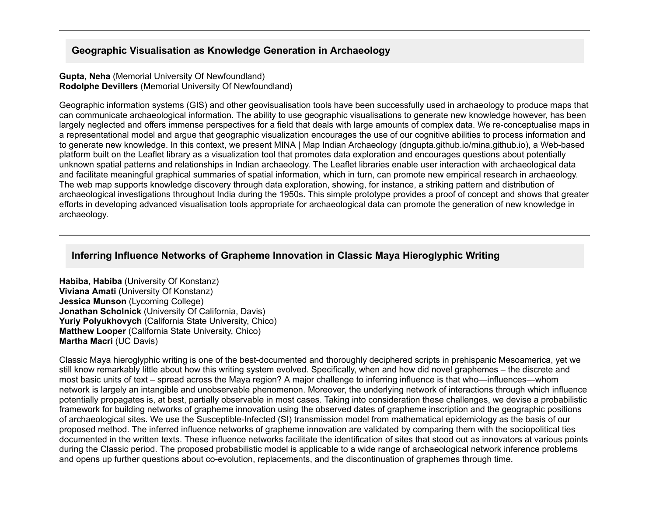## **Geographic Visualisation as Knowledge Generation in Archaeology**

**Gupta, Neha** (Memorial University Of Newfoundland) **Rodolphe Devillers** (Memorial University Of Newfoundland)

Geographic information systems (GIS) and other geovisualisation tools have been successfully used in archaeology to produce maps that can communicate archaeological information. The ability to use geographic visualisations to generate new knowledge however, has been largely neglected and offers immense perspectives for a field that deals with large amounts of complex data. We re-conceptualise maps in a representational model and argue that geographic visualization encourages the use of our cognitive abilities to process information and to generate new knowledge. In this context, we present MINA | Map Indian Archaeology (dngupta.github.io/mina.github.io), a Web-based platform built on the Leaflet library as a visualization tool that promotes data exploration and encourages questions about potentially unknown spatial patterns and relationships in Indian archaeology. The Leaflet libraries enable user interaction with archaeological data and facilitate meaningful graphical summaries of spatial information, which in turn, can promote new empirical research in archaeology. The web map supports knowledge discovery through data exploration, showing, for instance, a striking pattern and distribution of archaeological investigations throughout India during the 1950s. This simple prototype provides a proof of concept and shows that greater efforts in developing advanced visualisation tools appropriate for archaeological data can promote the generation of new knowledge in archaeology.

## **Inferring Influence Networks of Grapheme Innovation in Classic Maya Hieroglyphic Writing**

**Habiba, Habiba** (University Of Konstanz) **Viviana Amati** (University Of Konstanz) **Jessica Munson** (Lycoming College) **Jonathan Scholnick** (University Of California, Davis) **Yuriy Polyukhovych** (California State University, Chico) **Matthew Looper** (California State University, Chico) **Martha Macri** (UC Davis)

Classic Maya hieroglyphic writing is one of the best-documented and thoroughly deciphered scripts in prehispanic Mesoamerica, yet we still know remarkably little about how this writing system evolved. Specifically, when and how did novel graphemes – the discrete and most basic units of text – spread across the Maya region? A major challenge to inferring influence is that who—influences—whom network is largely an intangible and unobservable phenomenon. Moreover, the underlying network of interactions through which influence potentially propagates is, at best, partially observable in most cases. Taking into consideration these challenges, we devise a probabilistic framework for building networks of grapheme innovation using the observed dates of grapheme inscription and the geographic positions of archaeological sites. We use the Susceptible-Infected (SI) transmission model from mathematical epidemiology as the basis of our proposed method. The inferred influence networks of grapheme innovation are validated by comparing them with the sociopolitical ties documented in the written texts. These influence networks facilitate the identification of sites that stood out as innovators at various points during the Classic period. The proposed probabilistic model is applicable to a wide range of archaeological network inference problems and opens up further questions about co-evolution, replacements, and the discontinuation of graphemes through time.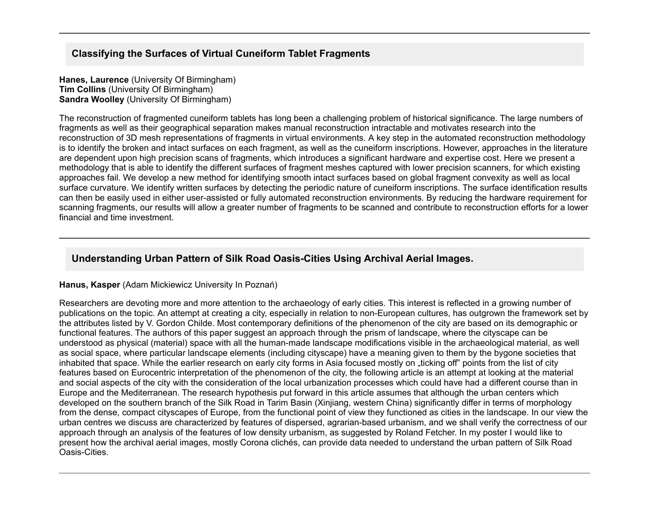## **Classifying the Surfaces of Virtual Cuneiform Tablet Fragments**

**Hanes, Laurence** (University Of Birmingham) **Tim Collins** (University Of Birmingham) **Sandra Woolley** (University Of Birmingham)

The reconstruction of fragmented cuneiform tablets has long been a challenging problem of historical significance. The large numbers of fragments as well as their geographical separation makes manual reconstruction intractable and motivates research into the reconstruction of 3D mesh representations of fragments in virtual environments. A key step in the automated reconstruction methodology is to identify the broken and intact surfaces on each fragment, as well as the cuneiform inscriptions. However, approaches in the literature are dependent upon high precision scans of fragments, which introduces a significant hardware and expertise cost. Here we present a methodology that is able to identify the different surfaces of fragment meshes captured with lower precision scanners, for which existing approaches fail. We develop a new method for identifying smooth intact surfaces based on global fragment convexity as well as local surface curvature. We identify written surfaces by detecting the periodic nature of cuneiform inscriptions. The surface identification results can then be easily used in either user-assisted or fully automated reconstruction environments. By reducing the hardware requirement for scanning fragments, our results will allow a greater number of fragments to be scanned and contribute to reconstruction efforts for a lower financial and time investment.

## **Understanding Urban Pattern of Silk Road OasisCities Using Archival Aerial Images.**

#### **Hanus, Kasper** (Adam Mickiewicz University In Poznań)

Researchers are devoting more and more attention to the archaeology of early cities. This interest is reflected in a growing number of publications on the topic. An attempt at creating a city, especially in relation to non-European cultures, has outgrown the framework set by the attributes listed by V. Gordon Childe. Most contemporary definitions of the phenomenon of the city are based on its demographic or functional features. The authors of this paper suggest an approach through the prism of landscape, where the cityscape can be understood as physical (material) space with all the human-made landscape modifications visible in the archaeological material, as well as social space, where particular landscape elements (including cityscape) have a meaning given to them by the bygone societies that inhabited that space. While the earlier research on early city forms in Asia focused mostly on "ticking off" points from the list of city features based on Eurocentric interpretation of the phenomenon of the city, the following article is an attempt at looking at the material and social aspects of the city with the consideration of the local urbanization processes which could have had a different course than in Europe and the Mediterranean. The research hypothesis put forward in this article assumes that although the urban centers which developed on the southern branch of the Silk Road in Tarim Basin (Xinjiang, western China) significantly differ in terms of morphology from the dense, compact cityscapes of Europe, from the functional point of view they functioned as cities in the landscape. In our view the urban centres we discuss are characterized by features of dispersed, agrarian-based urbanism, and we shall verify the correctness of our approach through an analysis of the features of low density urbanism, as suggested by Roland Fetcher. In my poster I would like to present how the archival aerial images, mostly Corona clichés, can provide data needed to understand the urban pattern of Silk Road Oasis-Cities.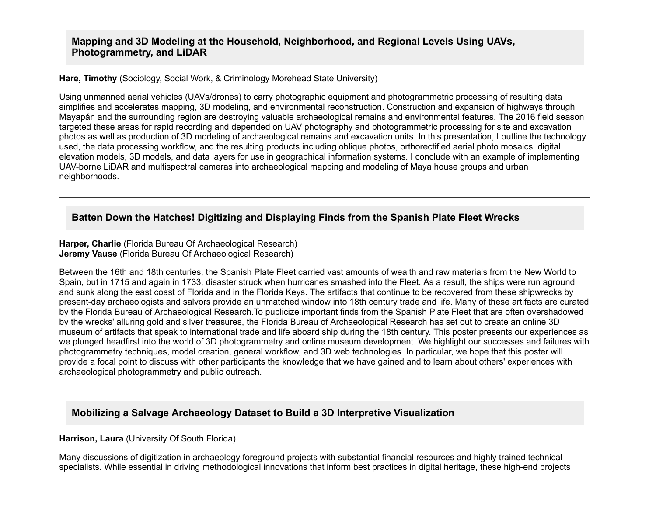### **Mapping and 3D Modeling at the Household, Neighborhood, and Regional Levels Using UAVs, Photogrammetry, and LiDAR**

**Hare, Timothy** (Sociology, Social Work, & Criminology Morehead State University)

Using unmanned aerial vehicles (UAVs/drones) to carry photographic equipment and photogrammetric processing of resulting data simplifies and accelerates mapping, 3D modeling, and environmental reconstruction. Construction and expansion of highways through Mayapán and the surrounding region are destroying valuable archaeological remains and environmental features. The 2016 field season targeted these areas for rapid recording and depended on UAV photography and photogrammetric processing for site and excavation photos as well as production of 3D modeling of archaeological remains and excavation units. In this presentation, I outline the technology used, the data processing workflow, and the resulting products including oblique photos, orthorectified aerial photo mosaics, digital elevation models, 3D models, and data layers for use in geographical information systems. I conclude with an example of implementing UAV-borne LiDAR and multispectral cameras into archaeological mapping and modeling of Maya house groups and urban neighborhoods.

# **Batten Down the Hatches! Digitizing and Displaying Finds from the Spanish Plate Fleet Wrecks**

**Harper, Charlie** (Florida Bureau Of Archaeological Research) **Jeremy Vause** (Florida Bureau Of Archaeological Research)

Between the 16th and 18th centuries, the Spanish Plate Fleet carried vast amounts of wealth and raw materials from the New World to Spain, but in 1715 and again in 1733, disaster struck when hurricanes smashed into the Fleet. As a result, the ships were run aground and sunk along the east coast of Florida and in the Florida Keys. The artifacts that continue to be recovered from these shipwrecks by present-day archaeologists and salvors provide an unmatched window into 18th century trade and life. Many of these artifacts are curated by the Florida Bureau of Archaeological Research.To publicize important finds from the Spanish Plate Fleet that are often overshadowed by the wrecks' alluring gold and silver treasures, the Florida Bureau of Archaeological Research has set out to create an online 3D museum of artifacts that speak to international trade and life aboard ship during the 18th century. This poster presents our experiences as we plunged headfirst into the world of 3D photogrammetry and online museum development. We highlight our successes and failures with photogrammetry techniques, model creation, general workflow, and 3D web technologies. In particular, we hope that this poster will provide a focal point to discuss with other participants the knowledge that we have gained and to learn about others' experiences with archaeological photogrammetry and public outreach.

## **Mobilizing a Salvage Archaeology Dataset to Build a 3D Interpretive Visualization**

#### **Harrison, Laura** (University Of South Florida)

Many discussions of digitization in archaeology foreground projects with substantial financial resources and highly trained technical specialists. While essential in driving methodological innovations that inform best practices in digital heritage, these high-end projects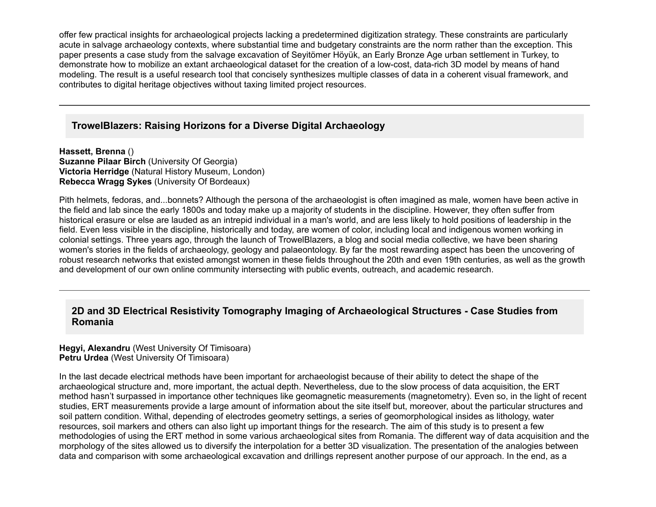offer few practical insights for archaeological projects lacking a predetermined digitization strategy. These constraints are particularly acute in salvage archaeology contexts, where substantial time and budgetary constraints are the norm rather than the exception. This paper presents a case study from the salvage excavation of Seyitömer Höyük, an Early Bronze Age urban settlement in Turkey, to demonstrate how to mobilize an extant archaeological dataset for the creation of a low-cost, data-rich 3D model by means of hand modeling. The result is a useful research tool that concisely synthesizes multiple classes of data in a coherent visual framework, and contributes to digital heritage objectives without taxing limited project resources.

### **TrowelBlazers: Raising Horizons for a Diverse Digital Archaeology**

**Hassett, Brenna** () **Suzanne Pilaar Birch (University Of Georgia) Victoria Herridge** (Natural History Museum, London) **Rebecca Wragg Sykes** (University Of Bordeaux)

Pith helmets, fedoras, and...bonnets? Although the persona of the archaeologist is often imagined as male, women have been active in the field and lab since the early 1800s and today make up a majority of students in the discipline. However, they often suffer from historical erasure or else are lauded as an intrepid individual in a man's world, and are less likely to hold positions of leadership in the field. Even less visible in the discipline, historically and today, are women of color, including local and indigenous women working in colonial settings. Three years ago, through the launch of TrowelBlazers, a blog and social media collective, we have been sharing women's stories in the fields of archaeology, geology and palaeontology. By far the most rewarding aspect has been the uncovering of robust research networks that existed amongst women in these fields throughout the 20th and even 19th centuries, as well as the growth and development of our own online community intersecting with public events, outreach, and academic research.

## **2D and 3D Electrical Resistivity Tomography Imaging of Archaeological Structures Case Studies from Romania**

#### **Hegyi, Alexandru** (West University Of Timisoara) **Petru Urdea** (West University Of Timisoara)

In the last decade electrical methods have been important for archaeologist because of their ability to detect the shape of the archaeological structure and, more important, the actual depth. Nevertheless, due to the slow process of data acquisition, the ERT method hasn't surpassed in importance other techniques like geomagnetic measurements (magnetometry). Even so, in the light of recent studies, ERT measurements provide a large amount of information about the site itself but, moreover, about the particular structures and soil pattern condition. Withal, depending of electrodes geometry settings, a series of geomorphological insides as lithology, water resources, soil markers and others can also light up important things for the research. The aim of this study is to present a few methodologies of using the ERT method in some various archaeological sites from Romania. The different way of data acquisition and the morphology of the sites allowed us to diversify the interpolation for a better 3D visualization. The presentation of the analogies between data and comparison with some archaeological excavation and drillings represent another purpose of our approach. In the end, as a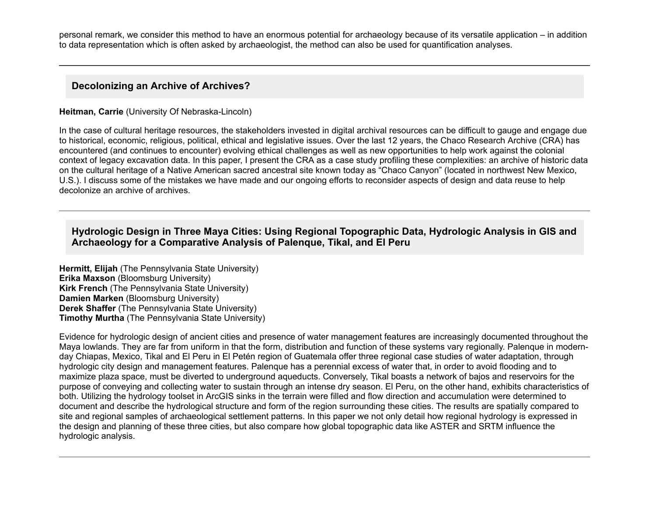personal remark, we consider this method to have an enormous potential for archaeology because of its versatile application – in addition to data representation which is often asked by archaeologist, the method can also be used for quantification analyses.

#### **Decolonizing an Archive of Archives?**

#### **Heitman, Carrie** (University Of Nebraska-Lincoln)

In the case of cultural heritage resources, the stakeholders invested in digital archival resources can be difficult to gauge and engage due to historical, economic, religious, political, ethical and legislative issues. Over the last 12 years, the Chaco Research Archive (CRA) has encountered (and continues to encounter) evolving ethical challenges as well as new opportunities to help work against the colonial context of legacy excavation data. In this paper, I present the CRA as a case study profiling these complexities: an archive of historic data on the cultural heritage of a Native American sacred ancestral site known today as "Chaco Canyon" (located in northwest New Mexico, U.S.). I discuss some of the mistakes we have made and our ongoing efforts to reconsider aspects of design and data reuse to help decolonize an archive of archives.

### **Hydrologic Design in Three Maya Cities: Using Regional Topographic Data, Hydrologic Analysis in GIS and Archaeology for a Comparative Analysis of Palenque, Tikal, and El Peru**

**Hermitt, Elijah** (The Pennsylvania State University) **Erika Maxson** (Bloomsburg University) **Kirk French** (The Pennsylvania State University) **Damien Marken** (Bloomsburg University) **Derek Shaffer** (The Pennsylvania State University) **Timothy Murtha** (The Pennsylvania State University)

Evidence for hydrologic design of ancient cities and presence of water management features are increasingly documented throughout the Maya lowlands. They are far from uniform in that the form, distribution and function of these systems vary regionally. Palenque in modernday Chiapas, Mexico, Tikal and El Peru in El Petén region of Guatemala offer three regional case studies of water adaptation, through hydrologic city design and management features. Palenque has a perennial excess of water that, in order to avoid flooding and to maximize plaza space, must be diverted to underground aqueducts. Conversely, Tikal boasts a network of bajos and reservoirs for the purpose of conveying and collecting water to sustain through an intense dry season. El Peru, on the other hand, exhibits characteristics of both. Utilizing the hydrology toolset in ArcGIS sinks in the terrain were filled and flow direction and accumulation were determined to document and describe the hydrological structure and form of the region surrounding these cities. The results are spatially compared to site and regional samples of archaeological settlement patterns. In this paper we not only detail how regional hydrology is expressed in the design and planning of these three cities, but also compare how global topographic data like ASTER and SRTM influence the hydrologic analysis.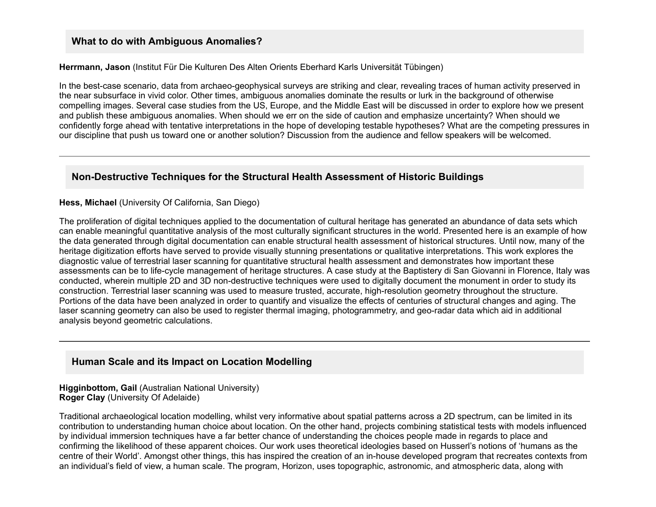#### **What to do with Ambiguous Anomalies?**

**Herrmann, Jason** (Institut Für Die Kulturen Des Alten Orients Eberhard Karls Universität Tübingen)

In the best-case scenario, data from archaeo-geophysical surveys are striking and clear, revealing traces of human activity preserved in the near subsurface in vivid color. Other times, ambiguous anomalies dominate the results or lurk in the background of otherwise compelling images. Several case studies from the US, Europe, and the Middle East will be discussed in order to explore how we present and publish these ambiguous anomalies. When should we err on the side of caution and emphasize uncertainty? When should we confidently forge ahead with tentative interpretations in the hope of developing testable hypotheses? What are the competing pressures in our discipline that push us toward one or another solution? Discussion from the audience and fellow speakers will be welcomed.

### **Non-Destructive Techniques for the Structural Health Assessment of Historic Buildings**

#### **Hess, Michael** (University Of California, San Diego)

The proliferation of digital techniques applied to the documentation of cultural heritage has generated an abundance of data sets which can enable meaningful quantitative analysis of the most culturally significant structures in the world. Presented here is an example of how the data generated through digital documentation can enable structural health assessment of historical structures. Until now, many of the heritage digitization efforts have served to provide visually stunning presentations or qualitative interpretations. This work explores the diagnostic value of terrestrial laser scanning for quantitative structural health assessment and demonstrates how important these assessments can be to life-cycle management of heritage structures. A case study at the Baptistery di San Giovanni in Florence, Italy was conducted, wherein multiple 2D and 3D non-destructive techniques were used to digitally document the monument in order to study its construction. Terrestrial laser scanning was used to measure trusted, accurate, high-resolution geometry throughout the structure. Portions of the data have been analyzed in order to quantify and visualize the effects of centuries of structural changes and aging. The laser scanning geometry can also be used to register thermal imaging, photogrammetry, and geo-radar data which aid in additional analysis beyond geometric calculations.

#### **Human Scale and its Impact on Location Modelling**

**Higginbottom, Gail** (Australian National University) **Roger Clay** (University Of Adelaide)

Traditional archaeological location modelling, whilst very informative about spatial patterns across a 2D spectrum, can be limited in its contribution to understanding human choice about location. On the other hand, projects combining statistical tests with models influenced by individual immersion techniques have a far better chance of understanding the choices people made in regards to place and confirming the likelihood of these apparent choices. Our work uses theoretical ideologies based on Husserl's notions of 'humans as the centre of their World'. Amongst other things, this has inspired the creation of an inhouse developed program that recreates contexts from an individual's field of view, a human scale. The program, Horizon, uses topographic, astronomic, and atmospheric data, along with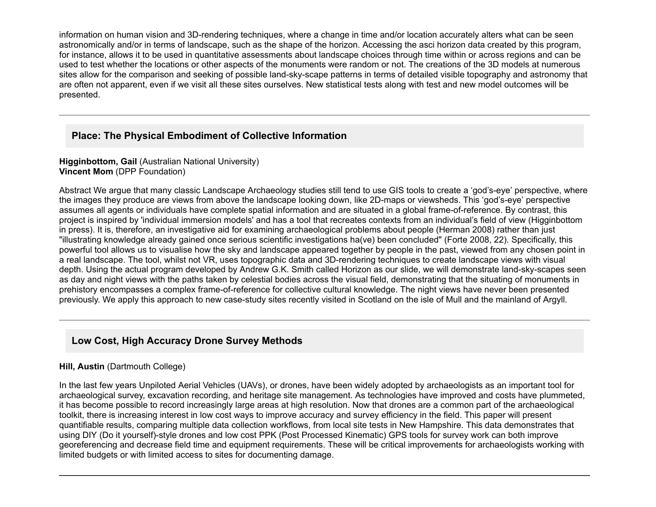information on human vision and 3D-rendering techniques, where a change in time and/or location accurately alters what can be seen astronomically and/or in terms of landscape, such as the shape of the horizon. Accessing the asci horizon data created by this program, for instance, allows it to be used in quantitative assessments about landscape choices through time within or across regions and can be used to test whether the locations or other aspects of the monuments were random or not. The creations of the 3D models at numerous sites allow for the comparison and seeking of possible land-sky-scape patterns in terms of detailed visible topography and astronomy that are often not apparent, even if we visit all these sites ourselves. New statistical tests along with test and new model outcomes will be presented.

## **Place: The Physical Embodiment of Collective Information**

#### **Higginbottom, Gail** (Australian National University) **Vincent Mom** (DPP Foundation)

Abstract We argue that many classic Landscape Archaeology studies still tend to use GIS tools to create a 'god's-eye' perspective, where the images they produce are views from above the landscape looking down, like 2D-maps or viewsheds. This 'god's-eye' perspective assumes all agents or individuals have complete spatial information and are situated in a global frame-of-reference. By contrast, this project is inspired by 'individual immersion models' and has a tool that recreates contexts from an individual's field of view (Higginbottom in press). It is, therefore, an investigative aid for examining archaeological problems about people (Herman 2008) rather than just "illustrating knowledge already gained once serious scientific investigations ha(ve) been concluded" (Forte 2008, 22). Specifically, this powerful tool allows us to visualise how the sky and landscape appeared together by people in the past, viewed from any chosen point in a real landscape. The tool, whilst not VR, uses topographic data and 3D-rendering techniques to create landscape views with visual depth. Using the actual program developed by Andrew G.K. Smith called Horizon as our slide, we will demonstrate land-sky-scapes seen as day and night views with the paths taken by celestial bodies across the visual field, demonstrating that the situating of monuments in prehistory encompasses a complex frame-of-reference for collective cultural knowledge. The night views have never been presented previously. We apply this approach to new case-study sites recently visited in Scotland on the isle of Mull and the mainland of Argyll.

# **Low Cost, High Accuracy Drone Survey Methods**

#### **Hill, Austin** (Dartmouth College)

In the last few years Unpiloted Aerial Vehicles (UAVs), or drones, have been widely adopted by archaeologists as an important tool for archaeological survey, excavation recording, and heritage site management. As technologies have improved and costs have plummeted, it has become possible to record increasingly large areas at high resolution. Now that drones are a common part of the archaeological toolkit, there is increasing interest in low cost ways to improve accuracy and survey efficiency in the field. This paper will present quantifiable results, comparing multiple data collection workflows, from local site tests in New Hampshire. This data demonstrates that using DIY (Do it yourself)-style drones and low cost PPK (Post Processed Kinematic) GPS tools for survey work can both improve georeferencing and decrease field time and equipment requirements. These will be critical improvements for archaeologists working with limited budgets or with limited access to sites for documenting damage.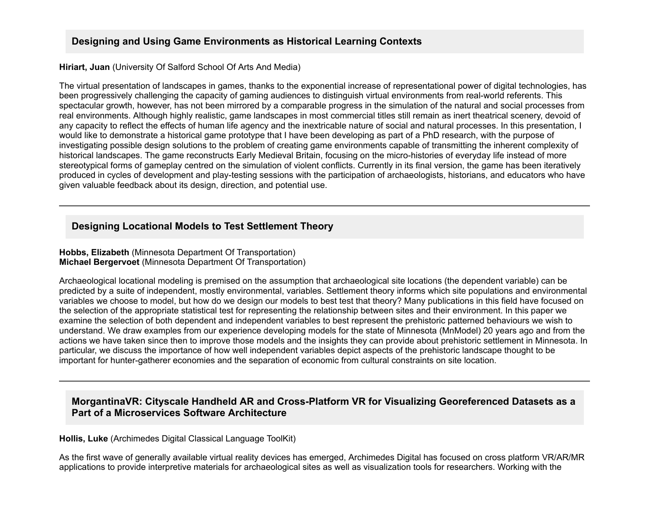## **Designing and Using Game Environments as Historical Learning Contexts**

#### **Hiriart, Juan** (University Of Salford School Of Arts And Media)

The virtual presentation of landscapes in games, thanks to the exponential increase of representational power of digital technologies, has been progressively challenging the capacity of gaming audiences to distinguish virtual environments from real-world referents. This spectacular growth, however, has not been mirrored by a comparable progress in the simulation of the natural and social processes from real environments. Although highly realistic, game landscapes in most commercial titles still remain as inert theatrical scenery, devoid of any capacity to reflect the effects of human life agency and the inextricable nature of social and natural processes. In this presentation, I would like to demonstrate a historical game prototype that I have been developing as part of a PhD research, with the purpose of investigating possible design solutions to the problem of creating game environments capable of transmitting the inherent complexity of historical landscapes. The game reconstructs Early Medieval Britain, focusing on the micro-histories of everyday life instead of more stereotypical forms of gameplay centred on the simulation of violent conflicts. Currently in its final version, the game has been iteratively produced in cycles of development and play-testing sessions with the participation of archaeologists, historians, and educators who have given valuable feedback about its design, direction, and potential use.

## **Designing Locational Models to Test Settlement Theory**

#### **Hobbs, Elizabeth** (Minnesota Department Of Transportation) **Michael Bergervoet** (Minnesota Department Of Transportation)

Archaeological locational modeling is premised on the assumption that archaeological site locations (the dependent variable) can be predicted by a suite of independent, mostly environmental, variables. Settlement theory informs which site populations and environmental variables we choose to model, but how do we design our models to best test that theory? Many publications in this field have focused on the selection of the appropriate statistical test for representing the relationship between sites and their environment. In this paper we examine the selection of both dependent and independent variables to best represent the prehistoric patterned behaviours we wish to understand. We draw examples from our experience developing models for the state of Minnesota (MnModel) 20 years ago and from the actions we have taken since then to improve those models and the insights they can provide about prehistoric settlement in Minnesota. In particular, we discuss the importance of how well independent variables depict aspects of the prehistoric landscape thought to be important for hunter-gatherer economies and the separation of economic from cultural constraints on site location.

### **MorgantinaVR: Cityscale Handheld AR and Cross-Platform VR for Visualizing Georeferenced Datasets as a Part of a Microservices Software Architecture**

**Hollis, Luke** (Archimedes Digital Classical Language ToolKit)

As the first wave of generally available virtual reality devices has emerged, Archimedes Digital has focused on cross platform VR/AR/MR applications to provide interpretive materials for archaeological sites as well as visualization tools for researchers. Working with the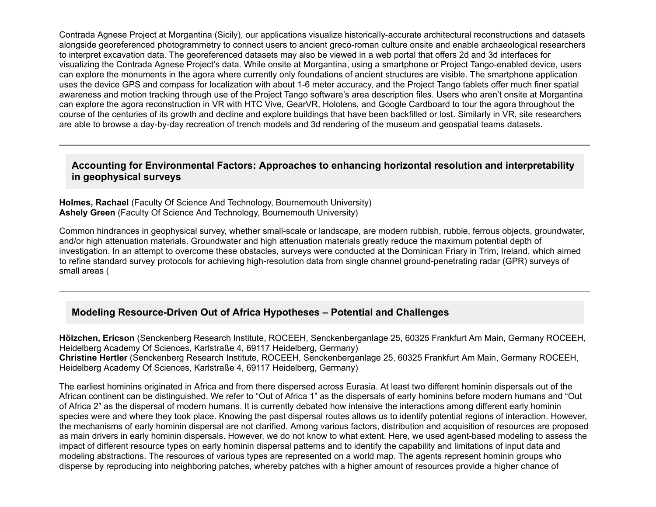Contrada Agnese Project at Morgantina (Sicily), our applications visualize historically-accurate architectural reconstructions and datasets alongside georeferenced photogrammetry to connect users to ancient greco-roman culture onsite and enable archaeological researchers to interpret excavation data. The georeferenced datasets may also be viewed in a web portal that offers 2d and 3d interfaces for visualizing the Contrada Agnese Project's data. While onsite at Morgantina, using a smartphone or Project Tango-enabled device, users can explore the monuments in the agora where currently only foundations of ancient structures are visible. The smartphone application uses the device GPS and compass for localization with about 1-6 meter accuracy, and the Project Tango tablets offer much finer spatial awareness and motion tracking through use of the Project Tango software's area description files. Users who aren't onsite at Morgantina can explore the agora reconstruction in VR with HTC Vive, GearVR, Hololens, and Google Cardboard to tour the agora throughout the course of the centuries of its growth and decline and explore buildings that have been backfilled or lost. Similarly in VR, site researchers are able to browse a day-by-day recreation of trench models and 3d rendering of the museum and geospatial teams datasets.

#### **Accounting for Environmental Factors: Approaches to enhancing horizontal resolution and interpretability in geophysical surveys**

**Holmes, Rachael** (Faculty Of Science And Technology, Bournemouth University) **Ashely Green** (Faculty Of Science And Technology, Bournemouth University)

Common hindrances in geophysical survey, whether small-scale or landscape, are modern rubbish, rubble, ferrous objects, groundwater, and/or high attenuation materials. Groundwater and high attenuation materials greatly reduce the maximum potential depth of investigation. In an attempt to overcome these obstacles, surveys were conducted at the Dominican Friary in Trim, Ireland, which aimed to refine standard survey protocols for achieving high-resolution data from single channel ground-penetrating radar (GPR) surveys of small areas (

### **Modeling Resource-Driven Out of Africa Hypotheses - Potential and Challenges**

**Hölzchen, Ericson** (Senckenberg Research Institute, ROCEEH, Senckenberganlage 25, 60325 Frankfurt Am Main, Germany ROCEEH, Heidelberg Academy Of Sciences, Karlstraße 4, 69117 Heidelberg, Germany) **Christine Hertler** (Senckenberg Research Institute, ROCEEH, Senckenberganlage 25, 60325 Frankfurt Am Main, Germany ROCEEH, Heidelberg Academy Of Sciences, Karlstraße 4, 69117 Heidelberg, Germany)

The earliest hominins originated in Africa and from there dispersed across Eurasia. At least two different hominin dispersals out of the African continent can be distinguished. We refer to "Out of Africa 1" as the dispersals of early hominins before modern humans and "Out of Africa 2" as the dispersal of modern humans. It is currently debated how intensive the interactions among different early hominin species were and where they took place. Knowing the past dispersal routes allows us to identify potential regions of interaction. However, the mechanisms of early hominin dispersal are not clarified. Among various factors, distribution and acquisition of resources are proposed as main drivers in early hominin dispersals. However, we do not know to what extent. Here, we used agent-based modeling to assess the impact of different resource types on early hominin dispersal patterns and to identify the capability and limitations of input data and modeling abstractions. The resources of various types are represented on a world map. The agents represent hominin groups who disperse by reproducing into neighboring patches, whereby patches with a higher amount of resources provide a higher chance of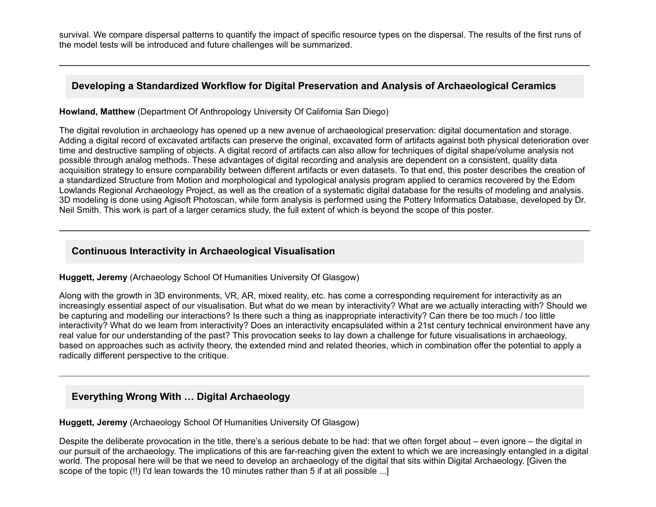survival. We compare dispersal patterns to quantify the impact of specific resource types on the dispersal. The results of the first runs of the model tests will be introduced and future challenges will be summarized.

### **Developing a Standardized Workflow for Digital Preservation and Analysis of Archaeological Ceramics**

**Howland, Matthew** (Department Of Anthropology University Of California San Diego)

The digital revolution in archaeology has opened up a new avenue of archaeological preservation: digital documentation and storage. Adding a digital record of excavated artifacts can preserve the original, excavated form of artifacts against both physical deterioration over time and destructive sampling of objects. A digital record of artifacts can also allow for techniques of digital shape/volume analysis not possible through analog methods. These advantages of digital recording and analysis are dependent on a consistent, quality data acquisition strategy to ensure comparability between different artifacts or even datasets. To that end, this poster describes the creation of a standardized Structure from Motion and morphological and typological analysis program applied to ceramics recovered by the Edom Lowlands Regional Archaeology Project, as well as the creation of a systematic digital database for the results of modeling and analysis. 3D modeling is done using Agisoft Photoscan, while form analysis is performed using the Pottery Informatics Database, developed by Dr. Neil Smith. This work is part of a larger ceramics study, the full extent of which is beyond the scope of this poster.

## **Continuous Interactivity in Archaeological Visualisation**

**Huggett, Jeremy** (Archaeology School Of Humanities University Of Glasgow)

Along with the growth in 3D environments, VR, AR, mixed reality, etc. has come a corresponding requirement for interactivity as an increasingly essential aspect of our visualisation. But what do we mean by interactivity? What are we actually interacting with? Should we be capturing and modelling our interactions? Is there such a thing as inappropriate interactivity? Can there be too much / too little interactivity? What do we learn from interactivity? Does an interactivity encapsulated within a 21st century technical environment have any real value for our understanding of the past? This provocation seeks to lay down a challenge for future visualisations in archaeology, based on approaches such as activity theory, the extended mind and related theories, which in combination offer the potential to apply a radically different perspective to the critique.

# **Everything Wrong With … Digital Archaeology**

#### **Huggett, Jeremy** (Archaeology School Of Humanities University Of Glasgow)

Despite the deliberate provocation in the title, there's a serious debate to be had: that we often forget about – even ignore – the digital in our pursuit of the archaeology. The implications of this are farreaching given the extent to which we are increasingly entangled in a digital world. The proposal here will be that we need to develop an archaeology of the digital that sits within Digital Archaeology. [Given the scope of the topic (!!) I'd lean towards the 10 minutes rather than 5 if at all possible ...]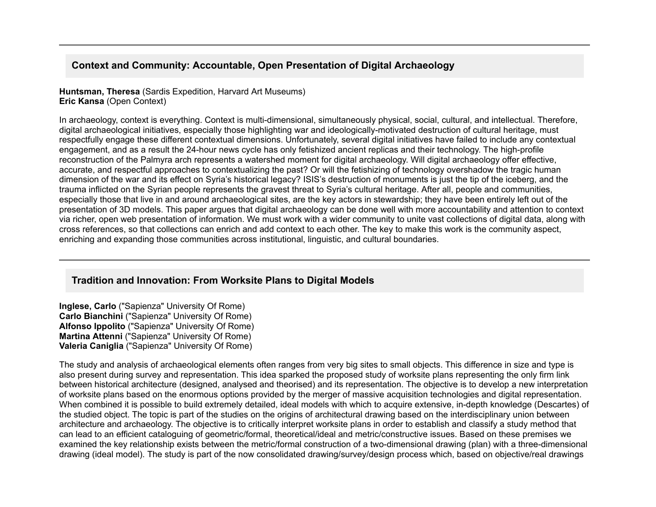## **Context and Community: Accountable, Open Presentation of Digital Archaeology**

**Huntsman, Theresa** (Sardis Expedition, Harvard Art Museums) **Eric Kansa** (Open Context)

In archaeology, context is everything. Context is multi-dimensional, simultaneously physical, social, cultural, and intellectual. Therefore, digital archaeological initiatives, especially those highlighting war and ideologically-motivated destruction of cultural heritage, must respectfully engage these different contextual dimensions. Unfortunately, several digital initiatives have failed to include any contextual engagement, and as a result the 24-hour news cycle has only fetishized ancient replicas and their technology. The high-profile reconstruction of the Palmyra arch represents a watershed moment for digital archaeology. Will digital archaeology offer effective, accurate, and respectful approaches to contextualizing the past? Or will the fetishizing of technology overshadow the tragic human dimension of the war and its effect on Syria's historical legacy? ISIS's destruction of monuments is just the tip of the iceberg, and the trauma inflicted on the Syrian people represents the gravest threat to Syria's cultural heritage. After all, people and communities, especially those that live in and around archaeological sites, are the key actors in stewardship; they have been entirely left out of the presentation of 3D models. This paper argues that digital archaeology can be done well with more accountability and attention to context via richer, open web presentation of information. We must work with a wider community to unite vast collections of digital data, along with cross references, so that collections can enrich and add context to each other. The key to make this work is the community aspect, enriching and expanding those communities across institutional, linguistic, and cultural boundaries.

#### **Tradition and Innovation: From Worksite Plans to Digital Models**

**Inglese, Carlo** ("Sapienza" University Of Rome) **Carlo Bianchini** ("Sapienza" University Of Rome) **Alfonso Ippolito** ("Sapienza" University Of Rome) **Martina Attenni** ("Sapienza" University Of Rome) **Valeria Caniglia** ("Sapienza" University Of Rome)

The study and analysis of archaeological elements often ranges from very big sites to small objects. This difference in size and type is also present during survey and representation. This idea sparked the proposed study of worksite plans representing the only firm link between historical architecture (designed, analysed and theorised) and its representation. The objective is to develop a new interpretation of worksite plans based on the enormous options provided by the merger of massive acquisition technologies and digital representation. When combined it is possible to build extremely detailed, ideal models with which to acquire extensive, in-depth knowledge (Descartes) of the studied object. The topic is part of the studies on the origins of architectural drawing based on the interdisciplinary union between architecture and archaeology. The objective is to critically interpret worksite plans in order to establish and classify a study method that can lead to an efficient cataloguing of geometric/formal, theoretical/ideal and metric/constructive issues. Based on these premises we examined the key relationship exists between the metric/formal construction of a two-dimensional drawing (plan) with a three-dimensional drawing (ideal model). The study is part of the now consolidated drawing/survey/design process which, based on objective/real drawings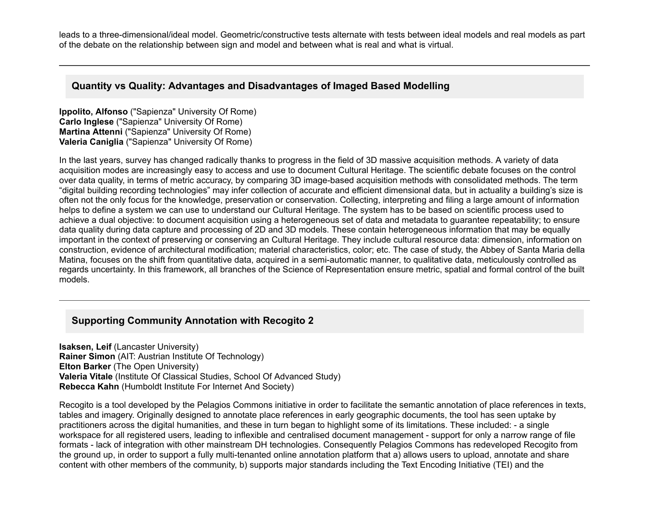leads to a three-dimensional/ideal model. Geometric/constructive tests alternate with tests between ideal models and real models as part of the debate on the relationship between sign and model and between what is real and what is virtual.

#### **Quantity vs Quality: Advantages and Disadvantages of Imaged Based Modelling**

**Ippolito, Alfonso** ("Sapienza" University Of Rome) **Carlo Inglese** ("Sapienza" University Of Rome) **Martina Attenni** ("Sapienza" University Of Rome) **Valeria Caniglia** ("Sapienza" University Of Rome)

In the last years, survey has changed radically thanks to progress in the field of 3D massive acquisition methods. A variety of data acquisition modes are increasingly easy to access and use to document Cultural Heritage. The scientific debate focuses on the control over data quality, in terms of metric accuracy, by comparing 3D image-based acquisition methods with consolidated methods. The term "digital building recording technologies" may infer collection of accurate and efficient dimensional data, but in actuality a building's size is often not the only focus for the knowledge, preservation or conservation. Collecting, interpreting and filing a large amount of information helps to define a system we can use to understand our Cultural Heritage. The system has to be based on scientific process used to achieve a dual objective: to document acquisition using a heterogeneous set of data and metadata to guarantee repeatability; to ensure data quality during data capture and processing of 2D and 3D models. These contain heterogeneous information that may be equally important in the context of preserving or conserving an Cultural Heritage. They include cultural resource data: dimension, information on construction, evidence of architectural modification; material characteristics, color; etc. The case of study, the Abbey of Santa Maria della Matina, focuses on the shift from quantitative data, acquired in a semi-automatic manner, to qualitative data, meticulously controlled as regards uncertainty. In this framework, all branches of the Science of Representation ensure metric, spatial and formal control of the built models.

### **Supporting Community Annotation with Recogito 2**

**Isaksen, Leif** (Lancaster University) **Rainer Simon** (AIT: Austrian Institute Of Technology) **Elton Barker** (The Open University) **Valeria Vitale** (Institute Of Classical Studies, School Of Advanced Study) **Rebecca Kahn** (Humboldt Institute For Internet And Society)

Recogito is a tool developed by the Pelagios Commons initiative in order to facilitate the semantic annotation of place references in texts, tables and imagery. Originally designed to annotate place references in early geographic documents, the tool has seen uptake by practitioners across the digital humanities, and these in turn began to highlight some of its limitations. These included: a single workspace for all registered users, leading to inflexible and centralised document management - support for only a narrow range of file formats - lack of integration with other mainstream DH technologies. Consequently Pelagios Commons has redeveloped Recogito from the ground up, in order to support a fully multi-tenanted online annotation platform that a) allows users to upload, annotate and share content with other members of the community, b) supports major standards including the Text Encoding Initiative (TEI) and the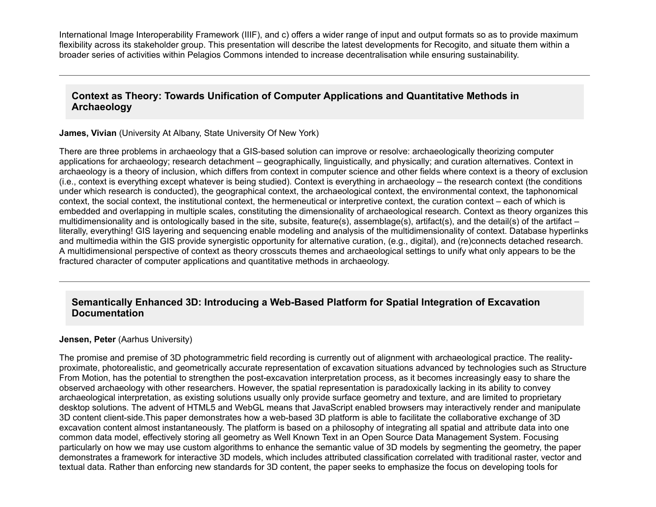International Image Interoperability Framework (IIIF), and c) offers a wider range of input and output formats so as to provide maximum flexibility across its stakeholder group. This presentation will describe the latest developments for Recogito, and situate them within a broader series of activities within Pelagios Commons intended to increase decentralisation while ensuring sustainability.

## **Context as Theory: Towards Unification of Computer Applications and Quantitative Methods in Archaeology**

**James, Vivian** (University At Albany, State University Of New York)

There are three problems in archaeology that a GIS-based solution can improve or resolve: archaeologically theorizing computer applications for archaeology; research detachment – geographically, linguistically, and physically; and curation alternatives. Context in archaeology is a theory of inclusion, which differs from context in computer science and other fields where context is a theory of exclusion (i.e., context is everything except whatever is being studied). Context is everything in archaeology – the research context (the conditions under which research is conducted), the geographical context, the archaeological context, the environmental context, the taphonomical context, the social context, the institutional context, the hermeneutical or interpretive context, the curation context – each of which is embedded and overlapping in multiple scales, constituting the dimensionality of archaeological research. Context as theory organizes this multidimensionality and is ontologically based in the site, subsite, feature(s), assemblage(s), artifact(s), and the detail(s) of the artifact – literally, everything! GIS layering and sequencing enable modeling and analysis of the multidimensionality of context. Database hyperlinks and multimedia within the GIS provide synergistic opportunity for alternative curation, (e.g., digital), and (re)connects detached research. A multidimensional perspective of context as theory crosscuts themes and archaeological settings to unify what only appears to be the fractured character of computer applications and quantitative methods in archaeology.

## **Semantically Enhanced 3D: Introducing a Web-Based Platform for Spatial Integration of Excavation Documentation**

#### **Jensen, Peter** (Aarhus University)

The promise and premise of 3D photogrammetric field recording is currently out of alignment with archaeological practice. The realityproximate, photorealistic, and geometrically accurate representation of excavation situations advanced by technologies such as Structure From Motion, has the potential to strengthen the post-excavation interpretation process, as it becomes increasingly easy to share the observed archaeology with other researchers. However, the spatial representation is paradoxically lacking in its ability to convey archaeological interpretation, as existing solutions usually only provide surface geometry and texture, and are limited to proprietary desktop solutions. The advent of HTML5 and WebGL means that JavaScript enabled browsers may interactively render and manipulate 3D content client-side. This paper demonstrates how a web-based 3D platform is able to facilitate the collaborative exchange of 3D excavation content almost instantaneously. The platform is based on a philosophy of integrating all spatial and attribute data into one common data model, effectively storing all geometry as Well Known Text in an Open Source Data Management System. Focusing particularly on how we may use custom algorithms to enhance the semantic value of 3D models by segmenting the geometry, the paper demonstrates a framework for interactive 3D models, which includes attributed classification correlated with traditional raster, vector and textual data. Rather than enforcing new standards for 3D content, the paper seeks to emphasize the focus on developing tools for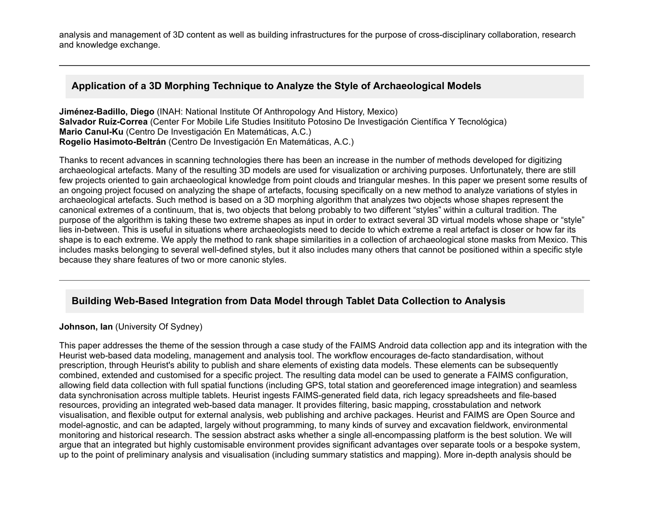analysis and management of 3D content as well as building infrastructures for the purpose of cross-disciplinary collaboration, research and knowledge exchange.

### **Application of a 3D Morphing Technique to Analyze the Style of Archaeological Models**

**Jiménez-Badillo, Diego** (INAH: National Institute Of Anthropology And History, Mexico) Salvador Ruíz-Correa (Center For Mobile Life Studies Insitituto Potosino De Investigación Científica Y Tecnológica) **Mario Canul-Ku** (Centro De Investigación En Matemáticas, A.C.) **Rogelio Hasimoto-Beltrán** (Centro De Investigación En Matemáticas, A.C.)

Thanks to recent advances in scanning technologies there has been an increase in the number of methods developed for digitizing archaeological artefacts. Many of the resulting 3D models are used for visualization or archiving purposes. Unfortunately, there are still few projects oriented to gain archaeological knowledge from point clouds and triangular meshes. In this paper we present some results of an ongoing project focused on analyzing the shape of artefacts, focusing specifically on a new method to analyze variations of styles in archaeological artefacts. Such method is based on a 3D morphing algorithm that analyzes two objects whose shapes represent the canonical extremes of a continuum, that is, two objects that belong probably to two different "styles" within a cultural tradition. The purpose of the algorithm is taking these two extreme shapes as input in order to extract several 3D virtual models whose shape or "style" lies in-between. This is useful in situations where archaeologists need to decide to which extreme a real artefact is closer or how far its shape is to each extreme. We apply the method to rank shape similarities in a collection of archaeological stone masks from Mexico. This includes masks belonging to several well-defined styles, but it also includes many others that cannot be positioned within a specific style because they share features of two or more canonic styles.

# **Building Web-Based Integration from Data Model through Tablet Data Collection to Analysis**

#### **Johnson, Ian** (University Of Sydney)

This paper addresses the theme of the session through a case study of the FAIMS Android data collection app and its integration with the Heurist web-based data modeling, management and analysis tool. The workflow encourages de-facto standardisation, without prescription, through Heurist's ability to publish and share elements of existing data models. These elements can be subsequently combined, extended and customised for a specific project. The resulting data model can be used to generate a FAIMS configuration, allowing field data collection with full spatial functions (including GPS, total station and georeferenced image integration) and seamless data synchronisation across multiple tablets. Heurist ingests FAIMS-generated field data, rich legacy spreadsheets and file-based resources, providing an integrated web-based data manager. It provides filtering, basic mapping, crosstabulation and network visualisation, and flexible output for external analysis, web publishing and archive packages. Heurist and FAIMS are Open Source and model-agnostic, and can be adapted, largely without programming, to many kinds of survey and excavation fieldwork, environmental monitoring and historical research. The session abstract asks whether a single all-encompassing platform is the best solution. We will argue that an integrated but highly customisable environment provides significant advantages over separate tools or a bespoke system, up to the point of preliminary analysis and visualisation (including summary statistics and mapping). More in-depth analysis should be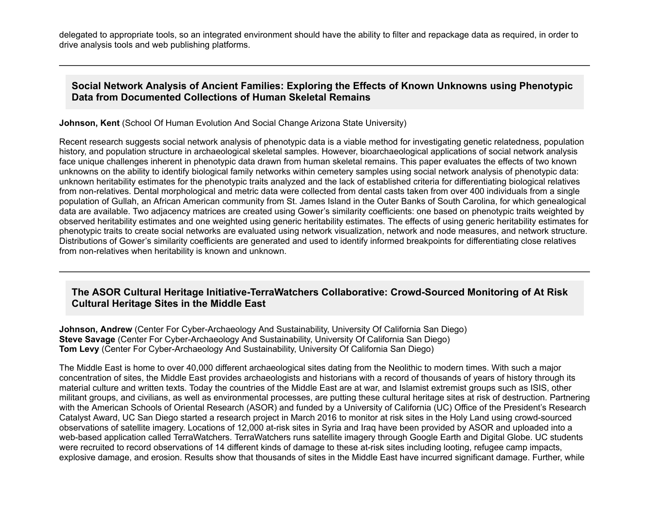delegated to appropriate tools, so an integrated environment should have the ability to filter and repackage data as required, in order to drive analysis tools and web publishing platforms.

### **Social Network Analysis of Ancient Families: Exploring the Effects of Known Unknowns using Phenotypic Data from Documented Collections of Human Skeletal Remains**

**Johnson, Kent** (School Of Human Evolution And Social Change Arizona State University)

Recent research suggests social network analysis of phenotypic data is a viable method for investigating genetic relatedness, population history, and population structure in archaeological skeletal samples. However, bioarchaeological applications of social network analysis face unique challenges inherent in phenotypic data drawn from human skeletal remains. This paper evaluates the effects of two known unknowns on the ability to identify biological family networks within cemetery samples using social network analysis of phenotypic data: unknown heritability estimates for the phenotypic traits analyzed and the lack of established criteria for differentiating biological relatives from non-relatives. Dental morphological and metric data were collected from dental casts taken from over 400 individuals from a single population of Gullah, an African American community from St. James Island in the Outer Banks of South Carolina, for which genealogical data are available. Two adjacency matrices are created using Gower's similarity coefficients: one based on phenotypic traits weighted by observed heritability estimates and one weighted using generic heritability estimates. The effects of using generic heritability estimates for phenotypic traits to create social networks are evaluated using network visualization, network and node measures, and network structure. Distributions of Gower's similarity coefficients are generated and used to identify informed breakpoints for differentiating close relatives from non-relatives when heritability is known and unknown.

### The ASOR Cultural Heritage Initiative-TerraWatchers Collaborative: Crowd-Sourced Monitoring of At Risk **Cultural Heritage Sites in the Middle East**

**Johnson, Andrew** (Center For Cyber-Archaeology And Sustainability, University Of California San Diego) **Steve Savage** (Center For Cyber-Archaeology And Sustainability, University Of California San Diego) **Tom Levy** (Center For Cyber-Archaeology And Sustainability, University Of California San Diego)

The Middle East is home to over 40,000 different archaeological sites dating from the Neolithic to modern times. With such a major concentration of sites, the Middle East provides archaeologists and historians with a record of thousands of years of history through its material culture and written texts. Today the countries of the Middle East are at war, and Islamist extremist groups such as ISIS, other militant groups, and civilians, as well as environmental processes, are putting these cultural heritage sites at risk of destruction. Partnering with the American Schools of Oriental Research (ASOR) and funded by a University of California (UC) Office of the President's Research Catalyst Award, UC San Diego started a research project in March 2016 to monitor at risk sites in the Holy Land using crowd-sourced observations of satellite imagery. Locations of 12,000 at-risk sites in Syria and Irag have been provided by ASOR and uploaded into a web-based application called TerraWatchers. TerraWatchers runs satellite imagery through Google Earth and Digital Globe. UC students were recruited to record observations of 14 different kinds of damage to these at-risk sites including looting, refugee camp impacts, explosive damage, and erosion. Results show that thousands of sites in the Middle East have incurred significant damage. Further, while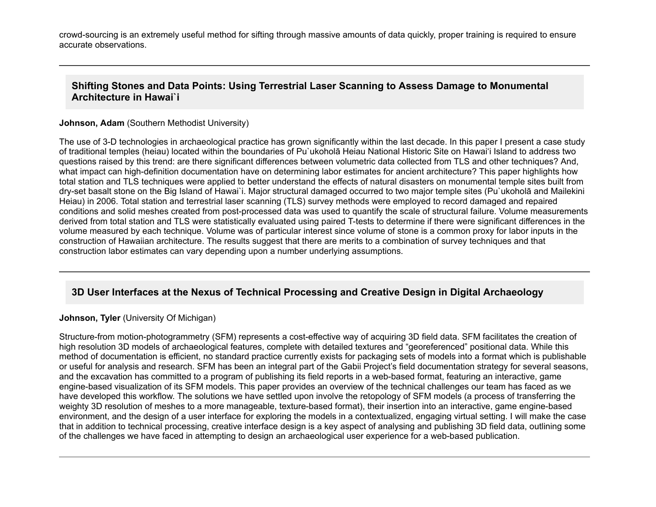crowd-sourcing is an extremely useful method for sifting through massive amounts of data quickly, proper training is required to ensure accurate observations.

### **Shifting Stones and Data Points: Using Terrestrial Laser Scanning to Assess Damage to Monumental Architecture in Hawai`i**

#### **Johnson, Adam** (Southern Methodist University)

The use of 3-D technologies in archaeological practice has grown significantly within the last decade. In this paper I present a case study of traditional temples (heiau) located within the boundaries of Pu`ukoholā Heiau National Historic Site on Hawai'i Island to address two questions raised by this trend: are there significant differences between volumetric data collected from TLS and other techniques? And, what impact can high-definition documentation have on determining labor estimates for ancient architecture? This paper highlights how total station and TLS techniques were applied to better understand the effects of natural disasters on monumental temple sites built from dryset basalt stone on the Big Island of Hawai`i. Major structural damaged occurred to two major temple sites (Pu`ukoholā and Mailekini Heiau) in 2006. Total station and terrestrial laser scanning (TLS) survey methods were employed to record damaged and repaired conditions and solid meshes created from post-processed data was used to quantify the scale of structural failure. Volume measurements derived from total station and TLS were statistically evaluated using paired T-tests to determine if there were significant differences in the volume measured by each technique. Volume was of particular interest since volume of stone is a common proxy for labor inputs in the construction of Hawaiian architecture. The results suggest that there are merits to a combination of survey techniques and that construction labor estimates can vary depending upon a number underlying assumptions.

### **3D User Interfaces at the Nexus of Technical Processing and Creative Design in Digital Archaeology**

#### **Johnson, Tyler** (University Of Michigan)

Structure-from motion-photogrammetry (SFM) represents a cost-effective way of acquiring 3D field data. SFM facilitates the creation of high resolution 3D models of archaeological features, complete with detailed textures and "georeferenced" positional data. While this method of documentation is efficient, no standard practice currently exists for packaging sets of models into a format which is publishable or useful for analysis and research. SFM has been an integral part of the Gabii Project's field documentation strategy for several seasons, and the excavation has committed to a program of publishing its field reports in a web-based format, featuring an interactive, game engine-based visualization of its SFM models. This paper provides an overview of the technical challenges our team has faced as we have developed this workflow. The solutions we have settled upon involve the retopology of SFM models (a process of transferring the weighty 3D resolution of meshes to a more manageable, texture-based format), their insertion into an interactive, game engine-based environment, and the design of a user interface for exploring the models in a contextualized, engaging virtual setting. I will make the case that in addition to technical processing, creative interface design is a key aspect of analysing and publishing 3D field data, outlining some of the challenges we have faced in attempting to design an archaeological user experience for a web-based publication.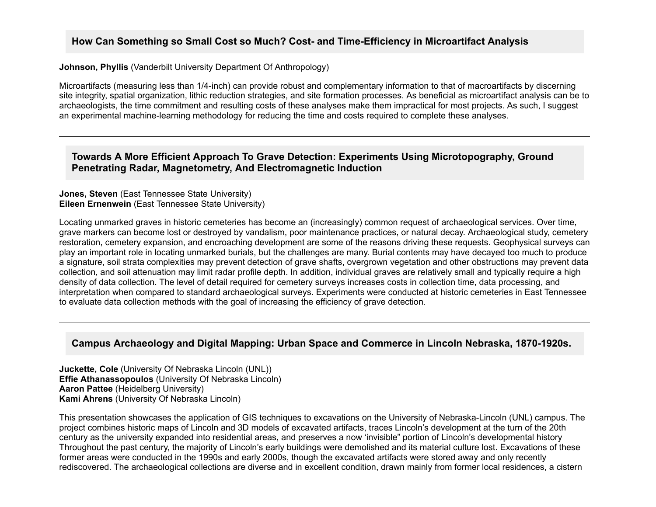### How Can Something so Small Cost so Much? Cost- and Time-Efficiency in Microartifact Analysis

#### **Johnson, Phyllis** (Vanderbilt University Department Of Anthropology)

Microartifacts (measuring less than 1/4inch) can provide robust and complementary information to that of macroartifacts by discerning site integrity, spatial organization, lithic reduction strategies, and site formation processes. As beneficial as microartifact analysis can be to archaeologists, the time commitment and resulting costs of these analyses make them impractical for most projects. As such, I suggest an experimental machine-learning methodology for reducing the time and costs required to complete these analyses.

#### **Towards A More Efficient Approach To Grave Detection: Experiments Using Microtopography, Ground Penetrating Radar, Magnetometry, And Electromagnetic Induction**

#### **Jones, Steven** (East Tennessee State University) **Eileen Ernenwein** (East Tennessee State University)

Locating unmarked graves in historic cemeteries has become an (increasingly) common request of archaeological services. Over time, grave markers can become lost or destroyed by vandalism, poor maintenance practices, or natural decay. Archaeological study, cemetery restoration, cemetery expansion, and encroaching development are some of the reasons driving these requests. Geophysical surveys can play an important role in locating unmarked burials, but the challenges are many. Burial contents may have decayed too much to produce a signature, soil strata complexities may prevent detection of grave shafts, overgrown vegetation and other obstructions may prevent data collection, and soil attenuation may limit radar profile depth. In addition, individual graves are relatively small and typically require a high density of data collection. The level of detail required for cemetery surveys increases costs in collection time, data processing, and interpretation when compared to standard archaeological surveys. Experiments were conducted at historic cemeteries in East Tennessee to evaluate data collection methods with the goal of increasing the efficiency of grave detection.

## Campus Archaeology and Digital Mapping: Urban Space and Commerce in Lincoln Nebraska, 1870-1920s.

**Juckette, Cole** (University Of Nebraska Lincoln (UNL)) **Effie Athanassopoulos** (University Of Nebraska Lincoln) **Aaron Pattee** (Heidelberg University) **Kami Ahrens** (University Of Nebraska Lincoln)

This presentation showcases the application of GIS techniques to excavations on the University of Nebraska-Lincoln (UNL) campus. The project combines historic maps of Lincoln and 3D models of excavated artifacts, traces Lincoln's development at the turn of the 20th century as the university expanded into residential areas, and preserves a now 'invisible" portion of Lincoln's developmental history Throughout the past century, the majority of Lincoln's early buildings were demolished and its material culture lost. Excavations of these former areas were conducted in the 1990s and early 2000s, though the excavated artifacts were stored away and only recently rediscovered. The archaeological collections are diverse and in excellent condition, drawn mainly from former local residences, a cistern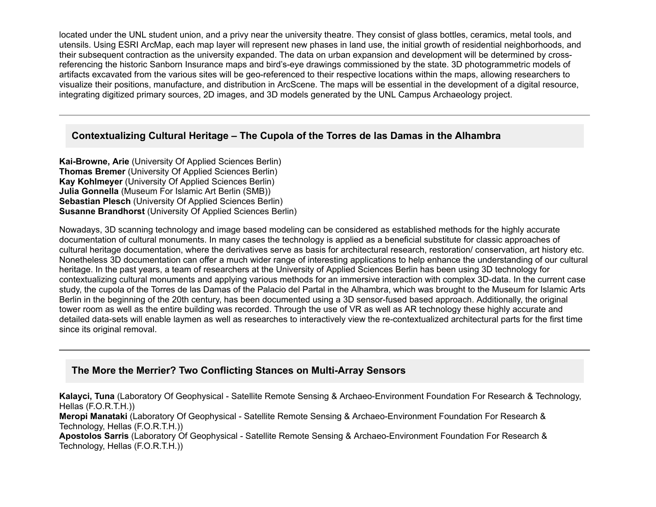located under the UNL student union, and a privy near the university theatre. They consist of glass bottles, ceramics, metal tools, and utensils. Using ESRI ArcMap, each map layer will represent new phases in land use, the initial growth of residential neighborhoods, and their subsequent contraction as the university expanded. The data on urban expansion and development will be determined by crossreferencing the historic Sanborn Insurance maps and bird's-eye drawings commissioned by the state. 3D photogrammetric models of artifacts excavated from the various sites will be geo-referenced to their respective locations within the maps, allowing researchers to visualize their positions, manufacture, and distribution in ArcScene. The maps will be essential in the development of a digital resource, integrating digitized primary sources, 2D images, and 3D models generated by the UNL Campus Archaeology project.

## **Contextualizing Cultural Heritage – The Cupola of the Torres de las Damas in the Alhambra**

**Kai-Browne, Arie** (University Of Applied Sciences Berlin) **Thomas Bremer** (University Of Applied Sciences Berlin) **Kay Kohlmeyer** (University Of Applied Sciences Berlin) **Julia Gonnella** (Museum For Islamic Art Berlin (SMB)) **Sebastian Plesch** (University Of Applied Sciences Berlin) **Susanne Brandhorst** (University Of Applied Sciences Berlin)

Nowadays, 3D scanning technology and image based modeling can be considered as established methods for the highly accurate documentation of cultural monuments. In many cases the technology is applied as a beneficial substitute for classic approaches of cultural heritage documentation, where the derivatives serve as basis for architectural research, restoration/ conservation, art history etc. Nonetheless 3D documentation can offer a much wider range of interesting applications to help enhance the understanding of our cultural heritage. In the past years, a team of researchers at the University of Applied Sciences Berlin has been using 3D technology for contextualizing cultural monuments and applying various methods for an immersive interaction with complex 3D-data. In the current case study, the cupola of the Torres de las Damas of the Palacio del Partal in the Alhambra, which was brought to the Museum for Islamic Arts Berlin in the beginning of the 20th century, has been documented using a 3D sensor-fused based approach. Additionally, the original tower room as well as the entire building was recorded. Through the use of VR as well as AR technology these highly accurate and detailed data-sets will enable laymen as well as researches to interactively view the re-contextualized architectural parts for the first time since its original removal.

## **The More the Merrier? Two Conflicting Stances on Multi-Array Sensors**

Kalayci, Tuna (Laboratory Of Geophysical - Satellite Remote Sensing & Archaeo-Environment Foundation For Research & Technology, Hellas (F.O.R.T.H.))

**Meropi Manataki** (Laboratory Of Geophysical - Satellite Remote Sensing & Archaeo-Environment Foundation For Research & Technology, Hellas (F.O.R.T.H.))

**Apostolos Sarris** (Laboratory Of Geophysical - Satellite Remote Sensing & Archaeo-Environment Foundation For Research & Technology, Hellas (F.O.R.T.H.))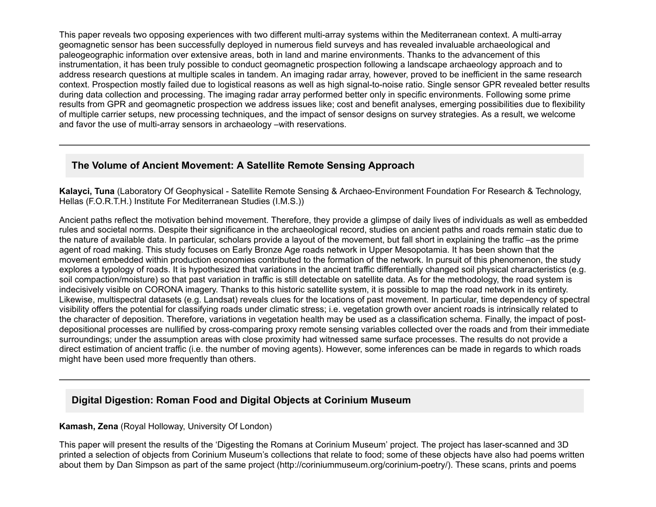This paper reveals two opposing experiences with two different multi-array systems within the Mediterranean context. A multi-array geomagnetic sensor has been successfully deployed in numerous field surveys and has revealed invaluable archaeological and paleogeographic information over extensive areas, both in land and marine environments. Thanks to the advancement of this instrumentation, it has been truly possible to conduct geomagnetic prospection following a landscape archaeology approach and to address research questions at multiple scales in tandem. An imaging radar array, however, proved to be inefficient in the same research context. Prospection mostly failed due to logistical reasons as well as high signal-to-noise ratio. Single sensor GPR revealed better results during data collection and processing. The imaging radar array performed better only in specific environments. Following some prime results from GPR and geomagnetic prospection we address issues like; cost and benefit analyses, emerging possibilities due to flexibility of multiple carrier setups, new processing techniques, and the impact of sensor designs on survey strategies. As a result, we welcome and favor the use of multi-array sensors in archaeology –with reservations.

## **The Volume of Ancient Movement: A Satellite Remote Sensing Approach**

Kalayci, Tuna (Laboratory Of Geophysical - Satellite Remote Sensing & Archaeo-Environment Foundation For Research & Technology, Hellas (F.O.R.T.H.) Institute For Mediterranean Studies (I.M.S.))

Ancient paths reflect the motivation behind movement. Therefore, they provide a glimpse of daily lives of individuals as well as embedded rules and societal norms. Despite their significance in the archaeological record, studies on ancient paths and roads remain static due to the nature of available data. In particular, scholars provide a layout of the movement, but fall short in explaining the traffic –as the prime agent of road making. This study focuses on Early Bronze Age roads network in Upper Mesopotamia. It has been shown that the movement embedded within production economies contributed to the formation of the network. In pursuit of this phenomenon, the study explores a typology of roads. It is hypothesized that variations in the ancient traffic differentially changed soil physical characteristics (e.g. soil compaction/moisture) so that past variation in traffic is still detectable on satellite data. As for the methodology, the road system is indecisively visible on CORONA imagery. Thanks to this historic satellite system, it is possible to map the road network in its entirety. Likewise, multispectral datasets (e.g. Landsat) reveals clues for the locations of past movement. In particular, time dependency of spectral visibility offers the potential for classifying roads under climatic stress; i.e. vegetation growth over ancient roads is intrinsically related to the character of deposition. Therefore, variations in vegetation health may be used as a classification schema. Finally, the impact of postdepositional processes are nullified by cross-comparing proxy remote sensing variables collected over the roads and from their immediate surroundings; under the assumption areas with close proximity had witnessed same surface processes. The results do not provide a direct estimation of ancient traffic (i.e. the number of moving agents). However, some inferences can be made in regards to which roads might have been used more frequently than others.

## **Digital Digestion: Roman Food and Digital Objects at Corinium Museum**

#### **Kamash, Zena** (Royal Holloway, University Of London)

This paper will present the results of the 'Digesting the Romans at Corinium Museum' project. The project has laserscanned and 3D printed a selection of objects from Corinium Museum's collections that relate to food; some of these objects have also had poems written about them by Dan Simpson as part of the same project (http://coriniummuseum.org/corinium-poetry/). These scans, prints and poems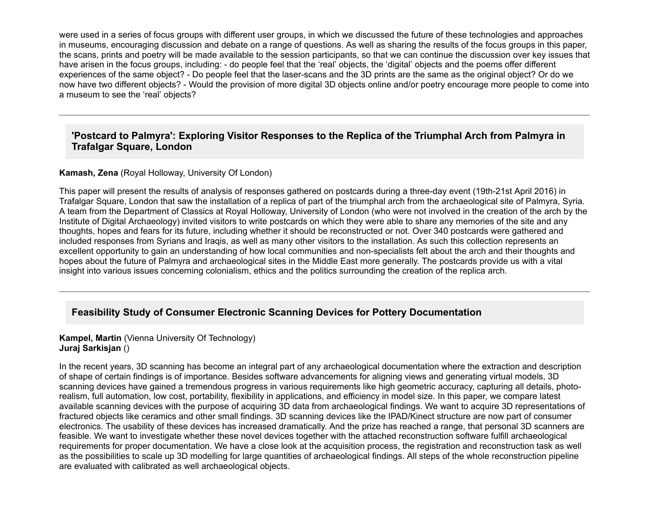were used in a series of focus groups with different user groups, in which we discussed the future of these technologies and approaches in museums, encouraging discussion and debate on a range of questions. As well as sharing the results of the focus groups in this paper, the scans, prints and poetry will be made available to the session participants, so that we can continue the discussion over key issues that have arisen in the focus groups, including: - do people feel that the 'real' objects, the 'digital' objects and the poems offer different experiences of the same object? - Do people feel that the laser-scans and the 3D prints are the same as the original object? Or do we now have two different objects? Would the provision of more digital 3D objects online and/or poetry encourage more people to come into a museum to see the 'real' objects?

### **'Postcard to Palmyra': Exploring Visitor Responses to the Replica of the Triumphal Arch from Palmyra in Trafalgar Square, London**

#### **Kamash, Zena** (Royal Holloway, University Of London)

This paper will present the results of analysis of responses gathered on postcards during a three-day event (19th-21st April 2016) in Trafalgar Square, London that saw the installation of a replica of part of the triumphal arch from the archaeological site of Palmyra, Syria. A team from the Department of Classics at Royal Holloway, University of London (who were not involved in the creation of the arch by the Institute of Digital Archaeology) invited visitors to write postcards on which they were able to share any memories of the site and any thoughts, hopes and fears for its future, including whether it should be reconstructed or not. Over 340 postcards were gathered and included responses from Syrians and Iraqis, as well as many other visitors to the installation. As such this collection represents an excellent opportunity to gain an understanding of how local communities and non-specialists felt about the arch and their thoughts and hopes about the future of Palmyra and archaeological sites in the Middle East more generally. The postcards provide us with a vital insight into various issues concerning colonialism, ethics and the politics surrounding the creation of the replica arch.

#### **Feasibility Study of Consumer Electronic Scanning Devices for Pottery Documentation**

#### **Kampel, Martin** (Vienna University Of Technology) **Juraj Sarkisjan** ()

In the recent years, 3D scanning has become an integral part of any archaeological documentation where the extraction and description of shape of certain findings is of importance. Besides software advancements for aligning views and generating virtual models, 3D scanning devices have gained a tremendous progress in various requirements like high geometric accuracy, capturing all details, photorealism, full automation, low cost, portability, flexibility in applications, and efficiency in model size. In this paper, we compare latest available scanning devices with the purpose of acquiring 3D data from archaeological findings. We want to acquire 3D representations of fractured objects like ceramics and other small findings. 3D scanning devices like the IPAD/Kinect structure are now part of consumer electronics. The usability of these devices has increased dramatically. And the prize has reached a range, that personal 3D scanners are feasible. We want to investigate whether these novel devices together with the attached reconstruction software fulfill archaeological requirements for proper documentation. We have a close look at the acquisition process, the registration and reconstruction task as well as the possibilities to scale up 3D modelling for large quantities of archaeological findings. All steps of the whole reconstruction pipeline are evaluated with calibrated as well archaeological objects.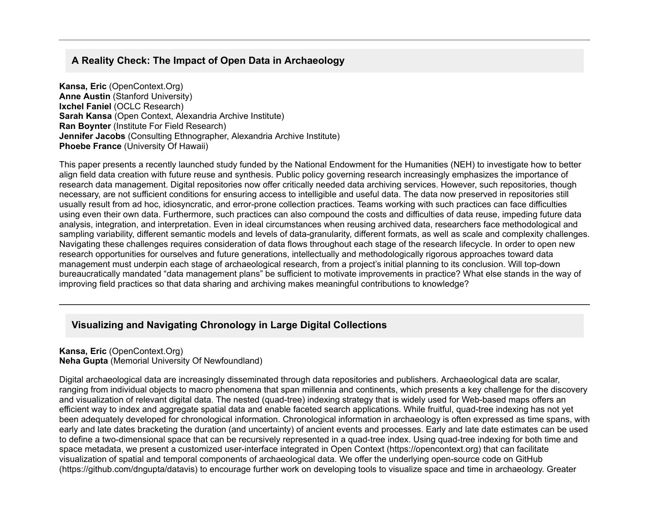## **A Reality Check: The Impact of Open Data in Archaeology**

**Kansa, Eric** (OpenContext.Org) **Anne Austin** (Stanford University) **Ixchel Faniel** (OCLC Research) **Sarah Kansa** (Open Context, Alexandria Archive Institute) **Ran Boynter** (Institute For Field Research) **Jennifer Jacobs** (Consulting Ethnographer, Alexandria Archive Institute) **Phoebe France** (University Of Hawaii)

This paper presents a recently launched study funded by the National Endowment for the Humanities (NEH) to investigate how to better align field data creation with future reuse and synthesis. Public policy governing research increasingly emphasizes the importance of research data management. Digital repositories now offer critically needed data archiving services. However, such repositories, though necessary, are not sufficient conditions for ensuring access to intelligible and useful data. The data now preserved in repositories still usually result from ad hoc, idiosyncratic, and error-prone collection practices. Teams working with such practices can face difficulties using even their own data. Furthermore, such practices can also compound the costs and difficulties of data reuse, impeding future data analysis, integration, and interpretation. Even in ideal circumstances when reusing archived data, researchers face methodological and sampling variability, different semantic models and levels of data-granularity, different formats, as well as scale and complexity challenges. Navigating these challenges requires consideration of data flows throughout each stage of the research lifecycle. In order to open new research opportunities for ourselves and future generations, intellectually and methodologically rigorous approaches toward data management must underpin each stage of archaeological research, from a project's initial planning to its conclusion. Will top-down bureaucratically mandated "data management plans" be sufficient to motivate improvements in practice? What else stands in the way of improving field practices so that data sharing and archiving makes meaningful contributions to knowledge?

## **Visualizing and Navigating Chronology in Large Digital Collections**

**Kansa, Eric** (OpenContext.Org) **Neha Gupta** (Memorial University Of Newfoundland)

Digital archaeological data are increasingly disseminated through data repositories and publishers. Archaeological data are scalar, ranging from individual objects to macro phenomena that span millennia and continents, which presents a key challenge for the discovery and visualization of relevant digital data. The nested (quad-tree) indexing strategy that is widely used for Web-based maps offers an efficient way to index and aggregate spatial data and enable faceted search applications. While fruitful, quad-tree indexing has not yet been adequately developed for chronological information. Chronological information in archaeology is often expressed as time spans, with early and late dates bracketing the duration (and uncertainty) of ancient events and processes. Early and late date estimates can be used to define a two-dimensional space that can be recursively represented in a quad-tree index. Using quad-tree indexing for both time and space metadata, we present a customized user-interface integrated in Open Context (https://opencontext.org) that can facilitate visualization of spatial and temporal components of archaeological data. We offer the underlying opensource code on GitHub (https://github.com/dngupta/datavis) to encourage further work on developing tools to visualize space and time in archaeology. Greater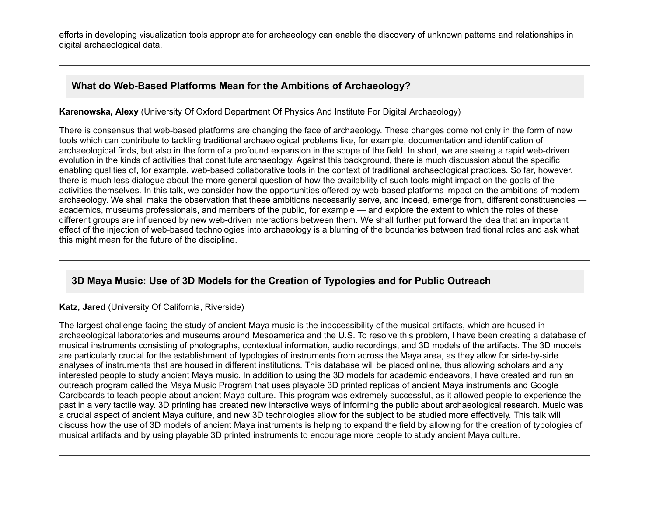efforts in developing visualization tools appropriate for archaeology can enable the discovery of unknown patterns and relationships in digital archaeological data.

## **What do Web-Based Platforms Mean for the Ambitions of Archaeology?**

**Karenowska, Alexy** (University Of Oxford Department Of Physics And Institute For Digital Archaeology)

There is consensus that web-based platforms are changing the face of archaeology. These changes come not only in the form of new tools which can contribute to tackling traditional archaeological problems like, for example, documentation and identification of archaeological finds, but also in the form of a profound expansion in the scope of the field. In short, we are seeing a rapid web-driven evolution in the kinds of activities that constitute archaeology. Against this background, there is much discussion about the specific enabling qualities of, for example, web-based collaborative tools in the context of traditional archaeological practices. So far, however, there is much less dialogue about the more general question of how the availability of such tools might impact on the goals of the activities themselves. In this talk, we consider how the opportunities offered by web-based platforms impact on the ambitions of modern archaeology. We shall make the observation that these ambitions necessarily serve, and indeed, emerge from, different constituencies academics, museums professionals, and members of the public, for example — and explore the extent to which the roles of these different groups are influenced by new web-driven interactions between them. We shall further put forward the idea that an important effect of the injection of web-based technologies into archaeology is a blurring of the boundaries between traditional roles and ask what this might mean for the future of the discipline.

## **3D Maya Music: Use of 3D Models for the Creation of Typologies and for Public Outreach**

#### **Katz, Jared** (University Of California, Riverside)

The largest challenge facing the study of ancient Maya music is the inaccessibility of the musical artifacts, which are housed in archaeological laboratories and museums around Mesoamerica and the U.S. To resolve this problem, I have been creating a database of musical instruments consisting of photographs, contextual information, audio recordings, and 3D models of the artifacts. The 3D models are particularly crucial for the establishment of typologies of instruments from across the Maya area, as they allow for side-by-side analyses of instruments that are housed in different institutions. This database will be placed online, thus allowing scholars and any interested people to study ancient Maya music. In addition to using the 3D models for academic endeavors, I have created and run an outreach program called the Maya Music Program that uses playable 3D printed replicas of ancient Maya instruments and Google Cardboards to teach people about ancient Maya culture. This program was extremely successful, as it allowed people to experience the past in a very tactile way. 3D printing has created new interactive ways of informing the public about archaeological research. Music was a crucial aspect of ancient Maya culture, and new 3D technologies allow for the subject to be studied more effectively. This talk will discuss how the use of 3D models of ancient Maya instruments is helping to expand the field by allowing for the creation of typologies of musical artifacts and by using playable 3D printed instruments to encourage more people to study ancient Maya culture.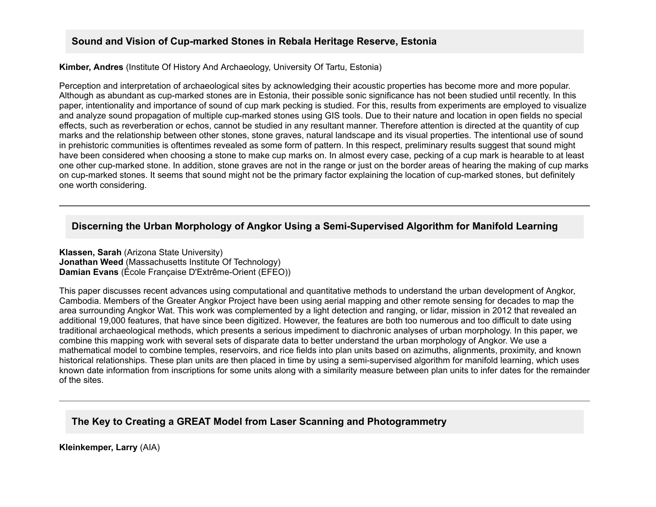### **Sound and Vision of Cup-marked Stones in Rebala Heritage Reserve, Estonia**

**Kimber, Andres** (Institute Of History And Archaeology, University Of Tartu, Estonia)

Perception and interpretation of archaeological sites by acknowledging their acoustic properties has become more and more popular. Although as abundant as cup-marked stones are in Estonia, their possible sonic significance has not been studied until recently. In this paper, intentionality and importance of sound of cup mark pecking is studied. For this, results from experiments are employed to visualize and analyze sound propagation of multiple cup-marked stones using GIS tools. Due to their nature and location in open fields no special effects, such as reverberation or echos, cannot be studied in any resultant manner. Therefore attention is directed at the quantity of cup marks and the relationship between other stones, stone graves, natural landscape and its visual properties. The intentional use of sound in prehistoric communities is oftentimes revealed as some form of pattern. In this respect, preliminary results suggest that sound might have been considered when choosing a stone to make cup marks on. In almost every case, pecking of a cup mark is hearable to at least one other cup-marked stone. In addition, stone graves are not in the range or just on the border areas of hearing the making of cup marks on cup-marked stones. It seems that sound might not be the primary factor explaining the location of cup-marked stones, but definitely one worth considering.

#### **Discerning the Urban Morphology of Angkor Using a Semi-Supervised Algorithm for Manifold Learning**

**Klassen, Sarah** (Arizona State University) **Jonathan Weed** (Massachusetts Institute Of Technology) **Damian Evans** (École Française D'Extrême-Orient (EFEO))

This paper discusses recent advances using computational and quantitative methods to understand the urban development of Angkor, Cambodia. Members of the Greater Angkor Project have been using aerial mapping and other remote sensing for decades to map the area surrounding Angkor Wat. This work was complemented by a light detection and ranging, or lidar, mission in 2012 that revealed an additional 19,000 features, that have since been digitized. However, the features are both too numerous and too difficult to date using traditional archaeological methods, which presents a serious impediment to diachronic analyses of urban morphology. In this paper, we combine this mapping work with several sets of disparate data to better understand the urban morphology of Angkor. We use a mathematical model to combine temples, reservoirs, and rice fields into plan units based on azimuths, alignments, proximity, and known historical relationships. These plan units are then placed in time by using a semi-supervised algorithm for manifold learning, which uses known date information from inscriptions for some units along with a similarity measure between plan units to infer dates for the remainder of the sites.

### **The Key to Creating a GREAT Model from Laser Scanning and Photogrammetry**

**Kleinkemper, Larry** (AIA)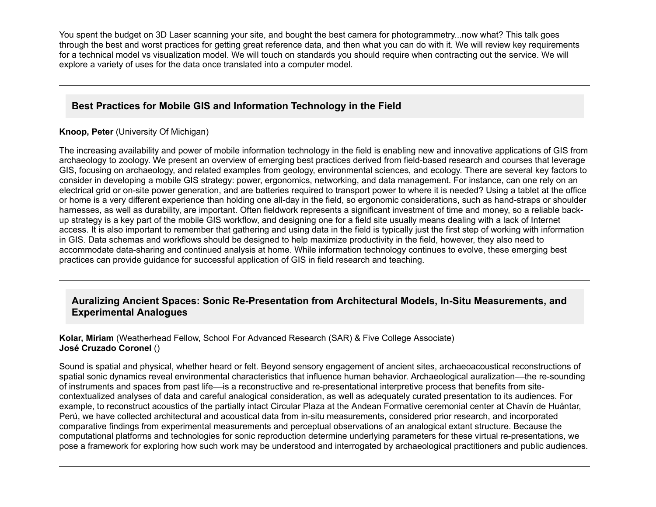You spent the budget on 3D Laser scanning your site, and bought the best camera for photogrammetry...now what? This talk goes through the best and worst practices for getting great reference data, and then what you can do with it. We will review key requirements for a technical model vs visualization model. We will touch on standards you should require when contracting out the service. We will explore a variety of uses for the data once translated into a computer model.

# **Best Practices for Mobile GIS and Information Technology in the Field**

#### **Knoop, Peter** (University Of Michigan)

The increasing availability and power of mobile information technology in the field is enabling new and innovative applications of GIS from archaeology to zoology. We present an overview of emerging best practices derived from field-based research and courses that leverage GIS, focusing on archaeology, and related examples from geology, environmental sciences, and ecology. There are several key factors to consider in developing a mobile GIS strategy: power, ergonomics, networking, and data management. For instance, can one rely on an electrical grid or onsite power generation, and are batteries required to transport power to where it is needed? Using a tablet at the office or home is a very different experience than holding one all-day in the field, so ergonomic considerations, such as hand-straps or shoulder harnesses, as well as durability, are important. Often fieldwork represents a significant investment of time and money, so a reliable backup strategy is a key part of the mobile GIS workflow, and designing one for a field site usually means dealing with a lack of Internet access. It is also important to remember that gathering and using data in the field is typically just the first step of working with information in GIS. Data schemas and workflows should be designed to help maximize productivity in the field, however, they also need to accommodate data-sharing and continued analysis at home. While information technology continues to evolve, these emerging best practices can provide guidance for successful application of GIS in field research and teaching.

## Auralizing Ancient Spaces: Sonic Re-Presentation from Architectural Models, In-Situ Measurements, and **Experimental Analogues**

**Kolar, Miriam** (Weatherhead Fellow, School For Advanced Research (SAR) & Five College Associate) **José Cruzado Coronel** ()

Sound is spatial and physical, whether heard or felt. Beyond sensory engagement of ancient sites, archaeoacoustical reconstructions of spatial sonic dynamics reveal environmental characteristics that influence human behavior. Archaeological auralization––the resounding of instruments and spaces from past life—is a reconstructive and re-presentational interpretive process that benefits from sitecontextualized analyses of data and careful analogical consideration, as well as adequately curated presentation to its audiences. For example, to reconstruct acoustics of the partially intact Circular Plaza at the Andean Formative ceremonial center at Chavín de Huántar, Perú, we have collected architectural and acoustical data from in-situ measurements, considered prior research, and incorporated comparative findings from experimental measurements and perceptual observations of an analogical extant structure. Because the computational platforms and technologies for sonic reproduction determine underlying parameters for these virtual re-presentations, we pose a framework for exploring how such work may be understood and interrogated by archaeological practitioners and public audiences.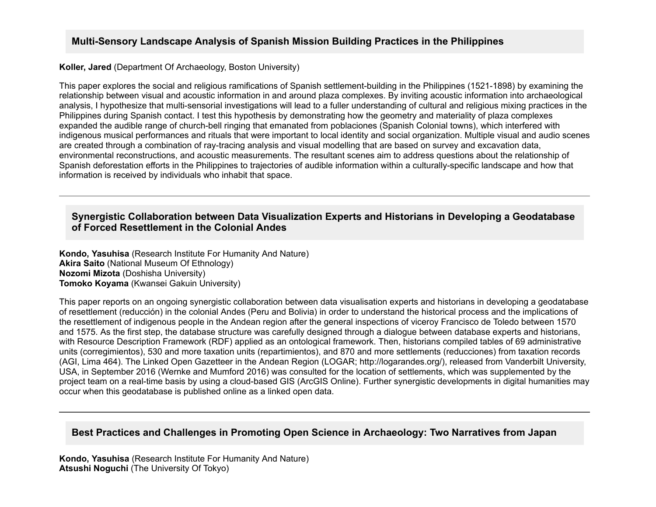## **Multi-Sensory Landscape Analysis of Spanish Mission Building Practices in the Philippines**

**Koller, Jared** (Department Of Archaeology, Boston University)

This paper explores the social and religious ramifications of Spanish settlement-building in the Philippines (1521-1898) by examining the relationship between visual and acoustic information in and around plaza complexes. By inviting acoustic information into archaeological analysis, I hypothesize that multi-sensorial investigations will lead to a fuller understanding of cultural and religious mixing practices in the Philippines during Spanish contact. I test this hypothesis by demonstrating how the geometry and materiality of plaza complexes expanded the audible range of church-bell ringing that emanated from poblaciones (Spanish Colonial towns), which interfered with indigenous musical performances and rituals that were important to local identity and social organization. Multiple visual and audio scenes are created through a combination of raytracing analysis and visual modelling that are based on survey and excavation data, environmental reconstructions, and acoustic measurements. The resultant scenes aim to address questions about the relationship of Spanish deforestation efforts in the Philippines to trajectories of audible information within a culturally-specific landscape and how that information is received by individuals who inhabit that space.

## **Synergistic Collaboration between Data Visualization Experts and Historians in Developing a Geodatabase of Forced Resettlement in the Colonial Andes**

**Kondo, Yasuhisa** (Research Institute For Humanity And Nature) **Akira Saito** (National Museum Of Ethnology) **Nozomi Mizota** (Doshisha University) **Tomoko Koyama** (Kwansei Gakuin University)

This paper reports on an ongoing synergistic collaboration between data visualisation experts and historians in developing a geodatabase of resettlement (reducción) in the colonial Andes (Peru and Bolivia) in order to understand the historical process and the implications of the resettlement of indigenous people in the Andean region after the general inspections of viceroy Francisco de Toledo between 1570 and 1575. As the first step, the database structure was carefully designed through a dialogue between database experts and historians, with Resource Description Framework (RDF) applied as an ontological framework. Then, historians compiled tables of 69 administrative units (corregimientos), 530 and more taxation units (repartimientos), and 870 and more settlements (reducciones) from taxation records (AGI, Lima 464). The Linked Open Gazetteer in the Andean Region (LOGAR; http://logarandes.org/), released from Vanderbilt University, USA, in September 2016 (Wernke and Mumford 2016) was consulted for the location of settlements, which was supplemented by the project team on a real-time basis by using a cloud-based GIS (ArcGIS Online). Further synergistic developments in digital humanities may occur when this geodatabase is published online as a linked open data.

## **Best Practices and Challenges in Promoting Open Science in Archaeology: Two Narratives from Japan**

**Kondo, Yasuhisa** (Research Institute For Humanity And Nature) **Atsushi Noguchi** (The University Of Tokyo)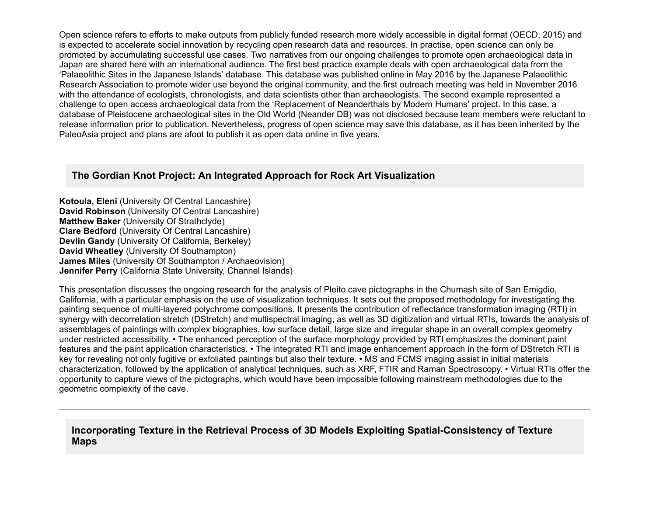Open science refers to efforts to make outputs from publicly funded research more widely accessible in digital format (OECD, 2015) and is expected to accelerate social innovation by recycling open research data and resources. In practise, open science can only be promoted by accumulating successful use cases. Two narratives from our ongoing challenges to promote open archaeological data in Japan are shared here with an international audience. The first best practice example deals with open archaeological data from the 'Palaeolithic Sites in the Japanese Islands' database. This database was published online in May 2016 by the Japanese Palaeolithic Research Association to promote wider use beyond the original community, and the first outreach meeting was held in November 2016 with the attendance of ecologists, chronologists, and data scientists other than archaeologists. The second example represented a challenge to open access archaeological data from the 'Replacement of Neanderthals by Modern Humans' project. In this case, a database of Pleistocene archaeological sites in the Old World (Neander DB) was not disclosed because team members were reluctant to release information prior to publication. Nevertheless, progress of open science may save this database, as it has been inherited by the PaleoAsia project and plans are afoot to publish it as open data online in five years.

### **The Gordian Knot Project: An Integrated Approach for Rock Art Visualization**

**Kotoula, Eleni** (University Of Central Lancashire) **David Robinson** (University Of Central Lancashire) **Matthew Baker** (University Of Strathclyde) **Clare Bedford** (University Of Central Lancashire) **Devlin Gandy** (University Of California, Berkeley) **David Wheatley** (University Of Southampton) **James Miles** (University Of Southampton / Archaeovision) **Jennifer Perry** (California State University, Channel Islands)

This presentation discusses the ongoing research for the analysis of Pleito cave pictographs in the Chumash site of San Emigdio, California, with a particular emphasis on the use of visualization techniques. It sets out the proposed methodology for investigating the painting sequence of multi-layered polychrome compositions. It presents the contribution of reflectance transformation imaging (RTI) in synergy with decorrelation stretch (DStretch) and multispectral imaging, as well as 3D digitization and virtual RTIs, towards the analysis of assemblages of paintings with complex biographies, low surface detail, large size and irregular shape in an overall complex geometry under restricted accessibility. • The enhanced perception of the surface morphology provided by RTI emphasizes the dominant paint features and the paint application characteristics. • The integrated RTI and image enhancement approach in the form of DStretch RTI is key for revealing not only fugitive or exfoliated paintings but also their texture. • MS and FCMS imaging assist in initial materials characterization, followed by the application of analytical techniques, such as XRF, FTIR and Raman Spectroscopy. • Virtual RTIs offer the opportunity to capture views of the pictographs, which would have been impossible following mainstream methodologies due to the geometric complexity of the cave.

### Incorporating Texture in the Retrieval Process of 3D Models Exploiting Spatial-Consistency of Texture **Maps**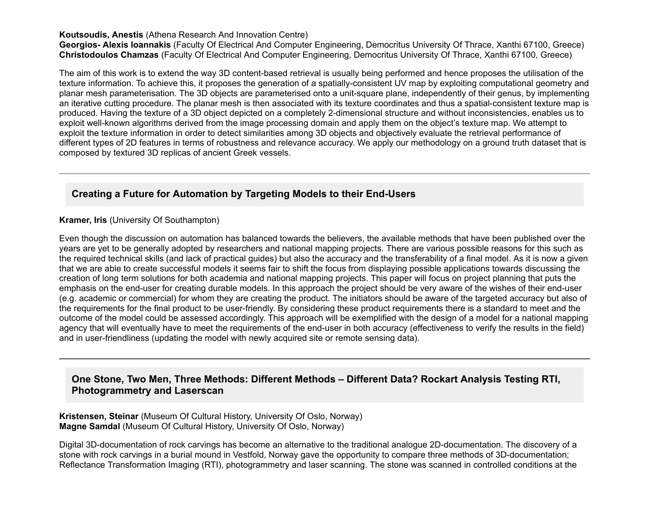#### **Koutsoudis, Anestis** (Athena Research And Innovation Centre)

Georgios- Alexis Ioannakis (Faculty Of Electrical And Computer Engineering, Democritus University Of Thrace, Xanthi 67100, Greece) **Christodoulos Chamzas** (Faculty Of Electrical And Computer Engineering, Democritus University Of Thrace, Xanthi 67100, Greece)

The aim of this work is to extend the way 3D content-based retrieval is usually being performed and hence proposes the utilisation of the texture information. To achieve this, it proposes the generation of a spatially-consistent UV map by exploiting computational geometry and planar mesh parameterisation. The 3D objects are parameterised onto a unit-square plane, independently of their genus, by implementing an iterative cutting procedure. The planar mesh is then associated with its texture coordinates and thus a spatial-consistent texture map is produced. Having the texture of a 3D object depicted on a completely 2-dimensional structure and without inconsistencies, enables us to exploit well-known algorithms derived from the image processing domain and apply them on the object's texture map. We attempt to exploit the texture information in order to detect similarities among 3D objects and objectively evaluate the retrieval performance of different types of 2D features in terms of robustness and relevance accuracy. We apply our methodology on a ground truth dataset that is composed by textured 3D replicas of ancient Greek vessels.

## **Creating a Future for Automation by Targeting Models to their End-Users**

**Kramer, Iris** (University Of Southampton)

Even though the discussion on automation has balanced towards the believers, the available methods that have been published over the years are yet to be generally adopted by researchers and national mapping projects. There are various possible reasons for this such as the required technical skills (and lack of practical guides) but also the accuracy and the transferability of a final model. As it is now a given that we are able to create successful models it seems fair to shift the focus from displaying possible applications towards discussing the creation of long term solutions for both academia and national mapping projects. This paper will focus on project planning that puts the emphasis on the end-user for creating durable models. In this approach the project should be very aware of the wishes of their end-user (e.g. academic or commercial) for whom they are creating the product. The initiators should be aware of the targeted accuracy but also of the requirements for the final product to be user-friendly. By considering these product requirements there is a standard to meet and the outcome of the model could be assessed accordingly. This approach will be exemplified with the design of a model for a national mapping agency that will eventually have to meet the requirements of the end-user in both accuracy (effectiveness to verify the results in the field) and in user-friendliness (updating the model with newly acquired site or remote sensing data).

#### **One Stone, Two Men, Three Methods: Different Methods – Different Data? Rockart Analysis Testing RTI, Photogrammetry and Laserscan**

#### **Kristensen, Steinar** (Museum Of Cultural History, University Of Oslo, Norway) **Magne Samdal** (Museum Of Cultural History, University Of Oslo, Norway)

Digital 3D-documentation of rock carvings has become an alternative to the traditional analogue 2D-documentation. The discovery of a stone with rock carvings in a burial mound in Vestfold, Norway gave the opportunity to compare three methods of 3D-documentation; Reflectance Transformation Imaging (RTI), photogrammetry and laser scanning. The stone was scanned in controlled conditions at the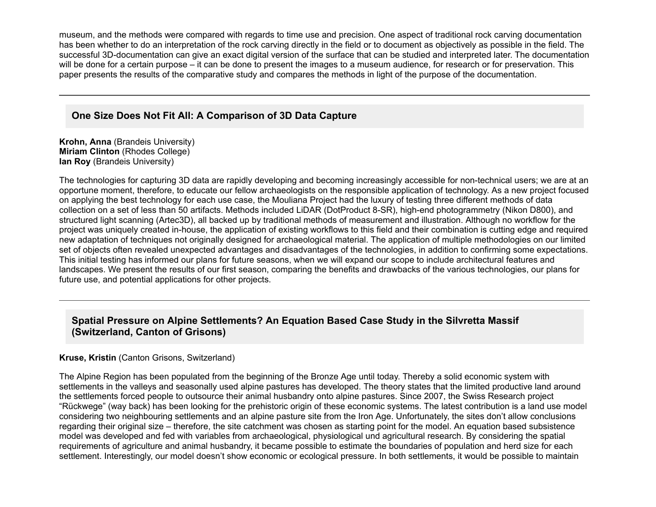museum, and the methods were compared with regards to time use and precision. One aspect of traditional rock carving documentation has been whether to do an interpretation of the rock carving directly in the field or to document as objectively as possible in the field. The successful 3D-documentation can give an exact digital version of the surface that can be studied and interpreted later. The documentation will be done for a certain purpose – it can be done to present the images to a museum audience, for research or for preservation. This paper presents the results of the comparative study and compares the methods in light of the purpose of the documentation.

### **One Size Does Not Fit All: A Comparison of 3D Data Capture**

**Krohn, Anna** (Brandeis University) **Miriam Clinton** (Rhodes College) **Ian Roy** (Brandeis University)

The technologies for capturing 3D data are rapidly developing and becoming increasingly accessible for non-technical users; we are at an opportune moment, therefore, to educate our fellow archaeologists on the responsible application of technology. As a new project focused on applying the best technology for each use case, the Mouliana Project had the luxury of testing three different methods of data collection on a set of less than 50 artifacts. Methods included LiDAR (DotProduct 8-SR), high-end photogrammetry (Nikon D800), and structured light scanning (Artec3D), all backed up by traditional methods of measurement and illustration. Although no workflow for the project was uniquely created inhouse, the application of existing workflows to this field and their combination is cutting edge and required new adaptation of techniques not originally designed for archaeological material. The application of multiple methodologies on our limited set of objects often revealed unexpected advantages and disadvantages of the technologies, in addition to confirming some expectations. This initial testing has informed our plans for future seasons, when we will expand our scope to include architectural features and landscapes. We present the results of our first season, comparing the benefits and drawbacks of the various technologies, our plans for future use, and potential applications for other projects.

## **Spatial Pressure on Alpine Settlements? An Equation Based Case Study in the Silvretta Massif (Switzerland, Canton of Grisons)**

#### **Kruse, Kristin** (Canton Grisons, Switzerland)

The Alpine Region has been populated from the beginning of the Bronze Age until today. Thereby a solid economic system with settlements in the valleys and seasonally used alpine pastures has developed. The theory states that the limited productive land around the settlements forced people to outsource their animal husbandry onto alpine pastures. Since 2007, the Swiss Research project "Rückwege" (way back) has been looking for the prehistoric origin of these economic systems. The latest contribution is a land use model considering two neighbouring settlements and an alpine pasture site from the Iron Age. Unfortunately, the sites don't allow conclusions regarding their original size – therefore, the site catchment was chosen as starting point for the model. An equation based subsistence model was developed and fed with variables from archaeological, physiological und agricultural research. By considering the spatial requirements of agriculture and animal husbandry, it became possible to estimate the boundaries of population and herd size for each settlement. Interestingly, our model doesn't show economic or ecological pressure. In both settlements, it would be possible to maintain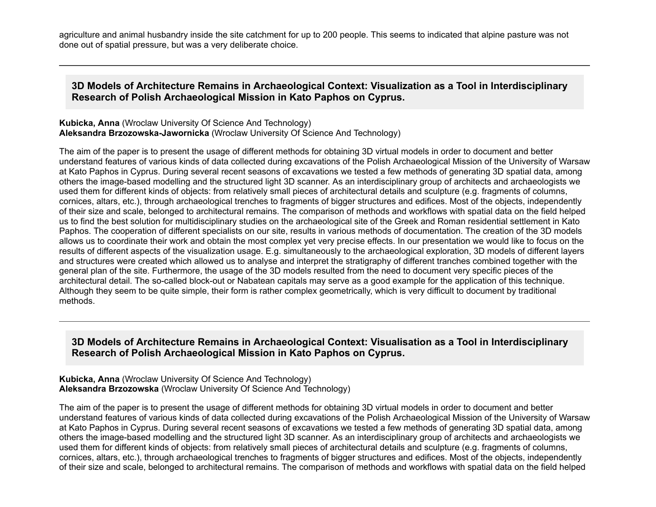agriculture and animal husbandry inside the site catchment for up to 200 people. This seems to indicated that alpine pasture was not done out of spatial pressure, but was a very deliberate choice.

#### **3D Models of Architecture Remains in Archaeological Context: Visualization as a Tool in Interdisciplinary Research of Polish Archaeological Mission in Kato Paphos on Cyprus.**

#### **Kubicka, Anna** (Wroclaw University Of Science And Technology) **Aleksandra Brzozowska-Jawornicka** (Wroclaw University Of Science And Technology)

The aim of the paper is to present the usage of different methods for obtaining 3D virtual models in order to document and better understand features of various kinds of data collected during excavations of the Polish Archaeological Mission of the University of Warsaw at Kato Paphos in Cyprus. During several recent seasons of excavations we tested a few methods of generating 3D spatial data, among others the image-based modelling and the structured light 3D scanner. As an interdisciplinary group of architects and archaeologists we used them for different kinds of objects: from relatively small pieces of architectural details and sculpture (e.g. fragments of columns, cornices, altars, etc.), through archaeological trenches to fragments of bigger structures and edifices. Most of the objects, independently of their size and scale, belonged to architectural remains. The comparison of methods and workflows with spatial data on the field helped us to find the best solution for multidisciplinary studies on the archaeological site of the Greek and Roman residential settlement in Kato Paphos. The cooperation of different specialists on our site, results in various methods of documentation. The creation of the 3D models allows us to coordinate their work and obtain the most complex yet very precise effects. In our presentation we would like to focus on the results of different aspects of the visualization usage. E.g. simultaneously to the archaeological exploration, 3D models of different layers and structures were created which allowed us to analyse and interpret the stratigraphy of different tranches combined together with the general plan of the site. Furthermore, the usage of the 3D models resulted from the need to document very specific pieces of the architectural detail. The so-called block-out or Nabatean capitals may serve as a good example for the application of this technique. Although they seem to be quite simple, their form is rather complex geometrically, which is very difficult to document by traditional methods.

### **3D Models of Architecture Remains in Archaeological Context: Visualisation as a Tool in Interdisciplinary Research of Polish Archaeological Mission in Kato Paphos on Cyprus.**

**Kubicka, Anna** (Wroclaw University Of Science And Technology) **Aleksandra Brzozowska** (Wroclaw University Of Science And Technology)

The aim of the paper is to present the usage of different methods for obtaining 3D virtual models in order to document and better understand features of various kinds of data collected during excavations of the Polish Archaeological Mission of the University of Warsaw at Kato Paphos in Cyprus. During several recent seasons of excavations we tested a few methods of generating 3D spatial data, among others the image-based modelling and the structured light 3D scanner. As an interdisciplinary group of architects and archaeologists we used them for different kinds of objects: from relatively small pieces of architectural details and sculpture (e.g. fragments of columns, cornices, altars, etc.), through archaeological trenches to fragments of bigger structures and edifices. Most of the objects, independently of their size and scale, belonged to architectural remains. The comparison of methods and workflows with spatial data on the field helped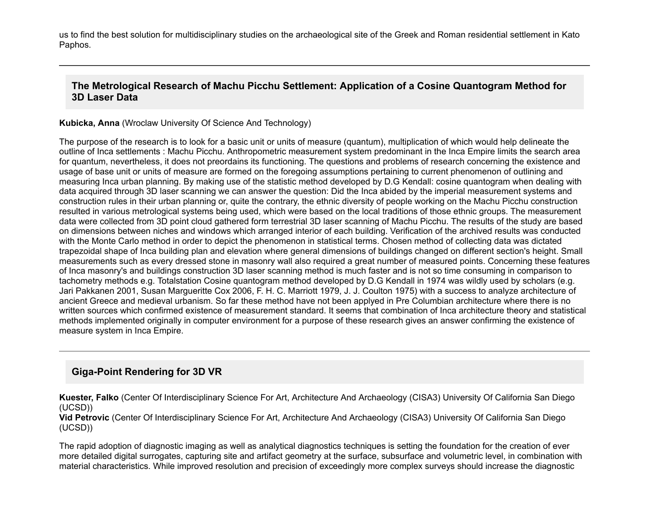us to find the best solution for multidisciplinary studies on the archaeological site of the Greek and Roman residential settlement in Kato Paphos.

### **The Metrological Research of Machu Picchu Settlement: Application of a Cosine Quantogram Method for 3D Laser Data**

**Kubicka, Anna** (Wroclaw University Of Science And Technology)

The purpose of the research is to look for a basic unit or units of measure (quantum), multiplication of which would help delineate the outline of Inca settlements : Machu Picchu. Anthropometric measurement system predominant in the Inca Empire limits the search area for quantum, nevertheless, it does not preordains its functioning. The questions and problems of research concerning the existence and usage of base unit or units of measure are formed on the foregoing assumptions pertaining to current phenomenon of outlining and measuring Inca urban planning. By making use of the statistic method developed by D.G Kendall: cosine quantogram when dealing with data acquired through 3D laser scanning we can answer the question: Did the Inca abided by the imperial measurement systems and construction rules in their urban planning or, quite the contrary, the ethnic diversity of people working on the Machu Picchu construction resulted in various metrological systems being used, which were based on the local traditions of those ethnic groups. The measurement data were collected from 3D point cloud gathered form terrestrial 3D laser scanning of Machu Picchu. The results of the study are based on dimensions between niches and windows which arranged interior of each building. Verification of the archived results was conducted with the Monte Carlo method in order to depict the phenomenon in statistical terms. Chosen method of collecting data was dictated trapezoidal shape of Inca building plan and elevation where general dimensions of buildings changed on different section's height. Small measurements such as every dressed stone in masonry wall also required a great number of measured points. Concerning these features of Inca masonry's and buildings construction 3D laser scanning method is much faster and is not so time consuming in comparison to tachometry methods e.g. Totalstation Cosine quantogram method developed by D.G Kendall in 1974 was wildly used by scholars (e.g. Jari Pakkanen 2001, Susan Margueritte Cox 2006, F. H. C. Marriott 1979, J. J. Coulton 1975) with a success to analyze architecture of ancient Greece and medieval urbanism. So far these method have not been applyed in Pre Columbian architecture where there is no written sources which confirmed existence of measurement standard. It seems that combination of Inca architecture theory and statistical methods implemented originally in computer environment for a purpose of these research gives an answer confirming the existence of measure system in Inca Empire.

## **Giga-Point Rendering for 3D VR**

**Kuester, Falko** (Center Of Interdisciplinary Science For Art, Architecture And Archaeology (CISA3) University Of California San Diego (UCSD))

**Vid Petrovic** (Center Of Interdisciplinary Science For Art, Architecture And Archaeology (CISA3) University Of California San Diego (UCSD))

The rapid adoption of diagnostic imaging as well as analytical diagnostics techniques is setting the foundation for the creation of ever more detailed digital surrogates, capturing site and artifact geometry at the surface, subsurface and volumetric level, in combination with material characteristics. While improved resolution and precision of exceedingly more complex surveys should increase the diagnostic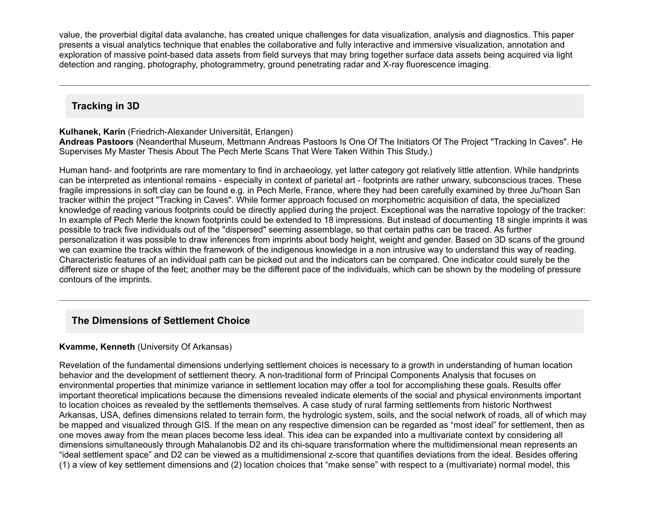value, the proverbial digital data avalanche, has created unique challenges for data visualization, analysis and diagnostics. This paper presents a visual analytics technique that enables the collaborative and fully interactive and immersive visualization, annotation and exploration of massive point-based data assets from field surveys that may bring together surface data assets being acquired via light detection and ranging, photography, photogrammetry, ground penetrating radar and X-ray fluorescence imaging.

# **Tracking in 3D**

#### **Kulhanek, Karin** (Friedrich-Alexander Universität, Erlangen)

**Andreas Pastoors** (Neanderthal Museum, Mettmann Andreas Pastoors Is One Of The Initiators Of The Project "Tracking In Caves". He Supervises My Master Thesis About The Pech Merle Scans That Were Taken Within This Study.)

Human hand- and footprints are rare momentary to find in archaeology, yet latter category got relatively little attention. While handprints can be interpreted as intentional remains especially in context of parietal art footprints are rather unwary, subconscious traces. These fragile impressions in soft clay can be found e.g. in Pech Merle, France, where they had been carefully examined by three Ju/'hoan San tracker within the project "Tracking in Caves". While former approach focused on morphometric acquisition of data, the specialized knowledge of reading various footprints could be directly applied during the project. Exceptional was the narrative topology of the tracker: In example of Pech Merle the known footprints could be extended to 18 impressions. But instead of documenting 18 single imprints it was possible to track five individuals out of the "dispersed" seeming assemblage, so that certain paths can be traced. As further personalization it was possible to draw inferences from imprints about body height, weight and gender. Based on 3D scans of the ground we can examine the tracks within the framework of the indigenous knowledge in a non intrusive way to understand this way of reading. Characteristic features of an individual path can be picked out and the indicators can be compared. One indicator could surely be the different size or shape of the feet; another may be the different pace of the individuals, which can be shown by the modeling of pressure contours of the imprints.

# **The Dimensions of Settlement Choice**

#### **Kvamme, Kenneth** (University Of Arkansas)

Revelation of the fundamental dimensions underlying settlement choices is necessary to a growth in understanding of human location behavior and the development of settlement theory. A non-traditional form of Principal Components Analysis that focuses on environmental properties that minimize variance in settlement location may offer a tool for accomplishing these goals. Results offer important theoretical implications because the dimensions revealed indicate elements of the social and physical environments important to location choices as revealed by the settlements themselves. A case study of rural farming settlements from historic Northwest Arkansas, USA, defines dimensions related to terrain form, the hydrologic system, soils, and the social network of roads, all of which may be mapped and visualized through GIS. If the mean on any respective dimension can be regarded as "most ideal" for settlement, then as one moves away from the mean places become less ideal. This idea can be expanded into a multivariate context by considering all dimensions simultaneously through Mahalanobis D2 and its chi-square transformation where the multidimensional mean represents an "ideal settlement space" and D2 can be viewed as a multidimensional z-score that quantifies deviations from the ideal. Besides offering (1) a view of key settlement dimensions and (2) location choices that "make sense" with respect to a (multivariate) normal model, this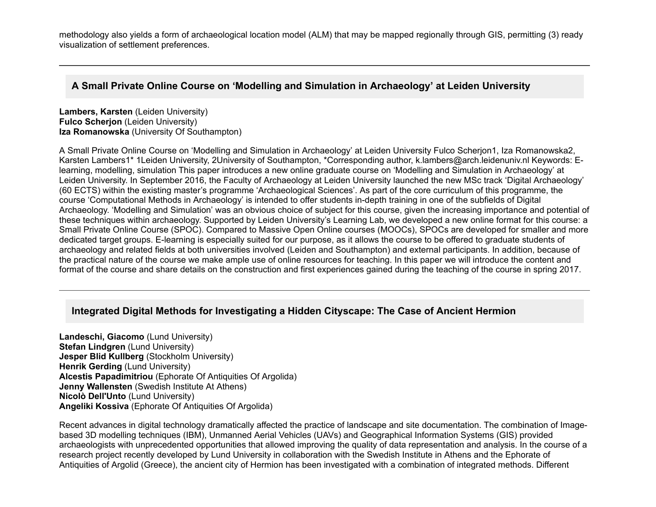methodology also yields a form of archaeological location model (ALM) that may be mapped regionally through GIS, permitting (3) ready visualization of settlement preferences.

## **A Small Private Online Course on 'Modelling and Simulation in Archaeology' at Leiden University**

**Lambers, Karsten** (Leiden University) **Fulco Scherion** (Leiden University) **Iza Romanowska** (University Of Southampton)

A Small Private Online Course on 'Modelling and Simulation in Archaeology' at Leiden University Fulco Scherjon1, Iza Romanowska2, Karsten Lambers1\* 1Leiden University, 2University of Southampton, \*Corresponding author, k.lambers@arch.leidenuniv.nl Keywords: Elearning, modelling, simulation This paper introduces a new online graduate course on 'Modelling and Simulation in Archaeology' at Leiden University. In September 2016, the Faculty of Archaeology at Leiden University launched the new MSc track 'Digital Archaeology' (60 ECTS) within the existing master's programme 'Archaeological Sciences'. As part of the core curriculum of this programme, the course 'Computational Methods in Archaeology' is intended to offer students in-depth training in one of the subfields of Digital Archaeology. 'Modelling and Simulation' was an obvious choice of subject for this course, given the increasing importance and potential of these techniques within archaeology. Supported by Leiden University's Learning Lab, we developed a new online format for this course: a Small Private Online Course (SPOC). Compared to Massive Open Online courses (MOOCs), SPOCs are developed for smaller and more dedicated target groups. E-learning is especially suited for our purpose, as it allows the course to be offered to graduate students of archaeology and related fields at both universities involved (Leiden and Southampton) and external participants. In addition, because of the practical nature of the course we make ample use of online resources for teaching. In this paper we will introduce the content and format of the course and share details on the construction and first experiences gained during the teaching of the course in spring 2017.

## **Integrated Digital Methods for Investigating a Hidden Cityscape: The Case of Ancient Hermion**

**Landeschi, Giacomo** (Lund University) **Stefan Lindgren** (Lund University) **Jesper Blid Kullberg** (Stockholm University) **Henrik Gerding** (Lund University) **Alcestis Papadimitriou** (Ephorate Of Antiquities Of Argolida) **Jenny Wallensten** (Swedish Institute At Athens) **Nicolò Dell'Unto** (Lund University) **Angeliki Kossiva** (Ephorate Of Antiquities Of Argolida)

Recent advances in digital technology dramatically affected the practice of landscape and site documentation. The combination of Imagebased 3D modelling techniques (IBM), Unmanned Aerial Vehicles (UAVs) and Geographical Information Systems (GIS) provided archaeologists with unprecedented opportunities that allowed improving the quality of data representation and analysis. In the course of a research project recently developed by Lund University in collaboration with the Swedish Institute in Athens and the Ephorate of Antiquities of Argolid (Greece), the ancient city of Hermion has been investigated with a combination of integrated methods. Different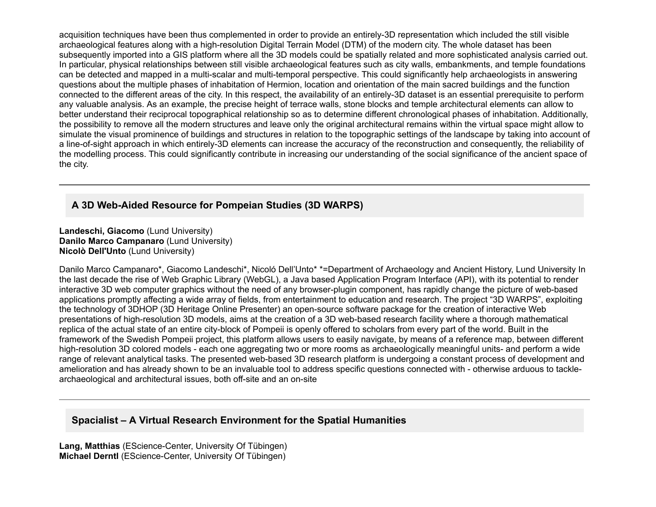acquisition techniques have been thus complemented in order to provide an entirely-3D representation which included the still visible archaeological features along with a high-resolution Digital Terrain Model (DTM) of the modern city. The whole dataset has been subsequently imported into a GIS platform where all the 3D models could be spatially related and more sophisticated analysis carried out. In particular, physical relationships between still visible archaeological features such as city walls, embankments, and temple foundations can be detected and mapped in a multi-scalar and multi-temporal perspective. This could significantly help archaeologists in answering questions about the multiple phases of inhabitation of Hermion, location and orientation of the main sacred buildings and the function connected to the different areas of the city. In this respect, the availability of an entirely-3D dataset is an essential prerequisite to perform any valuable analysis. As an example, the precise height of terrace walls, stone blocks and temple architectural elements can allow to better understand their reciprocal topographical relationship so as to determine different chronological phases of inhabitation. Additionally, the possibility to remove all the modern structures and leave only the original architectural remains within the virtual space might allow to simulate the visual prominence of buildings and structures in relation to the topographic settings of the landscape by taking into account of a line-of-sight approach in which entirely-3D elements can increase the accuracy of the reconstruction and consequently, the reliability of the modelling process. This could significantly contribute in increasing our understanding of the social significance of the ancient space of the city.

## **A 3D WebAided Resource for Pompeian Studies (3D WARPS)**

**Landeschi, Giacomo** (Lund University) **Danilo Marco Campanaro** (Lund University) **Nicolò Dell'Unto** (Lund University)

Danilo Marco Campanaro\*, Giacomo Landeschi\*, Nicoló Dell'Unto\* \*=Department of Archaeology and Ancient History, Lund University In the last decade the rise of Web Graphic Library (WebGL), a Java based Application Program Interface (API), with its potential to render interactive 3D web computer graphics without the need of any browser-plugin component, has rapidly change the picture of web-based applications promptly affecting a wide array of fields, from entertainment to education and research. The project "3D WARPS", exploiting the technology of 3DHOP (3D Heritage Online Presenter) an open-source software package for the creation of interactive Web presentations of high-resolution 3D models, aims at the creation of a 3D web-based research facility where a thorough mathematical replica of the actual state of an entire city-block of Pompeii is openly offered to scholars from every part of the world. Built in the framework of the Swedish Pompeii project, this platform allows users to easily navigate, by means of a reference map, between different high-resolution 3D colored models - each one aggregating two or more rooms as archaeologically meaningful units- and perform a wide range of relevant analytical tasks. The presented web-based 3D research platform is undergoing a constant process of development and amelioration and has already shown to be an invaluable tool to address specific questions connected with - otherwise arduous to tacklearchaeological and architectural issues, both off-site and an on-site

### **Spacialist – A Virtual Research Environment for the Spatial Humanities**

**Lang, Matthias** (EScience-Center, University Of Tübingen) **Michael Derntl** (EScience-Center, University Of Tübingen)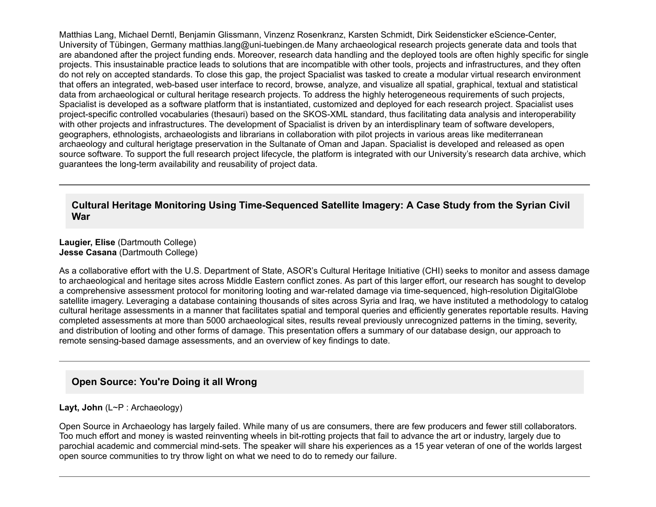Matthias Lang, Michael Derntl, Benjamin Glissmann, Vinzenz Rosenkranz, Karsten Schmidt, Dirk Seidensticker eScience-Center, University of Tübingen, Germany matthias.lang@uni-tuebingen.de Many archaeological research projects generate data and tools that are abandoned after the project funding ends. Moreover, research data handling and the deployed tools are often highly specific for single projects. This insustainable practice leads to solutions that are incompatible with other tools, projects and infrastructures, and they often do not rely on accepted standards. To close this gap, the project Spacialist was tasked to create a modular virtual research environment that offers an integrated, web-based user interface to record, browse, analyze, and visualize all spatial, graphical, textual and statistical data from archaeological or cultural heritage research projects. To address the highly heterogeneous requirements of such projects, Spacialist is developed as a software platform that is instantiated, customized and deployed for each research project. Spacialist uses project-specific controlled vocabularies (thesauri) based on the SKOS-XML standard, thus facilitating data analysis and interoperability with other projects and infrastructures. The development of Spacialist is driven by an interdisplinary team of software developers, geographers, ethnologists, archaeologists and librarians in collaboration with pilot projects in various areas like mediterranean archaeology and cultural herigtage preservation in the Sultanate of Oman and Japan. Spacialist is developed and released as open source software. To support the full research project lifecycle, the platform is integrated with our University's research data archive, which guarantees the long-term availability and reusability of project data.

#### **Cultural Heritage Monitoring Using Time-Sequenced Satellite Imagery: A Case Study from the Syrian Civil War**

#### **Laugier, Elise** (Dartmouth College) **Jesse Casana** (Dartmouth College)

As a collaborative effort with the U.S. Department of State, ASOR's Cultural Heritage Initiative (CHI) seeks to monitor and assess damage to archaeological and heritage sites across Middle Eastern conflict zones. As part of this larger effort, our research has sought to develop a comprehensive assessment protocol for monitoring looting and war-related damage via time-sequenced, high-resolution DigitalGlobe satellite imagery. Leveraging a database containing thousands of sites across Syria and Iraq, we have instituted a methodology to catalog cultural heritage assessments in a manner that facilitates spatial and temporal queries and efficiently generates reportable results. Having completed assessments at more than 5000 archaeological sites, results reveal previously unrecognized patterns in the timing, severity, and distribution of looting and other forms of damage. This presentation offers a summary of our database design, our approach to remote sensing-based damage assessments, and an overview of key findings to date.

## **Open Source: You're Doing it all Wrong**

#### **Layt, John** (L~P : Archaeology)

Open Source in Archaeology has largely failed. While many of us are consumers, there are few producers and fewer still collaborators. Too much effort and money is wasted reinventing wheels in bit-rotting projects that fail to advance the art or industry, largely due to parochial academic and commercial mind-sets. The speaker will share his experiences as a 15 year veteran of one of the worlds largest open source communities to try throw light on what we need to do to remedy our failure.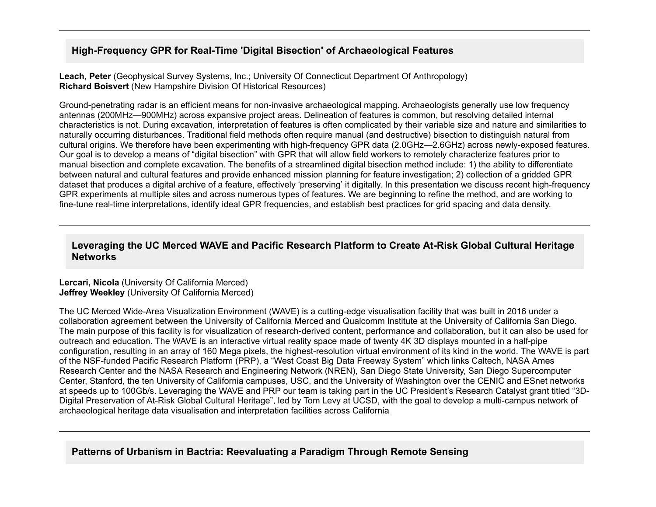# **High-Frequency GPR for Real-Time 'Digital Bisection' of Archaeological Features**

**Leach, Peter** (Geophysical Survey Systems, Inc.; University Of Connecticut Department Of Anthropology) **Richard Boisvert** (New Hampshire Division Of Historical Resources)

Ground-penetrating radar is an efficient means for non-invasive archaeological mapping. Archaeologists generally use low frequency antennas (200MHz—900MHz) across expansive project areas. Delineation of features is common, but resolving detailed internal characteristics is not. During excavation, interpretation of features is often complicated by their variable size and nature and similarities to naturally occurring disturbances. Traditional field methods often require manual (and destructive) bisection to distinguish natural from cultural origins. We therefore have been experimenting with high-frequency GPR data (2.0GHz—2.6GHz) across newly-exposed features. Our goal is to develop a means of "digital bisection" with GPR that will allow field workers to remotely characterize features prior to manual bisection and complete excavation. The benefits of a streamlined digital bisection method include: 1) the ability to differentiate between natural and cultural features and provide enhanced mission planning for feature investigation; 2) collection of a gridded GPR dataset that produces a digital archive of a feature, effectively 'preserving' it digitally. In this presentation we discuss recent high-frequency GPR experiments at multiple sites and across numerous types of features. We are beginning to refine the method, and are working to fine-tune real-time interpretations, identify ideal GPR frequencies, and establish best practices for grid spacing and data density.

# **Leveraging the UC Merced WAVE and Pacific Research Platform to Create At-Risk Global Cultural Heritage Networks**

#### **Lercari, Nicola** (University Of California Merced) **Jeffrey Weekley** (University Of California Merced)

The UC Merced Wide-Area Visualization Environment (WAVE) is a cutting-edge visualisation facility that was built in 2016 under a collaboration agreement between the University of California Merced and Qualcomm Institute at the University of California San Diego. The main purpose of this facility is for visualization of research-derived content, performance and collaboration, but it can also be used for outreach and education. The WAVE is an interactive virtual reality space made of twenty 4K 3D displays mounted in a half-pipe configuration, resulting in an array of 160 Mega pixels, the highest-resolution virtual environment of its kind in the world. The WAVE is part of the NSFfunded Pacific Research Platform (PRP), a "West Coast Big Data Freeway System" which links Caltech, NASA Ames Research Center and the NASA Research and Engineering Network (NREN), San Diego State University, San Diego Supercomputer Center, Stanford, the ten University of California campuses, USC, and the University of Washington over the CENIC and ESnet networks at speeds up to 100Gb/s. Leveraging the WAVE and PRP our team is taking part in the UC President's Research Catalyst grant titled "3D-Digital Preservation of At-Risk Global Cultural Heritage", led by Tom Levy at UCSD, with the goal to develop a multi-campus network of archaeological heritage data visualisation and interpretation facilities across California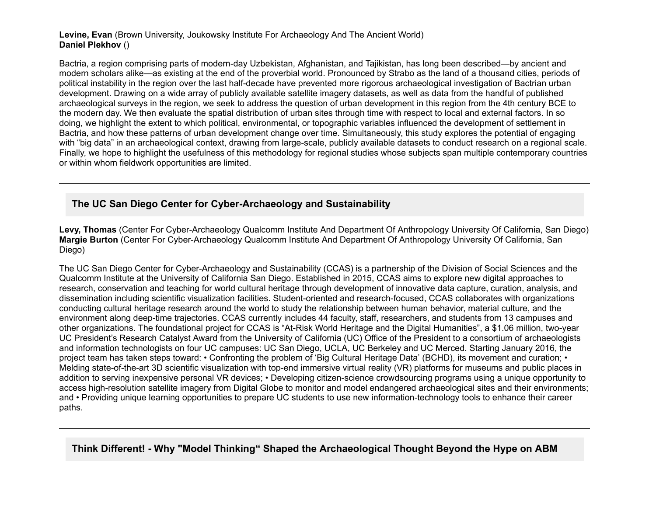#### **Levine, Evan** (Brown University, Joukowsky Institute For Archaeology And The Ancient World) **Daniel Plekhov** ()

Bactria, a region comprising parts of modern-day Uzbekistan, Afghanistan, and Tajikistan, has long been described—by ancient and modern scholars alike—as existing at the end of the proverbial world. Pronounced by Strabo as the land of a thousand cities, periods of political instability in the region over the last half-decade have prevented more rigorous archaeological investigation of Bactrian urban development. Drawing on a wide array of publicly available satellite imagery datasets, as well as data from the handful of published archaeological surveys in the region, we seek to address the question of urban development in this region from the 4th century BCE to the modern day. We then evaluate the spatial distribution of urban sites through time with respect to local and external factors. In so doing, we highlight the extent to which political, environmental, or topographic variables influenced the development of settlement in Bactria, and how these patterns of urban development change over time. Simultaneously, this study explores the potential of engaging with "big data" in an archaeological context, drawing from large-scale, publicly available datasets to conduct research on a regional scale. Finally, we hope to highlight the usefulness of this methodology for regional studies whose subjects span multiple contemporary countries or within whom fieldwork opportunities are limited.

# **The UC San Diego Center for Cyber-Archaeology and Sustainability**

Levy, Thomas (Center For Cyber-Archaeology Qualcomm Institute And Department Of Anthropology University Of California, San Diego) **Margie Burton** (Center For Cyber-Archaeology Qualcomm Institute And Department Of Anthropology University Of California, San Diego)

The UC San Diego Center for CyberArchaeology and Sustainability (CCAS) is a partnership of the Division of Social Sciences and the Qualcomm Institute at the University of California San Diego. Established in 2015, CCAS aims to explore new digital approaches to research, conservation and teaching for world cultural heritage through development of innovative data capture, curation, analysis, and dissemination including scientific visualization facilities. Student-oriented and research-focused, CCAS collaborates with organizations conducting cultural heritage research around the world to study the relationship between human behavior, material culture, and the environment along deep-time trajectories. CCAS currently includes 44 faculty, staff, researchers, and students from 13 campuses and other organizations. The foundational project for CCAS is "At-Risk World Heritage and the Digital Humanities", a \$1.06 million, two-year UC President's Research Catalyst Award from the University of California (UC) Office of the President to a consortium of archaeologists and information technologists on four UC campuses: UC San Diego, UCLA, UC Berkeley and UC Merced. Starting January 2016, the project team has taken steps toward: • Confronting the problem of 'Big Cultural Heritage Data' (BCHD), its movement and curation; • Melding state-of-the-art 3D scientific visualization with top-end immersive virtual reality (VR) platforms for museums and public places in addition to serving inexpensive personal VR devices; • Developing citizen-science crowdsourcing programs using a unique opportunity to access high-resolution satellite imagery from Digital Globe to monitor and model endangered archaeological sites and their environments; and • Providing unique learning opportunities to prepare UC students to use new information-technology tools to enhance their career paths.

**Think Different! Why "Model Thinking" Shaped the Archaeological Thought Beyond the Hype on ABM**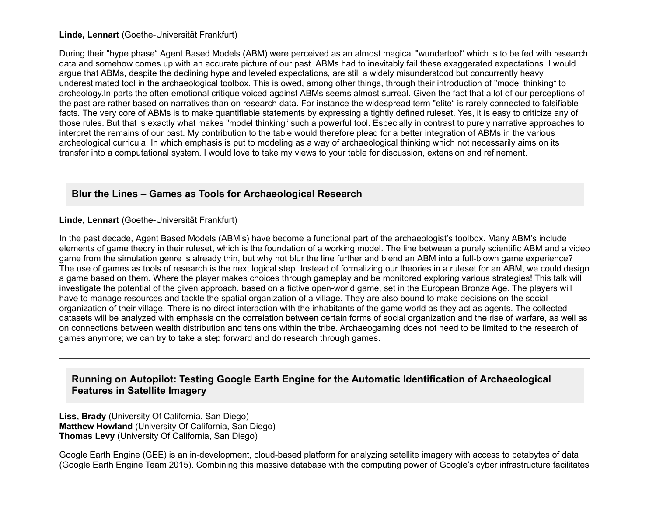#### **Linde, Lennart** (Goethe-Universität Frankfurt)

During their "hype phase" Agent Based Models (ABM) were perceived as an almost magical "wundertool" which is to be fed with research data and somehow comes up with an accurate picture of our past. ABMs had to inevitably fail these exaggerated expectations. I would argue that ABMs, despite the declining hype and leveled expectations, are still a widely misunderstood but concurrently heavy underestimated tool in the archaeological toolbox. This is owed, among other things, through their introduction of "model thinking" to archeology.In parts the often emotional critique voiced against ABMs seems almost surreal. Given the fact that a lot of our perceptions of the past are rather based on narratives than on research data. For instance the widespread term "elite" is rarely connected to falsifiable facts. The very core of ABMs is to make quantifiable statements by expressing a tightly defined ruleset. Yes, it is easy to criticize any of those rules. But that is exactly what makes "model thinking" such a powerful tool. Especially in contrast to purely narrative approaches to interpret the remains of our past. My contribution to the table would therefore plead for a better integration of ABMs in the various archeological curricula. In which emphasis is put to modeling as a way of archaeological thinking which not necessarily aims on its transfer into a computational system. I would love to take my views to your table for discussion, extension and refinement.

#### **Blur the Lines – Games as Tools for Archaeological Research**

**Linde, Lennart** (Goethe-Universität Frankfurt)

In the past decade, Agent Based Models (ABM's) have become a functional part of the archaeologist's toolbox. Many ABM's include elements of game theory in their ruleset, which is the foundation of a working model. The line between a purely scientific ABM and a video game from the simulation genre is already thin, but why not blur the line further and blend an ABM into a full-blown game experience? The use of games as tools of research is the next logical step. Instead of formalizing our theories in a ruleset for an ABM, we could design a game based on them. Where the player makes choices through gameplay and be monitored exploring various strategies! This talk will investigate the potential of the given approach, based on a fictive open-world game, set in the European Bronze Age. The players will have to manage resources and tackle the spatial organization of a village. They are also bound to make decisions on the social organization of their village. There is no direct interaction with the inhabitants of the game world as they act as agents. The collected datasets will be analyzed with emphasis on the correlation between certain forms of social organization and the rise of warfare, as well as on connections between wealth distribution and tensions within the tribe. Archaeogaming does not need to be limited to the research of games anymore; we can try to take a step forward and do research through games.

#### **Running on Autopilot: Testing Google Earth Engine for the Automatic Identification of Archaeological Features in Satellite Imagery**

**Liss, Brady** (University Of California, San Diego) **Matthew Howland** (University Of California, San Diego) **Thomas Levy** (University Of California, San Diego)

Google Earth Engine (GEE) is an in-development, cloud-based platform for analyzing satellite imagery with access to petabytes of data (Google Earth Engine Team 2015). Combining this massive database with the computing power of Google's cyber infrastructure facilitates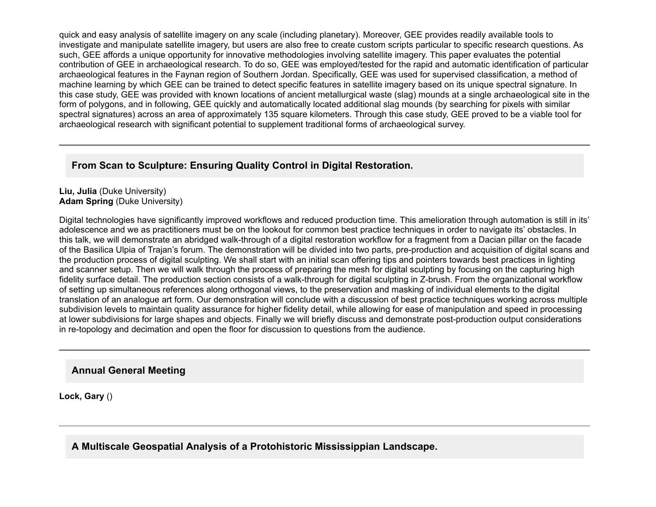quick and easy analysis of satellite imagery on any scale (including planetary). Moreover, GEE provides readily available tools to investigate and manipulate satellite imagery, but users are also free to create custom scripts particular to specific research questions. As such, GEE affords a unique opportunity for innovative methodologies involving satellite imagery. This paper evaluates the potential contribution of GEE in archaeological research. To do so, GEE was employed/tested for the rapid and automatic identification of particular archaeological features in the Faynan region of Southern Jordan. Specifically, GEE was used for supervised classification, a method of machine learning by which GEE can be trained to detect specific features in satellite imagery based on its unique spectral signature. In this case study, GEE was provided with known locations of ancient metallurgical waste (slag) mounds at a single archaeological site in the form of polygons, and in following, GEE quickly and automatically located additional slag mounds (by searching for pixels with similar spectral signatures) across an area of approximately 135 square kilometers. Through this case study, GEE proved to be a viable tool for archaeological research with significant potential to supplement traditional forms of archaeological survey.

# **From Scan to Sculpture: Ensuring Quality Control in Digital Restoration.**

#### **Liu, Julia** (Duke University) **Adam Spring** (Duke University)

Digital technologies have significantly improved workflows and reduced production time. This amelioration through automation is still in its' adolescence and we as practitioners must be on the lookout for common best practice techniques in order to navigate its' obstacles. In this talk, we will demonstrate an abridged walk-through of a digital restoration workflow for a fragment from a Dacian pillar on the facade of the Basilica Ulpia of Trajan's forum. The demonstration will be divided into two parts, pre-production and acquisition of digital scans and the production process of digital sculpting. We shall start with an initial scan offering tips and pointers towards best practices in lighting and scanner setup. Then we will walk through the process of preparing the mesh for digital sculpting by focusing on the capturing high fidelity surface detail. The production section consists of a walk-through for digital sculpting in Z-brush. From the organizational workflow of setting up simultaneous references along orthogonal views, to the preservation and masking of individual elements to the digital translation of an analogue art form. Our demonstration will conclude with a discussion of best practice techniques working across multiple subdivision levels to maintain quality assurance for higher fidelity detail, while allowing for ease of manipulation and speed in processing at lower subdivisions for large shapes and objects. Finally we will briefly discuss and demonstrate post-production output considerations in re-topology and decimation and open the floor for discussion to questions from the audience.

#### **Annual General Meeting**

**Lock, Gary** ()

**A Multiscale Geospatial Analysis of a Protohistoric Mississippian Landscape.**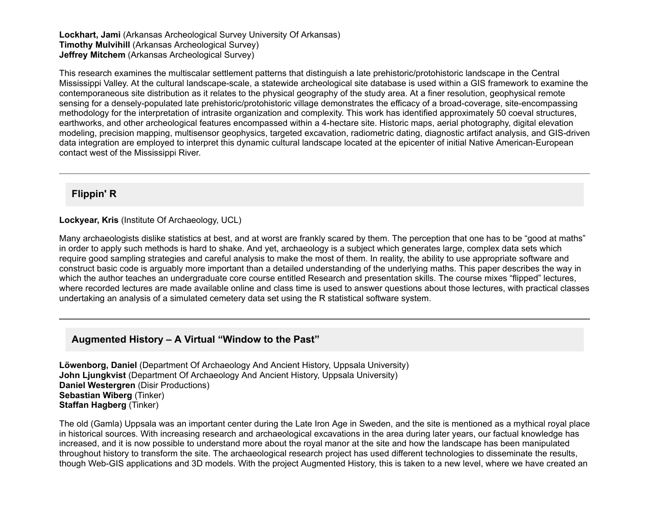**Lockhart, Jami** (Arkansas Archeological Survey University Of Arkansas) **Timothy Mulvihill** (Arkansas Archeological Survey) **Jeffrey Mitchem** (Arkansas Archeological Survey)

This research examines the multiscalar settlement patterns that distinguish a late prehistoric/protohistoric landscape in the Central Mississippi Valley. At the cultural landscape-scale, a statewide archeological site database is used within a GIS framework to examine the contemporaneous site distribution as it relates to the physical geography of the study area. At a finer resolution, geophysical remote sensing for a densely-populated late prehistoric/protohistoric village demonstrates the efficacy of a broad-coverage, site-encompassing methodology for the interpretation of intrasite organization and complexity. This work has identified approximately 50 coeval structures, earthworks, and other archeological features encompassed within a 4hectare site. Historic maps, aerial photography, digital elevation modeling, precision mapping, multisensor geophysics, targeted excavation, radiometric dating, diagnostic artifact analysis, and GIS-driven data integration are employed to interpret this dynamic cultural landscape located at the epicenter of initial Native American-European contact west of the Mississippi River.

#### **Flippin' R**

#### **Lockyear, Kris** (Institute Of Archaeology, UCL)

Many archaeologists dislike statistics at best, and at worst are frankly scared by them. The perception that one has to be "good at maths" in order to apply such methods is hard to shake. And yet, archaeology is a subject which generates large, complex data sets which require good sampling strategies and careful analysis to make the most of them. In reality, the ability to use appropriate software and construct basic code is arguably more important than a detailed understanding of the underlying maths. This paper describes the way in which the author teaches an undergraduate core course entitled Research and presentation skills. The course mixes "flipped" lectures, where recorded lectures are made available online and class time is used to answer questions about those lectures, with practical classes undertaking an analysis of a simulated cemetery data set using the R statistical software system.

#### **Augmented History – A Virtual "Window to the Past"**

**Löwenborg, Daniel** (Department Of Archaeology And Ancient History, Uppsala University) **John Ljungkvist** (Department Of Archaeology And Ancient History, Uppsala University) **Daniel Westergren** (Disir Productions) **Sebastian Wiberg** (Tinker) **Staffan Hagberg** (Tinker)

The old (Gamla) Uppsala was an important center during the Late Iron Age in Sweden, and the site is mentioned as a mythical royal place in historical sources. With increasing research and archaeological excavations in the area during later years, our factual knowledge has increased, and it is now possible to understand more about the royal manor at the site and how the landscape has been manipulated throughout history to transform the site. The archaeological research project has used different technologies to disseminate the results, though WebGIS applications and 3D models. With the project Augmented History, this is taken to a new level, where we have created an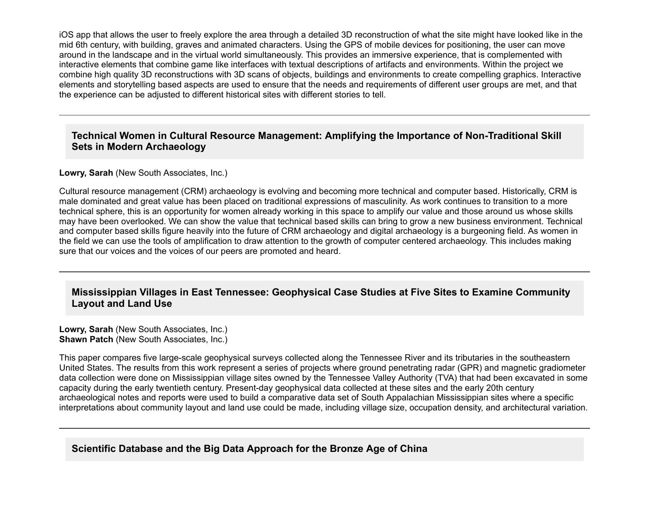iOS app that allows the user to freely explore the area through a detailed 3D reconstruction of what the site might have looked like in the mid 6th century, with building, graves and animated characters. Using the GPS of mobile devices for positioning, the user can move around in the landscape and in the virtual world simultaneously. This provides an immersive experience, that is complemented with interactive elements that combine game like interfaces with textual descriptions of artifacts and environments. Within the project we combine high quality 3D reconstructions with 3D scans of objects, buildings and environments to create compelling graphics. Interactive elements and storytelling based aspects are used to ensure that the needs and requirements of different user groups are met, and that the experience can be adjusted to different historical sites with different stories to tell.

### **Technical Women in Cultural Resource Management: Amplifying the Importance of Non-Traditional Skill Sets in Modern Archaeology**

#### **Lowry, Sarah** (New South Associates, Inc.)

Cultural resource management (CRM) archaeology is evolving and becoming more technical and computer based. Historically, CRM is male dominated and great value has been placed on traditional expressions of masculinity. As work continues to transition to a more technical sphere, this is an opportunity for women already working in this space to amplify our value and those around us whose skills may have been overlooked. We can show the value that technical based skills can bring to grow a new business environment. Technical and computer based skills figure heavily into the future of CRM archaeology and digital archaeology is a burgeoning field. As women in the field we can use the tools of amplification to draw attention to the growth of computer centered archaeology. This includes making sure that our voices and the voices of our peers are promoted and heard.

#### **Mississippian Villages in East Tennessee: Geophysical Case Studies at Five Sites to Examine Community Layout and Land Use**

**Lowry, Sarah** (New South Associates, Inc.) **Shawn Patch** (New South Associates, Inc.)

This paper compares five large-scale geophysical surveys collected along the Tennessee River and its tributaries in the southeastern United States. The results from this work represent a series of projects where ground penetrating radar (GPR) and magnetic gradiometer data collection were done on Mississippian village sites owned by the Tennessee Valley Authority (TVA) that had been excavated in some capacity during the early twentieth century. Present-day geophysical data collected at these sites and the early 20th century archaeological notes and reports were used to build a comparative data set of South Appalachian Mississippian sites where a specific interpretations about community layout and land use could be made, including village size, occupation density, and architectural variation.

#### **Scientific Database and the Big Data Approach for the Bronze Age of China**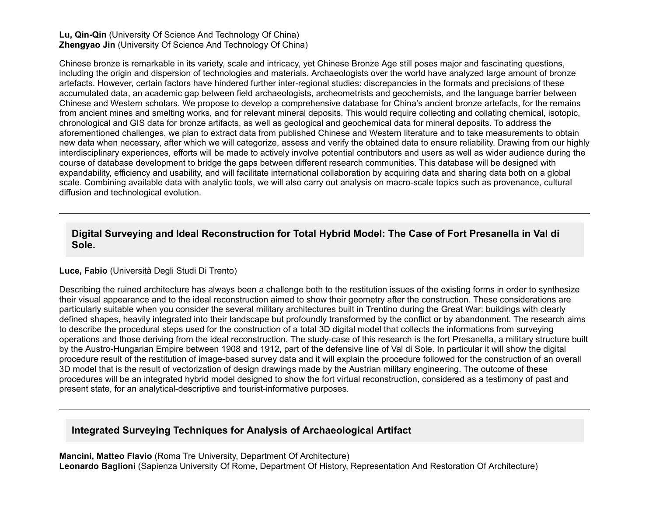#### **Lu, Qin-Qin** (University Of Science And Technology Of China) **Zhengyao Jin** (University Of Science And Technology Of China)

Chinese bronze is remarkable in its variety, scale and intricacy, yet Chinese Bronze Age still poses major and fascinating questions, including the origin and dispersion of technologies and materials. Archaeologists over the world have analyzed large amount of bronze artefacts. However, certain factors have hindered further interregional studies: discrepancies in the formats and precisions of these accumulated data, an academic gap between field archaeologists, archeometrists and geochemists, and the language barrier between Chinese and Western scholars. We propose to develop a comprehensive database for China's ancient bronze artefacts, for the remains from ancient mines and smelting works, and for relevant mineral deposits. This would require collecting and collating chemical, isotopic, chronological and GIS data for bronze artifacts, as well as geological and geochemical data for mineral deposits. To address the aforementioned challenges, we plan to extract data from published Chinese and Western literature and to take measurements to obtain new data when necessary, after which we will categorize, assess and verify the obtained data to ensure reliability. Drawing from our highly interdisciplinary experiences, efforts will be made to actively involve potential contributors and users as well as wider audience during the course of database development to bridge the gaps between different research communities. This database will be designed with expandability, efficiency and usability, and will facilitate international collaboration by acquiring data and sharing data both on a global scale. Combining available data with analytic tools, we will also carry out analysis on macro-scale topics such as provenance, cultural diffusion and technological evolution.

### **Digital Surveying and Ideal Reconstruction for Total Hybrid Model: The Case of Fort Presanella in Val di Sole.**

#### **Luce, Fabio** (Università Degli Studi Di Trento)

Describing the ruined architecture has always been a challenge both to the restitution issues of the existing forms in order to synthesize their visual appearance and to the ideal reconstruction aimed to show their geometry after the construction. These considerations are particularly suitable when you consider the several military architectures built in Trentino during the Great War: buildings with clearly defined shapes, heavily integrated into their landscape but profoundly transformed by the conflict or by abandonment. The research aims to describe the procedural steps used for the construction of a total 3D digital model that collects the informations from surveying operations and those deriving from the ideal reconstruction. The study-case of this research is the fort Presanella, a military structure built by the Austro-Hungarian Empire between 1908 and 1912, part of the defensive line of Val di Sole. In particular it will show the digital procedure result of the restitution of image-based survey data and it will explain the procedure followed for the construction of an overall 3D model that is the result of vectorization of design drawings made by the Austrian military engineering. The outcome of these procedures will be an integrated hybrid model designed to show the fort virtual reconstruction, considered as a testimony of past and present state, for an analytical-descriptive and tourist-informative purposes.

#### **Integrated Surveying Techniques for Analysis of Archaeological Artifact**

**Mancini, Matteo Flavio** (Roma Tre University, Department Of Architecture) **Leonardo Baglioni** (Sapienza University Of Rome, Department Of History, Representation And Restoration Of Architecture)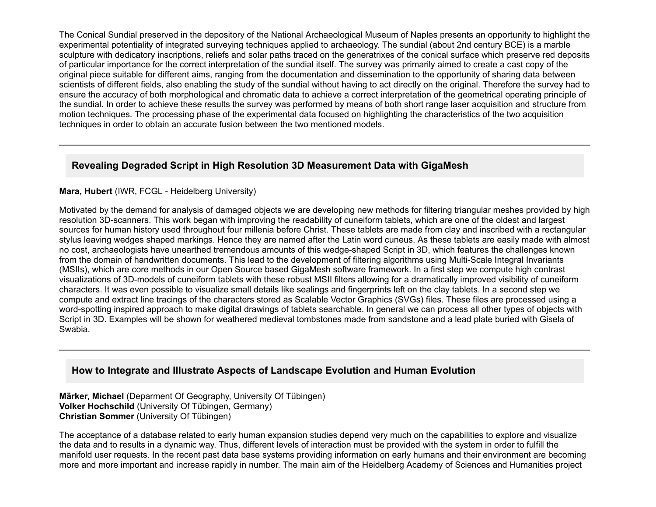The Conical Sundial preserved in the depository of the National Archaeological Museum of Naples presents an opportunity to highlight the experimental potentiality of integrated surveying techniques applied to archaeology. The sundial (about 2nd century BCE) is a marble sculpture with dedicatory inscriptions, reliefs and solar paths traced on the generatrixes of the conical surface which preserve red deposits of particular importance for the correct interpretation of the sundial itself. The survey was primarily aimed to create a cast copy of the original piece suitable for different aims, ranging from the documentation and dissemination to the opportunity of sharing data between scientists of different fields, also enabling the study of the sundial without having to act directly on the original. Therefore the survey had to ensure the accuracy of both morphological and chromatic data to achieve a correct interpretation of the geometrical operating principle of the sundial. In order to achieve these results the survey was performed by means of both short range laser acquisition and structure from motion techniques. The processing phase of the experimental data focused on highlighting the characteristics of the two acquisition techniques in order to obtain an accurate fusion between the two mentioned models.

# **Revealing Degraded Script in High Resolution 3D Measurement Data with GigaMesh**

#### Mara, Hubert (IWR, FCGL - Heidelberg University)

Motivated by the demand for analysis of damaged objects we are developing new methods for filtering triangular meshes provided by high resolution 3D-scanners. This work began with improving the readability of cuneiform tablets, which are one of the oldest and largest sources for human history used throughout four millenia before Christ. These tablets are made from clay and inscribed with a rectangular stylus leaving wedges shaped markings. Hence they are named after the Latin word cuneus. As these tablets are easily made with almost no cost, archaeologists have unearthed tremendous amounts of this wedge-shaped Script in 3D, which features the challenges known from the domain of handwritten documents. This lead to the development of filtering algorithms using Multi-Scale Integral Invariants (MSIIs), which are core methods in our Open Source based GigaMesh software framework. In a first step we compute high contrast visualizations of 3Dmodels of cuneiform tablets with these robust MSII filters allowing for a dramatically improved visibility of cuneiform characters. It was even possible to visualize small details like sealings and fingerprints left on the clay tablets. In a second step we compute and extract line tracings of the characters stored as Scalable Vector Graphics (SVGs) files. These files are processed using a word-spotting inspired approach to make digital drawings of tablets searchable. In general we can process all other types of objects with Script in 3D. Examples will be shown for weathered medieval tombstones made from sandstone and a lead plate buried with Gisela of Swabia.

#### **How to Integrate and Illustrate Aspects of Landscape Evolution and Human Evolution**

**Märker, Michael** (Deparment Of Geography, University Of Tübingen) **Volker Hochschild** (University Of Tübingen, Germany) **Christian Sommer** (University Of Tübingen)

The acceptance of a database related to early human expansion studies depend very much on the capabilities to explore and visualize the data and to results in a dynamic way. Thus, different levels of interaction must be provided with the system in order to fulfill the manifold user requests. In the recent past data base systems providing information on early humans and their environment are becoming more and more important and increase rapidly in number. The main aim of the Heidelberg Academy of Sciences and Humanities project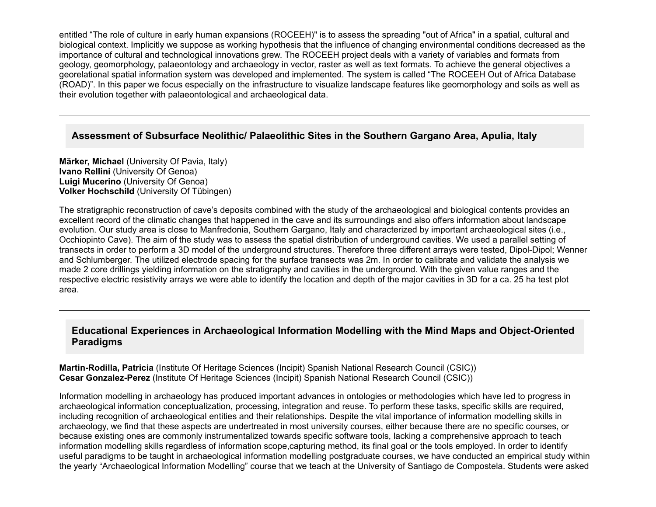entitled "The role of culture in early human expansions (ROCEEH)" is to assess the spreading "out of Africa" in a spatial, cultural and biological context. Implicitly we suppose as working hypothesis that the influence of changing environmental conditions decreased as the importance of cultural and technological innovations grew. The ROCEEH project deals with a variety of variables and formats from geology, geomorphology, palaeontology and archaeology in vector, raster as well as text formats. To achieve the general objectives a georelational spatial information system was developed and implemented. The system is called "The ROCEEH Out of Africa Database (ROAD)". In this paper we focus especially on the infrastructure to visualize landscape features like geomorphology and soils as well as their evolution together with palaeontological and archaeological data.

#### **Assessment of Subsurface Neolithic/ Palaeolithic Sites in the Southern Gargano Area, Apulia, Italy**

**Märker, Michael** (University Of Pavia, Italy) **Ivano Rellini** (University Of Genoa) **Luigi Mucerino** (University Of Genoa) **Volker Hochschild** (University Of Tübingen)

The stratigraphic reconstruction of cave's deposits combined with the study of the archaeological and biological contents provides an excellent record of the climatic changes that happened in the cave and its surroundings and also offers information about landscape evolution. Our study area is close to Manfredonia, Southern Gargano, Italy and characterized by important archaeological sites (i.e., Occhiopinto Cave). The aim of the study was to assess the spatial distribution of underground cavities. We used a parallel setting of transects in order to perform a 3D model of the underground structures. Therefore three different arrays were tested, Dipol-Dipol; Wenner and Schlumberger. The utilized electrode spacing for the surface transects was 2m. In order to calibrate and validate the analysis we made 2 core drillings yielding information on the stratigraphy and cavities in the underground. With the given value ranges and the respective electric resistivity arrays we were able to identify the location and depth of the major cavities in 3D for a ca. 25 ha test plot area.

#### **Educational Experiences in Archaeological Information Modelling with the Mind Maps and Object-Oriented Paradigms**

**Martin-Rodilla, Patricia** (Institute Of Heritage Sciences (Incipit) Spanish National Research Council (CSIC)) **Cesar GonzalezPerez** (Institute Of Heritage Sciences (Incipit) Spanish National Research Council (CSIC))

Information modelling in archaeology has produced important advances in ontologies or methodologies which have led to progress in archaeological information conceptualization, processing, integration and reuse. To perform these tasks, specific skills are required, including recognition of archaeological entities and their relationships. Despite the vital importance of information modelling skills in archaeology, we find that these aspects are undertreated in most university courses, either because there are no specific courses, or because existing ones are commonly instrumentalized towards specific software tools, lacking a comprehensive approach to teach information modelling skills regardless of information scope,capturing method, its final goal or the tools employed. In order to identify useful paradigms to be taught in archaeological information modelling postgraduate courses, we have conducted an empirical study within the yearly "Archaeological Information Modelling" course that we teach at the University of Santiago de Compostela. Students were asked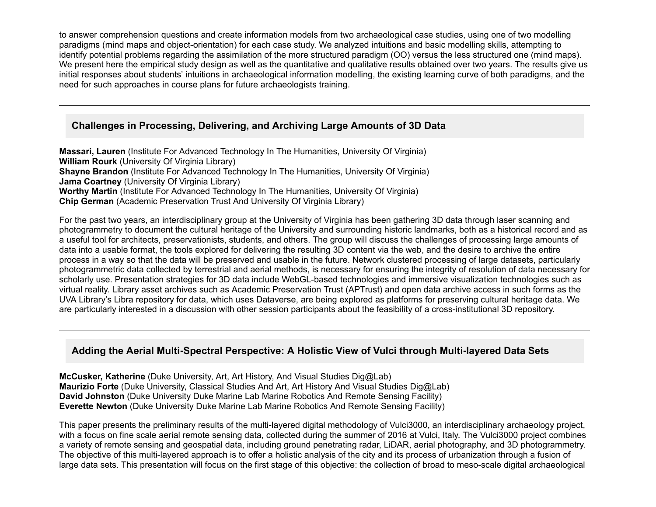to answer comprehension questions and create information models from two archaeological case studies, using one of two modelling paradigms (mind maps and object-orientation) for each case study. We analyzed intuitions and basic modelling skills, attempting to identify potential problems regarding the assimilation of the more structured paradigm (OO) versus the less structured one (mind maps). We present here the empirical study design as well as the quantitative and qualitative results obtained over two years. The results give us initial responses about students' intuitions in archaeological information modelling, the existing learning curve of both paradigms, and the need for such approaches in course plans for future archaeologists training.

#### **Challenges in Processing, Delivering, and Archiving Large Amounts of 3D Data**

**Massari, Lauren** (Institute For Advanced Technology In The Humanities, University Of Virginia) **William Rourk** (University Of Virginia Library) **Shayne Brandon** (Institute For Advanced Technology In The Humanities, University Of Virginia) **Jama Coartney** (University Of Virginia Library) **Worthy Martin** (Institute For Advanced Technology In The Humanities, University Of Virginia) **Chip German** (Academic Preservation Trust And University Of Virginia Library)

For the past two years, an interdisciplinary group at the University of Virginia has been gathering 3D data through laser scanning and photogrammetry to document the cultural heritage of the University and surrounding historic landmarks, both as a historical record and as a useful tool for architects, preservationists, students, and others. The group will discuss the challenges of processing large amounts of data into a usable format, the tools explored for delivering the resulting 3D content via the web, and the desire to archive the entire process in a way so that the data will be preserved and usable in the future. Network clustered processing of large datasets, particularly photogrammetric data collected by terrestrial and aerial methods, is necessary for ensuring the integrity of resolution of data necessary for scholarly use. Presentation strategies for 3D data include WebGL-based technologies and immersive visualization technologies such as virtual reality. Library asset archives such as Academic Preservation Trust (APTrust) and open data archive access in such forms as the UVA Library's Libra repository for data, which uses Dataverse, are being explored as platforms for preserving cultural heritage data. We are particularly interested in a discussion with other session participants about the feasibility of a cross-institutional 3D repository.

#### Adding the Aerial Multi-Spectral Perspective: A Holistic View of Vulci through Multi-layered Data Sets

**McCusker, Katherine** (Duke University, Art, Art History, And Visual Studies Dig@Lab) **Maurizio Forte** (Duke University, Classical Studies And Art, Art History And Visual Studies Dig@Lab) **David Johnston** (Duke University Duke Marine Lab Marine Robotics And Remote Sensing Facility) **Everette Newton** (Duke University Duke Marine Lab Marine Robotics And Remote Sensing Facility)

This paper presents the preliminary results of the multi-layered digital methodology of Vulci3000, an interdisciplinary archaeology project, with a focus on fine scale aerial remote sensing data, collected during the summer of 2016 at Vulci, Italy. The Vulci3000 project combines a variety of remote sensing and geospatial data, including ground penetrating radar, LiDAR, aerial photography, and 3D photogrammetry. The objective of this multi-layered approach is to offer a holistic analysis of the city and its process of urbanization through a fusion of large data sets. This presentation will focus on the first stage of this objective: the collection of broad to meso-scale digital archaeological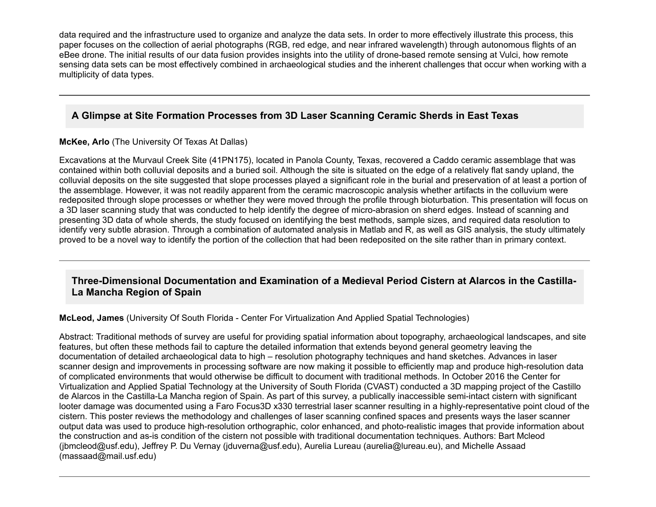data required and the infrastructure used to organize and analyze the data sets. In order to more effectively illustrate this process, this paper focuses on the collection of aerial photographs (RGB, red edge, and near infrared wavelength) through autonomous flights of an eBee drone. The initial results of our data fusion provides insights into the utility of drone-based remote sensing at Vulci, how remote sensing data sets can be most effectively combined in archaeological studies and the inherent challenges that occur when working with a multiplicity of data types.

# **A Glimpse at Site Formation Processes from 3D Laser Scanning Ceramic Sherds in East Texas**

#### **McKee, Arlo** (The University Of Texas At Dallas)

Excavations at the Murvaul Creek Site (41PN175), located in Panola County, Texas, recovered a Caddo ceramic assemblage that was contained within both colluvial deposits and a buried soil. Although the site is situated on the edge of a relatively flat sandy upland, the colluvial deposits on the site suggested that slope processes played a significant role in the burial and preservation of at least a portion of the assemblage. However, it was not readily apparent from the ceramic macroscopic analysis whether artifacts in the colluvium were redeposited through slope processes or whether they were moved through the profile through bioturbation. This presentation will focus on a 3D laser scanning study that was conducted to help identify the degree of micro-abrasion on sherd edges. Instead of scanning and presenting 3D data of whole sherds, the study focused on identifying the best methods, sample sizes, and required data resolution to identify very subtle abrasion. Through a combination of automated analysis in Matlab and R, as well as GIS analysis, the study ultimately proved to be a novel way to identify the portion of the collection that had been redeposited on the site rather than in primary context.

#### **Three-Dimensional Documentation and Examination of a Medieval Period Cistern at Alarcos in the Castilla-La Mancha Region of Spain**

**McLeod, James** (University Of South Florida Center For Virtualization And Applied Spatial Technologies)

Abstract: Traditional methods of survey are useful for providing spatial information about topography, archaeological landscapes, and site features, but often these methods fail to capture the detailed information that extends beyond general geometry leaving the documentation of detailed archaeological data to high – resolution photography techniques and hand sketches. Advances in laser scanner design and improvements in processing software are now making it possible to efficiently map and produce high-resolution data of complicated environments that would otherwise be difficult to document with traditional methods. In October 2016 the Center for Virtualization and Applied Spatial Technology at the University of South Florida (CVAST) conducted a 3D mapping project of the Castillo de Alarcos in the Castilla-La Mancha region of Spain. As part of this survey, a publically inaccessible semi-intact cistern with significant looter damage was documented using a Faro Focus3D x330 terrestrial laser scanner resulting in a highly-representative point cloud of the cistern. This poster reviews the methodology and challenges of laser scanning confined spaces and presents ways the laser scanner output data was used to produce high-resolution orthographic, color enhanced, and photo-realistic images that provide information about the construction and as-is condition of the cistern not possible with traditional documentation techniques. Authors: Bart Mcleod (jbmcleod@usf.edu), Jeffrey P. Du Vernay (jduverna@usf.edu), Aurelia Lureau (aurelia@lureau.eu), and Michelle Assaad (massaad@mail.usf.edu)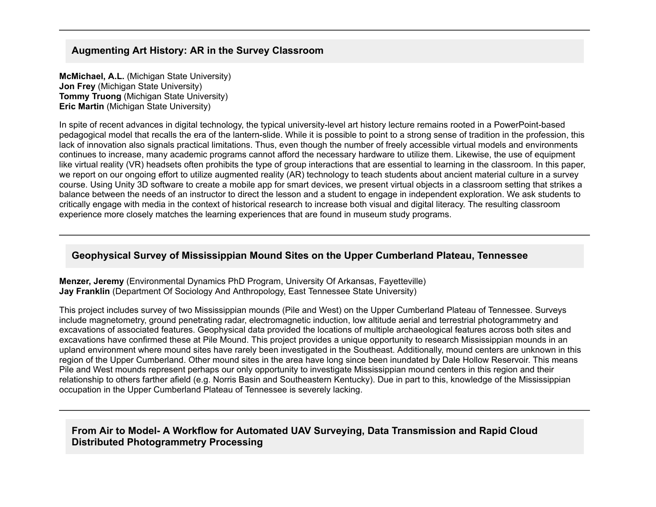## **Augmenting Art History: AR in the Survey Classroom**

**McMichael, A.L.** (Michigan State University) **Jon Frey** (Michigan State University) **Tommy Truong** (Michigan State University) **Eric Martin** (Michigan State University)

In spite of recent advances in digital technology, the typical university-level art history lecture remains rooted in a PowerPoint-based pedagogical model that recalls the era of the lantern-slide. While it is possible to point to a strong sense of tradition in the profession, this lack of innovation also signals practical limitations. Thus, even though the number of freely accessible virtual models and environments continues to increase, many academic programs cannot afford the necessary hardware to utilize them. Likewise, the use of equipment like virtual reality (VR) headsets often prohibits the type of group interactions that are essential to learning in the classroom. In this paper, we report on our ongoing effort to utilize augmented reality (AR) technology to teach students about ancient material culture in a survey course. Using Unity 3D software to create a mobile app for smart devices, we present virtual objects in a classroom setting that strikes a balance between the needs of an instructor to direct the lesson and a student to engage in independent exploration. We ask students to critically engage with media in the context of historical research to increase both visual and digital literacy. The resulting classroom experience more closely matches the learning experiences that are found in museum study programs.

## **Geophysical Survey of Mississippian Mound Sites on the Upper Cumberland Plateau, Tennessee**

**Menzer, Jeremy** (Environmental Dynamics PhD Program, University Of Arkansas, Fayetteville) **Jay Franklin** (Department Of Sociology And Anthropology, East Tennessee State University)

This project includes survey of two Mississippian mounds (Pile and West) on the Upper Cumberland Plateau of Tennessee. Surveys include magnetometry, ground penetrating radar, electromagnetic induction, low altitude aerial and terrestrial photogrammetry and excavations of associated features. Geophysical data provided the locations of multiple archaeological features across both sites and excavations have confirmed these at Pile Mound. This project provides a unique opportunity to research Mississippian mounds in an upland environment where mound sites have rarely been investigated in the Southeast. Additionally, mound centers are unknown in this region of the Upper Cumberland. Other mound sites in the area have long since been inundated by Dale Hollow Reservoir. This means Pile and West mounds represent perhaps our only opportunity to investigate Mississippian mound centers in this region and their relationship to others farther afield (e.g. Norris Basin and Southeastern Kentucky). Due in part to this, knowledge of the Mississippian occupation in the Upper Cumberland Plateau of Tennessee is severely lacking.

## **From Air to Model A Workflow for Automated UAV Surveying, Data Transmission and Rapid Cloud Distributed Photogrammetry Processing**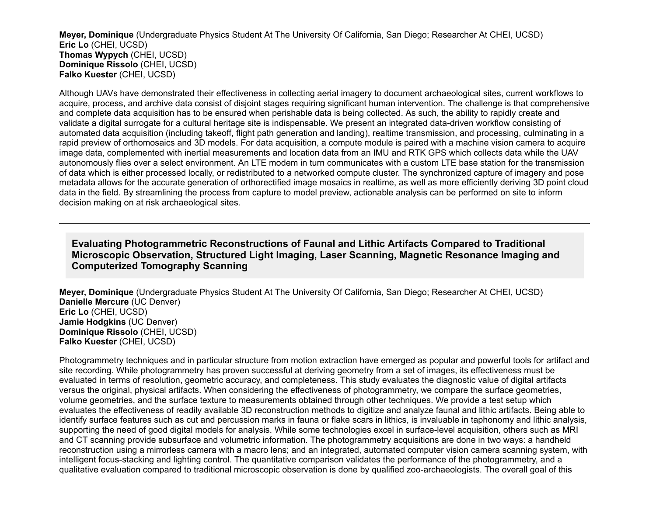**Meyer, Dominique** (Undergraduate Physics Student At The University Of California, San Diego; Researcher At CHEI, UCSD) **Eric Lo** (CHEI, UCSD) **Thomas Wypych** (CHEI, UCSD) **Dominique Rissolo** (CHEI, UCSD) **Falko Kuester** (CHEI, UCSD)

Although UAVs have demonstrated their effectiveness in collecting aerial imagery to document archaeological sites, current workflows to acquire, process, and archive data consist of disjoint stages requiring significant human intervention. The challenge is that comprehensive and complete data acquisition has to be ensured when perishable data is being collected. As such, the ability to rapidly create and validate a digital surrogate for a cultural heritage site is indispensable. We present an integrated data-driven workflow consisting of automated data acquisition (including takeoff, flight path generation and landing), realtime transmission, and processing, culminating in a rapid preview of orthomosaics and 3D models. For data acquisition, a compute module is paired with a machine vision camera to acquire image data, complemented with inertial measurements and location data from an IMU and RTK GPS which collects data while the UAV autonomously flies over a select environment. An LTE modem in turn communicates with a custom LTE base station for the transmission of data which is either processed locally, or redistributed to a networked compute cluster. The synchronized capture of imagery and pose metadata allows for the accurate generation of orthorectified image mosaics in realtime, as well as more efficiently deriving 3D point cloud data in the field. By streamlining the process from capture to model preview, actionable analysis can be performed on site to inform decision making on at risk archaeological sites.

### **Evaluating Photogrammetric Reconstructions of Faunal and Lithic Artifacts Compared to Traditional Microscopic Observation, Structured Light Imaging, Laser Scanning, Magnetic Resonance Imaging and Computerized Tomography Scanning**

**Meyer, Dominique** (Undergraduate Physics Student At The University Of California, San Diego; Researcher At CHEI, UCSD) **Danielle Mercure** (UC Denver) **Eric Lo** (CHEI, UCSD) **Jamie Hodgkins** (UC Denver) **Dominique Rissolo** (CHEI, UCSD) **Falko Kuester** (CHEI, UCSD)

Photogrammetry techniques and in particular structure from motion extraction have emerged as popular and powerful tools for artifact and site recording. While photogrammetry has proven successful at deriving geometry from a set of images, its effectiveness must be evaluated in terms of resolution, geometric accuracy, and completeness. This study evaluates the diagnostic value of digital artifacts versus the original, physical artifacts. When considering the effectiveness of photogrammetry, we compare the surface geometries, volume geometries, and the surface texture to measurements obtained through other techniques. We provide a test setup which evaluates the effectiveness of readily available 3D reconstruction methods to digitize and analyze faunal and lithic artifacts. Being able to identify surface features such as cut and percussion marks in fauna or flake scars in lithics, is invaluable in taphonomy and lithic analysis, supporting the need of good digital models for analysis. While some technologies excel in surface-level acquisition, others such as MRI and CT scanning provide subsurface and volumetric information. The photogrammetry acquisitions are done in two ways: a handheld reconstruction using a mirrorless camera with a macro lens; and an integrated, automated computer vision camera scanning system, with intelligent focus-stacking and lighting control. The quantitative comparison validates the performance of the photogrammetry, and a qualitative evaluation compared to traditional microscopic observation is done by qualified zoo-archaeologists. The overall goal of this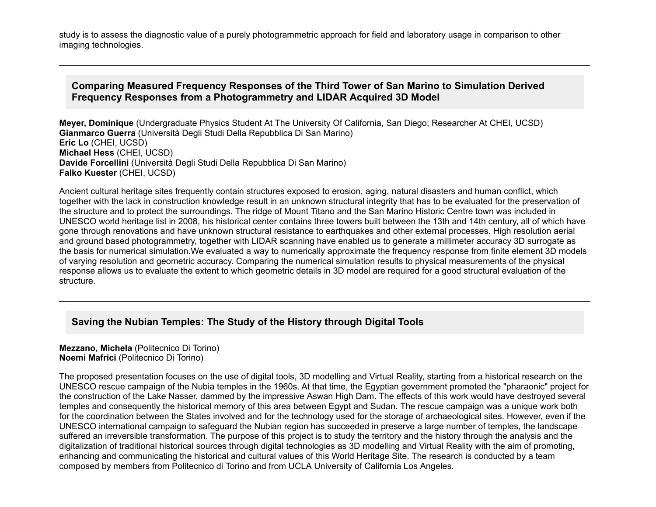study is to assess the diagnostic value of a purely photogrammetric approach for field and laboratory usage in comparison to other imaging technologies.

### **Comparing Measured Frequency Responses of the Third Tower of San Marino to Simulation Derived Frequency Responses from a Photogrammetry and LIDAR Acquired 3D Model**

**Meyer, Dominique** (Undergraduate Physics Student At The University Of California, San Diego; Researcher At CHEI, UCSD) **Gianmarco Guerra** (Università Degli Studi Della Repubblica Di San Marino) **Eric Lo** (CHEI, UCSD) **Michael Hess** (CHEI, UCSD) **Davide Forcellini** (Università Degli Studi Della Repubblica Di San Marino) **Falko Kuester** (CHEI, UCSD)

Ancient cultural heritage sites frequently contain structures exposed to erosion, aging, natural disasters and human conflict, which together with the lack in construction knowledge result in an unknown structural integrity that has to be evaluated for the preservation of the structure and to protect the surroundings. The ridge of Mount Titano and the San Marino Historic Centre town was included in UNESCO world heritage list in 2008, his historical center contains three towers built between the 13th and 14th century, all of which have gone through renovations and have unknown structural resistance to earthquakes and other external processes. High resolution aerial and ground based photogrammetry, together with LIDAR scanning have enabled us to generate a millimeter accuracy 3D surrogate as the basis for numerical simulation.We evaluated a way to numerically approximate the frequency response from finite element 3D models of varying resolution and geometric accuracy. Comparing the numerical simulation results to physical measurements of the physical response allows us to evaluate the extent to which geometric details in 3D model are required for a good structural evaluation of the structure.

#### **Saving the Nubian Temples: The Study of the History through Digital Tools**

#### **Mezzano, Michela** (Politecnico Di Torino) **Noemi Mafrici** (Politecnico Di Torino)

The proposed presentation focuses on the use of digital tools, 3D modelling and Virtual Reality, starting from a historical research on the UNESCO rescue campaign of the Nubia temples in the 1960s. At that time, the Egyptian government promoted the "pharaonic" project for the construction of the Lake Nasser, dammed by the impressive Aswan High Dam. The effects of this work would have destroyed several temples and consequently the historical memory of this area between Egypt and Sudan. The rescue campaign was a unique work both for the coordination between the States involved and for the technology used for the storage of archaeological sites. However, even if the UNESCO international campaign to safeguard the Nubian region has succeeded in preserve a large number of temples, the landscape suffered an irreversible transformation. The purpose of this project is to study the territory and the history through the analysis and the digitalization of traditional historical sources through digital technologies as 3D modelling and Virtual Reality with the aim of promoting, enhancing and communicating the historical and cultural values of this World Heritage Site. The research is conducted by a team composed by members from Politecnico di Torino and from UCLA University of California Los Angeles.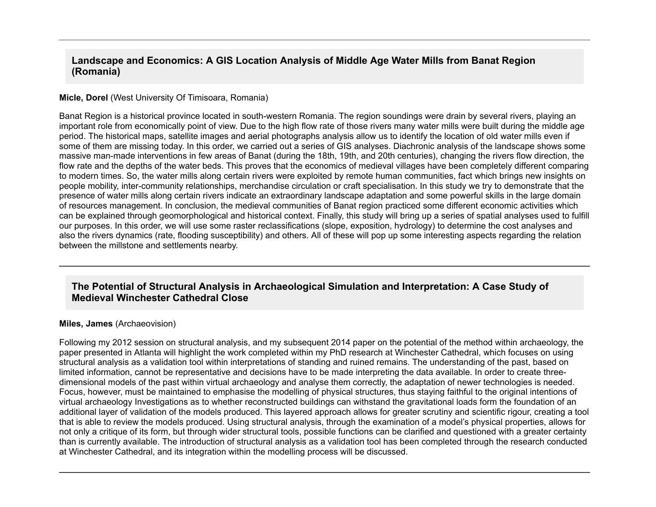### **Landscape and Economics: A GIS Location Analysis of Middle Age Water Mills from Banat Region (Romania)**

#### **Micle, Dorel** (West University Of Timisoara, Romania)

Banat Region is a historical province located in south-western Romania. The region soundings were drain by several rivers, playing an important role from economically point of view. Due to the high flow rate of those rivers many water mills were built during the middle age period. The historical maps, satellite images and aerial photographs analysis allow us to identify the location of old water mills even if some of them are missing today. In this order, we carried out a series of GIS analyses. Diachronic analysis of the landscape shows some massive man-made interventions in few areas of Banat (during the 18th, 19th, and 20th centuries), changing the rivers flow direction, the flow rate and the depths of the water beds. This proves that the economics of medieval villages have been completely different comparing to modern times. So, the water mills along certain rivers were exploited by remote human communities, fact which brings new insights on people mobility, inter-community relationships, merchandise circulation or craft specialisation. In this study we try to demonstrate that the presence of water mills along certain rivers indicate an extraordinary landscape adaptation and some powerful skills in the large domain of resources management. In conclusion, the medieval communities of Banat region practiced some different economic activities which can be explained through geomorphological and historical context. Finally, this study will bring up a series of spatial analyses used to fulfill our purposes. In this order, we will use some raster reclassifications (slope, exposition, hydrology) to determine the cost analyses and also the rivers dynamics (rate, flooding susceptibility) and others. All of these will pop up some interesting aspects regarding the relation between the millstone and settlements nearby.

#### **The Potential of Structural Analysis in Archaeological Simulation and Interpretation: A Case Study of Medieval Winchester Cathedral Close**

#### **Miles, James** (Archaeovision)

Following my 2012 session on structural analysis, and my subsequent 2014 paper on the potential of the method within archaeology, the paper presented in Atlanta will highlight the work completed within my PhD research at Winchester Cathedral, which focuses on using structural analysis as a validation tool within interpretations of standing and ruined remains. The understanding of the past, based on limited information, cannot be representative and decisions have to be made interpreting the data available. In order to create threedimensional models of the past within virtual archaeology and analyse them correctly, the adaptation of newer technologies is needed. Focus, however, must be maintained to emphasise the modelling of physical structures, thus staying faithful to the original intentions of virtual archaeology Investigations as to whether reconstructed buildings can withstand the gravitational loads form the foundation of an additional layer of validation of the models produced. This layered approach allows for greater scrutiny and scientific rigour, creating a tool that is able to review the models produced. Using structural analysis, through the examination of a model's physical properties, allows for not only a critique of its form, but through wider structural tools, possible functions can be clarified and questioned with a greater certainty than is currently available. The introduction of structural analysis as a validation tool has been completed through the research conducted at Winchester Cathedral, and its integration within the modelling process will be discussed.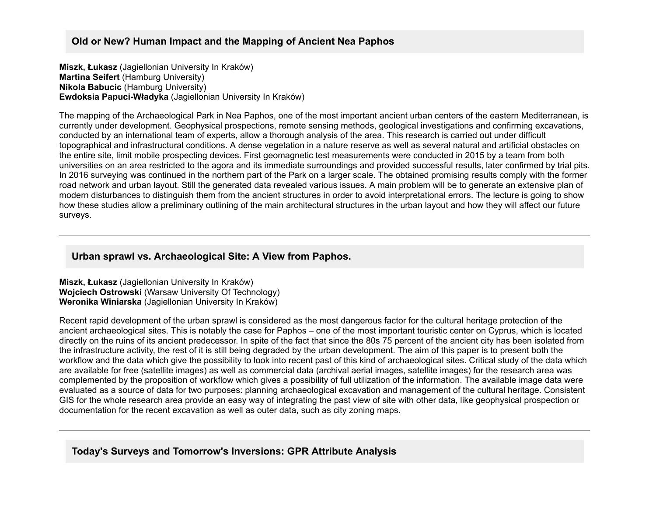## **Old or New? Human Impact and the Mapping of Ancient Nea Paphos**

**Miszk, Łukasz** (Jagiellonian University In Kraków) **Martina Seifert** (Hamburg University) **Nikola Babucic** (Hamburg University) **Ewdoksia PapuciWładyka** (Jagiellonian University In Kraków)

The mapping of the Archaeological Park in Nea Paphos, one of the most important ancient urban centers of the eastern Mediterranean, is currently under development. Geophysical prospections, remote sensing methods, geological investigations and confirming excavations, conducted by an international team of experts, allow a thorough analysis of the area. This research is carried out under difficult topographical and infrastructural conditions. A dense vegetation in a nature reserve as well as several natural and artificial obstacles on the entire site, limit mobile prospecting devices. First geomagnetic test measurements were conducted in 2015 by a team from both universities on an area restricted to the agora and its immediate surroundings and provided successful results, later confirmed by trial pits. In 2016 surveying was continued in the northern part of the Park on a larger scale. The obtained promising results comply with the former road network and urban layout. Still the generated data revealed various issues. A main problem will be to generate an extensive plan of modern disturbances to distinguish them from the ancient structures in order to avoid interpretational errors. The lecture is going to show how these studies allow a preliminary outlining of the main architectural structures in the urban layout and how they will affect our future surveys.

# **Urban sprawl vs. Archaeological Site: A View from Paphos.**

**Miszk, Łukasz** (Jagiellonian University In Kraków) **Wojciech Ostrowski** (Warsaw University Of Technology) **Weronika Winiarska** (Jagiellonian University In Kraków)

Recent rapid development of the urban sprawl is considered as the most dangerous factor for the cultural heritage protection of the ancient archaeological sites. This is notably the case for Paphos – one of the most important touristic center on Cyprus, which is located directly on the ruins of its ancient predecessor. In spite of the fact that since the 80s 75 percent of the ancient city has been isolated from the infrastructure activity, the rest of it is still being degraded by the urban development. The aim of this paper is to present both the workflow and the data which give the possibility to look into recent past of this kind of archaeological sites. Critical study of the data which are available for free (satellite images) as well as commercial data (archival aerial images, satellite images) for the research area was complemented by the proposition of workflow which gives a possibility of full utilization of the information. The available image data were evaluated as a source of data for two purposes: planning archaeological excavation and management of the cultural heritage. Consistent GIS for the whole research area provide an easy way of integrating the past view of site with other data, like geophysical prospection or documentation for the recent excavation as well as outer data, such as city zoning maps.

#### **Today's Surveys and Tomorrow's Inversions: GPR Attribute Analysis**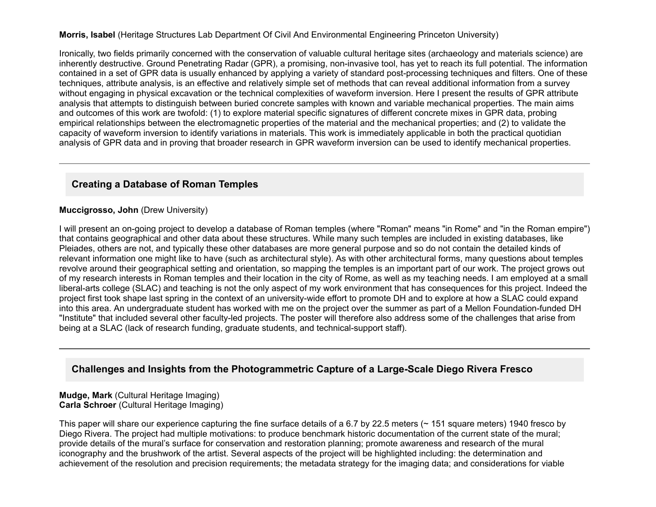#### **Morris, Isabel** (Heritage Structures Lab Department Of Civil And Environmental Engineering Princeton University)

Ironically, two fields primarily concerned with the conservation of valuable cultural heritage sites (archaeology and materials science) are inherently destructive. Ground Penetrating Radar (GPR), a promising, non-invasive tool, has yet to reach its full potential. The information contained in a set of GPR data is usually enhanced by applying a variety of standard post-processing techniques and filters. One of these techniques, attribute analysis, is an effective and relatively simple set of methods that can reveal additional information from a survey without engaging in physical excavation or the technical complexities of waveform inversion. Here I present the results of GPR attribute analysis that attempts to distinguish between buried concrete samples with known and variable mechanical properties. The main aims and outcomes of this work are twofold: (1) to explore material specific signatures of different concrete mixes in GPR data, probing empirical relationships between the electromagnetic properties of the material and the mechanical properties; and (2) to validate the capacity of waveform inversion to identify variations in materials. This work is immediately applicable in both the practical quotidian analysis of GPR data and in proving that broader research in GPR waveform inversion can be used to identify mechanical properties.

#### **Creating a Database of Roman Temples**

#### **Muccigrosso, John** (Drew University)

I will present an on-going project to develop a database of Roman temples (where "Roman" means "in Rome" and "in the Roman empire") that contains geographical and other data about these structures. While many such temples are included in existing databases, like Pleiades, others are not, and typically these other databases are more general purpose and so do not contain the detailed kinds of relevant information one might like to have (such as architectural style). As with other architectural forms, many questions about temples revolve around their geographical setting and orientation, so mapping the temples is an important part of our work. The project grows out of my research interests in Roman temples and their location in the city of Rome, as well as my teaching needs. I am employed at a small liberal-arts college (SLAC) and teaching is not the only aspect of my work environment that has consequences for this project. Indeed the project first took shape last spring in the context of an universitywide effort to promote DH and to explore at how a SLAC could expand into this area. An undergraduate student has worked with me on the project over the summer as part of a Mellon Foundation-funded DH "Institute" that included several other faculty-led projects. The poster will therefore also address some of the challenges that arise from being at a SLAC (lack of research funding, graduate students, and technical-support staff).

#### **Challenges and Insights from the Photogrammetric Capture of a Large-Scale Diego Rivera Fresco**

#### **Mudge, Mark** (Cultural Heritage Imaging) **Carla Schroer** (Cultural Heritage Imaging)

This paper will share our experience capturing the fine surface details of a 6.7 by 22.5 meters (~ 151 square meters) 1940 fresco by Diego Rivera. The project had multiple motivations: to produce benchmark historic documentation of the current state of the mural; provide details of the mural's surface for conservation and restoration planning; promote awareness and research of the mural iconography and the brushwork of the artist. Several aspects of the project will be highlighted including: the determination and achievement of the resolution and precision requirements; the metadata strategy for the imaging data; and considerations for viable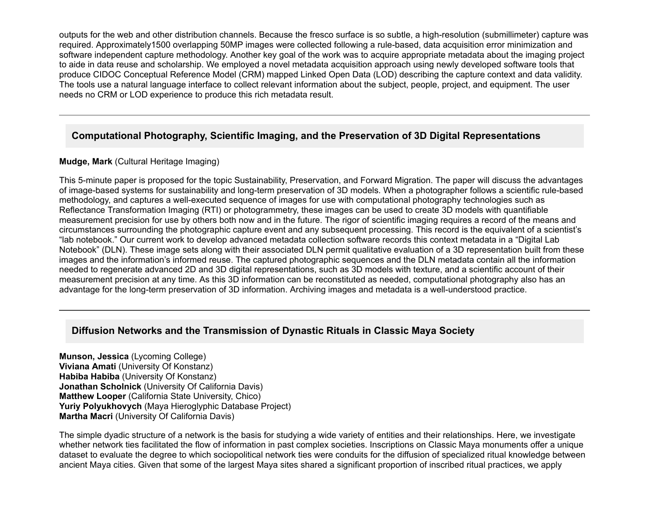outputs for the web and other distribution channels. Because the fresco surface is so subtle, a high-resolution (submillimeter) capture was required. Approximately1500 overlapping 50MP images were collected following a rulebased, data acquisition error minimization and software independent capture methodology. Another key goal of the work was to acquire appropriate metadata about the imaging project to aide in data reuse and scholarship. We employed a novel metadata acquisition approach using newly developed software tools that produce CIDOC Conceptual Reference Model (CRM) mapped Linked Open Data (LOD) describing the capture context and data validity. The tools use a natural language interface to collect relevant information about the subject, people, project, and equipment. The user needs no CRM or LOD experience to produce this rich metadata result.

# **Computational Photography, Scientific Imaging, and the Preservation of 3D Digital Representations**

#### **Mudge, Mark** (Cultural Heritage Imaging)

This 5-minute paper is proposed for the topic Sustainability, Preservation, and Forward Migration. The paper will discuss the advantages of image-based systems for sustainability and long-term preservation of 3D models. When a photographer follows a scientific rule-based methodology, and captures a well-executed sequence of images for use with computational photography technologies such as Reflectance Transformation Imaging (RTI) or photogrammetry, these images can be used to create 3D models with quantifiable measurement precision for use by others both now and in the future. The rigor of scientific imaging requires a record of the means and circumstances surrounding the photographic capture event and any subsequent processing. This record is the equivalent of a scientist's "lab notebook." Our current work to develop advanced metadata collection software records this context metadata in a "Digital Lab Notebook" (DLN). These image sets along with their associated DLN permit qualitative evaluation of a 3D representation built from these images and the information's informed reuse. The captured photographic sequences and the DLN metadata contain all the information needed to regenerate advanced 2D and 3D digital representations, such as 3D models with texture, and a scientific account of their measurement precision at any time. As this 3D information can be reconstituted as needed, computational photography also has an advantage for the long-term preservation of 3D information. Archiving images and metadata is a well-understood practice.

# **Diffusion Networks and the Transmission of Dynastic Rituals in Classic Maya Society**

**Munson, Jessica** (Lycoming College) **Viviana Amati** (University Of Konstanz) **Habiba Habiba** (University Of Konstanz) **Jonathan Scholnick** (University Of California Davis) **Matthew Looper** (California State University, Chico) **Yuriy Polyukhovych** (Maya Hieroglyphic Database Project) **Martha Macri** (University Of California Davis)

The simple dyadic structure of a network is the basis for studying a wide variety of entities and their relationships. Here, we investigate whether network ties facilitated the flow of information in past complex societies. Inscriptions on Classic Maya monuments offer a unique dataset to evaluate the degree to which sociopolitical network ties were conduits for the diffusion of specialized ritual knowledge between ancient Maya cities. Given that some of the largest Maya sites shared a significant proportion of inscribed ritual practices, we apply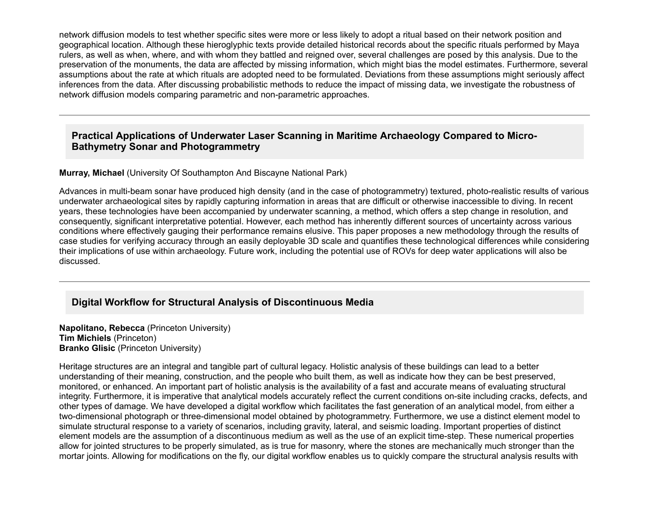network diffusion models to test whether specific sites were more or less likely to adopt a ritual based on their network position and geographical location. Although these hieroglyphic texts provide detailed historical records about the specific rituals performed by Maya rulers, as well as when, where, and with whom they battled and reigned over, several challenges are posed by this analysis. Due to the preservation of the monuments, the data are affected by missing information, which might bias the model estimates. Furthermore, several assumptions about the rate at which rituals are adopted need to be formulated. Deviations from these assumptions might seriously affect inferences from the data. After discussing probabilistic methods to reduce the impact of missing data, we investigate the robustness of network diffusion models comparing parametric and non-parametric approaches.

### **Practical Applications of Underwater Laser Scanning in Maritime Archaeology Compared to Micro-Bathymetry Sonar and Photogrammetry**

**Murray, Michael** (University Of Southampton And Biscayne National Park)

Advances in multi-beam sonar have produced high density (and in the case of photogrammetry) textured, photo-realistic results of various underwater archaeological sites by rapidly capturing information in areas that are difficult or otherwise inaccessible to diving. In recent years, these technologies have been accompanied by underwater scanning, a method, which offers a step change in resolution, and consequently, significant interpretative potential. However, each method has inherently different sources of uncertainty across various conditions where effectively gauging their performance remains elusive. This paper proposes a new methodology through the results of case studies for verifying accuracy through an easily deployable 3D scale and quantifies these technological differences while considering their implications of use within archaeology. Future work, including the potential use of ROVs for deep water applications will also be discussed.

#### **Digital Workflow for Structural Analysis of Discontinuous Media**

**Napolitano, Rebecca** (Princeton University) **Tim Michiels** (Princeton) **Branko Glisic** (Princeton University)

Heritage structures are an integral and tangible part of cultural legacy. Holistic analysis of these buildings can lead to a better understanding of their meaning, construction, and the people who built them, as well as indicate how they can be best preserved, monitored, or enhanced. An important part of holistic analysis is the availability of a fast and accurate means of evaluating structural integrity. Furthermore, it is imperative that analytical models accurately reflect the current conditions onsite including cracks, defects, and other types of damage. We have developed a digital workflow which facilitates the fast generation of an analytical model, from either a two-dimensional photograph or three-dimensional model obtained by photogrammetry. Furthermore, we use a distinct element model to simulate structural response to a variety of scenarios, including gravity, lateral, and seismic loading. Important properties of distinct element models are the assumption of a discontinuous medium as well as the use of an explicit timestep. These numerical properties allow for jointed structures to be properly simulated, as is true for masonry, where the stones are mechanically much stronger than the mortar joints. Allowing for modifications on the fly, our digital workflow enables us to quickly compare the structural analysis results with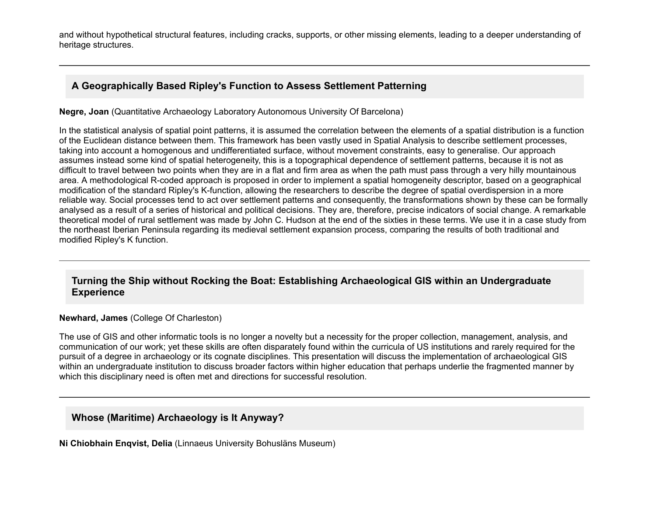and without hypothetical structural features, including cracks, supports, or other missing elements, leading to a deeper understanding of heritage structures.

# **A Geographically Based Ripley's Function to Assess Settlement Patterning**

**Negre, Joan** (Quantitative Archaeology Laboratory Autonomous University Of Barcelona)

In the statistical analysis of spatial point patterns, it is assumed the correlation between the elements of a spatial distribution is a function of the Euclidean distance between them. This framework has been vastly used in Spatial Analysis to describe settlement processes, taking into account a homogenous and undifferentiated surface, without movement constraints, easy to generalise. Our approach assumes instead some kind of spatial heterogeneity, this is a topographical dependence of settlement patterns, because it is not as difficult to travel between two points when they are in a flat and firm area as when the path must pass through a very hilly mountainous area. A methodological R-coded approach is proposed in order to implement a spatial homogeneity descriptor, based on a geographical modification of the standard Ripley's K-function, allowing the researchers to describe the degree of spatial overdispersion in a more reliable way. Social processes tend to act over settlement patterns and consequently, the transformations shown by these can be formally analysed as a result of a series of historical and political decisions. They are, therefore, precise indicators of social change. A remarkable theoretical model of rural settlement was made by John C. Hudson at the end of the sixties in these terms. We use it in a case study from the northeast Iberian Peninsula regarding its medieval settlement expansion process, comparing the results of both traditional and modified Ripley's K function.

## **Turning the Ship without Rocking the Boat: Establishing Archaeological GIS within an Undergraduate Experience**

**Newhard, James** (College Of Charleston)

The use of GIS and other informatic tools is no longer a novelty but a necessity for the proper collection, management, analysis, and communication of our work; yet these skills are often disparately found within the curricula of US institutions and rarely required for the pursuit of a degree in archaeology or its cognate disciplines. This presentation will discuss the implementation of archaeological GIS within an undergraduate institution to discuss broader factors within higher education that perhaps underlie the fragmented manner by which this disciplinary need is often met and directions for successful resolution.

## **Whose (Maritime) Archaeology is It Anyway?**

**Ni Chiobhain Enqvist, Delia** (Linnaeus University Bohusläns Museum)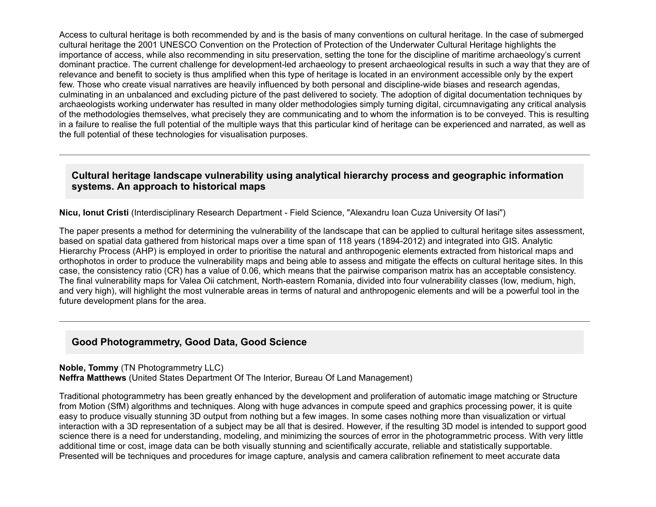Access to cultural heritage is both recommended by and is the basis of many conventions on cultural heritage. In the case of submerged cultural heritage the 2001 UNESCO Convention on the Protection of Protection of the Underwater Cultural Heritage highlights the importance of access, while also recommending in situ preservation, setting the tone for the discipline of maritime archaeology's current dominant practice. The current challenge for development-led archaeology to present archaeological results in such a way that they are of relevance and benefit to society is thus amplified when this type of heritage is located in an environment accessible only by the expert few. Those who create visual narratives are heavily influenced by both personal and discipline-wide biases and research agendas, culminating in an unbalanced and excluding picture of the past delivered to society. The adoption of digital documentation techniques by archaeologists working underwater has resulted in many older methodologies simply turning digital, circumnavigating any critical analysis of the methodologies themselves, what precisely they are communicating and to whom the information is to be conveyed. This is resulting in a failure to realise the full potential of the multiple ways that this particular kind of heritage can be experienced and narrated, as well as the full potential of these technologies for visualisation purposes.

#### **Cultural heritage landscape vulnerability using analytical hierarchy process and geographic information systems. An approach to historical maps**

**Nicu, Ionut Cristi** (Interdisciplinary Research Department Field Science, "Alexandru Ioan Cuza University Of Iasi")

The paper presents a method for determining the vulnerability of the landscape that can be applied to cultural heritage sites assessment, based on spatial data gathered from historical maps over a time span of 118 years (1894-2012) and integrated into GIS. Analytic Hierarchy Process (AHP) is employed in order to prioritise the natural and anthropogenic elements extracted from historical maps and orthophotos in order to produce the vulnerability maps and being able to assess and mitigate the effects on cultural heritage sites. In this case, the consistency ratio (CR) has a value of 0.06, which means that the pairwise comparison matrix has an acceptable consistency. The final vulnerability maps for Valea Oii catchment, North-eastern Romania, divided into four vulnerability classes (low, medium, high, and very high), will highlight the most vulnerable areas in terms of natural and anthropogenic elements and will be a powerful tool in the future development plans for the area.

#### **Good Photogrammetry, Good Data, Good Science**

**Noble, Tommy** (TN Photogrammetry LLC) **Neffra Matthews** (United States Department Of The Interior, Bureau Of Land Management)

Traditional photogrammetry has been greatly enhanced by the development and proliferation of automatic image matching or Structure from Motion (SfM) algorithms and techniques. Along with huge advances in compute speed and graphics processing power, it is quite easy to produce visually stunning 3D output from nothing but a few images. In some cases nothing more than visualization or virtual interaction with a 3D representation of a subject may be all that is desired. However, if the resulting 3D model is intended to support good science there is a need for understanding, modeling, and minimizing the sources of error in the photogrammetric process. With very little additional time or cost, image data can be both visually stunning and scientifically accurate, reliable and statistically supportable. Presented will be techniques and procedures for image capture, analysis and camera calibration refinement to meet accurate data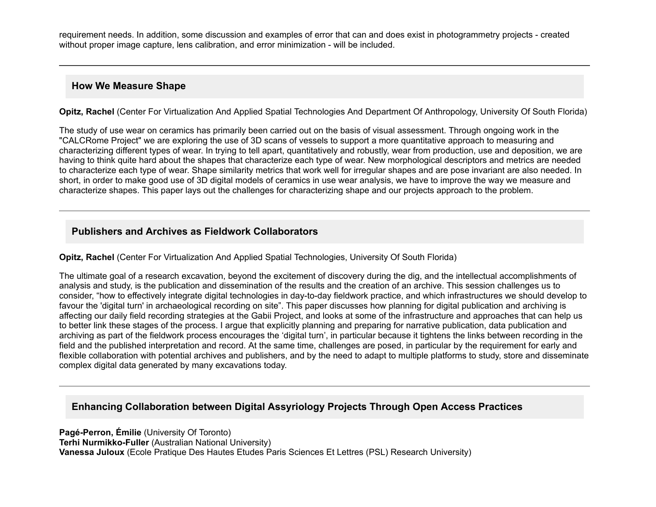requirement needs. In addition, some discussion and examples of error that can and does exist in photogrammetry projects - created without proper image capture, lens calibration, and error minimization - will be included.

#### **How We Measure Shape**

**Opitz, Rachel** (Center For Virtualization And Applied Spatial Technologies And Department Of Anthropology, University Of South Florida)

The study of use wear on ceramics has primarily been carried out on the basis of visual assessment. Through ongoing work in the "CALCRome Project" we are exploring the use of 3D scans of vessels to support a more quantitative approach to measuring and characterizing different types of wear. In trying to tell apart, quantitatively and robustly, wear from production, use and deposition, we are having to think quite hard about the shapes that characterize each type of wear. New morphological descriptors and metrics are needed to characterize each type of wear. Shape similarity metrics that work well for irregular shapes and are pose invariant are also needed. In short, in order to make good use of 3D digital models of ceramics in use wear analysis, we have to improve the way we measure and characterize shapes. This paper lays out the challenges for characterizing shape and our projects approach to the problem.

# **Publishers and Archives as Fieldwork Collaborators**

**Opitz, Rachel** (Center For Virtualization And Applied Spatial Technologies, University Of South Florida)

The ultimate goal of a research excavation, beyond the excitement of discovery during the dig, and the intellectual accomplishments of analysis and study, is the publication and dissemination of the results and the creation of an archive. This session challenges us to consider, "how to effectively integrate digital technologies in day-to-day fieldwork practice, and which infrastructures we should develop to favour the 'digital turn' in archaeological recording on site". This paper discusses how planning for digital publication and archiving is affecting our daily field recording strategies at the Gabii Project, and looks at some of the infrastructure and approaches that can help us to better link these stages of the process. I argue that explicitly planning and preparing for narrative publication, data publication and archiving as part of the fieldwork process encourages the 'digital turn', in particular because it tightens the links between recording in the field and the published interpretation and record. At the same time, challenges are posed, in particular by the requirement for early and flexible collaboration with potential archives and publishers, and by the need to adapt to multiple platforms to study, store and disseminate complex digital data generated by many excavations today.

# **Enhancing Collaboration between Digital Assyriology Projects Through Open Access Practices**

**Pagé-Perron, Émilie** (University Of Toronto) **Terhi Nurmikko-Fuller** (Australian National University) **Vanessa Juloux** (Ecole Pratique Des Hautes Etudes Paris Sciences Et Lettres (PSL) Research University)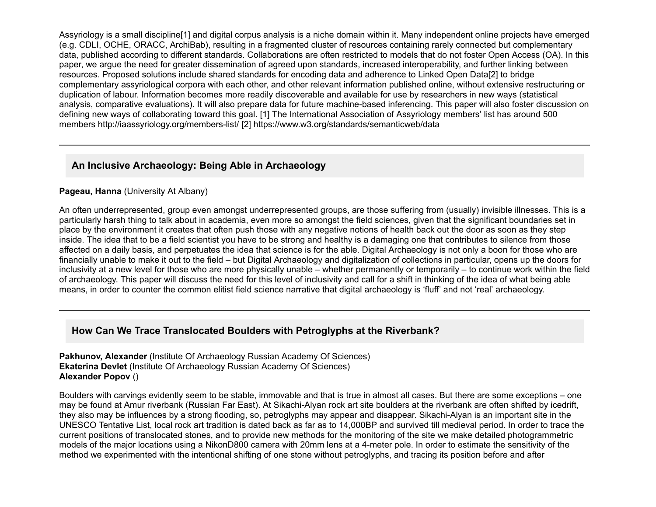Assyriology is a small discipline[1] and digital corpus analysis is a niche domain within it. Many independent online projects have emerged (e.g. CDLI, OCHE, ORACC, ArchiBab), resulting in a fragmented cluster of resources containing rarely connected but complementary data, published according to different standards. Collaborations are often restricted to models that do not foster Open Access (OA). In this paper, we argue the need for greater dissemination of agreed upon standards, increased interoperability, and further linking between resources. Proposed solutions include shared standards for encoding data and adherence to Linked Open Data[2] to bridge complementary assyriological corpora with each other, and other relevant information published online, without extensive restructuring or duplication of labour. Information becomes more readily discoverable and available for use by researchers in new ways (statistical analysis, comparative evaluations). It will also prepare data for future machine-based inferencing. This paper will also foster discussion on defining new ways of collaborating toward this goal. [1] The International Association of Assyriology members' list has around 500 members http://iaassyriology.org/members-list/ [2] https://www.w3.org/standards/semanticweb/data

# **An Inclusive Archaeology: Being Able in Archaeology**

#### **Pageau, Hanna** (University At Albany)

An often underrepresented, group even amongst underrepresented groups, are those suffering from (usually) invisible illnesses. This is a particularly harsh thing to talk about in academia, even more so amongst the field sciences, given that the significant boundaries set in place by the environment it creates that often push those with any negative notions of health back out the door as soon as they step inside. The idea that to be a field scientist you have to be strong and healthy is a damaging one that contributes to silence from those affected on a daily basis, and perpetuates the idea that science is for the able. Digital Archaeology is not only a boon for those who are financially unable to make it out to the field – but Digital Archaeology and digitalization of collections in particular, opens up the doors for inclusivity at a new level for those who are more physically unable – whether permanently or temporarily – to continue work within the field of archaeology. This paper will discuss the need for this level of inclusivity and call for a shift in thinking of the idea of what being able means, in order to counter the common elitist field science narrative that digital archaeology is 'fluff' and not 'real' archaeology.

# **How Can We Trace Translocated Boulders with Petroglyphs at the Riverbank?**

**Pakhunov, Alexander** (Institute Of Archaeology Russian Academy Of Sciences) **Ekaterina Devlet** (Institute Of Archaeology Russian Academy Of Sciences) **Alexander Popov** ()

Boulders with carvings evidently seem to be stable, immovable and that is true in almost all cases. But there are some exceptions – one may be found at Amur riverbank (Russian Far East). At Sikachi-Alyan rock art site boulders at the riverbank are often shifted by icedrift, they also may be influences by a strong flooding, so, petroglyphs may appear and disappear. Sikachi-Alyan is an important site in the UNESCO Tentative List, local rock art tradition is dated back as far as to 14,000BP and survived till medieval period. In order to trace the current positions of translocated stones, and to provide new methods for the monitoring of the site we make detailed photogrammetric models of the major locations using a NikonD800 camera with 20mm lens at a 4meter pole. In order to estimate the sensitivity of the method we experimented with the intentional shifting of one stone without petroglyphs, and tracing its position before and after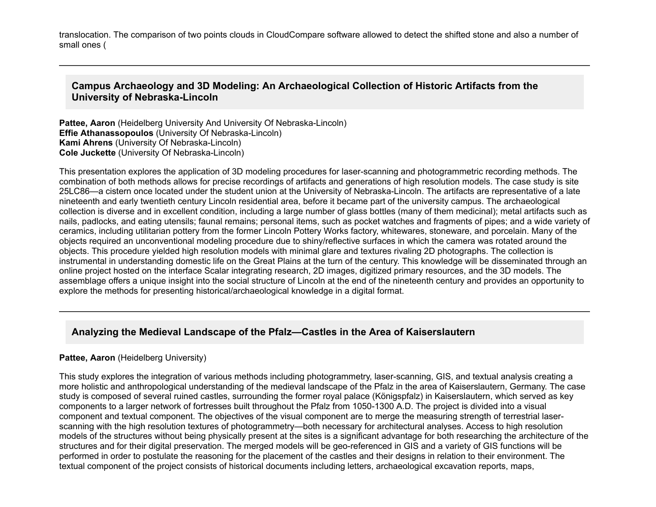translocation. The comparison of two points clouds in CloudCompare software allowed to detect the shifted stone and also a number of small ones (

#### **Campus Archaeology and 3D Modeling: An Archaeological Collection of Historic Artifacts from the University of NebraskaLincoln**

**Pattee, Aaron** (Heidelberg University And University Of Nebraska-Lincoln) **Effie Athanassopoulos** (University Of Nebraska-Lincoln) **Kami Ahrens** (University Of Nebraska-Lincoln) **Cole Juckette** (University Of Nebraska-Lincoln)

This presentation explores the application of 3D modeling procedures for laser-scanning and photogrammetric recording methods. The combination of both methods allows for precise recordings of artifacts and generations of high resolution models. The case study is site 25LC86—a cistern once located under the student union at the University of Nebraska-Lincoln. The artifacts are representative of a late nineteenth and early twentieth century Lincoln residential area, before it became part of the university campus. The archaeological collection is diverse and in excellent condition, including a large number of glass bottles (many of them medicinal); metal artifacts such as nails, padlocks, and eating utensils; faunal remains; personal items, such as pocket watches and fragments of pipes; and a wide variety of ceramics, including utilitarian pottery from the former Lincoln Pottery Works factory, whitewares, stoneware, and porcelain. Many of the objects required an unconventional modeling procedure due to shiny/reflective surfaces in which the camera was rotated around the objects. This procedure yielded high resolution models with minimal glare and textures rivaling 2D photographs. The collection is instrumental in understanding domestic life on the Great Plains at the turn of the century. This knowledge will be disseminated through an online project hosted on the interface Scalar integrating research, 2D images, digitized primary resources, and the 3D models. The assemblage offers a unique insight into the social structure of Lincoln at the end of the nineteenth century and provides an opportunity to explore the methods for presenting historical/archaeological knowledge in a digital format.

#### **Analyzing the Medieval Landscape of the Pfalz—Castles in the Area of Kaiserslautern**

#### **Pattee, Aaron** (Heidelberg University)

This study explores the integration of various methods including photogrammetry, laserscanning, GIS, and textual analysis creating a more holistic and anthropological understanding of the medieval landscape of the Pfalz in the area of Kaiserslautern, Germany. The case study is composed of several ruined castles, surrounding the former royal palace (Königspfalz) in Kaiserslautern, which served as key components to a larger network of fortresses built throughout the Pfalz from 1050-1300 A.D. The project is divided into a visual component and textual component. The objectives of the visual component are to merge the measuring strength of terrestrial laserscanning with the high resolution textures of photogrammetry—both necessary for architectural analyses. Access to high resolution models of the structures without being physically present at the sites is a significant advantage for both researching the architecture of the structures and for their digital preservation. The merged models will be geo-referenced in GIS and a variety of GIS functions will be performed in order to postulate the reasoning for the placement of the castles and their designs in relation to their environment. The textual component of the project consists of historical documents including letters, archaeological excavation reports, maps,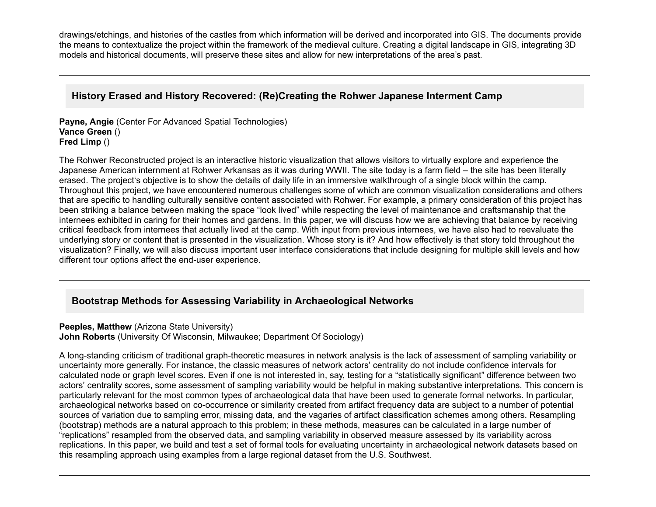drawings/etchings, and histories of the castles from which information will be derived and incorporated into GIS. The documents provide the means to contextualize the project within the framework of the medieval culture. Creating a digital landscape in GIS, integrating 3D models and historical documents, will preserve these sites and allow for new interpretations of the area's past.

## **History Erased and History Recovered: (Re)Creating the Rohwer Japanese Interment Camp**

**Payne, Angie** (Center For Advanced Spatial Technologies) **Vance Green** () **Fred Limp** ()

The Rohwer Reconstructed project is an interactive historic visualization that allows visitors to virtually explore and experience the Japanese American internment at Rohwer Arkansas as it was during WWII. The site today is a farm field – the site has been literally erased. The project's objective is to show the details of daily life in an immersive walkthrough of a single block within the camp. Throughout this project, we have encountered numerous challenges some of which are common visualization considerations and others that are specific to handling culturally sensitive content associated with Rohwer. For example, a primary consideration of this project has been striking a balance between making the space "look lived" while respecting the level of maintenance and craftsmanship that the internees exhibited in caring for their homes and gardens. In this paper, we will discuss how we are achieving that balance by receiving critical feedback from internees that actually lived at the camp. With input from previous internees, we have also had to reevaluate the underlying story or content that is presented in the visualization. Whose story is it? And how effectively is that story told throughout the visualization? Finally, we will also discuss important user interface considerations that include designing for multiple skill levels and how different tour options affect the end-user experience.

# **Bootstrap Methods for Assessing Variability in Archaeological Networks**

#### **Peeples, Matthew** (Arizona State University)

**John Roberts** (University Of Wisconsin, Milwaukee; Department Of Sociology)

A long-standing criticism of traditional graph-theoretic measures in network analysis is the lack of assessment of sampling variability or uncertainty more generally. For instance, the classic measures of network actors' centrality do not include confidence intervals for calculated node or graph level scores. Even if one is not interested in, say, testing for a "statistically significant" difference between two actors' centrality scores, some assessment of sampling variability would be helpful in making substantive interpretations. This concern is particularly relevant for the most common types of archaeological data that have been used to generate formal networks. In particular, archaeological networks based on co-occurrence or similarity created from artifact frequency data are subject to a number of potential sources of variation due to sampling error, missing data, and the vagaries of artifact classification schemes among others. Resampling (bootstrap) methods are a natural approach to this problem; in these methods, measures can be calculated in a large number of "replications" resampled from the observed data, and sampling variability in observed measure assessed by its variability across replications. In this paper, we build and test a set of formal tools for evaluating uncertainty in archaeological network datasets based on this resampling approach using examples from a large regional dataset from the U.S. Southwest.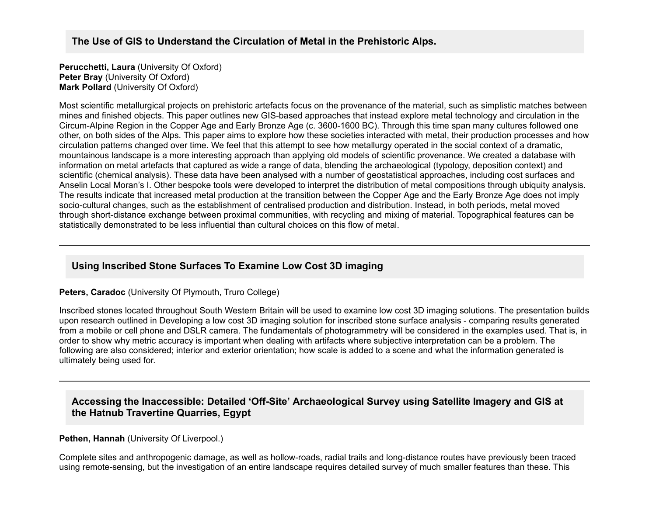## **The Use of GIS to Understand the Circulation of Metal in the Prehistoric Alps.**

**Perucchetti, Laura** (University Of Oxford) **Peter Bray** (University Of Oxford) **Mark Pollard** (University Of Oxford)

Most scientific metallurgical projects on prehistoric artefacts focus on the provenance of the material, such as simplistic matches between mines and finished objects. This paper outlines new GIS-based approaches that instead explore metal technology and circulation in the Circum-Alpine Region in the Copper Age and Early Bronze Age (c. 3600-1600 BC). Through this time span many cultures followed one other, on both sides of the Alps. This paper aims to explore how these societies interacted with metal, their production processes and how circulation patterns changed over time. We feel that this attempt to see how metallurgy operated in the social context of a dramatic, mountainous landscape is a more interesting approach than applying old models of scientific provenance. We created a database with information on metal artefacts that captured as wide a range of data, blending the archaeological (typology, deposition context) and scientific (chemical analysis). These data have been analysed with a number of geostatistical approaches, including cost surfaces and Anselin Local Moran's I. Other bespoke tools were developed to interpret the distribution of metal compositions through ubiquity analysis. The results indicate that increased metal production at the transition between the Copper Age and the Early Bronze Age does not imply socio-cultural changes, such as the establishment of centralised production and distribution. Instead, in both periods, metal moved through short-distance exchange between proximal communities, with recycling and mixing of material. Topographical features can be statistically demonstrated to be less influential than cultural choices on this flow of metal.

# **Using Inscribed Stone Surfaces To Examine Low Cost 3D imaging**

**Peters, Caradoc** (University Of Plymouth, Truro College)

Inscribed stones located throughout South Western Britain will be used to examine low cost 3D imaging solutions. The presentation builds upon research outlined in Developing a low cost 3D imaging solution for inscribed stone surface analysis comparing results generated from a mobile or cell phone and DSLR camera. The fundamentals of photogrammetry will be considered in the examples used. That is, in order to show why metric accuracy is important when dealing with artifacts where subjective interpretation can be a problem. The following are also considered; interior and exterior orientation; how scale is added to a scene and what the information generated is ultimately being used for.

## Accessing the Inaccessible: Detailed 'Off-Site' Archaeological Survey using Satellite Imagery and GIS at **the Hatnub Travertine Quarries, Egypt**

#### **Pethen, Hannah (University Of Liverpool.)**

Complete sites and anthropogenic damage, as well as hollow-roads, radial trails and long-distance routes have previously been traced using remote-sensing, but the investigation of an entire landscape requires detailed survey of much smaller features than these. This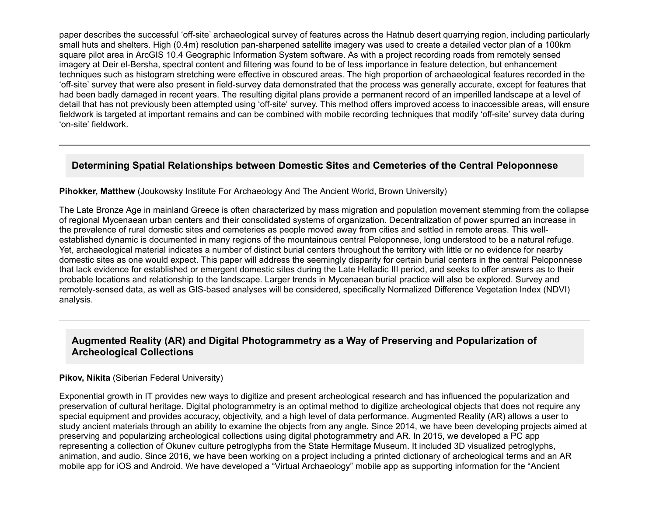paper describes the successful 'off-site' archaeological survey of features across the Hatnub desert quarrying region, including particularly small huts and shelters. High (0.4m) resolution pan-sharpened satellite imagery was used to create a detailed vector plan of a 100km square pilot area in ArcGIS 10.4 Geographic Information System software. As with a project recording roads from remotely sensed imagery at Deir el-Bersha, spectral content and filtering was found to be of less importance in feature detection, but enhancement techniques such as histogram stretching were effective in obscured areas. The high proportion of archaeological features recorded in the 'off-site' survey that were also present in field-survey data demonstrated that the process was generally accurate, except for features that had been badly damaged in recent years. The resulting digital plans provide a permanent record of an imperilled landscape at a level of detail that has not previously been attempted using 'off-site' survey. This method offers improved access to inaccessible areas, will ensure fieldwork is targeted at important remains and can be combined with mobile recording techniques that modify 'off-site' survey data during 'on-site' fieldwork.

# **Determining Spatial Relationships between Domestic Sites and Cemeteries of the Central Peloponnese**

#### **Pihokker, Matthew** (Joukowsky Institute For Archaeology And The Ancient World, Brown University)

The Late Bronze Age in mainland Greece is often characterized by mass migration and population movement stemming from the collapse of regional Mycenaean urban centers and their consolidated systems of organization. Decentralization of power spurred an increase in the prevalence of rural domestic sites and cemeteries as people moved away from cities and settled in remote areas. This wellestablished dynamic is documented in many regions of the mountainous central Peloponnese, long understood to be a natural refuge. Yet, archaeological material indicates a number of distinct burial centers throughout the territory with little or no evidence for nearby domestic sites as one would expect. This paper will address the seemingly disparity for certain burial centers in the central Peloponnese that lack evidence for established or emergent domestic sites during the Late Helladic III period, and seeks to offer answers as to their probable locations and relationship to the landscape. Larger trends in Mycenaean burial practice will also be explored. Survey and remotely-sensed data, as well as GIS-based analyses will be considered, specifically Normalized Difference Vegetation Index (NDVI) analysis.

# **Augmented Reality (AR) and Digital Photogrammetry as a Way of Preserving and Popularization of Archeological Collections**

#### **Pikov, Nikita** (Siberian Federal University)

Exponential growth in IT provides new ways to digitize and present archeological research and has influenced the popularization and preservation of cultural heritage. Digital photogrammetry is an optimal method to digitize archeological objects that does not require any special equipment and provides accuracy, objectivity, and a high level of data performance. Augmented Reality (AR) allows a user to study ancient materials through an ability to examine the objects from any angle. Since 2014, we have been developing projects aimed at preserving and popularizing archeological collections using digital photogrammetry and AR. In 2015, we developed a PC app representing a collection of Okunev culture petroglyphs from the State Hermitage Museum. It included 3D visualized petroglyphs, animation, and audio. Since 2016, we have been working on a project including a printed dictionary of archeological terms and an AR mobile app for iOS and Android. We have developed a "Virtual Archaeology" mobile app as supporting information for the "Ancient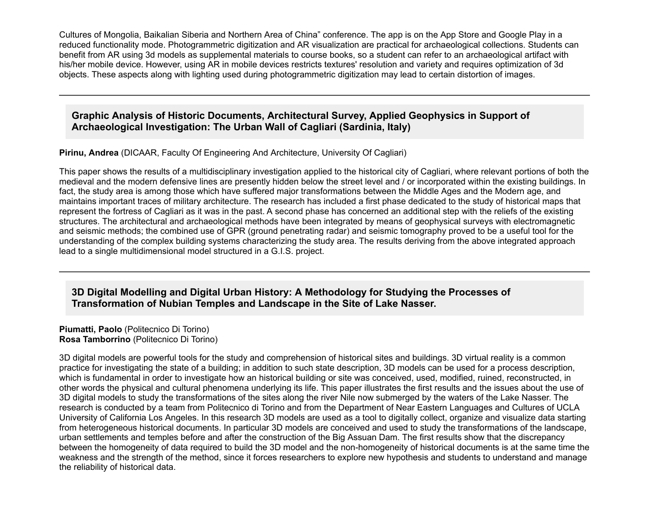Cultures of Mongolia, Baikalian Siberia and Northern Area of China" conference. The app is on the App Store and Google Play in a reduced functionality mode. Photogrammetric digitization and AR visualization are practical for archaeological collections. Students can benefit from AR using 3d models as supplemental materials to course books, so a student can refer to an archaeological artifact with his/her mobile device. However, using AR in mobile devices restricts textures' resolution and variety and requires optimization of 3d objects. These aspects along with lighting used during photogrammetric digitization may lead to certain distortion of images.

#### **Graphic Analysis of Historic Documents, Architectural Survey, Applied Geophysics in Support of Archaeological Investigation: The Urban Wall of Cagliari (Sardinia, Italy)**

**Pirinu, Andrea** (DICAAR, Faculty Of Engineering And Architecture, University Of Cagliari)

This paper shows the results of a multidisciplinary investigation applied to the historical city of Cagliari, where relevant portions of both the medieval and the modern defensive lines are presently hidden below the street level and / or incorporated within the existing buildings. In fact, the study area is among those which have suffered major transformations between the Middle Ages and the Modern age, and maintains important traces of military architecture. The research has included a first phase dedicated to the study of historical maps that represent the fortress of Cagliari as it was in the past. A second phase has concerned an additional step with the reliefs of the existing structures. The architectural and archaeological methods have been integrated by means of geophysical surveys with electromagnetic and seismic methods; the combined use of GPR (ground penetrating radar) and seismic tomography proved to be a useful tool for the understanding of the complex building systems characterizing the study area. The results deriving from the above integrated approach lead to a single multidimensional model structured in a G.I.S. project.

# **3D Digital Modelling and Digital Urban History: A Methodology for Studying the Processes of Transformation of Nubian Temples and Landscape in the Site of Lake Nasser.**

**Piumatti, Paolo** (Politecnico Di Torino) **Rosa Tamborrino** (Politecnico Di Torino)

3D digital models are powerful tools for the study and comprehension of historical sites and buildings. 3D virtual reality is a common practice for investigating the state of a building; in addition to such state description, 3D models can be used for a process description, which is fundamental in order to investigate how an historical building or site was conceived, used, modified, ruined, reconstructed, in other words the physical and cultural phenomena underlying its life. This paper illustrates the first results and the issues about the use of 3D digital models to study the transformations of the sites along the river Nile now submerged by the waters of the Lake Nasser. The research is conducted by a team from Politecnico di Torino and from the Department of Near Eastern Languages and Cultures of UCLA University of California Los Angeles. In this research 3D models are used as a tool to digitally collect, organize and visualize data starting from heterogeneous historical documents. In particular 3D models are conceived and used to study the transformations of the landscape, urban settlements and temples before and after the construction of the Big Assuan Dam. The first results show that the discrepancy between the homogeneity of data required to build the 3D model and the non-homogeneity of historical documents is at the same time the weakness and the strength of the method, since it forces researchers to explore new hypothesis and students to understand and manage the reliability of historical data.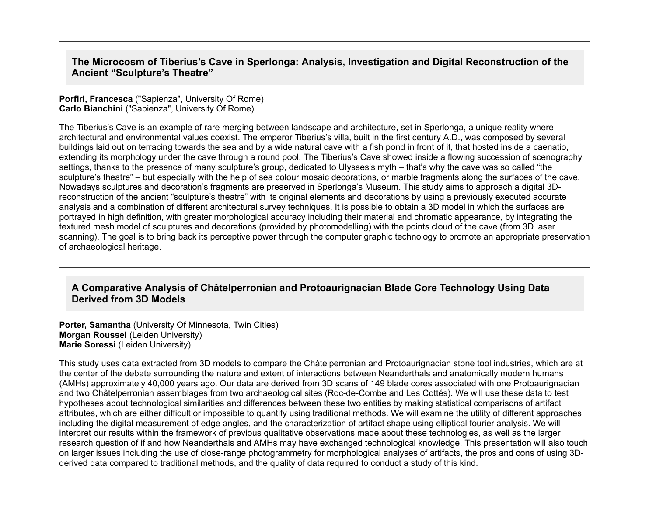**The Microcosm of Tiberius's Cave in Sperlonga: Analysis, Investigation and Digital Reconstruction of the Ancient "Sculpture's Theatre"**

#### **Porfiri, Francesca** ("Sapienza", University Of Rome) **Carlo Bianchini** ("Sapienza", University Of Rome)

The Tiberius's Cave is an example of rare merging between landscape and architecture, set in Sperlonga, a unique reality where architectural and environmental values coexist. The emperor Tiberius's villa, built in the first century A.D., was composed by several buildings laid out on terracing towards the sea and by a wide natural cave with a fish pond in front of it, that hosted inside a caenatio, extending its morphology under the cave through a round pool. The Tiberius's Cave showed inside a flowing succession of scenography settings, thanks to the presence of many sculpture's group, dedicated to Ulysses's myth – that's why the cave was so called "the sculpture's theatre" – but especially with the help of sea colour mosaic decorations, or marble fragments along the surfaces of the cave. Nowadays sculptures and decoration's fragments are preserved in Sperlonga's Museum. This study aims to approach a digital 3Dreconstruction of the ancient "sculpture's theatre" with its original elements and decorations by using a previously executed accurate analysis and a combination of different architectural survey techniques. It is possible to obtain a 3D model in which the surfaces are portrayed in high definition, with greater morphological accuracy including their material and chromatic appearance, by integrating the textured mesh model of sculptures and decorations (provided by photomodelling) with the points cloud of the cave (from 3D laser scanning). The goal is to bring back its perceptive power through the computer graphic technology to promote an appropriate preservation of archaeological heritage.

#### **A Comparative Analysis of Châtelperronian and Protoaurignacian Blade Core Technology Using Data Derived from 3D Models**

**Porter, Samantha** (University Of Minnesota, Twin Cities) **Morgan Roussel** (Leiden University) **Marie Soressi** (Leiden University)

This study uses data extracted from 3D models to compare the Châtelperronian and Protoaurignacian stone tool industries, which are at the center of the debate surrounding the nature and extent of interactions between Neanderthals and anatomically modern humans (AMHs) approximately 40,000 years ago. Our data are derived from 3D scans of 149 blade cores associated with one Protoaurignacian and two Châtelperronian assemblages from two archaeological sites (Roc-de-Combe and Les Cottés). We will use these data to test hypotheses about technological similarities and differences between these two entities by making statistical comparisons of artifact attributes, which are either difficult or impossible to quantify using traditional methods. We will examine the utility of different approaches including the digital measurement of edge angles, and the characterization of artifact shape using elliptical fourier analysis. We will interpret our results within the framework of previous qualitative observations made about these technologies, as well as the larger research question of if and how Neanderthals and AMHs may have exchanged technological knowledge. This presentation will also touch on larger issues including the use of close-range photogrammetry for morphological analyses of artifacts, the pros and cons of using 3Dderived data compared to traditional methods, and the quality of data required to conduct a study of this kind.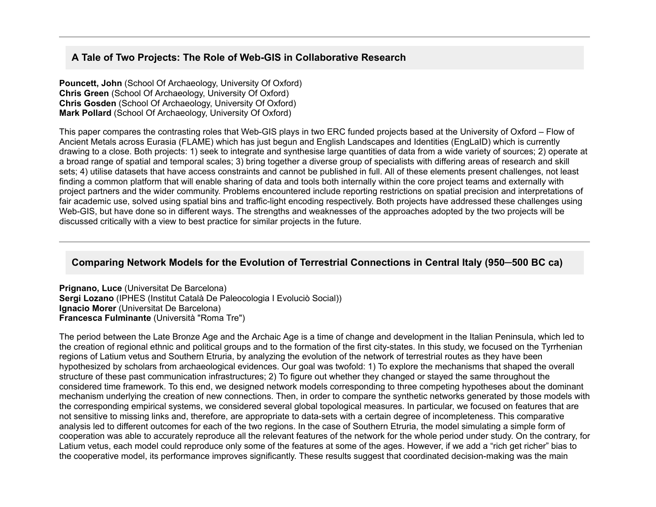## A Tale of Two Projects: The Role of Web-GIS in Collaborative Research

**Pouncett, John** (School Of Archaeology, University Of Oxford) **Chris Green** (School Of Archaeology, University Of Oxford) **Chris Gosden** (School Of Archaeology, University Of Oxford) **Mark Pollard** (School Of Archaeology, University Of Oxford)

This paper compares the contrasting roles that Web-GIS plays in two ERC funded projects based at the University of Oxford – Flow of Ancient Metals across Eurasia (FLAME) which has just begun and English Landscapes and Identities (EngLaID) which is currently drawing to a close. Both projects: 1) seek to integrate and synthesise large quantities of data from a wide variety of sources; 2) operate at a broad range of spatial and temporal scales; 3) bring together a diverse group of specialists with differing areas of research and skill sets; 4) utilise datasets that have access constraints and cannot be published in full. All of these elements present challenges, not least finding a common platform that will enable sharing of data and tools both internally within the core project teams and externally with project partners and the wider community. Problems encountered include reporting restrictions on spatial precision and interpretations of fair academic use, solved using spatial bins and traffic-light encoding respectively. Both projects have addressed these challenges using Web-GIS, but have done so in different ways. The strengths and weaknesses of the approaches adopted by the two projects will be discussed critically with a view to best practice for similar projects in the future.

### **Comparing Network Models for the Evolution of Terrestrial Connections in Central Italy (950─500 BC ca)**

**Prignano, Luce** (Universitat De Barcelona) **Sergi Lozano** (IPHES (Institut Català De Paleocologia I Evoluciò Social)) **Ignacio Morer** (Universitat De Barcelona) **Francesca Fulminante** (Università "Roma Tre")

The period between the Late Bronze Age and the Archaic Age is a time of change and development in the Italian Peninsula, which led to the creation of regional ethnic and political groups and to the formation of the first city-states. In this study, we focused on the Tyrrhenian regions of Latium vetus and Southern Etruria, by analyzing the evolution of the network of terrestrial routes as they have been hypothesized by scholars from archaeological evidences. Our goal was twofold: 1) To explore the mechanisms that shaped the overall structure of these past communication infrastructures; 2) To figure out whether they changed or stayed the same throughout the considered time framework. To this end, we designed network models corresponding to three competing hypotheses about the dominant mechanism underlying the creation of new connections. Then, in order to compare the synthetic networks generated by those models with the corresponding empirical systems, we considered several global topological measures. In particular, we focused on features that are not sensitive to missing links and, therefore, are appropriate to data-sets with a certain degree of incompleteness. This comparative analysis led to different outcomes for each of the two regions. In the case of Southern Etruria, the model simulating a simple form of cooperation was able to accurately reproduce all the relevant features of the network for the whole period under study. On the contrary, for Latium vetus, each model could reproduce only some of the features at some of the ages. However, if we add a "rich get richer" bias to the cooperative model, its performance improves significantly. These results suggest that coordinated decision-making was the main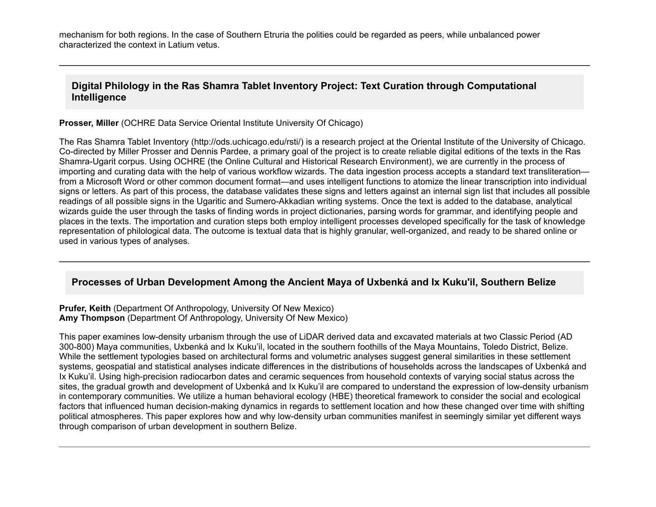mechanism for both regions. In the case of Southern Etruria the polities could be regarded as peers, while unbalanced power characterized the context in Latium vetus.

### **Digital Philology in the Ras Shamra Tablet Inventory Project: Text Curation through Computational Intelligence**

**Prosser, Miller** (OCHRE Data Service Oriental Institute University Of Chicago)

The Ras Shamra Tablet Inventory (http://ods.uchicago.edu/rsti/) is a research project at the Oriental Institute of the University of Chicago. Co-directed by Miller Prosser and Dennis Pardee, a primary goal of the project is to create reliable digital editions of the texts in the Ras Shamra-Ugarit corpus. Using OCHRE (the Online Cultural and Historical Research Environment), we are currently in the process of importing and curating data with the help of various workflow wizards. The data ingestion process accepts a standard text transliteration from a Microsoft Word or other common document format—and uses intelligent functions to atomize the linear transcription into individual signs or letters. As part of this process, the database validates these signs and letters against an internal sign list that includes all possible readings of all possible signs in the Ugaritic and Sumero-Akkadian writing systems. Once the text is added to the database, analytical wizards guide the user through the tasks of finding words in project dictionaries, parsing words for grammar, and identifying people and places in the texts. The importation and curation steps both employ intelligent processes developed specifically for the task of knowledge representation of philological data. The outcome is textual data that is highly granular, well-organized, and ready to be shared online or used in various types of analyses.

#### **Processes of Urban Development Among the Ancient Maya of Uxbenká and Ix Kuku'il, Southern Belize**

**Prufer, Keith** (Department Of Anthropology, University Of New Mexico) **Amy Thompson** (Department Of Anthropology, University Of New Mexico)

This paper examines low-density urbanism through the use of LiDAR derived data and excavated materials at two Classic Period (AD 300-800) Maya communities, Uxbenká and Ix Kuku'il, located in the southern foothills of the Maya Mountains, Toledo District, Belize. While the settlement typologies based on architectural forms and volumetric analyses suggest general similarities in these settlement systems, geospatial and statistical analyses indicate differences in the distributions of households across the landscapes of Uxbenká and Ix Kuku'il. Using high-precision radiocarbon dates and ceramic sequences from household contexts of varying social status across the sites, the gradual growth and development of Uxbenká and Ix Kuku'il are compared to understand the expression of low-density urbanism in contemporary communities. We utilize a human behavioral ecology (HBE) theoretical framework to consider the social and ecological factors that influenced human decision-making dynamics in regards to settlement location and how these changed over time with shifting political atmospheres. This paper explores how and why lowdensity urban communities manifest in seemingly similar yet different ways through comparison of urban development in southern Belize.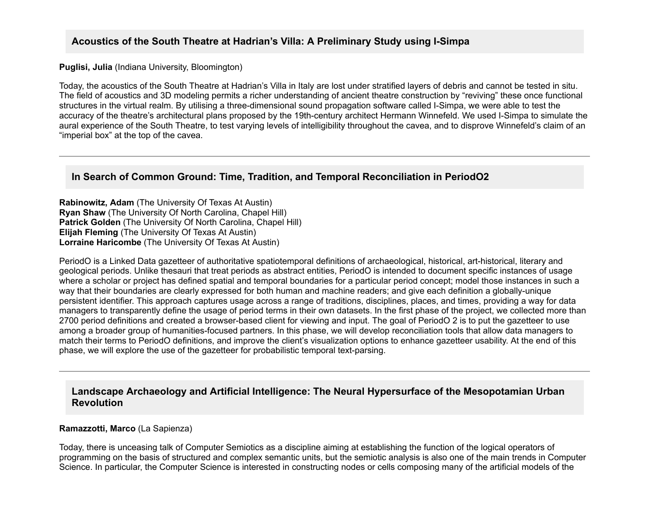### Acoustics of the South Theatre at Hadrian's Villa: A Preliminary Study using I-Simpa

#### **Puglisi, Julia** (Indiana University, Bloomington)

Today, the acoustics of the South Theatre at Hadrian's Villa in Italy are lost under stratified layers of debris and cannot be tested in situ. The field of acoustics and 3D modeling permits a richer understanding of ancient theatre construction by "reviving" these once functional structures in the virtual realm. By utilising a three-dimensional sound propagation software called I-Simpa, we were able to test the accuracy of the theatre's architectural plans proposed by the 19th-century architect Hermann Winnefeld. We used I-Simpa to simulate the aural experience of the South Theatre, to test varying levels of intelligibility throughout the cavea, and to disprove Winnefeld's claim of an "imperial box" at the top of the cavea.

#### **In Search of Common Ground: Time, Tradition, and Temporal Reconciliation in PeriodO2**

**Rabinowitz, Adam** (The University Of Texas At Austin) **Ryan Shaw** (The University Of North Carolina, Chapel Hill) **Patrick Golden** (The University Of North Carolina, Chapel Hill) **Elijah Fleming** (The University Of Texas At Austin) **Lorraine Haricombe** (The University Of Texas At Austin)

PeriodO is a Linked Data gazetteer of authoritative spatiotemporal definitions of archaeological, historical, art-historical, literary and geological periods. Unlike thesauri that treat periods as abstract entities, PeriodO is intended to document specific instances of usage where a scholar or project has defined spatial and temporal boundaries for a particular period concept; model those instances in such a way that their boundaries are clearly expressed for both human and machine readers; and give each definition a globally-unique persistent identifier. This approach captures usage across a range of traditions, disciplines, places, and times, providing a way for data managers to transparently define the usage of period terms in their own datasets. In the first phase of the project, we collected more than 2700 period definitions and created a browser-based client for viewing and input. The goal of PeriodO 2 is to put the gazetteer to use among a broader group of humanities-focused partners. In this phase, we will develop reconciliation tools that allow data managers to match their terms to PeriodO definitions, and improve the client's visualization options to enhance gazetteer usability. At the end of this phase, we will explore the use of the gazetteer for probabilistic temporal text-parsing.

#### **Landscape Archaeology and Artificial Intelligence: The Neural Hypersurface of the Mesopotamian Urban Revolution**

#### **Ramazzotti, Marco** (La Sapienza)

Today, there is unceasing talk of Computer Semiotics as a discipline aiming at establishing the function of the logical operators of programming on the basis of structured and complex semantic units, but the semiotic analysis is also one of the main trends in Computer Science. In particular, the Computer Science is interested in constructing nodes or cells composing many of the artificial models of the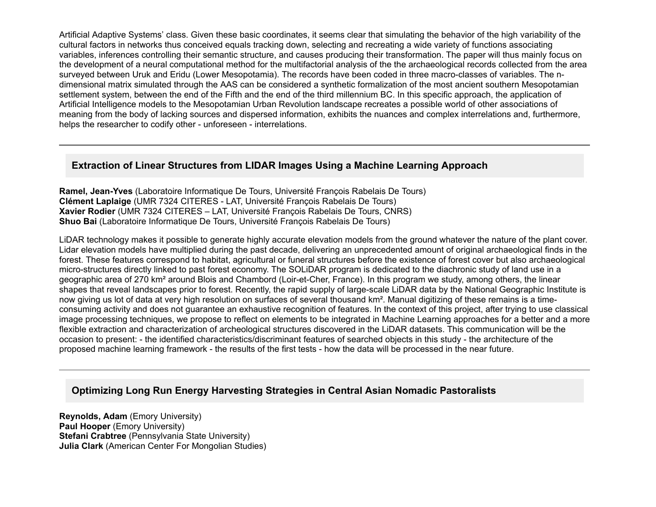Artificial Adaptive Systems' class. Given these basic coordinates, it seems clear that simulating the behavior of the high variability of the cultural factors in networks thus conceived equals tracking down, selecting and recreating a wide variety of functions associating variables, inferences controlling their semantic structure, and causes producing their transformation. The paper will thus mainly focus on the development of a neural computational method for the multifactorial analysis of the the archaeological records collected from the area surveyed between Uruk and Eridu (Lower Mesopotamia). The records have been coded in three macro-classes of variables. The ndimensional matrix simulated through the AAS can be considered a synthetic formalization of the most ancient southern Mesopotamian settlement system, between the end of the Fifth and the end of the third millennium BC. In this specific approach, the application of Artificial Intelligence models to the Mesopotamian Urban Revolution landscape recreates a possible world of other associations of meaning from the body of lacking sources and dispersed information, exhibits the nuances and complex interrelations and, furthermore, helps the researcher to codify other - unforeseen - interrelations.

## **Extraction of Linear Structures from LIDAR Images Using a Machine Learning Approach**

**Ramel, Jean-Yves** (Laboratoire Informatique De Tours, Université François Rabelais De Tours) **Clément Laplaige** (UMR 7324 CITERES LAT, Université François Rabelais De Tours) **Xavier Rodier** (UMR 7324 CITERES – LAT, Université François Rabelais De Tours, CNRS) **Shuo Bai** (Laboratoire Informatique De Tours, Université François Rabelais De Tours)

LiDAR technology makes it possible to generate highly accurate elevation models from the ground whatever the nature of the plant cover. Lidar elevation models have multiplied during the past decade, delivering an unprecedented amount of original archaeological finds in the forest. These features correspond to habitat, agricultural or funeral structures before the existence of forest cover but also archaeological micro-structures directly linked to past forest economy. The SOLIDAR program is dedicated to the diachronic study of land use in a geographic area of 270 km<sup>2</sup> around Blois and Chambord (Loir-et-Cher, France). In this program we study, among others, the linear shapes that reveal landscapes prior to forest. Recently, the rapid supply of large-scale LiDAR data by the National Geographic Institute is now giving us lot of data at very high resolution on surfaces of several thousand km². Manual digitizing of these remains is a timeconsuming activity and does not guarantee an exhaustive recognition of features. In the context of this project, after trying to use classical image processing techniques, we propose to reflect on elements to be integrated in Machine Learning approaches for a better and a more flexible extraction and characterization of archeological structures discovered in the LiDAR datasets. This communication will be the occasion to present: the identified characteristics/discriminant features of searched objects in this study the architecture of the proposed machine learning framework the results of the first tests how the data will be processed in the near future.

# **Optimizing Long Run Energy Harvesting Strategies in Central Asian Nomadic Pastoralists**

**Reynolds, Adam** (Emory University) **Paul Hooper** (Emory University) **Stefani Crabtree** (Pennsylvania State University) **Julia Clark** (American Center For Mongolian Studies)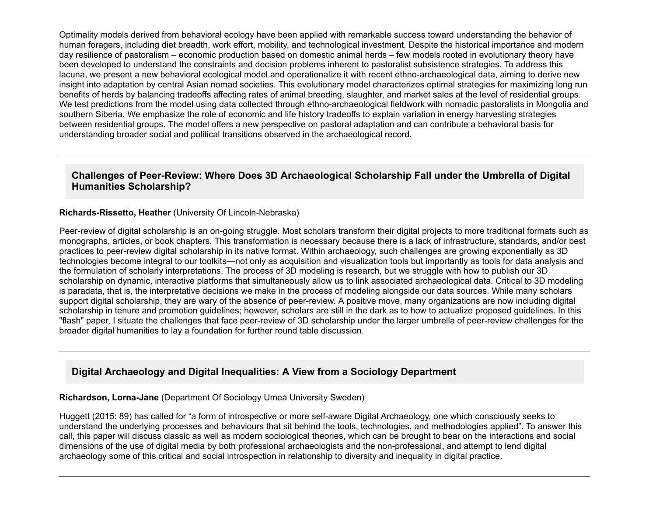Optimality models derived from behavioral ecology have been applied with remarkable success toward understanding the behavior of human foragers, including diet breadth, work effort, mobility, and technological investment. Despite the historical importance and modern day resilience of pastoralism – economic production based on domestic animal herds – few models rooted in evolutionary theory have been developed to understand the constraints and decision problems inherent to pastoralist subsistence strategies. To address this lacuna, we present a new behavioral ecological model and operationalize it with recent ethno-archaeological data, aiming to derive new insight into adaptation by central Asian nomad societies. This evolutionary model characterizes optimal strategies for maximizing long run benefits of herds by balancing tradeoffs affecting rates of animal breeding, slaughter, and market sales at the level of residential groups. We test predictions from the model using data collected through ethno-archaeological fieldwork with nomadic pastoralists in Mongolia and southern Siberia. We emphasize the role of economic and life history tradeoffs to explain variation in energy harvesting strategies between residential groups. The model offers a new perspective on pastoral adaptation and can contribute a behavioral basis for understanding broader social and political transitions observed in the archaeological record.

#### **Challenges of Peer-Review: Where Does 3D Archaeological Scholarship Fall under the Umbrella of Digital Humanities Scholarship?**

#### **Richards-Rissetto, Heather** (University Of Lincoln-Nebraska)

Peer-review of digital scholarship is an on-going struggle. Most scholars transform their digital projects to more traditional formats such as monographs, articles, or book chapters. This transformation is necessary because there is a lack of infrastructure, standards, and/or best practices to peerreview digital scholarship in its native format. Within archaeology, such challenges are growing exponentially as 3D technologies become integral to our toolkits—not only as acquisition and visualization tools but importantly as tools for data analysis and the formulation of scholarly interpretations. The process of 3D modeling is research, but we struggle with how to publish our 3D scholarship on dynamic, interactive platforms that simultaneously allow us to link associated archaeological data. Critical to 3D modeling is paradata, that is, the interpretative decisions we make in the process of modeling alongside our data sources. While many scholars support digital scholarship, they are wary of the absence of peer-review. A positive move, many organizations are now including digital scholarship in tenure and promotion guidelines; however, scholars are still in the dark as to how to actualize proposed guidelines. In this "flash" paper, I situate the challenges that face peer-review of 3D scholarship under the larger umbrella of peer-review challenges for the broader digital humanities to lay a foundation for further round table discussion.

#### **Digital Archaeology and Digital Inequalities: A View from a Sociology Department**

**Richardson, Lorna-Jane** (Department Of Sociology Umeå University Sweden)

Huggett (2015: 89) has called for "a form of introspective or more selfaware Digital Archaeology, one which consciously seeks to understand the underlying processes and behaviours that sit behind the tools, technologies, and methodologies applied". To answer this call, this paper will discuss classic as well as modern sociological theories, which can be brought to bear on the interactions and social dimensions of the use of digital media by both professional archaeologists and the non-professional, and attempt to lend digital archaeology some of this critical and social introspection in relationship to diversity and inequality in digital practice.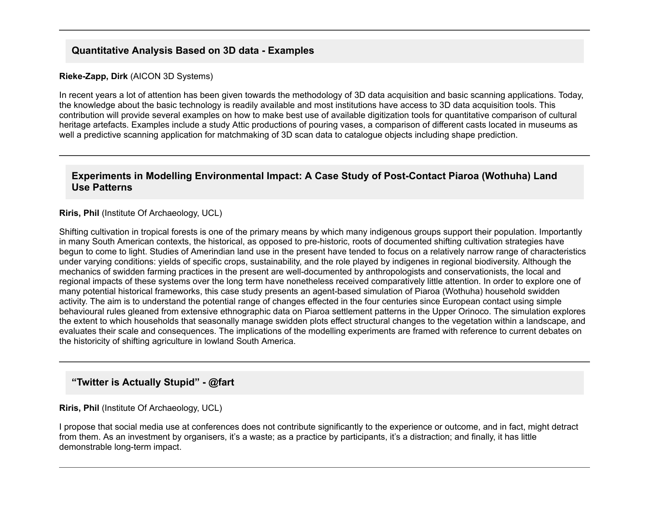## **Quantitative Analysis Based on 3D data Examples**

#### **Rieke-Zapp, Dirk** (AICON 3D Systems)

In recent years a lot of attention has been given towards the methodology of 3D data acquisition and basic scanning applications. Today, the knowledge about the basic technology is readily available and most institutions have access to 3D data acquisition tools. This contribution will provide several examples on how to make best use of available digitization tools for quantitative comparison of cultural heritage artefacts. Examples include a study Attic productions of pouring vases, a comparison of different casts located in museums as well a predictive scanning application for matchmaking of 3D scan data to catalogue objects including shape prediction.

#### **Experiments in Modelling Environmental Impact: A Case Study of Post-Contact Piaroa (Wothuha) Land Use Patterns**

#### **Riris, Phil** (Institute Of Archaeology, UCL)

Shifting cultivation in tropical forests is one of the primary means by which many indigenous groups support their population. Importantly in many South American contexts, the historical, as opposed to pre-historic, roots of documented shifting cultivation strategies have begun to come to light. Studies of Amerindian land use in the present have tended to focus on a relatively narrow range of characteristics under varying conditions: yields of specific crops, sustainability, and the role played by indigenes in regional biodiversity. Although the mechanics of swidden farming practices in the present are well-documented by anthropologists and conservationists, the local and regional impacts of these systems over the long term have nonetheless received comparatively little attention. In order to explore one of many potential historical frameworks, this case study presents an agent-based simulation of Piaroa (Wothuha) household swidden activity. The aim is to understand the potential range of changes effected in the four centuries since European contact using simple behavioural rules gleaned from extensive ethnographic data on Piaroa settlement patterns in the Upper Orinoco. The simulation explores the extent to which households that seasonally manage swidden plots effect structural changes to the vegetation within a landscape, and evaluates their scale and consequences. The implications of the modelling experiments are framed with reference to current debates on the historicity of shifting agriculture in lowland South America.

# **"Twitter is Actually Stupid" @fart**

#### **Riris, Phil** (Institute Of Archaeology, UCL)

I propose that social media use at conferences does not contribute significantly to the experience or outcome, and in fact, might detract from them. As an investment by organisers, it's a waste; as a practice by participants, it's a distraction; and finally, it has little demonstrable long-term impact.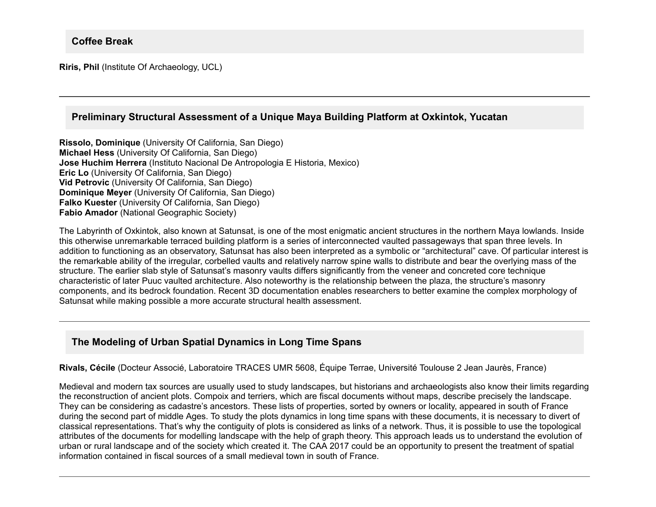**Riris, Phil** (Institute Of Archaeology, UCL)

## **Preliminary Structural Assessment of a Unique Maya Building Platform at Oxkintok, Yucatan**

**Rissolo, Dominique** (University Of California, San Diego) **Michael Hess** (University Of California, San Diego) **Jose Huchim Herrera** (Instituto Nacional De Antropologia E Historia, Mexico) **Eric Lo** (University Of California, San Diego) **Vid Petrovic** (University Of California, San Diego) **Dominique Meyer** (University Of California, San Diego) **Falko Kuester** (University Of California, San Diego) **Fabio Amador** (National Geographic Society)

The Labyrinth of Oxkintok, also known at Satunsat, is one of the most enigmatic ancient structures in the northern Maya lowlands. Inside this otherwise unremarkable terraced building platform is a series of interconnected vaulted passageways that span three levels. In addition to functioning as an observatory, Satunsat has also been interpreted as a symbolic or "architectural" cave. Of particular interest is the remarkable ability of the irregular, corbelled vaults and relatively narrow spine walls to distribute and bear the overlying mass of the structure. The earlier slab style of Satunsat's masonry vaults differs significantly from the veneer and concreted core technique characteristic of later Puuc vaulted architecture. Also noteworthy is the relationship between the plaza, the structure's masonry components, and its bedrock foundation. Recent 3D documentation enables researchers to better examine the complex morphology of Satunsat while making possible a more accurate structural health assessment.

# **The Modeling of Urban Spatial Dynamics in Long Time Spans**

**Rivals, Cécile** (Docteur Associé, Laboratoire TRACES UMR 5608, Équipe Terrae, Université Toulouse 2 Jean Jaurès, France)

Medieval and modern tax sources are usually used to study landscapes, but historians and archaeologists also know their limits regarding the reconstruction of ancient plots. Compoix and terriers, which are fiscal documents without maps, describe precisely the landscape. They can be considering as cadastre's ancestors. These lists of properties, sorted by owners or locality, appeared in south of France during the second part of middle Ages. To study the plots dynamics in long time spans with these documents, it is necessary to divert of classical representations. That's why the contiguity of plots is considered as links of a network. Thus, it is possible to use the topological attributes of the documents for modelling landscape with the help of graph theory. This approach leads us to understand the evolution of urban or rural landscape and of the society which created it. The CAA 2017 could be an opportunity to present the treatment of spatial information contained in fiscal sources of a small medieval town in south of France.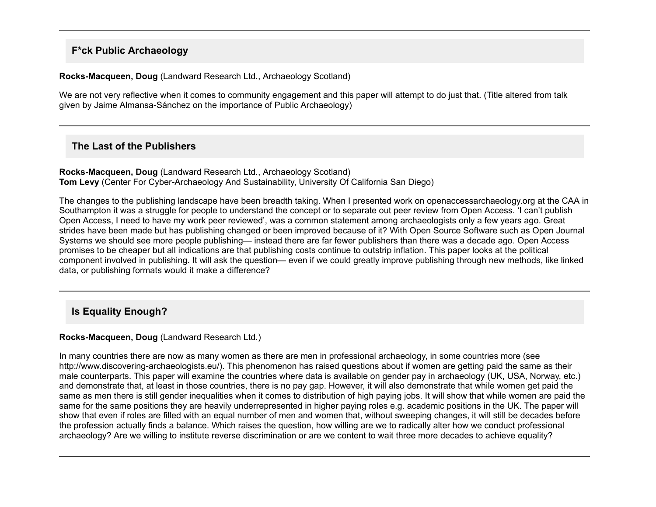## **F\*ck Public Archaeology**

#### **RocksMacqueen, Doug** (Landward Research Ltd., Archaeology Scotland)

We are not very reflective when it comes to community engagement and this paper will attempt to do just that. (Title altered from talk given by Jaime Almansa-Sánchez on the importance of Public Archaeology)

## **The Last of the Publishers**

#### **Rocks-Macqueen, Doug** (Landward Research Ltd., Archaeology Scotland) **Tom Levy** (Center For Cyber-Archaeology And Sustainability, University Of California San Diego)

The changes to the publishing landscape have been breadth taking. When I presented work on openaccessarchaeology.org at the CAA in Southampton it was a struggle for people to understand the concept or to separate out peer review from Open Access. 'I can't publish Open Access, I need to have my work peer reviewed', was a common statement among archaeologists only a few years ago. Great strides have been made but has publishing changed or been improved because of it? With Open Source Software such as Open Journal Systems we should see more people publishing— instead there are far fewer publishers than there was a decade ago. Open Access promises to be cheaper but all indications are that publishing costs continue to outstrip inflation. This paper looks at the political component involved in publishing. It will ask the question— even if we could greatly improve publishing through new methods, like linked data, or publishing formats would it make a difference?

# **Is Equality Enough?**

#### **Rocks-Macqueen, Doug (Landward Research Ltd.)**

In many countries there are now as many women as there are men in professional archaeology, in some countries more (see http://www.discovering-archaeologists.eu/). This phenomenon has raised questions about if women are getting paid the same as their male counterparts. This paper will examine the countries where data is available on gender pay in archaeology (UK, USA, Norway, etc.) and demonstrate that, at least in those countries, there is no pay gap. However, it will also demonstrate that while women get paid the same as men there is still gender inequalities when it comes to distribution of high paying jobs. It will show that while women are paid the same for the same positions they are heavily underrepresented in higher paying roles e.g. academic positions in the UK. The paper will show that even if roles are filled with an equal number of men and women that, without sweeping changes, it will still be decades before the profession actually finds a balance. Which raises the question, how willing are we to radically alter how we conduct professional archaeology? Are we willing to institute reverse discrimination or are we content to wait three more decades to achieve equality?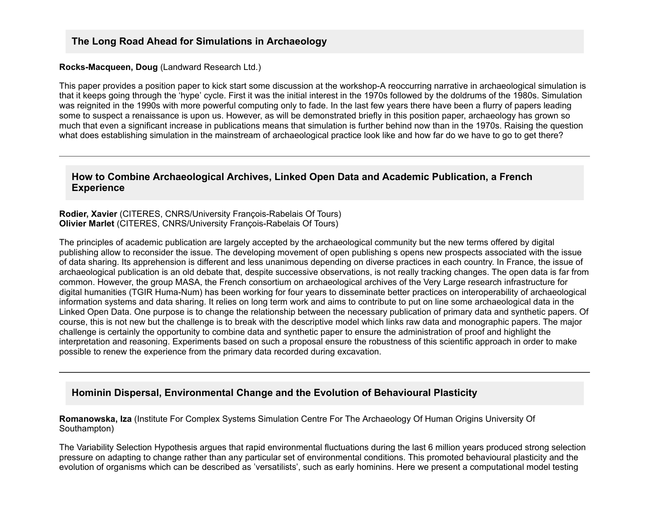#### **Rocks-Macqueen, Doug (Landward Research Ltd.)**

This paper provides a position paper to kick start some discussion at the workshop-A reoccurring narrative in archaeological simulation is that it keeps going through the 'hype' cycle. First it was the initial interest in the 1970s followed by the doldrums of the 1980s. Simulation was reignited in the 1990s with more powerful computing only to fade. In the last few years there have been a flurry of papers leading some to suspect a renaissance is upon us. However, as will be demonstrated briefly in this position paper, archaeology has grown so much that even a significant increase in publications means that simulation is further behind now than in the 1970s. Raising the question what does establishing simulation in the mainstream of archaeological practice look like and how far do we have to go to get there?

### **How to Combine Archaeological Archives, Linked Open Data and Academic Publication, a French Experience**

#### Rodier, Xavier (CITERES, CNRS/University François-Rabelais Of Tours) **Olivier Marlet** (CITERES, CNRS/University François-Rabelais Of Tours)

The principles of academic publication are largely accepted by the archaeological community but the new terms offered by digital publishing allow to reconsider the issue. The developing movement of open publishing s opens new prospects associated with the issue of data sharing. Its apprehension is different and less unanimous depending on diverse practices in each country. In France, the issue of archaeological publication is an old debate that, despite successive observations, is not really tracking changes. The open data is far from common. However, the group MASA, the French consortium on archaeological archives of the Very Large research infrastructure for digital humanities (TGIR Huma-Num) has been working for four years to disseminate better practices on interoperability of archaeological information systems and data sharing. It relies on long term work and aims to contribute to put on line some archaeological data in the Linked Open Data. One purpose is to change the relationship between the necessary publication of primary data and synthetic papers. Of course, this is not new but the challenge is to break with the descriptive model which links raw data and monographic papers. The major challenge is certainly the opportunity to combine data and synthetic paper to ensure the administration of proof and highlight the interpretation and reasoning. Experiments based on such a proposal ensure the robustness of this scientific approach in order to make possible to renew the experience from the primary data recorded during excavation.

## **Hominin Dispersal, Environmental Change and the Evolution of Behavioural Plasticity**

**Romanowska, Iza** (Institute For Complex Systems Simulation Centre For The Archaeology Of Human Origins University Of Southampton)

The Variability Selection Hypothesis argues that rapid environmental fluctuations during the last 6 million years produced strong selection pressure on adapting to change rather than any particular set of environmental conditions. This promoted behavioural plasticity and the evolution of organisms which can be described as 'versatilists', such as early hominins. Here we present a computational model testing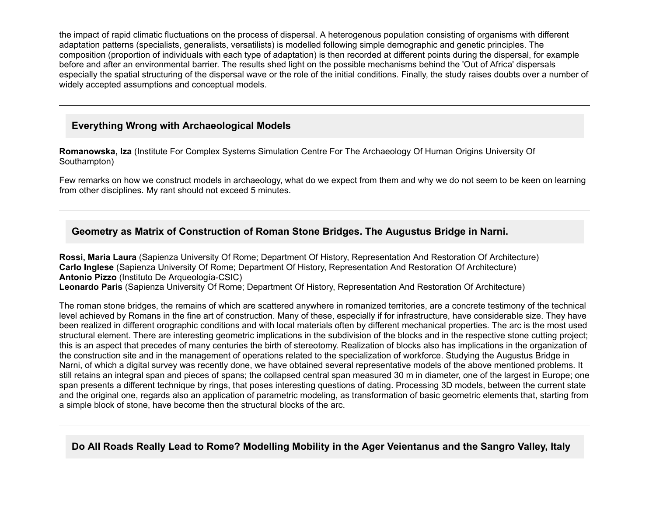the impact of rapid climatic fluctuations on the process of dispersal. A heterogenous population consisting of organisms with different adaptation patterns (specialists, generalists, versatilists) is modelled following simple demographic and genetic principles. The composition (proportion of individuals with each type of adaptation) is then recorded at different points during the dispersal, for example before and after an environmental barrier. The results shed light on the possible mechanisms behind the 'Out of Africa' dispersals especially the spatial structuring of the dispersal wave or the role of the initial conditions. Finally, the study raises doubts over a number of widely accepted assumptions and conceptual models.

## **Everything Wrong with Archaeological Models**

**Romanowska, Iza** (Institute For Complex Systems Simulation Centre For The Archaeology Of Human Origins University Of Southampton)

Few remarks on how we construct models in archaeology, what do we expect from them and why we do not seem to be keen on learning from other disciplines. My rant should not exceed 5 minutes.

## **Geometry as Matrix of Construction of Roman Stone Bridges. The Augustus Bridge in Narni.**

**Rossi, Maria Laura** (Sapienza University Of Rome; Department Of History, Representation And Restoration Of Architecture) **Carlo Inglese** (Sapienza University Of Rome; Department Of History, Representation And Restoration Of Architecture) **Antonio Pizzo** (Instituto De Arqueología-CSIC) **Leonardo Paris** (Sapienza University Of Rome; Department Of History, Representation And Restoration Of Architecture)

The roman stone bridges, the remains of which are scattered anywhere in romanized territories, are a concrete testimony of the technical level achieved by Romans in the fine art of construction. Many of these, especially if for infrastructure, have considerable size. They have been realized in different orographic conditions and with local materials often by different mechanical properties. The arc is the most used structural element. There are interesting geometric implications in the subdivision of the blocks and in the respective stone cutting project; this is an aspect that precedes of many centuries the birth of stereotomy. Realization of blocks also has implications in the organization of the construction site and in the management of operations related to the specialization of workforce. Studying the Augustus Bridge in Narni, of which a digital survey was recently done, we have obtained several representative models of the above mentioned problems. It still retains an integral span and pieces of spans; the collapsed central span measured 30 m in diameter, one of the largest in Europe; one span presents a different technique by rings, that poses interesting questions of dating. Processing 3D models, between the current state and the original one, regards also an application of parametric modeling, as transformation of basic geometric elements that, starting from a simple block of stone, have become then the structural blocks of the arc.

**Do All Roads Really Lead to Rome? Modelling Mobility in the Ager Veientanus and the Sangro Valley, Italy**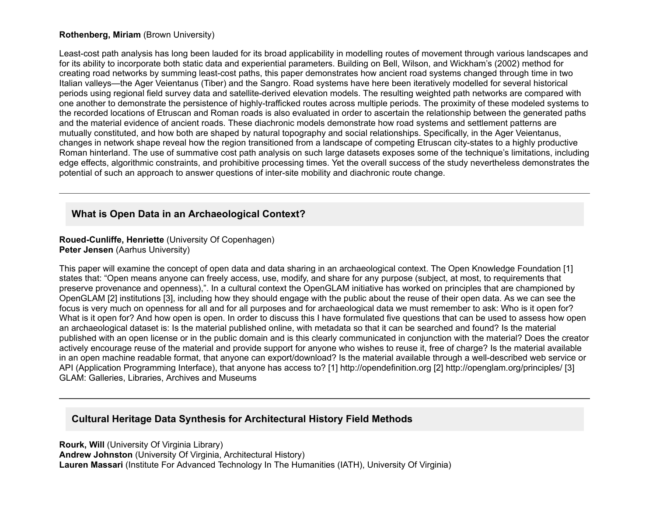#### **Rothenberg, Miriam** (Brown University)

Least-cost path analysis has long been lauded for its broad applicability in modelling routes of movement through various landscapes and for its ability to incorporate both static data and experiential parameters. Building on Bell, Wilson, and Wickham's (2002) method for creating road networks by summing least-cost paths, this paper demonstrates how ancient road systems changed through time in two Italian valleys—the Ager Veientanus (Tiber) and the Sangro. Road systems have here been iteratively modelled for several historical periods using regional field survey data and satellite-derived elevation models. The resulting weighted path networks are compared with one another to demonstrate the persistence of highly-trafficked routes across multiple periods. The proximity of these modeled systems to the recorded locations of Etruscan and Roman roads is also evaluated in order to ascertain the relationship between the generated paths and the material evidence of ancient roads. These diachronic models demonstrate how road systems and settlement patterns are mutually constituted, and how both are shaped by natural topography and social relationships. Specifically, in the Ager Veientanus, changes in network shape reveal how the region transitioned from a landscape of competing Etruscan city-states to a highly productive Roman hinterland. The use of summative cost path analysis on such large datasets exposes some of the technique's limitations, including edge effects, algorithmic constraints, and prohibitive processing times. Yet the overall success of the study nevertheless demonstrates the potential of such an approach to answer questions of intersite mobility and diachronic route change.

## **What is Open Data in an Archaeological Context?**

**Roued-Cunliffe, Henriette (University Of Copenhagen) Peter Jensen** (Aarhus University)

This paper will examine the concept of open data and data sharing in an archaeological context. The Open Knowledge Foundation [1] states that: "Open means anyone can freely access, use, modify, and share for any purpose (subject, at most, to requirements that preserve provenance and openness),". In a cultural context the OpenGLAM initiative has worked on principles that are championed by OpenGLAM [2] institutions [3], including how they should engage with the public about the reuse of their open data. As we can see the focus is very much on openness for all and for all purposes and for archaeological data we must remember to ask: Who is it open for? What is it open for? And how open is open. In order to discuss this I have formulated five questions that can be used to assess how open an archaeological dataset is: Is the material published online, with metadata so that it can be searched and found? Is the material published with an open license or in the public domain and is this clearly communicated in conjunction with the material? Does the creator actively encourage reuse of the material and provide support for anyone who wishes to reuse it, free of charge? Is the material available in an open machine readable format, that anyone can export/download? Is the material available through a well-described web service or API (Application Programming Interface), that anyone has access to? [1] http://opendefinition.org [2] http://openglam.org/principles/ [3] GLAM: Galleries, Libraries, Archives and Museums

## **Cultural Heritage Data Synthesis for Architectural History Field Methods**

**Rourk, Will** (University Of Virginia Library) **Andrew Johnston** (University Of Virginia, Architectural History) **Lauren Massari** (Institute For Advanced Technology In The Humanities (IATH), University Of Virginia)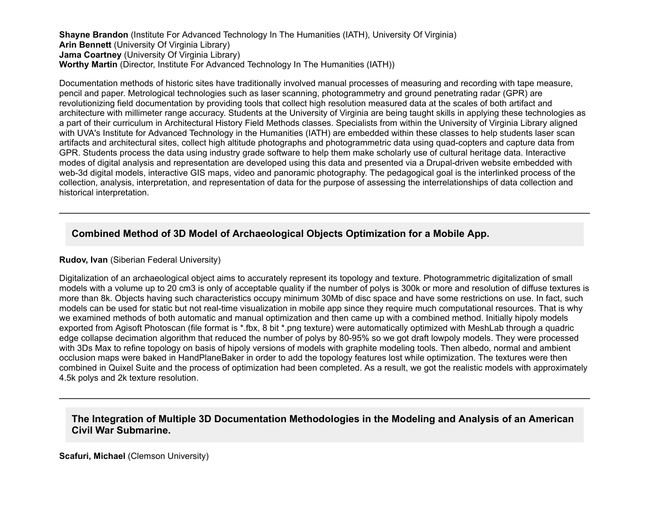**Shayne Brandon** (Institute For Advanced Technology In The Humanities (IATH), University Of Virginia) **Arin Bennett** (University Of Virginia Library) **Jama Coartney** (University Of Virginia Library) **Worthy Martin** (Director, Institute For Advanced Technology In The Humanities (IATH))

Documentation methods of historic sites have traditionally involved manual processes of measuring and recording with tape measure, pencil and paper. Metrological technologies such as laser scanning, photogrammetry and ground penetrating radar (GPR) are revolutionizing field documentation by providing tools that collect high resolution measured data at the scales of both artifact and architecture with millimeter range accuracy. Students at the University of Virginia are being taught skills in applying these technologies as a part of their curriculum in Architectural History Field Methods classes. Specialists from within the University of Virginia Library aligned with UVA's Institute for Advanced Technology in the Humanities (IATH) are embedded within these classes to help students laser scan artifacts and architectural sites, collect high altitude photographs and photogrammetric data using quad-copters and capture data from GPR. Students process the data using industry grade software to help them make scholarly use of cultural heritage data. Interactive modes of digital analysis and representation are developed using this data and presented via a Drupal-driven website embedded with web-3d digital models, interactive GIS maps, video and panoramic photography. The pedagogical goal is the interlinked process of the collection, analysis, interpretation, and representation of data for the purpose of assessing the interrelationships of data collection and historical interpretation.

## **Combined Method of 3D Model of Archaeological Objects Optimization for a Mobile App.**

#### **Rudov, Ivan** (Siberian Federal University)

Digitalization of an archaeological object aims to accurately represent its topology and texture. Photogrammetric digitalization of small models with a volume up to 20 cm3 is only of acceptable quality if the number of polys is 300k or more and resolution of diffuse textures is more than 8k. Objects having such characteristics occupy minimum 30Mb of disc space and have some restrictions on use. In fact, such models can be used for static but not real-time visualization in mobile app since they require much computational resources. That is why we examined methods of both automatic and manual optimization and then came up with a combined method. Initially hipoly models exported from Agisoft Photoscan (file format is \*.fbx, 8 bit \*.png texture) were automatically optimized with MeshLab through a quadric edge collapse decimation algorithm that reduced the number of polys by 80-95% so we got draft lowpoly models. They were processed with 3Ds Max to refine topology on basis of hipoly versions of models with graphite modeling tools. Then albedo, normal and ambient occlusion maps were baked in HandPlaneBaker in order to add the topology features lost while optimization. The textures were then combined in Quixel Suite and the process of optimization had been completed. As a result, we got the realistic models with approximately 4.5k polys and 2k texture resolution.

### **The Integration of Multiple 3D Documentation Methodologies in the Modeling and Analysis of an American Civil War Submarine.**

**Scafuri, Michael** (Clemson University)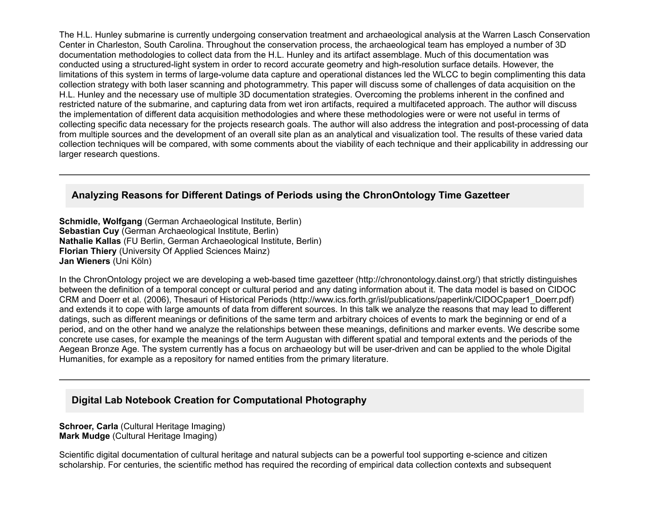The H.L. Hunley submarine is currently undergoing conservation treatment and archaeological analysis at the Warren Lasch Conservation Center in Charleston, South Carolina. Throughout the conservation process, the archaeological team has employed a number of 3D documentation methodologies to collect data from the H.L. Hunley and its artifact assemblage. Much of this documentation was conducted using a structured-light system in order to record accurate geometry and high-resolution surface details. However, the limitations of this system in terms of large-volume data capture and operational distances led the WLCC to begin complimenting this data collection strategy with both laser scanning and photogrammetry. This paper will discuss some of challenges of data acquisition on the H.L. Hunley and the necessary use of multiple 3D documentation strategies. Overcoming the problems inherent in the confined and restricted nature of the submarine, and capturing data from wet iron artifacts, required a multifaceted approach. The author will discuss the implementation of different data acquisition methodologies and where these methodologies were or were not useful in terms of collecting specific data necessary for the projects research goals. The author will also address the integration and post-processing of data from multiple sources and the development of an overall site plan as an analytical and visualization tool. The results of these varied data collection techniques will be compared, with some comments about the viability of each technique and their applicability in addressing our larger research questions.

## **Analyzing Reasons for Different Datings of Periods using the ChronOntology Time Gazetteer**

**Schmidle, Wolfgang** (German Archaeological Institute, Berlin) **Sebastian Cuy** (German Archaeological Institute, Berlin) **Nathalie Kallas** (FU Berlin, German Archaeological Institute, Berlin) **Florian Thiery** (University Of Applied Sciences Mainz) **Jan Wieners** (Uni Köln)

In the ChronOntology project we are developing a web-based time gazetteer (http://chronontology.dainst.org/) that strictly distinguishes between the definition of a temporal concept or cultural period and any dating information about it. The data model is based on CIDOC CRM and Doerr et al. (2006), Thesauri of Historical Periods (http://www.ics.forth.gr/isl/publications/paperlink/CIDOCpaper1\_Doerr.pdf) and extends it to cope with large amounts of data from different sources. In this talk we analyze the reasons that may lead to different datings, such as different meanings or definitions of the same term and arbitrary choices of events to mark the beginning or end of a period, and on the other hand we analyze the relationships between these meanings, definitions and marker events. We describe some concrete use cases, for example the meanings of the term Augustan with different spatial and temporal extents and the periods of the Aegean Bronze Age. The system currently has a focus on archaeology but will be user-driven and can be applied to the whole Digital Humanities, for example as a repository for named entities from the primary literature.

## **Digital Lab Notebook Creation for Computational Photography**

**Schroer, Carla** (Cultural Heritage Imaging) **Mark Mudge** (Cultural Heritage Imaging)

Scientific digital documentation of cultural heritage and natural subjects can be a powerful tool supporting e-science and citizen scholarship. For centuries, the scientific method has required the recording of empirical data collection contexts and subsequent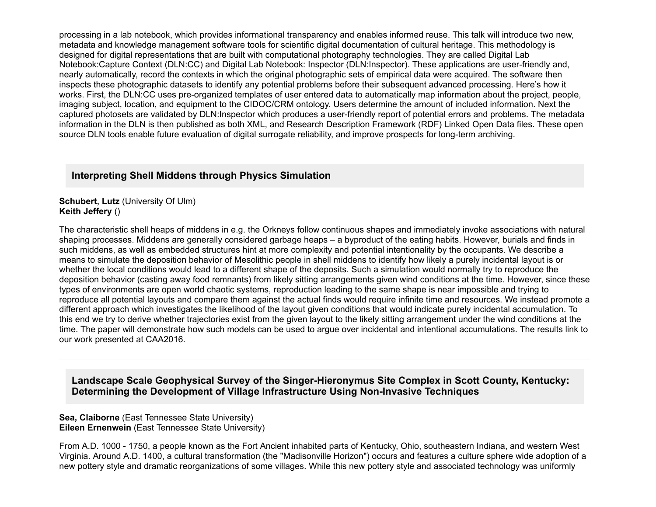processing in a lab notebook, which provides informational transparency and enables informed reuse. This talk will introduce two new, metadata and knowledge management software tools for scientific digital documentation of cultural heritage. This methodology is designed for digital representations that are built with computational photography technologies. They are called Digital Lab Notebook:Capture Context (DLN:CC) and Digital Lab Notebook: Inspector (DLN:Inspector). These applications are user-friendly and, nearly automatically, record the contexts in which the original photographic sets of empirical data were acquired. The software then inspects these photographic datasets to identify any potential problems before their subsequent advanced processing. Here's how it works. First, the DLN:CC uses pre-organized templates of user entered data to automatically map information about the project, people, imaging subject, location, and equipment to the CIDOC/CRM ontology. Users determine the amount of included information. Next the captured photosets are validated by DLN:Inspector which produces a user-friendly report of potential errors and problems. The metadata information in the DLN is then published as both XML, and Research Description Framework (RDF) Linked Open Data files. These open source DLN tools enable future evaluation of digital surrogate reliability, and improve prospects for long-term archiving.

## **Interpreting Shell Middens through Physics Simulation**

#### **Schubert, Lutz** (University Of Ulm) **Keith Jeffery** ()

The characteristic shell heaps of middens in e.g. the Orkneys follow continuous shapes and immediately invoke associations with natural shaping processes. Middens are generally considered garbage heaps – a byproduct of the eating habits. However, burials and finds in such middens, as well as embedded structures hint at more complexity and potential intentionality by the occupants. We describe a means to simulate the deposition behavior of Mesolithic people in shell middens to identify how likely a purely incidental layout is or whether the local conditions would lead to a different shape of the deposits. Such a simulation would normally try to reproduce the deposition behavior (casting away food remnants) from likely sitting arrangements given wind conditions at the time. However, since these types of environments are open world chaotic systems, reproduction leading to the same shape is near impossible and trying to reproduce all potential layouts and compare them against the actual finds would require infinite time and resources. We instead promote a different approach which investigates the likelihood of the layout given conditions that would indicate purely incidental accumulation. To this end we try to derive whether trajectories exist from the given layout to the likely sitting arrangement under the wind conditions at the time. The paper will demonstrate how such models can be used to argue over incidental and intentional accumulations. The results link to our work presented at CAA2016.

## Landscape Scale Geophysical Survey of the Singer-Hieronymus Site Complex in Scott County, Kentucky: **Determining the Development of Village Infrastructure Using Non-Invasive Techniques**

#### **Sea, Claiborne** (East Tennessee State University) **Eileen Ernenwein** (East Tennessee State University)

From A.D. 1000 1750, a people known as the Fort Ancient inhabited parts of Kentucky, Ohio, southeastern Indiana, and western West Virginia. Around A.D. 1400, a cultural transformation (the "Madisonville Horizon") occurs and features a culture sphere wide adoption of a new pottery style and dramatic reorganizations of some villages. While this new pottery style and associated technology was uniformly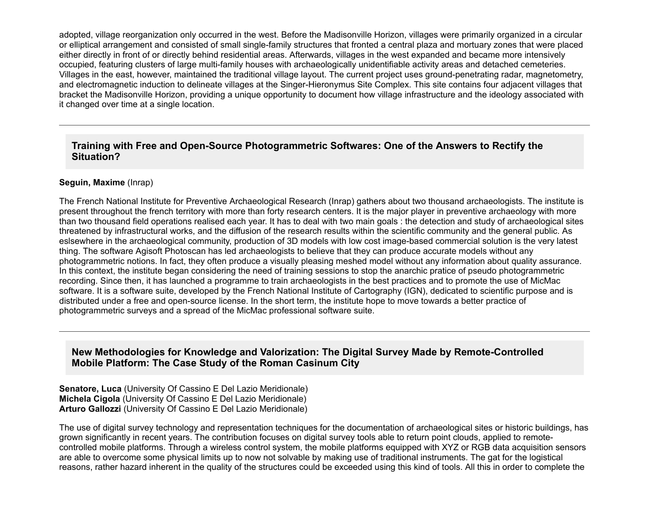adopted, village reorganization only occurred in the west. Before the Madisonville Horizon, villages were primarily organized in a circular or elliptical arrangement and consisted of small single-family structures that fronted a central plaza and mortuary zones that were placed either directly in front of or directly behind residential areas. Afterwards, villages in the west expanded and became more intensively occupied, featuring clusters of large multi-family houses with archaeologically unidentifiable activity areas and detached cemeteries. Villages in the east, however, maintained the traditional village layout. The current project uses groundpenetrating radar, magnetometry, and electromagnetic induction to delineate villages at the Singer-Hieronymus Site Complex. This site contains four adjacent villages that bracket the Madisonville Horizon, providing a unique opportunity to document how village infrastructure and the ideology associated with it changed over time at a single location.

### Training with Free and Open-Source Photogrammetric Softwares: One of the Answers to Rectify the **Situation?**

#### **Seguin, Maxime** (Inrap)

The French National Institute for Preventive Archaeological Research (Inrap) gathers about two thousand archaeologists. The institute is present throughout the french territory with more than forty research centers. It is the major player in preventive archaeology with more than two thousand field operations realised each year. It has to deal with two main goals : the detection and study of archaeological sites threatened by infrastructural works, and the diffusion of the research results within the scientific community and the general public. As eslsewhere in the archaeological community, production of 3D models with low cost image-based commercial solution is the very latest thing. The software Agisoft Photoscan has led archaeologists to believe that they can produce accurate models without any photogrammetric notions. In fact, they often produce a visually pleasing meshed model without any information about quality assurance. In this context, the institute began considering the need of training sessions to stop the anarchic pratice of pseudo photogrammetric recording. Since then, it has launched a programme to train archaeologists in the best practices and to promote the use of MicMac software. It is a software suite, developed by the French National Institute of Cartography (IGN), dedicated to scientific purpose and is distributed under a free and open-source license. In the short term, the institute hope to move towards a better practice of photogrammetric surveys and a spread of the MicMac professional software suite.

## New Methodologies for Knowledge and Valorization: The Digital Survey Made by Remote-Controlled **Mobile Platform: The Case Study of the Roman Casinum City**

**Senatore, Luca** (University Of Cassino E Del Lazio Meridionale) **Michela Cigola** (University Of Cassino E Del Lazio Meridionale) **Arturo Gallozzi** (University Of Cassino E Del Lazio Meridionale)

The use of digital survey technology and representation techniques for the documentation of archaeological sites or historic buildings, has grown significantly in recent years. The contribution focuses on digital survey tools able to return point clouds, applied to remotecontrolled mobile platforms. Through a wireless control system, the mobile platforms equipped with XYZ or RGB data acquisition sensors are able to overcome some physical limits up to now not solvable by making use of traditional instruments. The gat for the logistical reasons, rather hazard inherent in the quality of the structures could be exceeded using this kind of tools. All this in order to complete the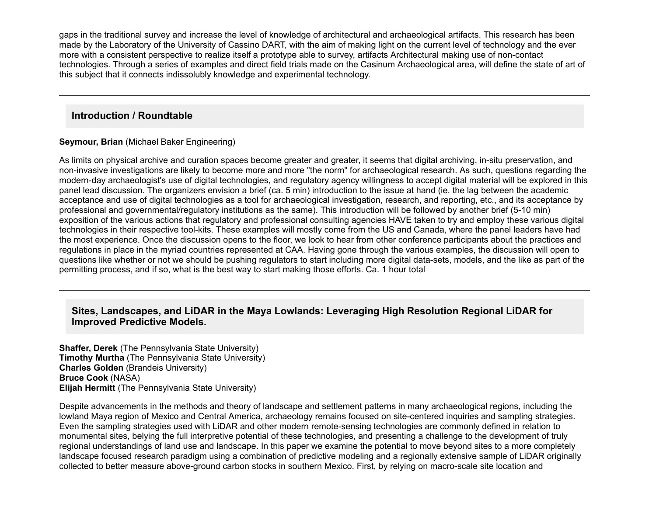gaps in the traditional survey and increase the level of knowledge of architectural and archaeological artifacts. This research has been made by the Laboratory of the University of Cassino DART, with the aim of making light on the current level of technology and the ever more with a consistent perspective to realize itself a prototype able to survey, artifacts Architectural making use of noncontact technologies. Through a series of examples and direct field trials made on the Casinum Archaeological area, will define the state of art of this subject that it connects indissolubly knowledge and experimental technology.

## **Introduction / Roundtable**

**Seymour, Brian** (Michael Baker Engineering)

As limits on physical archive and curation spaces become greater and greater, it seems that digital archiving, in-situ preservation, and non-invasive investigations are likely to become more and more "the norm" for archaeological research. As such, questions regarding the modern-day archaeologist's use of digital technologies, and regulatory agency willingness to accept digital material will be explored in this panel lead discussion. The organizers envision a brief (ca. 5 min) introduction to the issue at hand (ie. the lag between the academic acceptance and use of digital technologies as a tool for archaeological investigation, research, and reporting, etc., and its acceptance by professional and governmental/regulatory institutions as the same). This introduction will be followed by another brief (510 min) exposition of the various actions that regulatory and professional consulting agencies HAVE taken to try and employ these various digital technologies in their respective tool-kits. These examples will mostly come from the US and Canada, where the panel leaders have had the most experience. Once the discussion opens to the floor, we look to hear from other conference participants about the practices and regulations in place in the myriad countries represented at CAA. Having gone through the various examples, the discussion will open to questions like whether or not we should be pushing regulators to start including more digital data-sets, models, and the like as part of the permitting process, and if so, what is the best way to start making those efforts. Ca. 1 hour total

## **Sites, Landscapes, and LiDAR in the Maya Lowlands: Leveraging High Resolution Regional LiDAR for Improved Predictive Models.**

**Shaffer, Derek** (The Pennsylvania State University) **Timothy Murtha** (The Pennsylvania State University) **Charles Golden** (Brandeis University) **Bruce Cook** (NASA) **Elijah Hermitt** (The Pennsylvania State University)

Despite advancements in the methods and theory of landscape and settlement patterns in many archaeological regions, including the lowland Maya region of Mexico and Central America, archaeology remains focused on site-centered inquiries and sampling strategies. Even the sampling strategies used with LiDAR and other modern remotesensing technologies are commonly defined in relation to monumental sites, belying the full interpretive potential of these technologies, and presenting a challenge to the development of truly regional understandings of land use and landscape. In this paper we examine the potential to move beyond sites to a more completely landscape focused research paradigm using a combination of predictive modeling and a regionally extensive sample of LiDAR originally collected to better measure above-ground carbon stocks in southern Mexico. First, by relying on macro-scale site location and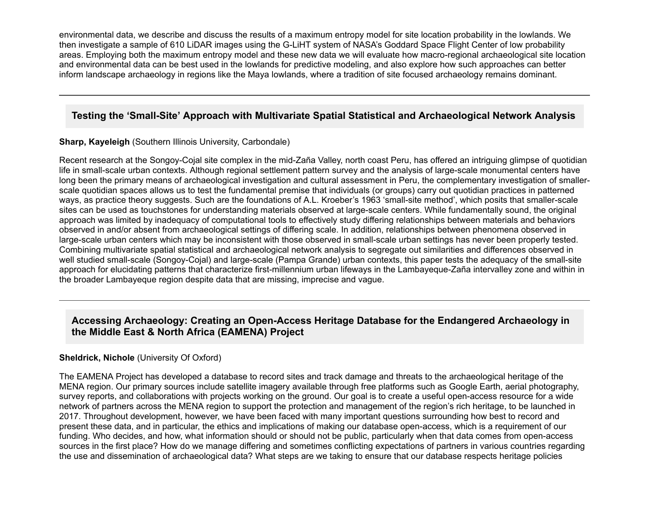environmental data, we describe and discuss the results of a maximum entropy model for site location probability in the lowlands. We then investigate a sample of 610 LiDAR images using the GLiHT system of NASA's Goddard Space Flight Center of low probability areas. Employing both the maximum entropy model and these new data we will evaluate how macro-regional archaeological site location and environmental data can be best used in the lowlands for predictive modeling, and also explore how such approaches can better inform landscape archaeology in regions like the Maya lowlands, where a tradition of site focused archaeology remains dominant.

## **Testing the 'Small-Site' Approach with Multivariate Spatial Statistical and Archaeological Network Analysis**

#### **Sharp, Kayeleigh** (Southern Illinois University, Carbondale)

Recent research at the Songoy-Cojal site complex in the mid-Zaña Valley, north coast Peru, has offered an intriguing glimpse of quotidian life in small-scale urban contexts. Although regional settlement pattern survey and the analysis of large-scale monumental centers have long been the primary means of archaeological investigation and cultural assessment in Peru, the complementary investigation of smallerscale quotidian spaces allows us to test the fundamental premise that individuals (or groups) carry out quotidian practices in patterned ways, as practice theory suggests. Such are the foundations of A.L. Kroeber's 1963 'small-site method', which posits that smaller-scale sites can be used as touchstones for understanding materials observed at large-scale centers. While fundamentally sound, the original approach was limited by inadequacy of computational tools to effectively study differing relationships between materials and behaviors observed in and/or absent from archaeological settings of differing scale. In addition, relationships between phenomena observed in large-scale urban centers which may be inconsistent with those observed in small-scale urban settings has never been properly tested. Combining multivariate spatial statistical and archaeological network analysis to segregate out similarities and differences observed in well studied small-scale (Songoy-Cojal) and large-scale (Pampa Grande) urban contexts, this paper tests the adequacy of the small-site approach for elucidating patterns that characterize first-millennium urban lifeways in the Lambayeque-Zaña intervalley zone and within in the broader Lambayeque region despite data that are missing, imprecise and vague.

## Accessing Archaeology: Creating an Open-Access Heritage Database for the Endangered Archaeology in **the Middle East & North Africa (EAMENA) Project**

#### **Sheldrick, Nichole** (University Of Oxford)

The EAMENA Project has developed a database to record sites and track damage and threats to the archaeological heritage of the MENA region. Our primary sources include satellite imagery available through free platforms such as Google Earth, aerial photography, survey reports, and collaborations with projects working on the ground. Our goal is to create a useful open-access resource for a wide network of partners across the MENA region to support the protection and management of the region's rich heritage, to be launched in 2017. Throughout development, however, we have been faced with many important questions surrounding how best to record and present these data, and in particular, the ethics and implications of making our database open-access, which is a requirement of our funding. Who decides, and how, what information should or should not be public, particularly when that data comes from open-access sources in the first place? How do we manage differing and sometimes conflicting expectations of partners in various countries regarding the use and dissemination of archaeological data? What steps are we taking to ensure that our database respects heritage policies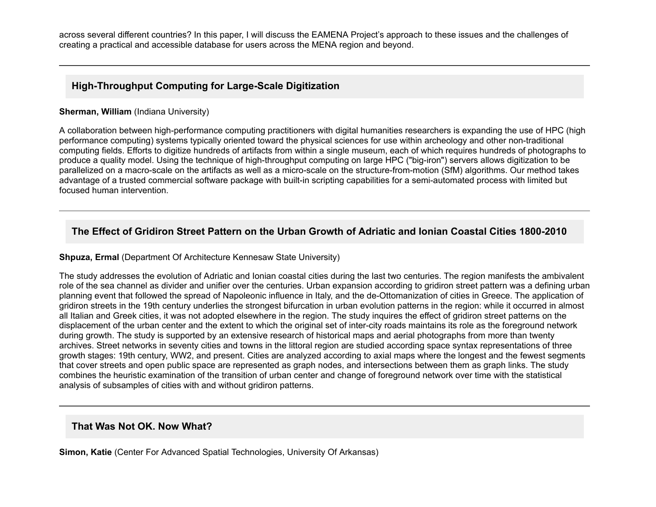across several different countries? In this paper, I will discuss the EAMENA Project's approach to these issues and the challenges of creating a practical and accessible database for users across the MENA region and beyond.

## **High-Throughput Computing for Large-Scale Digitization**

#### **Sherman, William** (Indiana University)

A collaboration between high-performance computing practitioners with digital humanities researchers is expanding the use of HPC (high performance computing) systems typically oriented toward the physical sciences for use within archeology and other non-traditional computing fields. Efforts to digitize hundreds of artifacts from within a single museum, each of which requires hundreds of photographs to produce a quality model. Using the technique of high-throughput computing on large HPC ("big-iron") servers allows digitization to be parallelized on a macro-scale on the artifacts as well as a micro-scale on the structure-from-motion (SfM) algorithms. Our method takes advantage of a trusted commercial software package with built-in scripting capabilities for a semi-automated process with limited but focused human intervention.

# **The Effect of Gridiron Street Pattern on the Urban Growth of Adriatic and Ionian Coastal Cities 1800-2010**

#### **Shpuza, Ermal** (Department Of Architecture Kennesaw State University)

The study addresses the evolution of Adriatic and Ionian coastal cities during the last two centuries. The region manifests the ambivalent role of the sea channel as divider and unifier over the centuries. Urban expansion according to gridiron street pattern was a defining urban planning event that followed the spread of Napoleonic influence in Italy, and the de-Ottomanization of cities in Greece. The application of gridiron streets in the 19th century underlies the strongest bifurcation in urban evolution patterns in the region: while it occurred in almost all Italian and Greek cities, it was not adopted elsewhere in the region. The study inquires the effect of gridiron street patterns on the displacement of the urban center and the extent to which the original set of inter-city roads maintains its role as the foreground network during growth. The study is supported by an extensive research of historical maps and aerial photographs from more than twenty archives. Street networks in seventy cities and towns in the littoral region are studied according space syntax representations of three growth stages: 19th century, WW2, and present. Cities are analyzed according to axial maps where the longest and the fewest segments that cover streets and open public space are represented as graph nodes, and intersections between them as graph links. The study combines the heuristic examination of the transition of urban center and change of foreground network over time with the statistical analysis of subsamples of cities with and without gridiron patterns.

## **That Was Not OK. Now What?**

**Simon, Katie** (Center For Advanced Spatial Technologies, University Of Arkansas)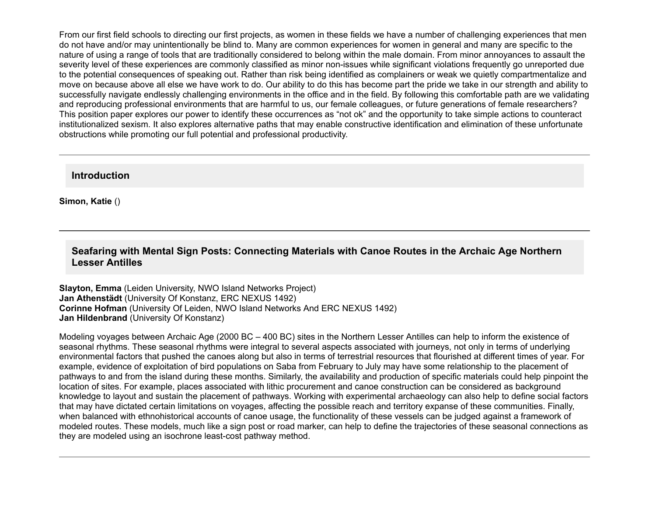From our first field schools to directing our first projects, as women in these fields we have a number of challenging experiences that men do not have and/or may unintentionally be blind to. Many are common experiences for women in general and many are specific to the nature of using a range of tools that are traditionally considered to belong within the male domain. From minor annoyances to assault the severity level of these experiences are commonly classified as minor non-issues while significant violations frequently go unreported due to the potential consequences of speaking out. Rather than risk being identified as complainers or weak we quietly compartmentalize and move on because above all else we have work to do. Our ability to do this has become part the pride we take in our strength and ability to successfully navigate endlessly challenging environments in the office and in the field. By following this comfortable path are we validating and reproducing professional environments that are harmful to us, our female colleagues, or future generations of female researchers? This position paper explores our power to identify these occurrences as "not ok" and the opportunity to take simple actions to counteract institutionalized sexism. It also explores alternative paths that may enable constructive identification and elimination of these unfortunate obstructions while promoting our full potential and professional productivity.

**Introduction**

**Simon, Katie** ()

## **Seafaring with Mental Sign Posts: Connecting Materials with Canoe Routes in the Archaic Age Northern Lesser Antilles**

**Slayton, Emma** (Leiden University, NWO Island Networks Project) **Jan Athenstädt** (University Of Konstanz, ERC NEXUS 1492) **Corinne Hofman** (University Of Leiden, NWO Island Networks And ERC NEXUS 1492) **Jan Hildenbrand** (University Of Konstanz)

Modeling voyages between Archaic Age (2000 BC – 400 BC) sites in the Northern Lesser Antilles can help to inform the existence of seasonal rhythms. These seasonal rhythms were integral to several aspects associated with journeys, not only in terms of underlying environmental factors that pushed the canoes along but also in terms of terrestrial resources that flourished at different times of year. For example, evidence of exploitation of bird populations on Saba from February to July may have some relationship to the placement of pathways to and from the island during these months. Similarly, the availability and production of specific materials could help pinpoint the location of sites. For example, places associated with lithic procurement and canoe construction can be considered as background knowledge to layout and sustain the placement of pathways. Working with experimental archaeology can also help to define social factors that may have dictated certain limitations on voyages, affecting the possible reach and territory expanse of these communities. Finally, when balanced with ethnohistorical accounts of canoe usage, the functionality of these vessels can be judged against a framework of modeled routes. These models, much like a sign post or road marker, can help to define the trajectories of these seasonal connections as they are modeled using an isochrone least-cost pathway method.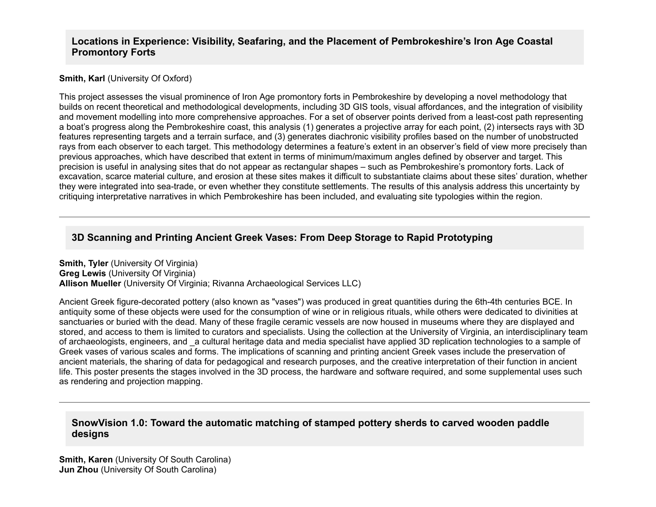### **Locations in Experience: Visibility, Seafaring, and the Placement of Pembrokeshire's Iron Age Coastal Promontory Forts**

#### **Smith, Karl** (University Of Oxford)

This project assesses the visual prominence of Iron Age promontory forts in Pembrokeshire by developing a novel methodology that builds on recent theoretical and methodological developments, including 3D GIS tools, visual affordances, and the integration of visibility and movement modelling into more comprehensive approaches. For a set of observer points derived from a least-cost path representing a boat's progress along the Pembrokeshire coast, this analysis (1) generates a projective array for each point, (2) intersects rays with 3D features representing targets and a terrain surface, and (3) generates diachronic visibility profiles based on the number of unobstructed rays from each observer to each target. This methodology determines a feature's extent in an observer's field of view more precisely than previous approaches, which have described that extent in terms of minimum/maximum angles defined by observer and target. This precision is useful in analysing sites that do not appear as rectangular shapes – such as Pembrokeshire's promontory forts. Lack of excavation, scarce material culture, and erosion at these sites makes it difficult to substantiate claims about these sites' duration, whether they were integrated into sea-trade, or even whether they constitute settlements. The results of this analysis address this uncertainty by critiquing interpretative narratives in which Pembrokeshire has been included, and evaluating site typologies within the region.

## **3D Scanning and Printing Ancient Greek Vases: From Deep Storage to Rapid Prototyping**

**Smith, Tyler** (University Of Virginia) **Greg Lewis** (University Of Virginia) **Allison Mueller** (University Of Virginia; Rivanna Archaeological Services LLC)

Ancient Greek figure-decorated pottery (also known as "vases") was produced in great quantities during the 6th-4th centuries BCE. In antiquity some of these objects were used for the consumption of wine or in religious rituals, while others were dedicated to divinities at sanctuaries or buried with the dead. Many of these fragile ceramic vessels are now housed in museums where they are displayed and stored, and access to them is limited to curators and specialists. Using the collection at the University of Virginia, an interdisciplinary team of archaeologists, engineers, and \_a cultural heritage data and media specialist have applied 3D replication technologies to a sample of Greek vases of various scales and forms. The implications of scanning and printing ancient Greek vases include the preservation of ancient materials, the sharing of data for pedagogical and research purposes, and the creative interpretation of their function in ancient life. This poster presents the stages involved in the 3D process, the hardware and software required, and some supplemental uses such as rendering and projection mapping.

### **SnowVision 1.0: Toward the automatic matching of stamped pottery sherds to carved wooden paddle designs**

**Smith, Karen** (University Of South Carolina) **Jun Zhou** (University Of South Carolina)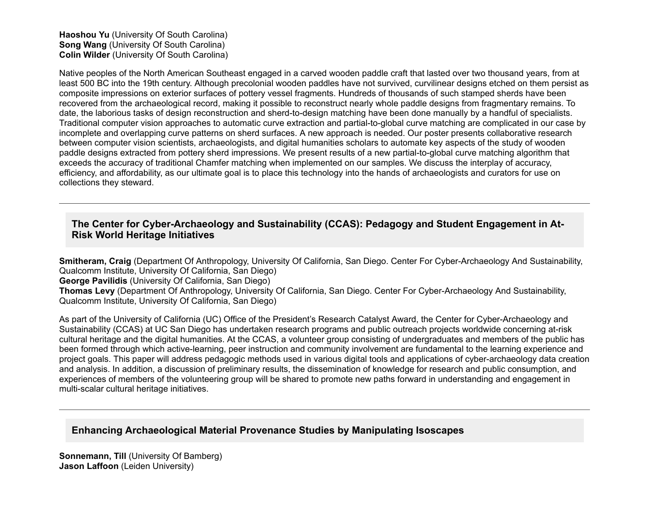#### **Haoshou Yu** (University Of South Carolina) **Song Wang** (University Of South Carolina) **Colin Wilder** (University Of South Carolina)

Native peoples of the North American Southeast engaged in a carved wooden paddle craft that lasted over two thousand years, from at least 500 BC into the 19th century. Although precolonial wooden paddles have not survived, curvilinear designs etched on them persist as composite impressions on exterior surfaces of pottery vessel fragments. Hundreds of thousands of such stamped sherds have been recovered from the archaeological record, making it possible to reconstruct nearly whole paddle designs from fragmentary remains. To date, the laborious tasks of design reconstruction and sherd-to-design matching have been done manually by a handful of specialists. Traditional computer vision approaches to automatic curve extraction and partial-to-global curve matching are complicated in our case by incomplete and overlapping curve patterns on sherd surfaces. A new approach is needed. Our poster presents collaborative research between computer vision scientists, archaeologists, and digital humanities scholars to automate key aspects of the study of wooden paddle designs extracted from pottery sherd impressions. We present results of a new partial-to-global curve matching algorithm that exceeds the accuracy of traditional Chamfer matching when implemented on our samples. We discuss the interplay of accuracy, efficiency, and affordability, as our ultimate goal is to place this technology into the hands of archaeologists and curators for use on collections they steward.

## The Center for Cyber-Archaeology and Sustainability (CCAS): Pedagogy and Student Engagement in At-**Risk World Heritage Initiatives**

**Smitheram, Craig** (Department Of Anthropology, University Of California, San Diego. Center For Cyber-Archaeology And Sustainability, Qualcomm Institute, University Of California, San Diego) **George Pavilidis** (University Of California, San Diego) Thomas Levy (Department Of Anthropology, University Of California, San Diego. Center For Cyber-Archaeology And Sustainability, Qualcomm Institute, University Of California, San Diego)

As part of the University of California (UC) Office of the President's Research Catalyst Award, the Center for Cyber-Archaeology and Sustainability (CCAS) at UC San Diego has undertaken research programs and public outreach projects worldwide concerning at-risk cultural heritage and the digital humanities. At the CCAS, a volunteer group consisting of undergraduates and members of the public has been formed through which active-learning, peer instruction and community involvement are fundamental to the learning experience and project goals. This paper will address pedagogic methods used in various digital tools and applications of cyber-archaeology data creation and analysis. In addition, a discussion of preliminary results, the dissemination of knowledge for research and public consumption, and experiences of members of the volunteering group will be shared to promote new paths forward in understanding and engagement in multi-scalar cultural heritage initiatives.

## **Enhancing Archaeological Material Provenance Studies by Manipulating Isoscapes**

**Sonnemann, Till** (University Of Bamberg) **Jason Laffoon** (Leiden University)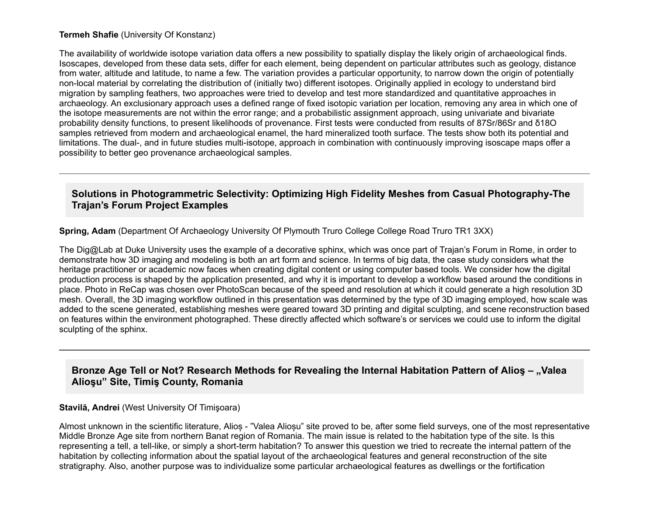#### **Termeh Shafie** (University Of Konstanz)

The availability of worldwide isotope variation data offers a new possibility to spatially display the likely origin of archaeological finds. Isoscapes, developed from these data sets, differ for each element, being dependent on particular attributes such as geology, distance from water, altitude and latitude, to name a few. The variation provides a particular opportunity, to narrow down the origin of potentially non-local material by correlating the distribution of (initially two) different isotopes. Originally applied in ecology to understand bird migration by sampling feathers, two approaches were tried to develop and test more standardized and quantitative approaches in archaeology. An exclusionary approach uses a defined range of fixed isotopic variation per location, removing any area in which one of the isotope measurements are not within the error range; and a probabilistic assignment approach, using univariate and bivariate probability density functions, to present likelihoods of provenance. First tests were conducted from results of 87Sr/86Sr and δ18O samples retrieved from modern and archaeological enamel, the hard mineralized tooth surface. The tests show both its potential and limitations. The dual-, and in future studies multi-isotope, approach in combination with continuously improving isoscape maps offer a possibility to better geo provenance archaeological samples.

## **Solutions in Photogrammetric Selectivity: Optimizing High Fidelity Meshes from Casual Photography-The Trajan's Forum Project Examples**

**Spring, Adam** (Department Of Archaeology University Of Plymouth Truro College College Road Truro TR1 3XX)

The Dig@Lab at Duke University uses the example of a decorative sphinx, which was once part of Trajan's Forum in Rome, in order to demonstrate how 3D imaging and modeling is both an art form and science. In terms of big data, the case study considers what the heritage practitioner or academic now faces when creating digital content or using computer based tools. We consider how the digital production process is shaped by the application presented, and why it is important to develop a workflow based around the conditions in place. Photo in ReCap was chosen over PhotoScan because of the speed and resolution at which it could generate a high resolution 3D mesh. Overall, the 3D imaging workflow outlined in this presentation was determined by the type of 3D imaging employed, how scale was added to the scene generated, establishing meshes were geared toward 3D printing and digital sculpting, and scene reconstruction based on features within the environment photographed. These directly affected which software's or services we could use to inform the digital sculpting of the sphinx.

## **Bronze Age Tell or Not? Research Methods for Revealing the Internal Habitation Pattern of Alios - "Valea Alioşu" Site, Timiş County, Romania**

#### **Stavilă, Andrei** (West University Of Timişoara)

Almost unknown in the scientific literature, Alioș "Valea Alioșu" site proved to be, after some field surveys, one of the most representative Middle Bronze Age site from northern Banat region of Romania. The main issue is related to the habitation type of the site. Is this representing a tell, a tell-like, or simply a short-term habitation? To answer this question we tried to recreate the internal pattern of the habitation by collecting information about the spatial layout of the archaeological features and general reconstruction of the site stratigraphy. Also, another purpose was to individualize some particular archaeological features as dwellings or the fortification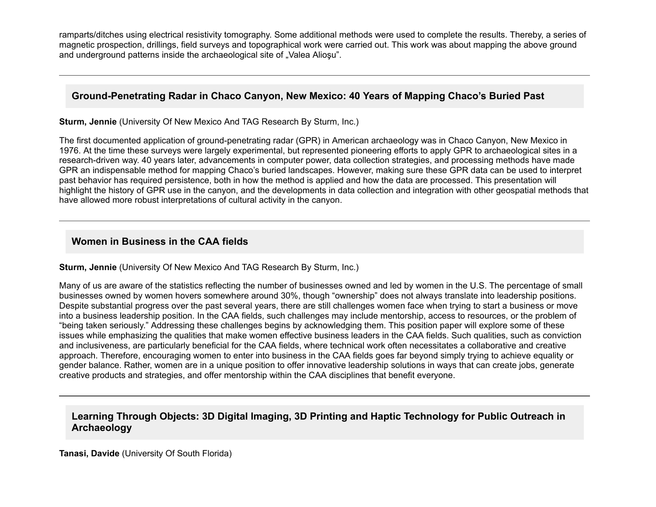ramparts/ditches using electrical resistivity tomography. Some additional methods were used to complete the results. Thereby, a series of magnetic prospection, drillings, field surveys and topographical work were carried out. This work was about mapping the above ground and underground patterns inside the archaeological site of "Valea Aliosu".

## Ground-Penetrating Radar in Chaco Canyon, New Mexico: 40 Years of Mapping Chaco's Buried Past

**Sturm, Jennie** (University Of New Mexico And TAG Research By Sturm, Inc.)

The first documented application of ground-penetrating radar (GPR) in American archaeology was in Chaco Canyon, New Mexico in 1976. At the time these surveys were largely experimental, but represented pioneering efforts to apply GPR to archaeological sites in a research-driven way. 40 years later, advancements in computer power, data collection strategies, and processing methods have made GPR an indispensable method for mapping Chaco's buried landscapes. However, making sure these GPR data can be used to interpret past behavior has required persistence, both in how the method is applied and how the data are processed. This presentation will highlight the history of GPR use in the canyon, and the developments in data collection and integration with other geospatial methods that have allowed more robust interpretations of cultural activity in the canyon.

## **Women in Business in the CAA fields**

**Sturm, Jennie** (University Of New Mexico And TAG Research By Sturm, Inc.)

Many of us are aware of the statistics reflecting the number of businesses owned and led by women in the U.S. The percentage of small businesses owned by women hovers somewhere around 30%, though "ownership" does not always translate into leadership positions. Despite substantial progress over the past several years, there are still challenges women face when trying to start a business or move into a business leadership position. In the CAA fields, such challenges may include mentorship, access to resources, or the problem of "being taken seriously." Addressing these challenges begins by acknowledging them. This position paper will explore some of these issues while emphasizing the qualities that make women effective business leaders in the CAA fields. Such qualities, such as conviction and inclusiveness, are particularly beneficial for the CAA fields, where technical work often necessitates a collaborative and creative approach. Therefore, encouraging women to enter into business in the CAA fields goes far beyond simply trying to achieve equality or gender balance. Rather, women are in a unique position to offer innovative leadership solutions in ways that can create jobs, generate creative products and strategies, and offer mentorship within the CAA disciplines that benefit everyone.

## **Learning Through Objects: 3D Digital Imaging, 3D Printing and Haptic Technology for Public Outreach in Archaeology**

**Tanasi, Davide** (University Of South Florida)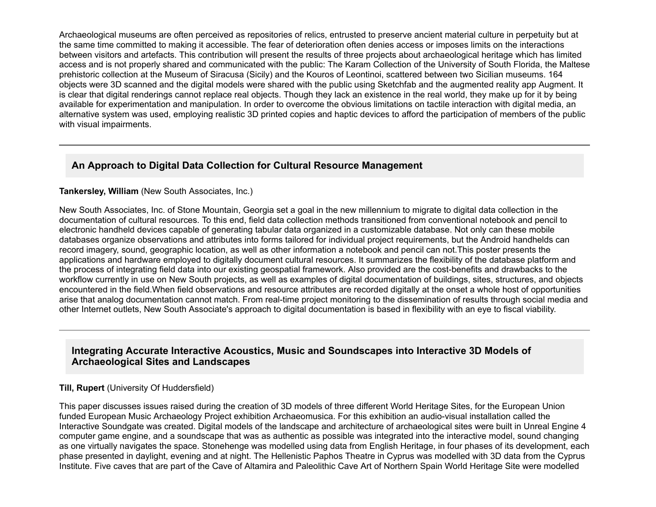Archaeological museums are often perceived as repositories of relics, entrusted to preserve ancient material culture in perpetuity but at the same time committed to making it accessible. The fear of deterioration often denies access or imposes limits on the interactions between visitors and artefacts. This contribution will present the results of three projects about archaeological heritage which has limited access and is not properly shared and communicated with the public: The Karam Collection of the University of South Florida, the Maltese prehistoric collection at the Museum of Siracusa (Sicily) and the Kouros of Leontinoi, scattered between two Sicilian museums. 164 objects were 3D scanned and the digital models were shared with the public using Sketchfab and the augmented reality app Augment. It is clear that digital renderings cannot replace real objects. Though they lack an existence in the real world, they make up for it by being available for experimentation and manipulation. In order to overcome the obvious limitations on tactile interaction with digital media, an alternative system was used, employing realistic 3D printed copies and haptic devices to afford the participation of members of the public with visual impairments.

## **An Approach to Digital Data Collection for Cultural Resource Management**

#### **Tankersley, William** (New South Associates, Inc.)

New South Associates, Inc. of Stone Mountain, Georgia set a goal in the new millennium to migrate to digital data collection in the documentation of cultural resources. To this end, field data collection methods transitioned from conventional notebook and pencil to electronic handheld devices capable of generating tabular data organized in a customizable database. Not only can these mobile databases organize observations and attributes into forms tailored for individual project requirements, but the Android handhelds can record imagery, sound, geographic location, as well as other information a notebook and pencil can not.This poster presents the applications and hardware employed to digitally document cultural resources. It summarizes the flexibility of the database platform and the process of integrating field data into our existing geospatial framework. Also provided are the cost-benefits and drawbacks to the workflow currently in use on New South projects, as well as examples of digital documentation of buildings, sites, structures, and objects encountered in the field.When field observations and resource attributes are recorded digitally at the onset a whole host of opportunities arise that analog documentation cannot match. From real-time project monitoring to the dissemination of results through social media and other Internet outlets, New South Associate's approach to digital documentation is based in flexibility with an eye to fiscal viability.

## **Integrating Accurate Interactive Acoustics, Music and Soundscapes into Interactive 3D Models of Archaeological Sites and Landscapes**

#### **Till, Rupert** (University Of Huddersfield)

This paper discusses issues raised during the creation of 3D models of three different World Heritage Sites, for the European Union funded European Music Archaeology Project exhibition Archaeomusica. For this exhibition an audio-visual installation called the Interactive Soundgate was created. Digital models of the landscape and architecture of archaeological sites were built in Unreal Engine 4 computer game engine, and a soundscape that was as authentic as possible was integrated into the interactive model, sound changing as one virtually navigates the space. Stonehenge was modelled using data from English Heritage, in four phases of its development, each phase presented in daylight, evening and at night. The Hellenistic Paphos Theatre in Cyprus was modelled with 3D data from the Cyprus Institute. Five caves that are part of the Cave of Altamira and Paleolithic Cave Art of Northern Spain World Heritage Site were modelled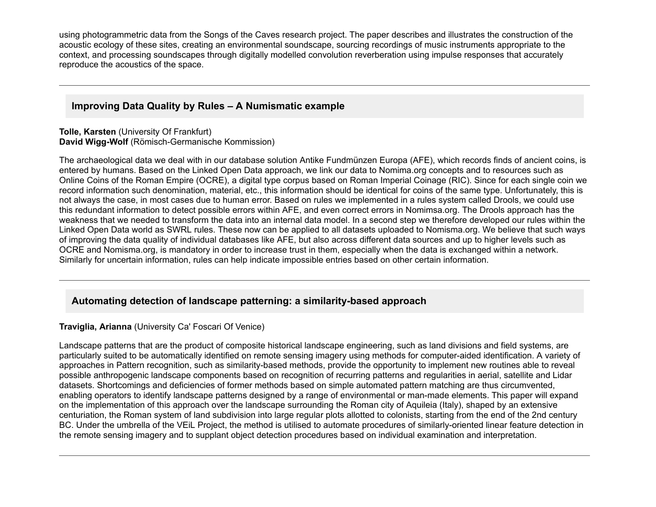using photogrammetric data from the Songs of the Caves research project. The paper describes and illustrates the construction of the acoustic ecology of these sites, creating an environmental soundscape, sourcing recordings of music instruments appropriate to the context, and processing soundscapes through digitally modelled convolution reverberation using impulse responses that accurately reproduce the acoustics of the space.

## **Improving Data Quality by Rules – A Numismatic example**

**Tolle, Karsten** (University Of Frankfurt) **David Wigg-Wolf** (Römisch-Germanische Kommission)

The archaeological data we deal with in our database solution Antike Fundmünzen Europa (AFE), which records finds of ancient coins, is entered by humans. Based on the Linked Open Data approach, we link our data to Nomima.org concepts and to resources such as Online Coins of the Roman Empire (OCRE), a digital type corpus based on Roman Imperial Coinage (RIC). Since for each single coin we record information such denomination, material, etc., this information should be identical for coins of the same type. Unfortunately, this is not always the case, in most cases due to human error. Based on rules we implemented in a rules system called Drools, we could use this redundant information to detect possible errors within AFE, and even correct errors in Nomimsa.org. The Drools approach has the weakness that we needed to transform the data into an internal data model. In a second step we therefore developed our rules within the Linked Open Data world as SWRL rules. These now can be applied to all datasets uploaded to Nomisma.org. We believe that such ways of improving the data quality of individual databases like AFE, but also across different data sources and up to higher levels such as OCRE and Nomisma.org, is mandatory in order to increase trust in them, especially when the data is exchanged within a network. Similarly for uncertain information, rules can help indicate impossible entries based on other certain information.

## Automating detection of landscape patterning: a similarity-based approach

#### **Traviglia, Arianna** (University Ca' Foscari Of Venice)

Landscape patterns that are the product of composite historical landscape engineering, such as land divisions and field systems, are particularly suited to be automatically identified on remote sensing imagery using methods for computer-aided identification. A variety of approaches in Pattern recognition, such as similarity-based methods, provide the opportunity to implement new routines able to reveal possible anthropogenic landscape components based on recognition of recurring patterns and regularities in aerial, satellite and Lidar datasets. Shortcomings and deficiencies of former methods based on simple automated pattern matching are thus circumvented, enabling operators to identify landscape patterns designed by a range of environmental or man-made elements. This paper will expand on the implementation of this approach over the landscape surrounding the Roman city of Aquileia (Italy), shaped by an extensive centuriation, the Roman system of land subdivision into large regular plots allotted to colonists, starting from the end of the 2nd century BC. Under the umbrella of the VEIL Project, the method is utilised to automate procedures of similarly-oriented linear feature detection in the remote sensing imagery and to supplant object detection procedures based on individual examination and interpretation.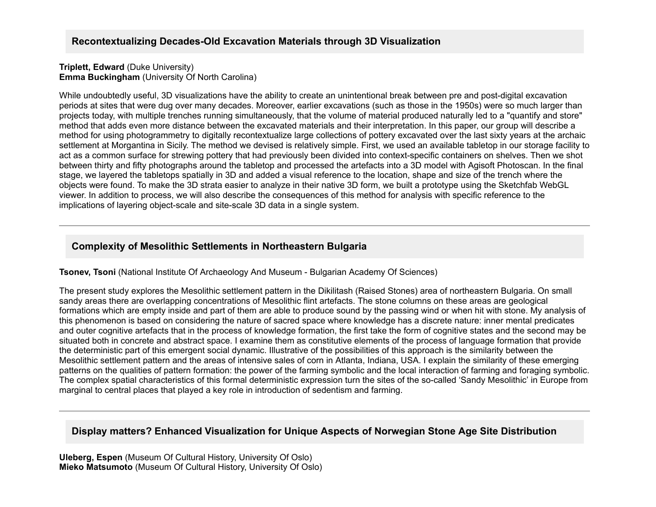#### **Triplett, Edward** (Duke University) **Emma Buckingham** (University Of North Carolina)

While undoubtedly useful, 3D visualizations have the ability to create an unintentional break between pre and post-digital excavation periods at sites that were dug over many decades. Moreover, earlier excavations (such as those in the 1950s) were so much larger than projects today, with multiple trenches running simultaneously, that the volume of material produced naturally led to a "quantify and store" method that adds even more distance between the excavated materials and their interpretation. In this paper, our group will describe a method for using photogrammetry to digitally recontextualize large collections of pottery excavated over the last sixty years at the archaic settlement at Morgantina in Sicily. The method we devised is relatively simple. First, we used an available tabletop in our storage facility to act as a common surface for strewing pottery that had previously been divided into context-specific containers on shelves. Then we shot between thirty and fifty photographs around the tabletop and processed the artefacts into a 3D model with Agisoft Photoscan. In the final stage, we layered the tabletops spatially in 3D and added a visual reference to the location, shape and size of the trench where the objects were found. To make the 3D strata easier to analyze in their native 3D form, we built a prototype using the Sketchfab WebGL viewer. In addition to process, we will also describe the consequences of this method for analysis with specific reference to the implications of layering object-scale and site-scale 3D data in a single system.

## **Complexity of Mesolithic Settlements in Northeastern Bulgaria**

**Tsonev, Tsoni** (National Institute Of Archaeology And Museum - Bulgarian Academy Of Sciences)

The present study explores the Mesolithic settlement pattern in the Dikilitash (Raised Stones) area of northeastern Bulgaria. On small sandy areas there are overlapping concentrations of Mesolithic flint artefacts. The stone columns on these areas are geological formations which are empty inside and part of them are able to produce sound by the passing wind or when hit with stone. My analysis of this phenomenon is based on considering the nature of sacred space where knowledge has a discrete nature: inner mental predicates and outer cognitive artefacts that in the process of knowledge formation, the first take the form of cognitive states and the second may be situated both in concrete and abstract space. I examine them as constitutive elements of the process of language formation that provide the deterministic part of this emergent social dynamic. Illustrative of the possibilities of this approach is the similarity between the Mesolithic settlement pattern and the areas of intensive sales of corn in Atlanta, Indiana, USA. I explain the similarity of these emerging patterns on the qualities of pattern formation: the power of the farming symbolic and the local interaction of farming and foraging symbolic. The complex spatial characteristics of this formal deterministic expression turn the sites of the so-called 'Sandy Mesolithic' in Europe from marginal to central places that played a key role in introduction of sedentism and farming.

## **Display matters? Enhanced Visualization for Unique Aspects of Norwegian Stone Age Site Distribution**

**Uleberg, Espen** (Museum Of Cultural History, University Of Oslo) **Mieko Matsumoto** (Museum Of Cultural History, University Of Oslo)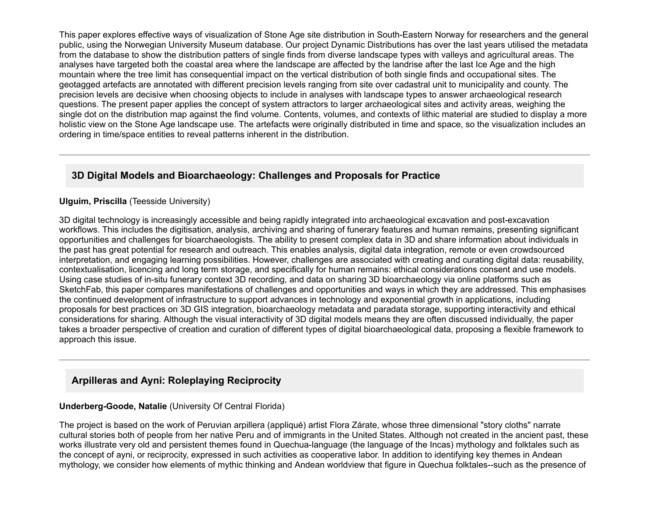This paper explores effective ways of visualization of Stone Age site distribution in South-Eastern Norway for researchers and the general public, using the Norwegian University Museum database. Our project Dynamic Distributions has over the last years utilised the metadata from the database to show the distribution patters of single finds from diverse landscape types with valleys and agricultural areas. The analyses have targeted both the coastal area where the landscape are affected by the landrise after the last Ice Age and the high mountain where the tree limit has consequential impact on the vertical distribution of both single finds and occupational sites. The geotagged artefacts are annotated with different precision levels ranging from site over cadastral unit to municipality and county. The precision levels are decisive when choosing objects to include in analyses with landscape types to answer archaeological research questions. The present paper applies the concept of system attractors to larger archaeological sites and activity areas, weighing the single dot on the distribution map against the find volume. Contents, volumes, and contexts of lithic material are studied to display a more holistic view on the Stone Age landscape use. The artefacts were originally distributed in time and space, so the visualization includes an ordering in time/space entities to reveal patterns inherent in the distribution.

## **3D Digital Models and Bioarchaeology: Challenges and Proposals for Practice**

#### **Ulguim, Priscilla** (Teesside University)

3D digital technology is increasingly accessible and being rapidly integrated into archaeological excavation and postexcavation workflows. This includes the digitisation, analysis, archiving and sharing of funerary features and human remains, presenting significant opportunities and challenges for bioarchaeologists. The ability to present complex data in 3D and share information about individuals in the past has great potential for research and outreach. This enables analysis, digital data integration, remote or even crowdsourced interpretation, and engaging learning possibilities. However, challenges are associated with creating and curating digital data: reusability, contextualisation, licencing and long term storage, and specifically for human remains: ethical considerations consent and use models. Using case studies of in-situ funerary context 3D recording, and data on sharing 3D bioarchaeology via online platforms such as SketchFab, this paper compares manifestations of challenges and opportunities and ways in which they are addressed. This emphasises the continued development of infrastructure to support advances in technology and exponential growth in applications, including proposals for best practices on 3D GIS integration, bioarchaeology metadata and paradata storage, supporting interactivity and ethical considerations for sharing. Although the visual interactivity of 3D digital models means they are often discussed individually, the paper takes a broader perspective of creation and curation of different types of digital bioarchaeological data, proposing a flexible framework to approach this issue.

## **Arpilleras and Ayni: Roleplaying Reciprocity**

#### **Underberg-Goode, Natalie** (University Of Central Florida)

The project is based on the work of Peruvian arpillera (appliqué) artist Flora Zárate, whose three dimensional "story cloths" narrate cultural stories both of people from her native Peru and of immigrants in the United States. Although not created in the ancient past, these works illustrate very old and persistent themes found in Quechua-language (the language of the Incas) mythology and folktales such as the concept of ayni, or reciprocity, expressed in such activities as cooperative labor. In addition to identifying key themes in Andean mythology, we consider how elements of mythic thinking and Andean worldview that figure in Quechua folktales--such as the presence of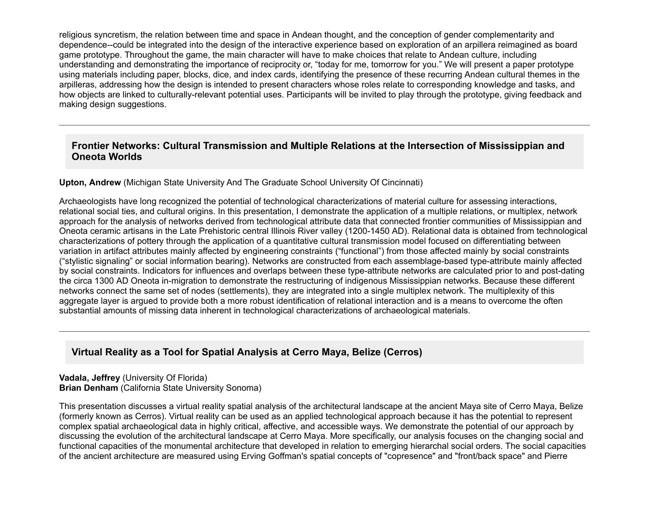religious syncretism, the relation between time and space in Andean thought, and the conception of gender complementarity and dependence--could be integrated into the design of the interactive experience based on exploration of an arpillera reimagined as board game prototype. Throughout the game, the main character will have to make choices that relate to Andean culture, including understanding and demonstrating the importance of reciprocity or, "today for me, tomorrow for you." We will present a paper prototype using materials including paper, blocks, dice, and index cards, identifying the presence of these recurring Andean cultural themes in the arpilleras, addressing how the design is intended to present characters whose roles relate to corresponding knowledge and tasks, and how objects are linked to culturally-relevant potential uses. Participants will be invited to play through the prototype, giving feedback and making design suggestions.

## **Frontier Networks: Cultural Transmission and Multiple Relations at the Intersection of Mississippian and Oneota Worlds**

#### **Upton, Andrew** (Michigan State University And The Graduate School University Of Cincinnati)

Archaeologists have long recognized the potential of technological characterizations of material culture for assessing interactions, relational social ties, and cultural origins. In this presentation, I demonstrate the application of a multiple relations, or multiplex, network approach for the analysis of networks derived from technological attribute data that connected frontier communities of Mississippian and Oneota ceramic artisans in the Late Prehistoric central Illinois River valley (1200-1450 AD). Relational data is obtained from technological characterizations of pottery through the application of a quantitative cultural transmission model focused on differentiating between variation in artifact attributes mainly affected by engineering constraints ("functional") from those affected mainly by social constraints ("stylistic signaling" or social information bearing). Networks are constructed from each assemblage-based type-attribute mainly affected by social constraints. Indicators for influences and overlaps between these type-attribute networks are calculated prior to and post-dating the circa 1300 AD Oneota in-migration to demonstrate the restructuring of indigenous Mississippian networks. Because these different networks connect the same set of nodes (settlements), they are integrated into a single multiplex network. The multiplexity of this aggregate layer is argued to provide both a more robust identification of relational interaction and is a means to overcome the often substantial amounts of missing data inherent in technological characterizations of archaeological materials.

## **Virtual Reality as a Tool for Spatial Analysis at Cerro Maya, Belize (Cerros)**

**Vadala, Jeffrey** (University Of Florida) **Brian Denham** (California State University Sonoma)

This presentation discusses a virtual reality spatial analysis of the architectural landscape at the ancient Maya site of Cerro Maya, Belize (formerly known as Cerros). Virtual reality can be used as an applied technological approach because it has the potential to represent complex spatial archaeological data in highly critical, affective, and accessible ways. We demonstrate the potential of our approach by discussing the evolution of the architectural landscape at Cerro Maya. More specifically, our analysis focuses on the changing social and functional capacities of the monumental architecture that developed in relation to emerging hierarchal social orders. The social capacities of the ancient architecture are measured using Erving Goffman's spatial concepts of "copresence" and "front/back space" and Pierre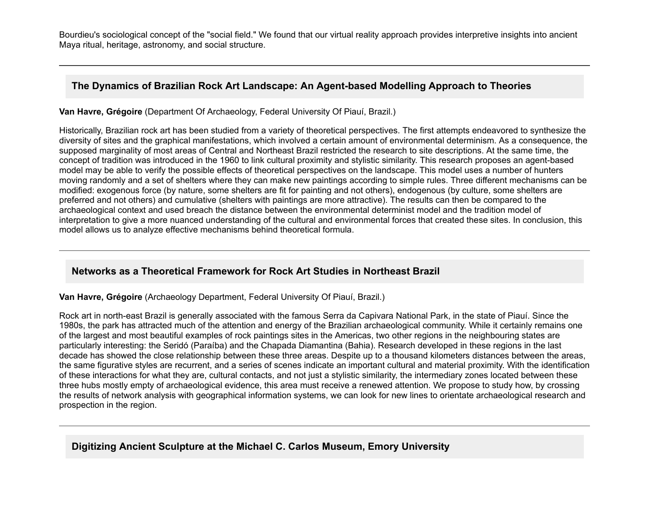Bourdieu's sociological concept of the "social field." We found that our virtual reality approach provides interpretive insights into ancient Maya ritual, heritage, astronomy, and social structure.

## The Dynamics of Brazilian Rock Art Landscape: An Agent-based Modelling Approach to Theories

**Van Havre, Grégoire** (Department Of Archaeology, Federal University Of Piauí, Brazil.)

Historically, Brazilian rock art has been studied from a variety of theoretical perspectives. The first attempts endeavored to synthesize the diversity of sites and the graphical manifestations, which involved a certain amount of environmental determinism. As a consequence, the supposed marginality of most areas of Central and Northeast Brazil restricted the research to site descriptions. At the same time, the concept of tradition was introduced in the 1960 to link cultural proximity and stylistic similarity. This research proposes an agent-based model may be able to verify the possible effects of theoretical perspectives on the landscape. This model uses a number of hunters moving randomly and a set of shelters where they can make new paintings according to simple rules. Three different mechanisms can be modified: exogenous force (by nature, some shelters are fit for painting and not others), endogenous (by culture, some shelters are preferred and not others) and cumulative (shelters with paintings are more attractive). The results can then be compared to the archaeological context and used breach the distance between the environmental determinist model and the tradition model of interpretation to give a more nuanced understanding of the cultural and environmental forces that created these sites. In conclusion, this model allows us to analyze effective mechanisms behind theoretical formula.

# **Networks as a Theoretical Framework for Rock Art Studies in Northeast Brazil**

**Van Havre, Grégoire** (Archaeology Department, Federal University Of Piauí, Brazil.)

Rock art in northeast Brazil is generally associated with the famous Serra da Capivara National Park, in the state of Piauí. Since the 1980s, the park has attracted much of the attention and energy of the Brazilian archaeological community. While it certainly remains one of the largest and most beautiful examples of rock paintings sites in the Americas, two other regions in the neighbouring states are particularly interesting: the Seridó (Paraíba) and the Chapada Diamantina (Bahia). Research developed in these regions in the last decade has showed the close relationship between these three areas. Despite up to a thousand kilometers distances between the areas, the same figurative styles are recurrent, and a series of scenes indicate an important cultural and material proximity. With the identification of these interactions for what they are, cultural contacts, and not just a stylistic similarity, the intermediary zones located between these three hubs mostly empty of archaeological evidence, this area must receive a renewed attention. We propose to study how, by crossing the results of network analysis with geographical information systems, we can look for new lines to orientate archaeological research and prospection in the region.

# **Digitizing Ancient Sculpture at the Michael C. Carlos Museum, Emory University**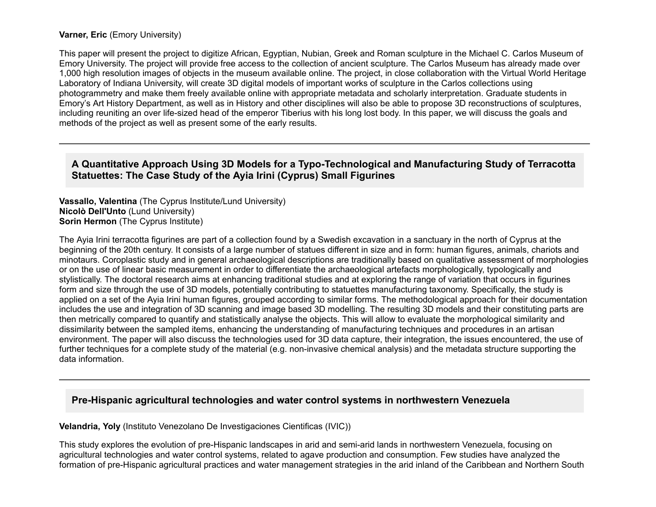#### **Varner, Eric** (Emory University)

This paper will present the project to digitize African, Egyptian, Nubian, Greek and Roman sculpture in the Michael C. Carlos Museum of Emory University. The project will provide free access to the collection of ancient sculpture. The Carlos Museum has already made over 1,000 high resolution images of objects in the museum available online. The project, in close collaboration with the Virtual World Heritage Laboratory of Indiana University, will create 3D digital models of important works of sculpture in the Carlos collections using photogrammetry and make them freely available online with appropriate metadata and scholarly interpretation. Graduate students in Emory's Art History Department, as well as in History and other disciplines will also be able to propose 3D reconstructions of sculptures, including reuniting an over life-sized head of the emperor Tiberius with his long lost body. In this paper, we will discuss the goals and methods of the project as well as present some of the early results.

### A Quantitative Approach Using 3D Models for a Typo-Technological and Manufacturing Study of Terracotta **Statuettes: The Case Study of the Ayia Irini (Cyprus) Small Figurines**

**Vassallo, Valentina** (The Cyprus Institute/Lund University) **Nicolò Dell'Unto** (Lund University) **Sorin Hermon** (The Cyprus Institute)

The Ayia Irini terracotta figurines are part of a collection found by a Swedish excavation in a sanctuary in the north of Cyprus at the beginning of the 20th century. It consists of a large number of statues different in size and in form: human figures, animals, chariots and minotaurs. Coroplastic study and in general archaeological descriptions are traditionally based on qualitative assessment of morphologies or on the use of linear basic measurement in order to differentiate the archaeological artefacts morphologically, typologically and stylistically. The doctoral research aims at enhancing traditional studies and at exploring the range of variation that occurs in figurines form and size through the use of 3D models, potentially contributing to statuettes manufacturing taxonomy. Specifically, the study is applied on a set of the Ayia Irini human figures, grouped according to similar forms. The methodological approach for their documentation includes the use and integration of 3D scanning and image based 3D modelling. The resulting 3D models and their constituting parts are then metrically compared to quantify and statistically analyse the objects. This will allow to evaluate the morphological similarity and dissimilarity between the sampled items, enhancing the understanding of manufacturing techniques and procedures in an artisan environment. The paper will also discuss the technologies used for 3D data capture, their integration, the issues encountered, the use of further techniques for a complete study of the material (e.g. non-invasive chemical analysis) and the metadata structure supporting the data information.

#### **PreHispanic agricultural technologies and water control systems in northwestern Venezuela**

#### **Velandria, Yoly** (Instituto Venezolano De Investigaciones Cientificas (IVIC))

This study explores the evolution of pre-Hispanic landscapes in arid and semi-arid lands in northwestern Venezuela, focusing on agricultural technologies and water control systems, related to agave production and consumption. Few studies have analyzed the formation of pre-Hispanic agricultural practices and water management strategies in the arid inland of the Caribbean and Northern South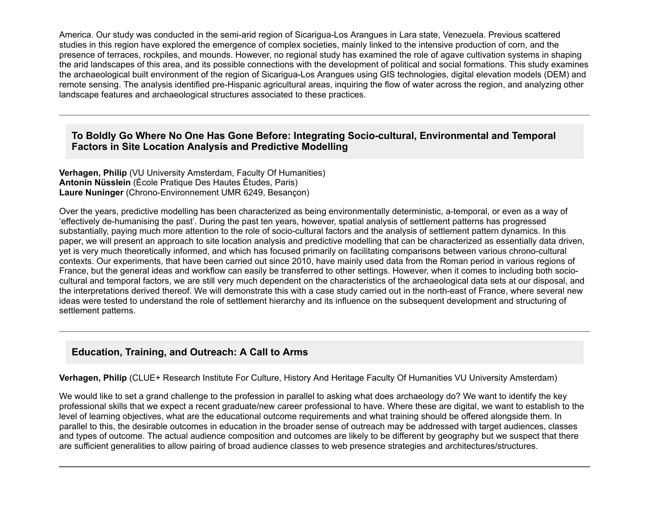America. Our study was conducted in the semi-arid region of Sicarigua-Los Arangues in Lara state, Venezuela. Previous scattered studies in this region have explored the emergence of complex societies, mainly linked to the intensive production of corn, and the presence of terraces, rockpiles, and mounds. However, no regional study has examined the role of agave cultivation systems in shaping the arid landscapes of this area, and its possible connections with the development of political and social formations. This study examines the archaeological built environment of the region of Sicarigua-Los Arangues using GIS technologies, digital elevation models (DEM) and remote sensing. The analysis identified pre-Hispanic agricultural areas, inquiring the flow of water across the region, and analyzing other landscape features and archaeological structures associated to these practices.

## To Boldly Go Where No One Has Gone Before: Integrating Socio-cultural, Environmental and Temporal **Factors in Site Location Analysis and Predictive Modelling**

**Verhagen, Philip** (VU University Amsterdam, Faculty Of Humanities) **Antonin Nüsslein** (École Pratique Des Hautes Études, Paris) **Laure Nuninger** (Chrono-Environnement UMR 6249, Besançon)

Over the years, predictive modelling has been characterized as being environmentally deterministic, atemporal, or even as a way of 'effectively dehumanising the past'. During the past ten years, however, spatial analysis of settlement patterns has progressed substantially, paying much more attention to the role of socio-cultural factors and the analysis of settlement pattern dynamics. In this paper, we will present an approach to site location analysis and predictive modelling that can be characterized as essentially data driven, yet is very much theoretically informed, and which has focused primarily on facilitating comparisons between various chrono-cultural contexts. Our experiments, that have been carried out since 2010, have mainly used data from the Roman period in various regions of France, but the general ideas and workflow can easily be transferred to other settings. However, when it comes to including both sociocultural and temporal factors, we are still very much dependent on the characteristics of the archaeological data sets at our disposal, and the interpretations derived thereof. We will demonstrate this with a case study carried out in the northeast of France, where several new ideas were tested to understand the role of settlement hierarchy and its influence on the subsequent development and structuring of settlement patterns.

## **Education, Training, and Outreach: A Call to Arms**

**Verhagen, Philip** (CLUE+ Research Institute For Culture, History And Heritage Faculty Of Humanities VU University Amsterdam)

We would like to set a grand challenge to the profession in parallel to asking what does archaeology do? We want to identify the key professional skills that we expect a recent graduate/new career professional to have. Where these are digital, we want to establish to the level of learning objectives, what are the educational outcome requirements and what training should be offered alongside them. In parallel to this, the desirable outcomes in education in the broader sense of outreach may be addressed with target audiences, classes and types of outcome. The actual audience composition and outcomes are likely to be different by geography but we suspect that there are sufficient generalities to allow pairing of broad audience classes to web presence strategies and architectures/structures.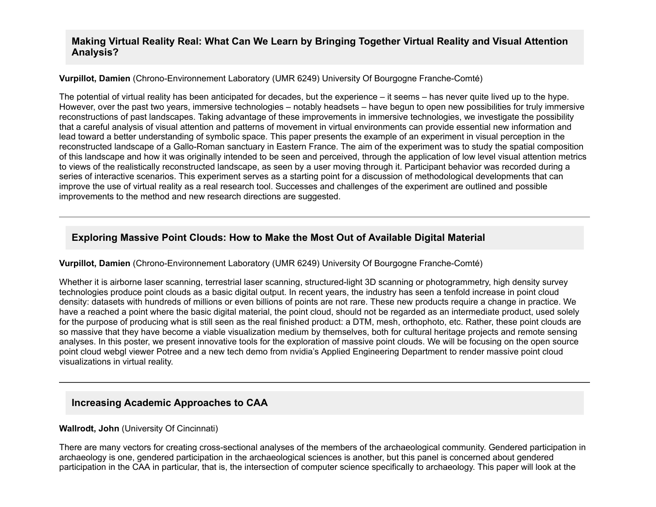### **Making Virtual Reality Real: What Can We Learn by Bringing Together Virtual Reality and Visual Attention Analysis?**

#### **Vurpillot, Damien** (Chrono-Environnement Laboratory (UMR 6249) University Of Bourgogne Franche-Comté)

The potential of virtual reality has been anticipated for decades, but the experience – it seems – has never quite lived up to the hype. However, over the past two years, immersive technologies – notably headsets – have begun to open new possibilities for truly immersive reconstructions of past landscapes. Taking advantage of these improvements in immersive technologies, we investigate the possibility that a careful analysis of visual attention and patterns of movement in virtual environments can provide essential new information and lead toward a better understanding of symbolic space. This paper presents the example of an experiment in visual perception in the reconstructed landscape of a Gallo-Roman sanctuary in Eastern France. The aim of the experiment was to study the spatial composition of this landscape and how it was originally intended to be seen and perceived, through the application of low level visual attention metrics to views of the realistically reconstructed landscape, as seen by a user moving through it. Participant behavior was recorded during a series of interactive scenarios. This experiment serves as a starting point for a discussion of methodological developments that can improve the use of virtual reality as a real research tool. Successes and challenges of the experiment are outlined and possible improvements to the method and new research directions are suggested.

## **Exploring Massive Point Clouds: How to Make the Most Out of Available Digital Material**

#### **Vurpillot, Damien** (Chrono-Environnement Laboratory (UMR 6249) University Of Bourgogne Franche-Comté)

Whether it is airborne laser scanning, terrestrial laser scanning, structured-light 3D scanning or photogrammetry, high density survey technologies produce point clouds as a basic digital output. In recent years, the industry has seen a tenfold increase in point cloud density: datasets with hundreds of millions or even billions of points are not rare. These new products require a change in practice. We have a reached a point where the basic digital material, the point cloud, should not be regarded as an intermediate product, used solely for the purpose of producing what is still seen as the real finished product: a DTM, mesh, orthophoto, etc. Rather, these point clouds are so massive that they have become a viable visualization medium by themselves, both for cultural heritage projects and remote sensing analyses. In this poster, we present innovative tools for the exploration of massive point clouds. We will be focusing on the open source point cloud webgl viewer Potree and a new tech demo from nvidia's Applied Engineering Department to render massive point cloud visualizations in virtual reality.

## **Increasing Academic Approaches to CAA**

#### **Wallrodt, John** (University Of Cincinnati)

There are many vectors for creating cross-sectional analyses of the members of the archaeological community. Gendered participation in archaeology is one, gendered participation in the archaeological sciences is another, but this panel is concerned about gendered participation in the CAA in particular, that is, the intersection of computer science specifically to archaeology. This paper will look at the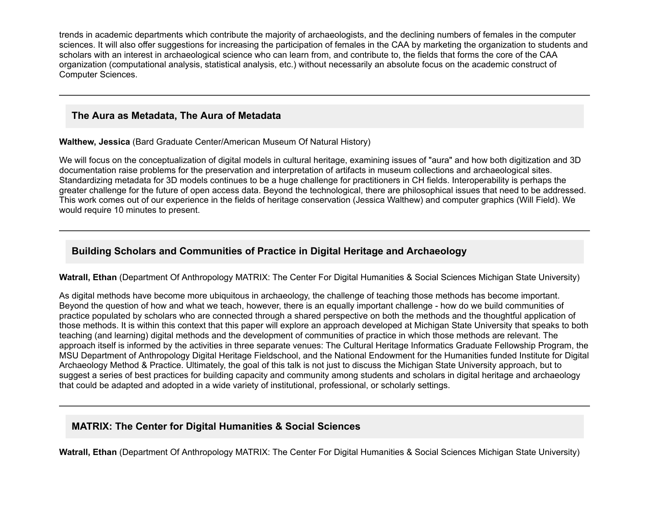trends in academic departments which contribute the majority of archaeologists, and the declining numbers of females in the computer sciences. It will also offer suggestions for increasing the participation of females in the CAA by marketing the organization to students and scholars with an interest in archaeological science who can learn from, and contribute to, the fields that forms the core of the CAA organization (computational analysis, statistical analysis, etc.) without necessarily an absolute focus on the academic construct of Computer Sciences.

### **The Aura as Metadata, The Aura of Metadata**

**Walthew, Jessica** (Bard Graduate Center/American Museum Of Natural History)

We will focus on the conceptualization of digital models in cultural heritage, examining issues of "aura" and how both digitization and 3D documentation raise problems for the preservation and interpretation of artifacts in museum collections and archaeological sites. Standardizing metadata for 3D models continues to be a huge challenge for practitioners in CH fields. Interoperability is perhaps the greater challenge for the future of open access data. Beyond the technological, there are philosophical issues that need to be addressed. This work comes out of our experience in the fields of heritage conservation (Jessica Walthew) and computer graphics (Will Field). We would require 10 minutes to present.

## **Building Scholars and Communities of Practice in Digital Heritage and Archaeology**

**Watrall, Ethan** (Department Of Anthropology MATRIX: The Center For Digital Humanities & Social Sciences Michigan State University)

As digital methods have become more ubiquitous in archaeology, the challenge of teaching those methods has become important. Beyond the question of how and what we teach, however, there is an equally important challenge - how do we build communities of practice populated by scholars who are connected through a shared perspective on both the methods and the thoughtful application of those methods. It is within this context that this paper will explore an approach developed at Michigan State University that speaks to both teaching (and learning) digital methods and the development of communities of practice in which those methods are relevant. The approach itself is informed by the activities in three separate venues: The Cultural Heritage Informatics Graduate Fellowship Program, the MSU Department of Anthropology Digital Heritage Fieldschool, and the National Endowment for the Humanities funded Institute for Digital Archaeology Method & Practice. Ultimately, the goal of this talk is not just to discuss the Michigan State University approach, but to suggest a series of best practices for building capacity and community among students and scholars in digital heritage and archaeology that could be adapted and adopted in a wide variety of institutional, professional, or scholarly settings.

# **MATRIX: The Center for Digital Humanities & Social Sciences**

**Watrall, Ethan** (Department Of Anthropology MATRIX: The Center For Digital Humanities & Social Sciences Michigan State University)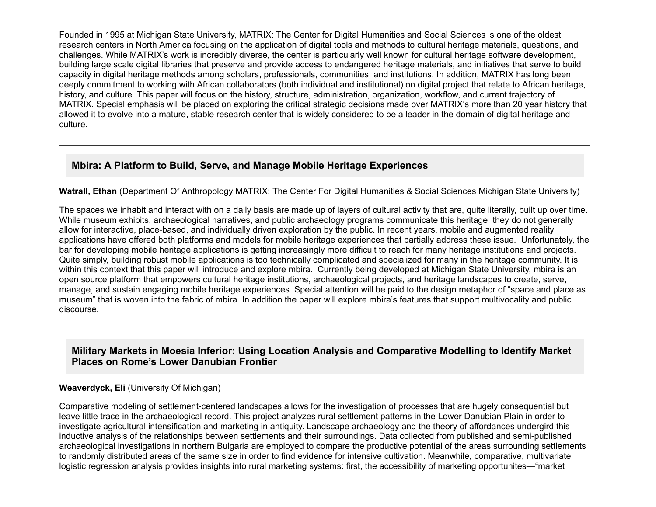Founded in 1995 at Michigan State University, MATRIX: The Center for Digital Humanities and Social Sciences is one of the oldest research centers in North America focusing on the application of digital tools and methods to cultural heritage materials, questions, and challenges. While MATRIX's work is incredibly diverse, the center is particularly well known for cultural heritage software development, building large scale digital libraries that preserve and provide access to endangered heritage materials, and initiatives that serve to build capacity in digital heritage methods among scholars, professionals, communities, and institutions. In addition, MATRIX has long been deeply commitment to working with African collaborators (both individual and institutional) on digital project that relate to African heritage, history, and culture. This paper will focus on the history, structure, administration, organization, workflow, and current trajectory of MATRIX. Special emphasis will be placed on exploring the critical strategic decisions made over MATRIX's more than 20 year history that allowed it to evolve into a mature, stable research center that is widely considered to be a leader in the domain of digital heritage and culture.

## **Mbira: A Platform to Build, Serve, and Manage Mobile Heritage Experiences**

**Watrall, Ethan** (Department Of Anthropology MATRIX: The Center For Digital Humanities & Social Sciences Michigan State University)

The spaces we inhabit and interact with on a daily basis are made up of layers of cultural activity that are, quite literally, built up over time. While museum exhibits, archaeological narratives, and public archaeology programs communicate this heritage, they do not generally allow for interactive, place-based, and individually driven exploration by the public. In recent years, mobile and augmented reality applications have offered both platforms and models for mobile heritage experiences that partially address these issue. Unfortunately, the bar for developing mobile heritage applications is getting increasingly more difficult to reach for many heritage institutions and projects. Quite simply, building robust mobile applications is too technically complicated and specialized for many in the heritage community. It is within this context that this paper will introduce and explore mbira. Currently being developed at Michigan State University, mbira is an open source platform that empowers cultural heritage institutions, archaeological projects, and heritage landscapes to create, serve, manage, and sustain engaging mobile heritage experiences. Special attention will be paid to the design metaphor of "space and place as museum" that is woven into the fabric of mbira. In addition the paper will explore mbira's features that support multivocality and public discourse.

## **Military Markets in Moesia Inferior: Using Location Analysis and Comparative Modelling to Identify Market Places on Rome's Lower Danubian Frontier**

#### **Weaverdyck, Eli** (University Of Michigan)

Comparative modeling of settlement-centered landscapes allows for the investigation of processes that are hugely consequential but leave little trace in the archaeological record. This project analyzes rural settlement patterns in the Lower Danubian Plain in order to investigate agricultural intensification and marketing in antiquity. Landscape archaeology and the theory of affordances undergird this inductive analysis of the relationships between settlements and their surroundings. Data collected from published and semipublished archaeological investigations in northern Bulgaria are employed to compare the productive potential of the areas surrounding settlements to randomly distributed areas of the same size in order to find evidence for intensive cultivation. Meanwhile, comparative, multivariate logistic regression analysis provides insights into rural marketing systems: first, the accessibility of marketing opportunites—"market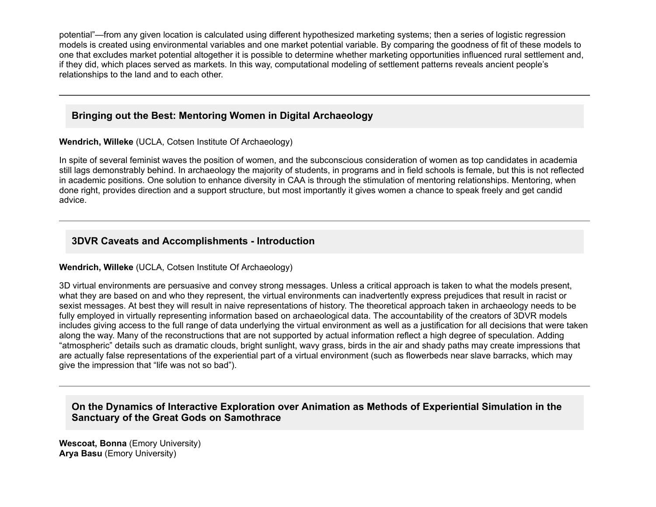potential"—from any given location is calculated using different hypothesized marketing systems; then a series of logistic regression models is created using environmental variables and one market potential variable. By comparing the goodness of fit of these models to one that excludes market potential altogether it is possible to determine whether marketing opportunities influenced rural settlement and, if they did, which places served as markets. In this way, computational modeling of settlement patterns reveals ancient people's relationships to the land and to each other.

## **Bringing out the Best: Mentoring Women in Digital Archaeology**

#### **Wendrich, Willeke** (UCLA, Cotsen Institute Of Archaeology)

In spite of several feminist waves the position of women, and the subconscious consideration of women as top candidates in academia still lags demonstrably behind. In archaeology the majority of students, in programs and in field schools is female, but this is not reflected in academic positions. One solution to enhance diversity in CAA is through the stimulation of mentoring relationships. Mentoring, when done right, provides direction and a support structure, but most importantly it gives women a chance to speak freely and get candid advice.

## **3DVR Caveats and Accomplishments Introduction**

#### **Wendrich, Willeke** (UCLA, Cotsen Institute Of Archaeology)

3D virtual environments are persuasive and convey strong messages. Unless a critical approach is taken to what the models present, what they are based on and who they represent, the virtual environments can inadvertently express prejudices that result in racist or sexist messages. At best they will result in naive representations of history. The theoretical approach taken in archaeology needs to be fully employed in virtually representing information based on archaeological data. The accountability of the creators of 3DVR models includes giving access to the full range of data underlying the virtual environment as well as a justification for all decisions that were taken along the way. Many of the reconstructions that are not supported by actual information reflect a high degree of speculation. Adding "atmospheric" details such as dramatic clouds, bright sunlight, wavy grass, birds in the air and shady paths may create impressions that are actually false representations of the experiential part of a virtual environment (such as flowerbeds near slave barracks, which may give the impression that "life was not so bad").

## **On the Dynamics of Interactive Exploration over Animation as Methods of Experiential Simulation in the Sanctuary of the Great Gods on Samothrace**

**Wescoat, Bonna** (Emory University) **Arya Basu** (Emory University)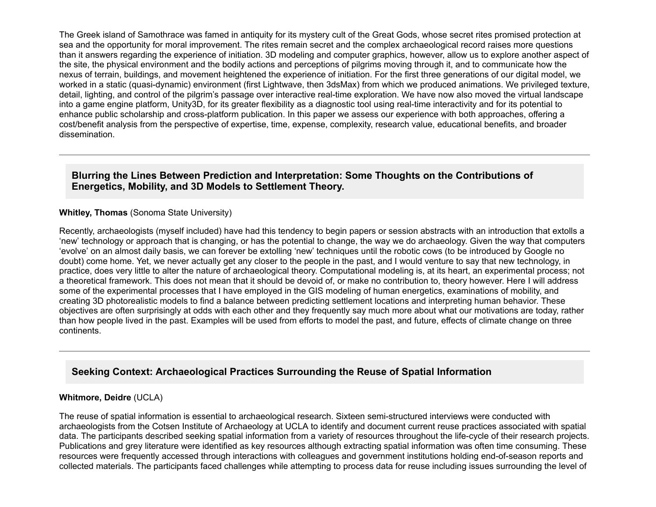The Greek island of Samothrace was famed in antiquity for its mystery cult of the Great Gods, whose secret rites promised protection at sea and the opportunity for moral improvement. The rites remain secret and the complex archaeological record raises more questions than it answers regarding the experience of initiation. 3D modeling and computer graphics, however, allow us to explore another aspect of the site, the physical environment and the bodily actions and perceptions of pilgrims moving through it, and to communicate how the nexus of terrain, buildings, and movement heightened the experience of initiation. For the first three generations of our digital model, we worked in a static (quasi-dynamic) environment (first Lightwave, then 3dsMax) from which we produced animations. We privileged texture, detail, lighting, and control of the pilgrim's passage over interactive real-time exploration. We have now also moved the virtual landscape into a game engine platform, Unity3D, for its greater flexibility as a diagnostic tool using realtime interactivity and for its potential to enhance public scholarship and cross-platform publication. In this paper we assess our experience with both approaches, offering a cost/benefit analysis from the perspective of expertise, time, expense, complexity, research value, educational benefits, and broader dissemination.

### **Blurring the Lines Between Prediction and Interpretation: Some Thoughts on the Contributions of Energetics, Mobility, and 3D Models to Settlement Theory.**

#### **Whitley, Thomas** (Sonoma State University)

Recently, archaeologists (myself included) have had this tendency to begin papers or session abstracts with an introduction that extolls a 'new' technology or approach that is changing, or has the potential to change, the way we do archaeology. Given the way that computers 'evolve' on an almost daily basis, we can forever be extolling 'new' techniques until the robotic cows (to be introduced by Google no doubt) come home. Yet, we never actually get any closer to the people in the past, and I would venture to say that new technology, in practice, does very little to alter the nature of archaeological theory. Computational modeling is, at its heart, an experimental process; not a theoretical framework. This does not mean that it should be devoid of, or make no contribution to, theory however. Here I will address some of the experimental processes that I have employed in the GIS modeling of human energetics, examinations of mobility, and creating 3D photorealistic models to find a balance between predicting settlement locations and interpreting human behavior. These objectives are often surprisingly at odds with each other and they frequently say much more about what our motivations are today, rather than how people lived in the past. Examples will be used from efforts to model the past, and future, effects of climate change on three continents.

## **Seeking Context: Archaeological Practices Surrounding the Reuse of Spatial Information**

#### **Whitmore, Deidre** (UCLA)

The reuse of spatial information is essential to archaeological research. Sixteen semistructured interviews were conducted with archaeologists from the Cotsen Institute of Archaeology at UCLA to identify and document current reuse practices associated with spatial data. The participants described seeking spatial information from a variety of resources throughout the life-cycle of their research projects. Publications and grey literature were identified as key resources although extracting spatial information was often time consuming. These resources were frequently accessed through interactions with colleagues and government institutions holding end-of-season reports and collected materials. The participants faced challenges while attempting to process data for reuse including issues surrounding the level of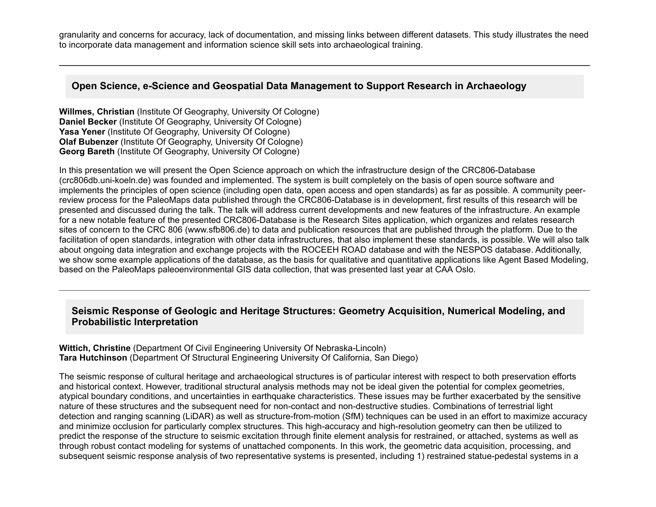granularity and concerns for accuracy, lack of documentation, and missing links between different datasets. This study illustrates the need to incorporate data management and information science skill sets into archaeological training.

### **Open Science, e-Science and Geospatial Data Management to Support Research in Archaeology**

**Willmes, Christian** (Institute Of Geography, University Of Cologne) **Daniel Becker** (Institute Of Geography, University Of Cologne) **Yasa Yener** (Institute Of Geography, University Of Cologne) **Olaf Bubenzer** (Institute Of Geography, University Of Cologne) **Georg Bareth** (Institute Of Geography, University Of Cologne)

In this presentation we will present the Open Science approach on which the infrastructure design of the CRC806-Database (crc806db.uni-koeln.de) was founded and implemented. The system is built completely on the basis of open source software and implements the principles of open science (including open data, open access and open standards) as far as possible. A community peerreview process for the PaleoMaps data published through the CRC806-Database is in development, first results of this research will be presented and discussed during the talk. The talk will address current developments and new features of the infrastructure. An example for a new notable feature of the presented CRC806-Database is the Research Sites application, which organizes and relates research sites of concern to the CRC 806 (www.sfb806.de) to data and publication resources that are published through the platform. Due to the facilitation of open standards, integration with other data infrastructures, that also implement these standards, is possible. We will also talk about ongoing data integration and exchange projects with the ROCEEH ROAD database and with the NESPOS database. Additionally, we show some example applications of the database, as the basis for qualitative and quantitative applications like Agent Based Modeling, based on the PaleoMaps paleoenvironmental GIS data collection, that was presented last year at CAA Oslo.

## **Seismic Response of Geologic and Heritage Structures: Geometry Acquisition, Numerical Modeling, and Probabilistic Interpretation**

**Wittich, Christine** (Department Of Civil Engineering University Of Nebraska-Lincoln) **Tara Hutchinson** (Department Of Structural Engineering University Of California, San Diego)

The seismic response of cultural heritage and archaeological structures is of particular interest with respect to both preservation efforts and historical context. However, traditional structural analysis methods may not be ideal given the potential for complex geometries, atypical boundary conditions, and uncertainties in earthquake characteristics. These issues may be further exacerbated by the sensitive nature of these structures and the subsequent need for non-contact and non-destructive studies. Combinations of terrestrial light detection and ranging scanning (LiDAR) as well as structure-from-motion (SfM) techniques can be used in an effort to maximize accuracy and minimize occlusion for particularly complex structures. This high-accuracy and high-resolution geometry can then be utilized to predict the response of the structure to seismic excitation through finite element analysis for restrained, or attached, systems as well as through robust contact modeling for systems of unattached components. In this work, the geometric data acquisition, processing, and subsequent seismic response analysis of two representative systems is presented, including 1) restrained statue-pedestal systems in a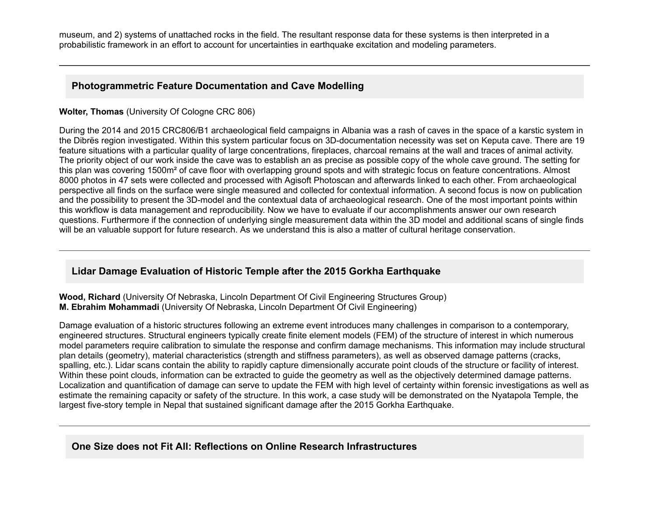museum, and 2) systems of unattached rocks in the field. The resultant response data for these systems is then interpreted in a probabilistic framework in an effort to account for uncertainties in earthquake excitation and modeling parameters.

## **Photogrammetric Feature Documentation and Cave Modelling**

#### **Wolter, Thomas** (University Of Cologne CRC 806)

During the 2014 and 2015 CRC806/B1 archaeological field campaigns in Albania was a rash of caves in the space of a karstic system in the Dibrës region investigated. Within this system particular focus on 3D-documentation necessity was set on Keputa cave. There are 19 feature situations with a particular quality of large concentrations, fireplaces, charcoal remains at the wall and traces of animal activity. The priority object of our work inside the cave was to establish an as precise as possible copy of the whole cave ground. The setting for this plan was covering 1500m<sup>2</sup> of cave floor with overlapping ground spots and with strategic focus on feature concentrations. Almost 8000 photos in 47 sets were collected and processed with Agisoft Photoscan and afterwards linked to each other. From archaeological perspective all finds on the surface were single measured and collected for contextual information. A second focus is now on publication and the possibility to present the 3D-model and the contextual data of archaeological research. One of the most important points within this workflow is data management and reproducibility. Now we have to evaluate if our accomplishments answer our own research questions. Furthermore if the connection of underlying single measurement data within the 3D model and additional scans of single finds will be an valuable support for future research. As we understand this is also a matter of cultural heritage conservation.

## **Lidar Damage Evaluation of Historic Temple after the 2015 Gorkha Earthquake**

**Wood, Richard** (University Of Nebraska, Lincoln Department Of Civil Engineering Structures Group) **M. Ebrahim Mohammadi** (University Of Nebraska, Lincoln Department Of Civil Engineering)

Damage evaluation of a historic structures following an extreme event introduces many challenges in comparison to a contemporary, engineered structures. Structural engineers typically create finite element models (FEM) of the structure of interest in which numerous model parameters require calibration to simulate the response and confirm damage mechanisms. This information may include structural plan details (geometry), material characteristics (strength and stiffness parameters), as well as observed damage patterns (cracks, spalling, etc.). Lidar scans contain the ability to rapidly capture dimensionally accurate point clouds of the structure or facility of interest. Within these point clouds, information can be extracted to guide the geometry as well as the objectively determined damage patterns. Localization and quantification of damage can serve to update the FEM with high level of certainty within forensic investigations as well as estimate the remaining capacity or safety of the structure. In this work, a case study will be demonstrated on the Nyatapola Temple, the largest five-story temple in Nepal that sustained significant damage after the 2015 Gorkha Earthquake.

## **One Size does not Fit All: Reflections on Online Research Infrastructures**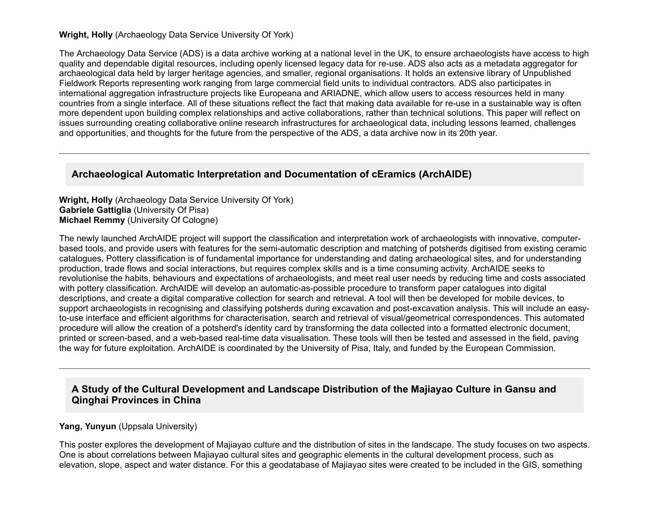#### **Wright, Holly** (Archaeology Data Service University Of York)

The Archaeology Data Service (ADS) is a data archive working at a national level in the UK, to ensure archaeologists have access to high quality and dependable digital resources, including openly licensed legacy data for re-use. ADS also acts as a metadata aggregator for archaeological data held by larger heritage agencies, and smaller, regional organisations. It holds an extensive library of Unpublished Fieldwork Reports representing work ranging from large commercial field units to individual contractors. ADS also participates in international aggregation infrastructure projects like Europeana and ARIADNE, which allow users to access resources held in many countries from a single interface. All of these situations reflect the fact that making data available for re-use in a sustainable way is often more dependent upon building complex relationships and active collaborations, rather than technical solutions. This paper will reflect on issues surrounding creating collaborative online research infrastructures for archaeological data, including lessons learned, challenges and opportunities, and thoughts for the future from the perspective of the ADS, a data archive now in its 20th year.

## **Archaeological Automatic Interpretation and Documentation of cEramics (ArchAIDE)**

**Wright, Holly** (Archaeology Data Service University Of York) **Gabriele Gattiglia** (University Of Pisa) **Michael Remmy** (University Of Cologne)

The newly launched ArchAIDE project will support the classification and interpretation work of archaeologists with innovative, computerbased tools, and provide users with features for the semi-automatic description and matching of potsherds digitised from existing ceramic catalogues. Pottery classification is of fundamental importance for understanding and dating archaeological sites, and for understanding production, trade flows and social interactions, but requires complex skills and is a time consuming activity. ArchAIDE seeks to revolutionise the habits, behaviours and expectations of archaeologists, and meet real user needs by reducing time and costs associated with pottery classification. ArchAIDE will develop an automatic-as-possible procedure to transform paper catalogues into digital descriptions, and create a digital comparative collection for search and retrieval. A tool will then be developed for mobile devices, to support archaeologists in recognising and classifying potsherds during excavation and post-excavation analysis. This will include an easyto-use interface and efficient algorithms for characterisation, search and retrieval of visual/geometrical correspondences. This automated procedure will allow the creation of a potsherd's identity card by transforming the data collected into a formatted electronic document, printed or screen-based, and a web-based real-time data visualisation. These tools will then be tested and assessed in the field, paving the way for future exploitation. ArchAIDE is coordinated by the University of Pisa, Italy, and funded by the European Commission.

## **A Study of the Cultural Development and Landscape Distribution of the Majiayao Culture in Gansu and Qinghai Provinces in China**

#### **Yang, Yunyun** (Uppsala University)

This poster explores the development of Majiayao culture and the distribution of sites in the landscape. The study focuses on two aspects. One is about correlations between Majiayao cultural sites and geographic elements in the cultural development process, such as elevation, slope, aspect and water distance. For this a geodatabase of Majiayao sites were created to be included in the GIS, something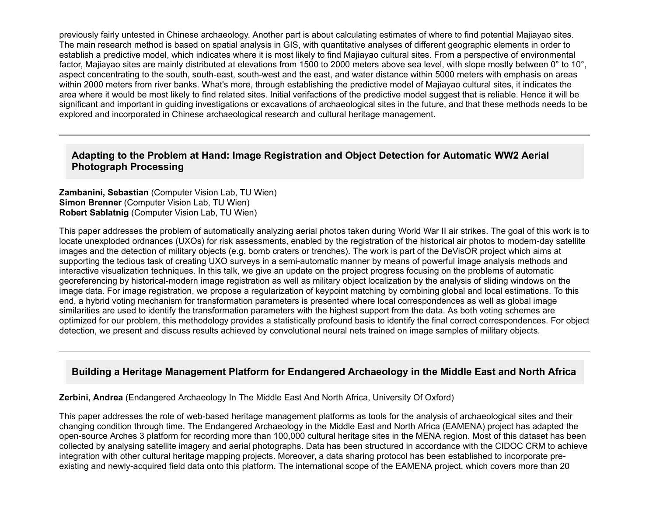previously fairly untested in Chinese archaeology. Another part is about calculating estimates of where to find potential Majiayao sites. The main research method is based on spatial analysis in GIS, with quantitative analyses of different geographic elements in order to establish a predictive model, which indicates where it is most likely to find Majiayao cultural sites. From a perspective of environmental factor, Majiayao sites are mainly distributed at elevations from 1500 to 2000 meters above sea level, with slope mostly between 0° to 10°, aspect concentrating to the south, south-east, south-west and the east, and water distance within 5000 meters with emphasis on areas within 2000 meters from river banks. What's more, through establishing the predictive model of Majiayao cultural sites, it indicates the area where it would be most likely to find related sites. Initial verifactions of the predictive model suggest that is reliable. Hence it will be significant and important in guiding investigations or excavations of archaeological sites in the future, and that these methods needs to be explored and incorporated in Chinese archaeological research and cultural heritage management.

## **Adapting to the Problem at Hand: Image Registration and Object Detection for Automatic WW2 Aerial Photograph Processing**

**Zambanini, Sebastian** (Computer Vision Lab, TU Wien) **Simon Brenner** (Computer Vision Lab, TU Wien) **Robert Sablatnig** (Computer Vision Lab, TU Wien)

This paper addresses the problem of automatically analyzing aerial photos taken during World War II air strikes. The goal of this work is to locate unexploded ordnances (UXOs) for risk assessments, enabled by the registration of the historical air photos to modern-day satellite images and the detection of military objects (e.g. bomb craters or trenches). The work is part of the DeVisOR project which aims at supporting the tedious task of creating UXO surveys in a semi-automatic manner by means of powerful image analysis methods and interactive visualization techniques. In this talk, we give an update on the project progress focusing on the problems of automatic georeferencing by historical-modern image registration as well as military object localization by the analysis of sliding windows on the image data. For image registration, we propose a regularization of keypoint matching by combining global and local estimations. To this end, a hybrid voting mechanism for transformation parameters is presented where local correspondences as well as global image similarities are used to identify the transformation parameters with the highest support from the data. As both voting schemes are optimized for our problem, this methodology provides a statistically profound basis to identify the final correct correspondences. For object detection, we present and discuss results achieved by convolutional neural nets trained on image samples of military objects.

## **Building a Heritage Management Platform for Endangered Archaeology in the Middle East and North Africa**

**Zerbini, Andrea** (Endangered Archaeology In The Middle East And North Africa, University Of Oxford)

This paper addresses the role of web-based heritage management platforms as tools for the analysis of archaeological sites and their changing condition through time. The Endangered Archaeology in the Middle East and North Africa (EAMENA) project has adapted the opensource Arches 3 platform for recording more than 100,000 cultural heritage sites in the MENA region. Most of this dataset has been collected by analysing satellite imagery and aerial photographs. Data has been structured in accordance with the CIDOC CRM to achieve integration with other cultural heritage mapping projects. Moreover, a data sharing protocol has been established to incorporate preexisting and newly-acquired field data onto this platform. The international scope of the EAMENA project, which covers more than 20